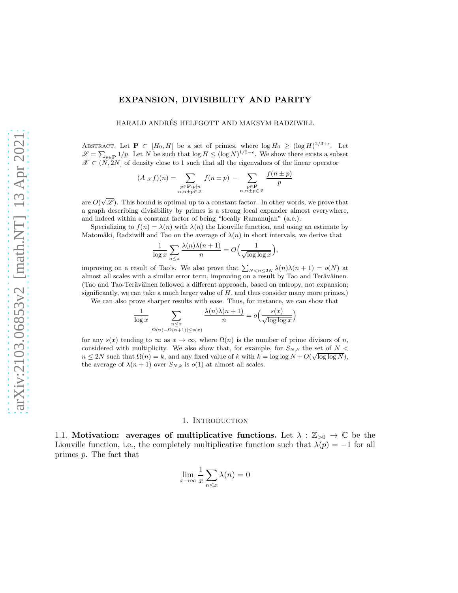## EXPANSION, DIVISIBILITY AND PARITY

HARALD ANDRÉS HELFGOTT AND MAKSYM RADZIWIŁL

ABSTRACT. Let  $\mathbf{P} \subset [H_0, H]$  be a set of primes, where  $\log H_0 \geq (\log H)^{2/3+\epsilon}$ . Let  $\mathscr{L} = \sum_{p \in \mathbf{P}} 1/p$ . Let N be such that  $\log H \leq (\log N)^{1/2-\epsilon}$ . We show there exists a subset  $\mathscr{X} \subset (\dot{N}, 2N]$  of density close to 1 such that all the eigenvalues of the linear operator

$$
(A_{|\mathscr{X}}f)(n) = \sum_{\substack{p \in \mathbf{P}:p|n\\n,n \pm p \in \mathscr{X}}} f(n \pm p) - \sum_{\substack{p \in \mathbf{P}\\n,n \pm p \in \mathscr{X}}} \frac{f(n \pm p)}{p}
$$

are  $O(\sqrt{\mathscr{L}})$ . This bound is optimal up to a constant factor. In other words, we prove that a graph describing divisibility by primes is a strong local expander almost everywhere, and indeed within a constant factor of being "locally Ramanujan" (a.e.).

Specializing to  $f(n) = \lambda(n)$  with  $\lambda(n)$  the Liouville function, and using an estimate by Matomäki, Radziwi l and Tao on the average of  $\lambda(n)$  in short intervals, we derive that

$$
\frac{1}{\log x} \sum_{n \leq x} \frac{\lambda(n)\lambda(n+1)}{n} = O\Big(\frac{1}{\sqrt{\log \log x}}\Big),\,
$$

improving on a result of Tao's. We also prove that  $\sum_{N \leq n \leq 2N} \lambda(n)\lambda(n+1) = o(N)$  at almost all scales with a similar error term, improving on a result by Tao and Teräväinen. (Tao and Tao-Teräväinen followed a different approach, based on entropy, not expansion; significantly, we can take a much larger value of  $H$ , and thus consider many more primes.)

We can also prove sharper results with ease. Thus, for instance, we can show that

$$
\frac{1}{\log x} \sum_{\substack{n \le x \\ |\Omega(n) - \Omega(n+1)| \le s(x)}} \frac{\lambda(n)\lambda(n+1)}{n} = o\left(\frac{s(x)}{\sqrt{\log \log x}}\right)
$$

for any  $s(x)$  tending to  $\infty$  as  $x \to \infty$ , where  $\Omega(n)$  is the number of prime divisors of n, considered with multiplicity. We also show that, for example, for  $S_{N,k}$  the set of  $N <$  $n \leq 2N$  such that  $\Omega(n) = k$ , and any fixed value of k with  $k = \log \log N + O(\sqrt{\log \log N})$ , the average of  $\lambda(n+1)$  over  $S_{N,k}$  is  $o(1)$  at almost all scales.

#### 1. INTRODUCTION

1.1. Motivation: averages of multiplicative functions. Let  $\lambda : \mathbb{Z}_{\geq 0} \to \mathbb{C}$  be the Liouville function, i.e., the completely multiplicative function such that  $\lambda(p) = -1$  for all primes p. The fact that

$$
\lim_{x \to \infty} \frac{1}{x} \sum_{n \le x} \lambda(n) = 0
$$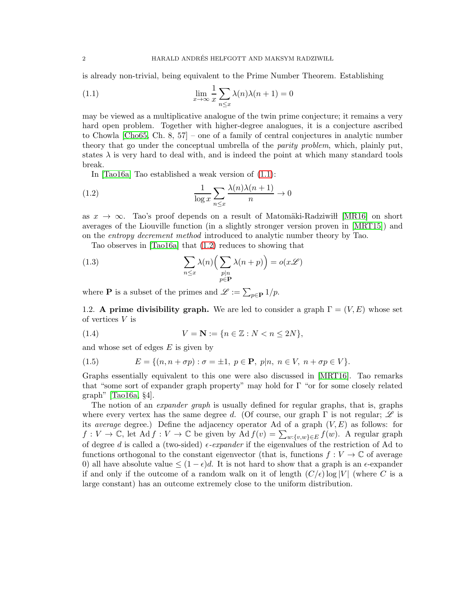is already non-trivial, being equivalent to the Prime Number Theorem. Establishing

<span id="page-1-0"></span>(1.1) 
$$
\lim_{x \to \infty} \frac{1}{x} \sum_{n \leq x} \lambda(n) \lambda(n+1) = 0
$$

may be viewed as a multiplicative analogue of the twin prime conjecture; it remains a very hard open problem. Together with higher-degree analogues, it is a conjecture ascribed to Chowla [\[Cho65,](#page-98-0) Ch. 8, 57] – one of a family of central conjectures in analytic number theory that go under the conceptual umbrella of the *parity problem*, which, plainly put, states  $\lambda$  is very hard to deal with, and is indeed the point at which many standard tools break.

<span id="page-1-1"></span>In [\[Tao16a\]](#page-100-0) Tao established a weak version of [\(1.1\)](#page-1-0):

(1.2) 
$$
\frac{1}{\log x} \sum_{n \leq x} \frac{\lambda(n)\lambda(n+1)}{n} \to 0
$$

as  $x \to \infty$ . Tao's proof depends on a result of Matomäki-Radziwi [\[MR16\]](#page-99-0) on short averages of the Liouville function (in a slightly stronger version proven in [\[MRT15\]](#page-99-1)) and on the *entropy decrement method* introduced to analytic number theory by Tao.

<span id="page-1-2"></span>Tao observes in [\[Tao16a\]](#page-100-0) that [\(1.2\)](#page-1-1) reduces to showing that

(1.3) 
$$
\sum_{n \leq x} \lambda(n) \Big( \sum_{\substack{p | n \\ p \in \mathbf{P}}} \lambda(n+p) \Big) = o(x\mathscr{L})
$$

where **P** is a subset of the primes and  $\mathscr{L} := \sum_{p \in \mathbf{P}} 1/p$ .

1.2. A prime divisibility graph. We are led to consider a graph  $\Gamma = (V, E)$  whose set of vertices V is

(1.4) 
$$
V = \mathbf{N} := \{ n \in \mathbb{Z} : N < n \leq 2N \},
$$

and whose set of edges  $E$  is given by

(1.5) 
$$
E = \{(n, n + \sigma p) : \sigma = \pm 1, \ p \in \mathbf{P}, \ p | n, \ n \in V, \ n + \sigma p \in V\}.
$$

Graphs essentially equivalent to this one were also discussed in [\[MRT16\]](#page-99-2). Tao remarks that "some sort of expander graph property" may hold for  $\Gamma$  "or for some closely related graph" [\[Tao16a,](#page-100-0) §4].

The notion of an *expander graph* is usually defined for regular graphs, that is, graphs where every vertex has the same degree d. (Of course, our graph  $\Gamma$  is not regular;  $\mathscr L$  is its *average* degree.) Define the adjacency operator Ad of a graph (V, E) as follows: for  $f: V \to \mathbb{C}$ , let  $\text{Ad } f: V \to \mathbb{C}$  be given by  $\text{Ad } f(v) = \sum_{w:\{v,w\} \in E} f(w)$ . A regular graph of degree d is called a (two-sided)  $\epsilon$ -expander if the eigenvalues of the restriction of Ad to functions orthogonal to the constant eigenvector (that is, functions  $f: V \to \mathbb{C}$  of average 0) all have absolute value  $\leq (1-\epsilon)d$ . It is not hard to show that a graph is an  $\epsilon$ -expander if and only if the outcome of a random walk on it of length  $(C/\epsilon)$  log |V| (where C is a large constant) has an outcome extremely close to the uniform distribution.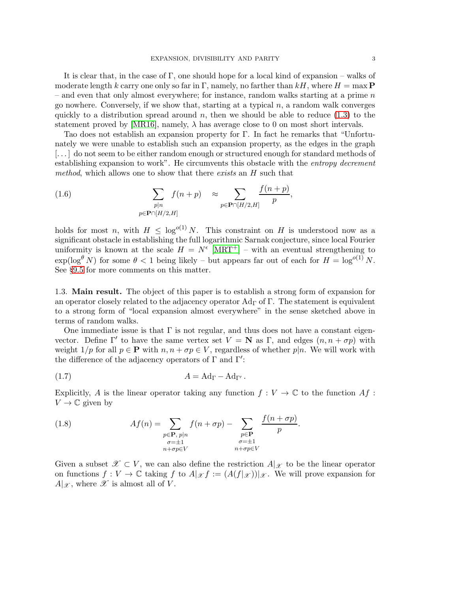It is clear that, in the case of  $\Gamma$ , one should hope for a local kind of expansion – walks of moderate length k carry one only so far in Γ, namely, no farther than  $kH$ , where  $H = \max P$ – and even that only almost everywhere; for instance, random walks starting at a prime  $n$ go nowhere. Conversely, if we show that, starting at a typical  $n$ , a random walk converges quickly to a distribution spread around n, then we should be able to reduce  $(1.3)$  to the statement proved by [\[MR16\]](#page-99-0), namely,  $\lambda$  has average close to 0 on most short intervals.

Tao does not establish an expansion property for Γ. In fact he remarks that "Unfortunately we were unable to establish such an expansion property, as the edges in the graph [. . . ] do not seem to be either random enough or structured enough for standard methods of establishing expansion to work". He circumvents this obstacle with the *entropy decrement method*, which allows one to show that there *exists* an H such that

(1.6) 
$$
\sum_{\substack{p|n \ p \in \mathbf{P} \cap [H/2, H]}} f(n+p) \approx \sum_{p \in \mathbf{P} \cap [H/2, H]} \frac{f(n+p)}{p},
$$

holds for most n, with  $H \leq \log^{o(1)} N$ . This constraint on H is understood now as a significant obstacle in establishing the full logarithmic Sarnak conjecture, since local Fourier uniformity is known at the scale  $H = N^{\epsilon}$  [\[MRT](#page-99-3)<sup>+</sup>] – with an eventual strengthening to  $\exp(\log^{\theta} N)$  for some  $\theta < 1$  being likely – but appears far out of each for  $H = \log^{o(1)} N$ . See §[9.5](#page-96-0) for more comments on this matter.

1.3. Main result. The object of this paper is to establish a strong form of expansion for an operator closely related to the adjacency operator  $\rm{Ad}\Gamma$  of  $\Gamma$ . The statement is equivalent to a strong form of "local expansion almost everywhere" in the sense sketched above in terms of random walks.

One immediate issue is that  $\Gamma$  is not regular, and thus does not have a constant eigenvector. Define  $\Gamma'$  to have the same vertex set  $V = \mathbf{N}$  as  $\Gamma$ , and edges  $(n, n + \sigma p)$  with weight  $1/p$  for all  $p \in \mathbf{P}$  with  $n, n + \sigma p \in V$ , regardless of whether  $p|n$ . We will work with the difference of the adjacency operators of  $\Gamma$  and  $\Gamma'$ :

<span id="page-2-0"></span>
$$
(1.7) \t\t A = \mathrm{Ad}_{\Gamma} - \mathrm{Ad}_{\Gamma'}.
$$

Explicitly, A is the linear operator taking any function  $f: V \to \mathbb{C}$  to the function  $Af$ :  $V \to \mathbb{C}$  given by

(1.8) 
$$
Af(n) = \sum_{\substack{p \in \mathbf{P}, p|n \\ \sigma = \pm 1 \\ n + \sigma p \in V}} f(n + \sigma p) - \sum_{\substack{p \in \mathbf{P} \\ \sigma = \pm 1 \\ n + \sigma p \in V}} \frac{f(n + \sigma p)}{p}.
$$

Given a subset  $\mathscr{X} \subset V$ , we can also define the restriction  $A|_{\mathscr{X}}$  to be the linear operator on functions  $f: V \to \mathbb{C}$  taking f to  $A|_{\mathscr{X}} f := (A(f|_{\mathscr{X}}))|_{\mathscr{X}}$ . We will prove expansion for  $A|_{\mathscr{X}}$ , where  $\mathscr{X}$  is almost all of V.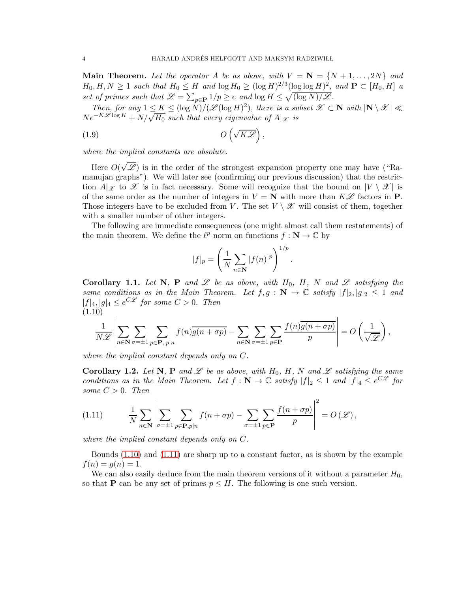**Main Theorem.** Let the operator A be as above, with  $V = \mathbf{N} = \{N+1, \ldots, 2N\}$  and  $H_0, H, N \ge 1$  *such that*  $H_0 \le H$  *and*  $\log H_0 \ge (\log H)^{2/3} (\log \log H)^2$ *, and*  $P \subset [H_0, H]$  *a* set of primes such that  $\mathscr{L} = \sum_{p \in \mathbf{P}} 1/p \geq e$  and  $\log H \leq \sqrt{(\log N)/\mathscr{L}}$ .

*Then, for any*  $1 \leq K \leq (\log N)/(\mathscr{L}(\log H)^2)$ , there is a subset  $\mathscr{X} \subset \mathbb{N}$  with  $|\mathbb{N} \setminus \mathscr{X}| \ll$  $Ne^{-K\mathscr{L}\log K} + N/\sqrt{H_0}$  such that every eigenvalue of  $A|_{\mathscr{X}}$  is

(1.9) O √ KL ,

*where the implied constants are absolute.*

Here  $O(\sqrt{\mathscr{L}})$  is in the order of the strongest expansion property one may have ("Ramanujan graphs"). We will later see (confirming our previous discussion) that the restriction  $A|_{\mathcal{X}}$  to  $\mathcal X$  is in fact necessary. Some will recognize that the bound on  $|V \setminus \mathcal X|$  is of the same order as the number of integers in  $V = N$  with more than  $K\mathscr{L}$  factors in P. Those integers have to be excluded from V. The set  $V \setminus \mathscr{X}$  will consist of them, together with a smaller number of other integers.

The following are immediate consequences (one might almost call them restatements) of the main theorem. We define the  $\ell^p$  norm on functions  $f: \mathbb{N} \to \mathbb{C}$  by

<span id="page-3-3"></span>
$$
|f|_p = \left(\frac{1}{N} \sum_{n \in \mathbf{N}} |f(n)|^p\right)^{1/p}.
$$

<span id="page-3-2"></span>Corollary 1.1. Let N, P and  $\mathscr L$  be as above, with  $H_0$ , H, N and  $\mathscr L$  satisfying the *same conditions as in the Main Theorem. Let*  $f, g : \mathbb{N} \to \mathbb{C}$  *satisfy*  $|f|_2, |g|_2 \leq 1$  *and*  $|f|_4, |g|_4 \leq e^{C\mathscr{L}}$  for some  $C > 0$ . Then (1.10)

<span id="page-3-0"></span>
$$
\frac{1}{N\mathscr{L}}\left|\sum_{n\in\mathbf{N}}\sum_{\sigma=\pm 1}\sum_{p\in\mathbf{P},\ p|n}f(n)\overline{g(n+\sigma p)}-\sum_{n\in\mathbf{N}}\sum_{\sigma=\pm 1}\sum_{p\in\mathbf{P}}\frac{f(n)\overline{g(n+\sigma p)}}{p}\right|=O\left(\frac{1}{\sqrt{\mathscr{L}}}\right),
$$

*where the implied constant depends only on* C*.*

**Corollary 1.2.** Let N, P and  $\mathscr L$  be as above, with  $H_0$ , H, N and  $\mathscr L$  satisfying the same *conditions as in the Main Theorem. Let*  $f : \mathbf{N} \to \mathbb{C}$  *satisfy*  $|f|_2 \leq 1$  *and*  $|f|_4 \leq e^{C\mathcal{L}}$  *for some*  $C > 0$ *. Then* 

<span id="page-3-1"></span>(1.11) 
$$
\frac{1}{N} \sum_{n \in \mathbf{N}} \left| \sum_{\sigma = \pm 1} \sum_{p \in \mathbf{P}, p | n} f(n + \sigma p) - \sum_{\sigma = \pm 1} \sum_{p \in \mathbf{P}} \frac{f(n + \sigma p)}{p} \right|^2 = O(\mathcal{L}),
$$

*where the implied constant depends only on* C*.*

Bounds  $(1.10)$  and  $(1.11)$  are sharp up to a constant factor, as is shown by the example  $f(n) = g(n) = 1.$ 

We can also easily deduce from the main theorem versions of it without a parameter  $H_0$ , so that **P** can be any set of primes  $p \leq H$ . The following is one such version.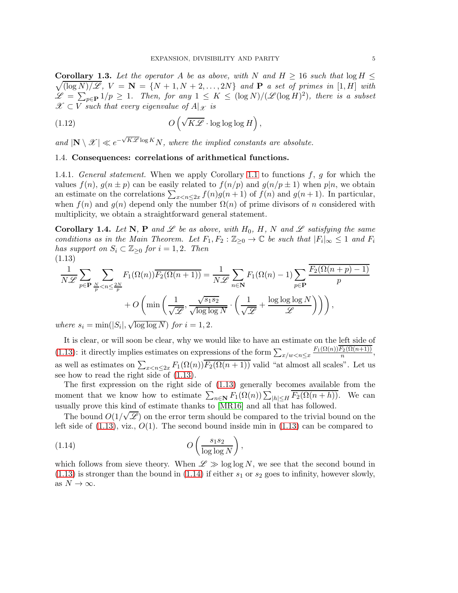$\sqrt{\left(\log N\right)/\mathscr{L}}, V = \mathbf{N} = \{N+1, N+2, \ldots, 2N\}$  and **P** *a set of primes in* [1, *H*] *with* **Corollary 1.3.** Let the operator A be as above, with N and  $H \geq 16$  such that  $\log H \leq$  $\mathscr{L} = \sum_{p \in \mathbf{P}} 1/p \ge 1$ . Then, for any  $1 \le K \le (\log N)/(\mathscr{L}(\log H)^2)$ , there is a subset  $\mathscr{X} \subset V$  *such that every eigenvalue of*  $A|_{\mathscr{X}}$  *is* 

(1.12) 
$$
O\left(\sqrt{K\mathscr{L}}\cdot\log\log\log H\right),\,
$$

and  $|\mathbf{N} \setminus \mathcal{X}| \ll e^{-\sqrt{K\mathcal{L}} \log K} N$ , where the implied constants are absolute.

## 1.4. Consequences: correlations of arithmetical functions.

1.4.1. *General statement.* When we apply Corollary [1.1](#page-3-2) to functions f, g for which the values  $f(n)$ ,  $g(n \pm p)$  can be easily related to  $f(n/p)$  and  $g(n/p \pm 1)$  when  $p|n$ , we obtain an estimate on the correlations  $\sum_{x \leq n \leq 2x} f(n)g(n+1)$  of  $f(n)$  and  $g(n+1)$ . In particular, when  $f(n)$  and  $g(n)$  depend only the number  $\Omega(n)$  of prime divisors of n considered with multiplicity, we obtain a straightforward general statement.

**Corollary 1.4.** Let N, P and L be as above, with  $H_0$ , H, N and L satisfying the same *conditions as in the Main Theorem. Let*  $F_1, F_2 : \mathbb{Z}_{\geq 0} \to \mathbb{C}$  *be such that*  $|F_i|_{\infty} \leq 1$  *and*  $F_i$ *has support on*  $S_i \subset \mathbb{Z}_{\geq 0}$  *for*  $i = 1, 2$ *. Then* (1.13)

<span id="page-4-0"></span>
$$
\frac{1}{N\mathscr{L}} \sum_{p \in \mathbf{P}} \sum_{\frac{N}{p} < n \le \frac{2N}{p}} F_1(\Omega(n)) \overline{F_2(\Omega(n+1))} = \frac{1}{N\mathscr{L}} \sum_{n \in \mathbf{N}} F_1(\Omega(n) - 1) \sum_{p \in \mathbf{P}} \frac{\overline{F_2(\Omega(n+p) - 1)}}{p} + O\left(\min\left(\frac{1}{\sqrt{\mathscr{L}}}, \frac{\sqrt{s_1 s_2}}{\sqrt{\log \log N}} \cdot \left(\frac{1}{\sqrt{\mathscr{L}}} + \frac{\log \log \log N}{\mathscr{L}}\right)\right)\right),
$$
\nwhere  $s_i = \min(|S_i|, \sqrt{\log \log N})$  for  $i = 1, 2$ .

 $where s_i$  $\sqrt{\log \log N}$  *for*  $i = 1, 2$ *.* 

It is clear, or will soon be clear, why we would like to have an estimate on the left side of [\(1.13\)](#page-4-0): it directly implies estimates on expressions of the form  $\sum_{x/w < n \leq x}$  $F_1(\Omega(n))F_2(\Omega(n+1))$  $\frac{n^{2(3\ell(n+1))}}{n},$ as well as estimates on  $\sum_{x < n \leq 2x} F_1(\Omega(n)) \overline{F_2(\Omega(n+1))}$  valid "at almost all scales". Let us see how to read the right side of [\(1.13\)](#page-4-0).

The first expression on the right side of [\(1.13\)](#page-4-0) generally becomes available from the moment that we know how to estimate  $\sum_{n\in\mathbb{N}} F_1(\Omega(n)) \sum_{|h|\leq H} \overline{F_2(\Omega(n+h))}$ . We can usually prove this kind of estimate thanks to [\[MR16\]](#page-99-0) and all that has followed.

The bound  $O(1/\sqrt{\mathscr{L}})$  on the error term should be compared to the trivial bound on the left side of  $(1.13)$ , viz.,  $O(1)$ . The second bound inside min in  $(1.13)$  can be compared to

<span id="page-4-1"></span>
$$
(1.14) \t\t\t O\left(\frac{s_1s_2}{\log\log N}\right),\,
$$

which follows from sieve theory. When  $\mathscr{L} \gg \log \log N$ , we see that the second bound in  $(1.13)$  is stronger than the bound in  $(1.14)$  if either  $s_1$  or  $s_2$  goes to infinity, however slowly, as  $N \to \infty$ .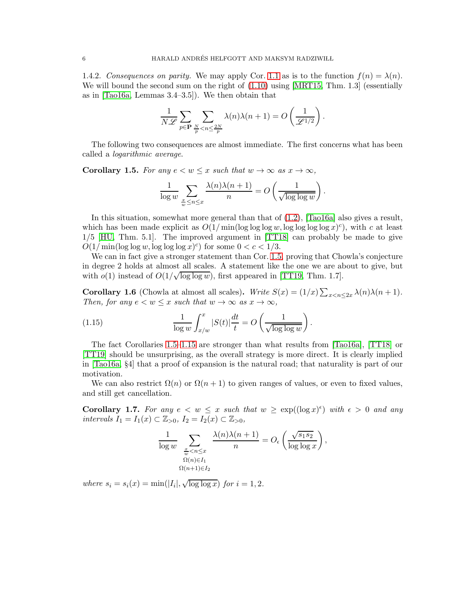1.4.2. *Consequences on parity.* We may apply Cor. [1.1](#page-3-2) as is to the function  $f(n) = \lambda(n)$ . We will bound the second sum on the right of  $(1.10)$  using [\[MRT15,](#page-99-1) Thm. 1.3] (essentially as in [\[Tao16a,](#page-100-0) Lemmas 3.4–3.5]). We then obtain that

$$
\frac{1}{N\mathscr{L}}\sum_{p\in\mathbf{P}}\sum_{\frac{N}{p}
$$

The following two consequences are almost immediate. The first concerns what has been called a *logarithmic average*.

<span id="page-5-0"></span>**Corollary 1.5.** For any  $e < w \leq x$  such that  $w \to \infty$  as  $x \to \infty$ ,

$$
\frac{1}{\log w} \sum_{\frac{x}{w} \le n \le x} \frac{\lambda(n)\lambda(n+1)}{n} = O\left(\frac{1}{\sqrt{\log\log w}}\right).
$$

In this situation, somewhat more general than that of  $(1.2)$ ,  $[Taof6a]$  also gives a result, which has been made explicit as  $O(1/\min(\log \log \log w, \log \log \log \log x)^c)$ , with c at least 1/5 [\[HU,](#page-99-4) Thm. 5.1]. The improved argument in [\[TT18\]](#page-100-1) can probably be made to give  $O(1/\min(\log \log w, \log \log \log x)^c)$  for some  $0 < c < 1/3$ .

We can in fact give a stronger statement than Cor. [1.5,](#page-5-0) proving that Chowla's conjecture in degree 2 holds at almost all scales. A statement like the one we are about to give, but with  $o(1)$  instead of  $O(1/\sqrt{\log \log w})$ , first appeared in [\[TT19,](#page-100-2) Thm. 1.7].

<span id="page-5-3"></span>**Corollary 1.6** (Chowla at almost all scales). *Write*  $S(x) = (1/x) \sum_{x < n \leq 2x} \lambda(n) \lambda(n+1)$ *. Then, for any*  $e < w \leq x$  *such that*  $w \to \infty$  *as*  $x \to \infty$ *,* 

<span id="page-5-1"></span>(1.15) 
$$
\frac{1}{\log w} \int_{x/w}^x |S(t)| \frac{dt}{t} = O\left(\frac{1}{\sqrt{\log \log w}}\right).
$$

The fact Corollaries [1.5–](#page-5-0)[1.15](#page-5-1) are stronger than what results from [\[Tao16a\]](#page-100-0), [\[TT18\]](#page-100-1) or [\[TT19\]](#page-100-2) should be unsurprising, as the overall strategy is more direct. It is clearly implied in [\[Tao16a,](#page-100-0) §4] that a proof of expansion is the natural road; that naturality is part of our motivation.

We can also restrict  $\Omega(n)$  or  $\Omega(n+1)$  to given ranges of values, or even to fixed values, and still get cancellation.

<span id="page-5-2"></span>Corollary 1.7. For any  $e \leq w \leq x$  such that  $w \geq \exp((\log x)^{\epsilon})$  with  $\epsilon > 0$  and any *intervals*  $I_1 = I_1(x)$  ⊂  $\mathbb{Z}_{>0}$ *,*  $I_2 = I_2(x)$  ⊂  $\mathbb{Z}_{>0}$ *,* 

$$
\frac{1}{\log w} \sum_{\substack{x \ \omega \leq n \leq x \\ \Omega(n) \in I_1 \\ \Omega(n+1) \in I_2}} \frac{\lambda(n)\lambda(n+1)}{n} = O_{\epsilon}\left(\frac{\sqrt{s_1 s_2}}{\log \log x}\right),
$$

*where*  $s_i = s_i(x) = \min(|I_i|, \sqrt{\log \log x})$  *for*  $i = 1, 2$ *.*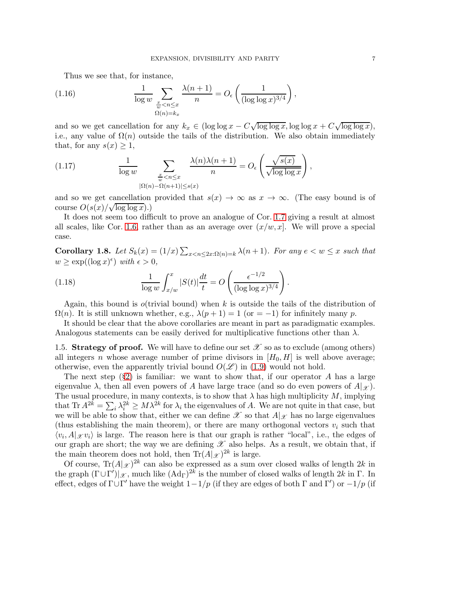Thus we see that, for instance,

(1.16) 
$$
\frac{1}{\log w} \sum_{\substack{x \ \omega \leq n \leq x \\ \Omega(n) = kx}} \frac{\lambda(n+1)}{n} = O_{\epsilon}\left(\frac{1}{(\log \log x)^{3/4}}\right),
$$

and so we get cancellation for any  $k_x \in (\log \log x - C \sqrt{\log \log x}, \log \log x + C \sqrt{\log \log x})$ , i.e., any value of  $\Omega(n)$  outside the tails of the distribution. We also obtain immediately that, for any  $s(x) \geq 1$ ,

(1.17) 
$$
\frac{1}{\log w} \sum_{\substack{x \le n \le x \\ |\Omega(n) - \Omega(n+1)| \le s(x)}} \frac{\lambda(n)\lambda(n+1)}{n} = O_{\epsilon}\left(\frac{\sqrt{s(x)}}{\sqrt{\log \log x}}\right),
$$

and so we get cancellation provided that  $s(x) \to \infty$  as  $x \to \infty$ . (The easy bound is of course  $O(s(x)/\sqrt{\log\log x})$ .)

It does not seem too difficult to prove an analogue of Cor. [1.7](#page-5-2) giving a result at almost all scales, like Cor. [1.6,](#page-5-3) rather than as an average over  $(x/w, x]$ . We will prove a special case.

Corollary 1.8. Let  $S_k(x) = (1/x) \sum_{x \le n \le 2x : \Omega(n)=k} \lambda(n+1)$ *. For any*  $e \le w \le x$  *such that*  $w \ge \exp((\log x)^{\epsilon})$  with  $\epsilon > 0$ ,

(1.18) 
$$
\frac{1}{\log w} \int_{x/w}^x |S(t)| \frac{dt}{t} = O\left(\frac{\epsilon^{-1/2}}{(\log \log x)^{3/4}}\right).
$$

Again, this bound is *o*(trivial bound) when k is outside the tails of the distribution of  $\Omega(n)$ . It is still unknown whether, e.g.,  $\lambda(p+1) = 1$  (or  $=-1$ ) for infinitely many p.

It should be clear that the above corollaries are meant in part as paradigmatic examples. Analogous statements can be easily derived for multiplicative functions other than  $\lambda$ .

1.5. Strategy of proof. We will have to define our set  $\mathscr X$  so as to exclude (among others) all integers n whose average number of prime divisors in  $[H_0, H]$  is well above average; otherwise, even the apparently trivial bound  $O(\mathscr{L})$  in [\(1.9\)](#page-3-3) would not hold.

The next step  $(\S2)$  $(\S2)$  is familiar: we want to show that, if our operator A has a large eigenvalue  $\lambda$ , then all even powers of A have large trace (and so do even powers of  $A|_{\mathcal{X}}$ ). The usual procedure, in many contexts, is to show that  $\lambda$  has high multiplicity  $M$ , implying that  $\text{Tr } A^{2k} = \sum_i \lambda_i^{2k} \geq M \lambda^{2k}$  for  $\lambda_i$  the eigenvalues of A. We are not quite in that case, but we will be able to show that, either we can define  $\mathscr X$  so that  $A|_{\mathscr X}$  has no large eigenvalues (thus establishing the main theorem), or there are many orthogonal vectors  $v_i$  such that  $\langle v_i, A |_{\mathcal{X}} v_i \rangle$  is large. The reason here is that our graph is rather "local", i.e., the edges of our graph are short; the way we are defining  $\mathscr X$  also helps. As a result, we obtain that, if the main theorem does not hold, then  $\text{Tr}(A|\mathscr{L})^{2k}$  is large.

Of course,  $\text{Tr}(A|\mathscr{X})^{2k}$  can also be expressed as a sum over closed walks of length  $2k$  in the graph  $(\Gamma \cup \Gamma')|_{\mathscr{X}}$ , much like  $(\text{Ad}_{\Gamma})^{2k}$  is the number of closed walks of length  $2k$  in  $\Gamma$ . In effect, edges of  $\Gamma \cup \Gamma'$  have the weight  $1-1/p$  (if they are edges of both  $\Gamma$  and  $\Gamma'$ ) or  $-1/p$  (if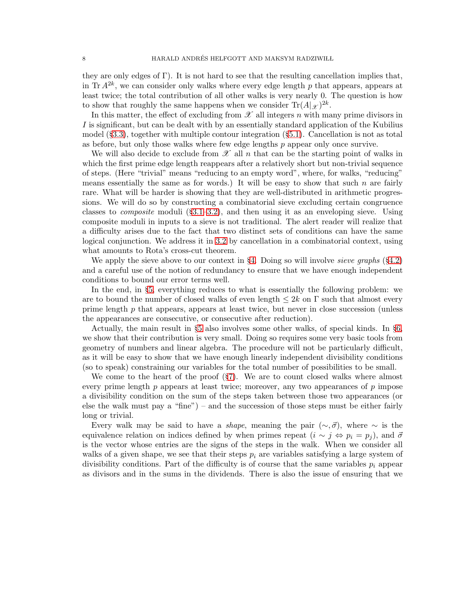they are only edges of  $\Gamma$ ). It is not hard to see that the resulting cancellation implies that, in Tr  $A^{2k}$ , we can consider only walks where every edge length p that appears, appears at least twice; the total contribution of all other walks is very nearly 0. The question is how to show that roughly the same happens when we consider  $\text{Tr}(A|\mathscr{X})^{2k}$ .

In this matter, the effect of excluding from  $\mathscr X$  all integers n with many prime divisors in I is significant, but can be dealt with by an essentially standard application of the Kubilius model (§[3.3\)](#page-17-0), together with multiple contour integration (§[5.1\)](#page-33-0). Cancellation is not as total as before, but only those walks where few edge lengths  $p$  appear only once survive.

We will also decide to exclude from  $\mathscr X$  all n that can be the starting point of walks in which the first prime edge length reappears after a relatively short but non-trivial sequence of steps. (Here "trivial" means "reducing to an empty word", where, for walks, "reducing" means essentially the same as for words.) It will be easy to show that such  $n$  are fairly rare. What will be harder is showing that they are well-distributed in arithmetic progressions. We will do so by constructing a combinatorial sieve excluding certain congruence classes to *composite* moduli (§[3.1–](#page-12-0)[3.2\)](#page-14-0), and then using it as an enveloping sieve. Using composite moduli in inputs to a sieve is not traditional. The alert reader will realize that a difficulty arises due to the fact that two distinct sets of conditions can have the same logical conjunction. We address it in [3.2](#page-14-0) by cancellation in a combinatorial context, using what amounts to Rota's cross-cut theorem.

We apply the sieve above to our context in §[4.](#page-22-0) Doing so will involve *sieve graphs* (§[4.2\)](#page-23-0) and a careful use of the notion of redundancy to ensure that we have enough independent conditions to bound our error terms well.

In the end, in §[5,](#page-30-0) everything reduces to what is essentially the following problem: we are to bound the number of closed walks of even length  $\leq 2k$  on  $\Gamma$  such that almost every prime length  $p$  that appears, appears at least twice, but never in close succession (unless the appearances are consecutive, or consecutive after reduction).

Actually, the main result in §[5](#page-30-0) also involves some other walks, of special kinds. In §[6,](#page-44-0) we show that their contribution is very small. Doing so requires some very basic tools from geometry of numbers and linear algebra. The procedure will not be particularly difficult, as it will be easy to show that we have enough linearly independent divisibility conditions (so to speak) constraining our variables for the total number of possibilities to be small.

We come to the heart of the proof (§[7\)](#page-55-0). We are to count closed walks where almost every prime length  $p$  appears at least twice; moreover, any two appearances of  $p$  impose a divisibility condition on the sum of the steps taken between those two appearances (or else the walk must pay a "fine") – and the succession of those steps must be either fairly long or trivial.

Every walk may be said to have a *shape*, meaning the pair  $(\sim, \vec{\sigma})$ , where  $\sim$  is the equivalence relation on indices defined by when primes repeat  $(i \sim j \Leftrightarrow p_i = p_j)$ , and  $\vec{\sigma}$ is the vector whose entries are the signs of the steps in the walk. When we consider all walks of a given shape, we see that their steps  $p_i$  are variables satisfying a large system of divisibility conditions. Part of the difficulty is of course that the same variables  $p_i$  appear as divisors and in the sums in the dividends. There is also the issue of ensuring that we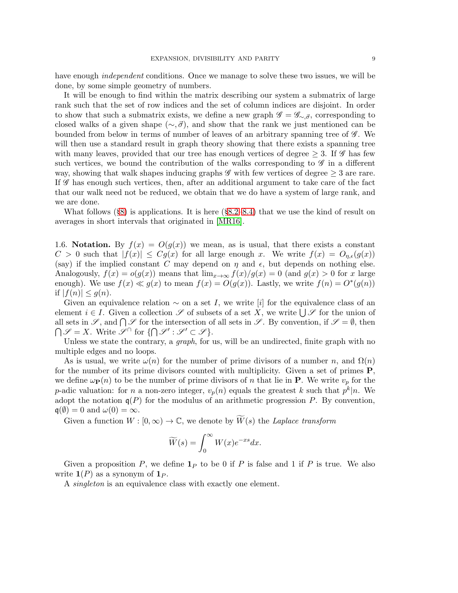have enough *independent* conditions. Once we manage to solve these two issues, we will be done, by some simple geometry of numbers.

It will be enough to find within the matrix describing our system a submatrix of large rank such that the set of row indices and the set of column indices are disjoint. In order to show that such a submatrix exists, we define a new graph  $\mathscr{G} = \mathscr{G}_{\sim \vec{\sigma}}$ , corresponding to closed walks of a given shape ( $\sim$ , $\vec{\sigma}$ ), and show that the rank we just mentioned can be bounded from below in terms of number of leaves of an arbitrary spanning tree of  $\mathscr G$ . We will then use a standard result in graph theory showing that there exists a spanning tree with many leaves, provided that our tree has enough vertices of degree  $> 3$ . If  $\mathscr{G}$  has few such vertices, we bound the contribution of the walks corresponding to  $\mathscr G$  in a different way, showing that walk shapes inducing graphs  $\mathscr G$  with few vertices of degree  $\geq 3$  are rare. If  $\mathscr G$  has enough such vertices, then, after an additional argument to take care of the fact that our walk need not be reduced, we obtain that we do have a system of large rank, and we are done.

What follows  $(\S 8)$  $(\S 8)$  is applications. It is here  $(\S 8.2–8.4)$  $(\S 8.2–8.4)$  $(\S 8.2–8.4)$  that we use the kind of result on averages in short intervals that originated in [\[MR16\]](#page-99-0).

1.6. Notation. By  $f(x) = O(g(x))$  we mean, as is usual, that there exists a constant  $C > 0$  such that  $|f(x)| \leq Cg(x)$  for all large enough x. We write  $f(x) = O_{\eta,\epsilon}(g(x))$ (say) if the implied constant C may depend on  $\eta$  and  $\epsilon$ , but depends on nothing else. Analogously,  $f(x) = o(g(x))$  means that  $\lim_{x\to\infty} f(x)/g(x) = 0$  (and  $g(x) > 0$  for x large enough). We use  $f(x) \ll g(x)$  to mean  $f(x) = O(g(x))$ . Lastly, we write  $f(n) = O^*(g(n))$ if  $|f(n)| \leq q(n)$ .

Given an equivalence relation  $\sim$  on a set I, we write [i] for the equivalence class of an element  $i \in I$ . Given a collection  $\mathscr S$  of subsets of a set  $\overline X$ , we write  $\bigcup \mathscr S$  for the union of all sets in  $\mathscr{S}$ , and  $\bigcap \mathscr{S}$  for the intersection of all sets in  $\mathscr{S}$ . By convention, if  $\mathscr{S} = \emptyset$ , then  $\bigcap \mathscr{S} = X$ . Write  $\mathscr{S}^{\cap}$  for  $\{\bigcap \mathscr{S}' : \mathscr{S}' \subset \mathscr{S}\}.$ 

Unless we state the contrary, a *graph*, for us, will be an undirected, finite graph with no multiple edges and no loops.

As is usual, we write  $\omega(n)$  for the number of prime divisors of a number n, and  $\Omega(n)$ for the number of its prime divisors counted with multiplicity. Given a set of primes P, we define  $\omega_{\mathbf{P}}(n)$  to be the number of prime divisors of n that lie in **P**. We write  $v_p$  for the p-adic valuation: for n a non-zero integer,  $v_p(n)$  equals the greatest k such that  $p^k|n$ . We adopt the notation  $q(P)$  for the modulus of an arithmetic progression P. By convention,  $\mathfrak{q}(\emptyset) = 0$  and  $\omega(0) = \infty$ .

Given a function  $W : [0, \infty) \to \mathbb{C}$ , we denote by  $\widetilde{W}(s)$  the *Laplace transform* 

$$
\widetilde{W}(s) = \int_0^\infty W(x)e^{-xs}dx.
$$

Given a proposition  $P$ , we define  $\mathbf{1}_P$  to be 0 if  $P$  is false and 1 if  $P$  is true. We also write  $\mathbf{1}(P)$  as a synonym of  $\mathbf{1}_P$ .

A *singleton* is an equivalence class with exactly one element.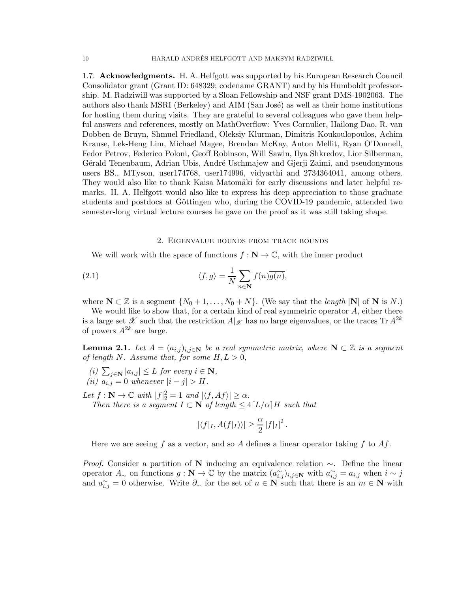1.7. Acknowledgments. H. A. Helfgott was supported by his European Research Council Consolidator grant (Grant ID: 648329; codename GRANT) and by his Humboldt professorship. M. Radziwiłł was supported by a Sloan Fellowship and NSF grant DMS-1902063. The authors also thank MSRI (Berkeley) and AIM (San José) as well as their home institutions for hosting them during visits. They are grateful to several colleagues who gave them helpful answers and references, mostly on MathOverflow: Yves Cornulier, Hailong Dao, R. van Dobben de Bruyn, Shmuel Friedland, Oleksiy Klurman, Dimitris Koukoulopoulos, Achim Krause, Lek-Heng Lim, Michael Magee, Brendan McKay, Anton Mellit, Ryan O'Donnell, Fedor Petrov, Federico Poloni, Geoff Robinson, Will Sawin, Ilya Shkredov, Lior Silberman, Gérald Tenenbaum, Adrian Ubis, André Uschmajew and Gjerji Zaimi, and pseudonymous users BS., MTyson, user174768, user174996, vidyarthi and 2734364041, among others. They would also like to thank Kaisa Matomäki for early discussions and later helpful remarks. H. A. Helfgott would also like to express his deep appreciation to those graduate students and postdocs at Göttingen who, during the COVID-19 pandemic, attended two semester-long virtual lecture courses he gave on the proof as it was still taking shape.

### 2. Eigenvalue bounds from trace bounds

<span id="page-9-0"></span>We will work with the space of functions  $f : \mathbb{N} \to \mathbb{C}$ , with the inner product

(2.1) 
$$
\langle f, g \rangle = \frac{1}{N} \sum_{n \in \mathbb{N}} f(n) \overline{g(n)},
$$

where  $N \subset \mathbb{Z}$  is a segment  $\{N_0 + 1, \ldots, N_0 + N\}$ . (We say that the *length* |N| of N is N.)

We would like to show that, for a certain kind of real symmetric operator  $A$ , either there is a large set  $\mathscr X$  such that the restriction  $A|_{\mathscr X}$  has no large eigenvalues, or the traces Tr  $A^{2k}$ of powers  $A^{2k}$  are large.

<span id="page-9-3"></span>**Lemma 2.1.** Let  $A = (a_{i,j})_{i,j \in \mathbb{N}}$  be a real symmetric matrix, where  $\mathbb{N} \subset \mathbb{Z}$  is a segment *of length* N. Assume that, for some  $H, L > 0$ ,

<span id="page-9-2"></span><span id="page-9-1"></span> $(i)$   $\sum_{j \in \mathbf{N}} |a_{i,j}| \leq L$  *for every*  $i \in \mathbf{N}$ , *(ii)*  $a_{i,j} = 0$  *whenever*  $|i - j| > H$ *.* 

Let  $f : \mathbb{N} \to \mathbb{C}$  with  $|f|_2^2 = 1$  and  $|\langle f, Af \rangle| \ge \alpha$ *.* 

*Then there is a segment*  $I \subset \mathbb{N}$  *of length*  $\leq 4\lceil L/\alpha \rceil H$  *such that* 

$$
|\langle f|_I, A(f|_I)\rangle| \geq \frac{\alpha}{2} |f|_I|^2.
$$

Here we are seeing f as a vector, and so A defines a linear operator taking f to  $Af$ .

*Proof.* Consider a partition of N inducing an equivalence relation ∼. Define the linear operator  $A_{\sim}$  on functions  $g: \mathbb{N} \to \mathbb{C}$  by the matrix  $(a_{i,j}^{\sim})_{i,j \in \mathbb{N}}$  with  $a_{i,j}^{\sim} = a_{i,j}$  when  $i \sim j$ and  $a_{i,j}^{\sim} = 0$  otherwise. Write  $\partial_{\infty}$  for the set of  $n \in \mathbb{N}$  such that there is an  $m \in \mathbb{N}$  with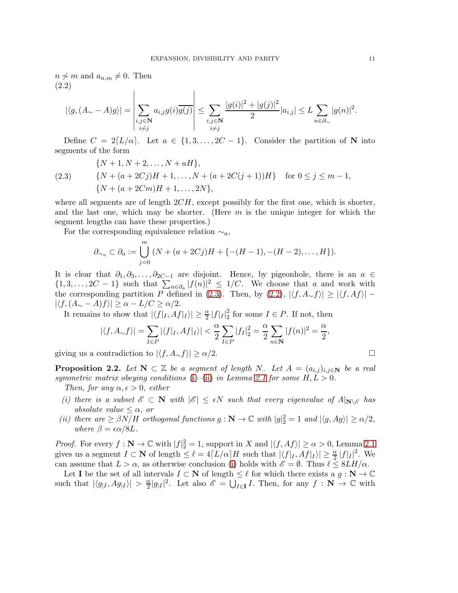$n \not\sim m$  and  $a_{n,m} \neq 0$ . Then (2.2)

<span id="page-10-1"></span>
$$
|\langle g, (A_{\sim} - A)g \rangle| = \left| \sum_{\substack{i,j \in \mathbb{N} \\ i \neq j}} a_{i,j} g(i) \overline{g(j)} \right| \leq \sum_{\substack{i,j \in \mathbb{N} \\ i \neq j}} \frac{|g(i)|^2 + |g(j)|^2}{2} |a_{i,j}| \leq L \sum_{n \in \partial_{\sim}} |g(n)|^2.
$$

Define  $C = 2[L/\alpha]$ . Let  $a \in \{1, 3, ..., 2C - 1\}$ . Consider the partition of N into segments of the form

<span id="page-10-0"></span>(2.3) 
$$
{N+1, N+2, ..., N+aH},
$$

$$
{N+(a+2Cj)H+1, ..., N+(a+2C(j+1))H} for 0 \le j \le m-1,
$$

$$
{N+(a+2Cm)H+1, ..., 2N},
$$

where all segments are of length  $2CH$ , except possibly for the first one, which is shorter, and the last one, which may be shorter. (Here  $m$  is the unique integer for which the segment lengths can have these properties.)

For the corresponding equivalence relation  $\sim_a$ ,

$$
\partial_{\sim_a} \subset \partial_a := \bigcup_{j=0}^m (N + (a + 2Cj)H + \{-(H-1), -(H-2), \dots, H\}).
$$

It is clear that  $\partial_1, \partial_3, \ldots, \partial_{2C-1}$  are disjoint. Hence, by pigeonhole, there is an  $a \in$  $\{1, 3, \ldots, 2C - 1\}$  such that  $\sum_{n \in \partial_a} |f(n)|^2 \leq 1/C$ . We choose that a and work with the corresponding partition P defined in [\(2.3\)](#page-10-0). Then, by  $(2.2)$ ,  $|\langle f, A_{\sim} f \rangle| \ge |\langle f, Af \rangle| |\langle f, (A_{\sim} - A)f \rangle| \ge \alpha - L/C \ge \alpha/2.$ 

It remains to show that  $|\langle f|_I , Af|_I \rangle| \geq \frac{\alpha}{2} |f|_I|_2^2$  $\frac{2}{2}$  for some  $I \in P$ . If not, then

$$
|\langle f, A_{\sim} f \rangle| = \sum_{I \in P} |\langle f|_I, Af|_I \rangle| < \frac{\alpha}{2} \sum_{I \in P} |f_I|_2^2 = \frac{\alpha}{2} \sum_{n \in \mathbb{N}} |f(n)|^2 = \frac{\alpha}{2},
$$

giving us a contradiction to  $|\langle f,A_\sim f\rangle|\geq \alpha/2.$ 

<span id="page-10-3"></span>**Proposition 2.2.** Let  $N \subset \mathbb{Z}$  be a segment of length N. Let  $A = (a_{i,j})_{i,j \in N}$  be a real *symmetric matrix obeying conditions* [\(i\)](#page-9-1)–[\(ii\)](#page-9-2) *in Lemma [2.1](#page-9-3) for some*  $H, L > 0$ *.* 

*Then, for any*  $\alpha, \epsilon > 0$ *, either* 

- <span id="page-10-2"></span>*(i) there is a subset*  $\mathscr{E} \subset \mathbb{N}$  *with*  $|\mathscr{E}| \leq \epsilon N$  *such that every eigenvalue of*  $A|_{\mathbb{N}\setminus\mathscr{E}}$  *has absolute value*  $\leq \alpha$ *, or*
- <span id="page-10-4"></span>*(ii) there are*  $\geq \beta N/H$  *orthogonal functions*  $g : \mathbb{N} \to \mathbb{C}$  *with*  $|g|_2^2 = 1$  *and*  $|\langle g, Ag \rangle| \geq \alpha/2$ *, where*  $\beta = \epsilon \alpha/8L$ .

*Proof.* For every  $f: \mathbb{N} \to \mathbb{C}$  with  $|f|^2 = 1$ , support in X and  $|\langle f, Af \rangle| \ge \alpha > 0$ , Lemma [2.1](#page-9-3) gives us a segment  $I \subset \mathbf{N}$  of length  $\leq \ell = 4\lceil L/\alpha \rceil H$  such that  $|\langle f|_I, Af|_I \rangle| \geq \frac{\alpha}{2} |f|_I|^2$ . We can assume that  $L > \alpha$ , as otherwise conclusion [\(i\)](#page-10-2) holds with  $\mathscr{E} = \emptyset$ . Thus  $\ell \leq 8LH/\alpha$ .

Let **I** be the set of all intervals  $I \subset \mathbf{N}$  of length  $\leq \ell$  for which there exists a  $g : \mathbf{N} \to \mathbb{C}$ such that  $|\langle g_{|I}, Ag_{|I} \rangle| > \frac{\alpha}{2}$  $\frac{\alpha}{2}|g|I|^2$ . Let also  $\mathscr{E} = \bigcup_{I \in \mathbf{I}} I$ . Then, for any  $f : \mathbf{N} \to \mathbb{C}$  with

$$
\qquad \qquad \Box
$$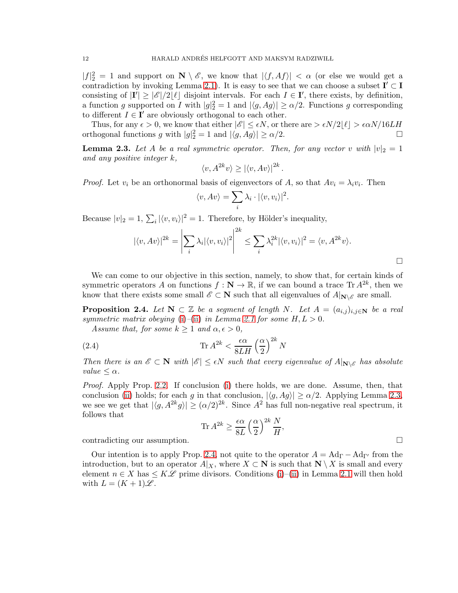$|f|_2^2 = 1$  and support on  $\mathbb{N} \setminus \mathscr{E}$ , we know that  $|\langle f, Af \rangle| < \alpha$  (or else we would get a contradiction by invoking Lemma [2.1\)](#page-9-3). It is easy to see that we can choose a subset  $I' \subset I$ consisting of  $|\mathbf{I'}|\geq |\mathscr{E}|/2\lfloor \ell \rfloor$  disjoint intervals. For each  $I \in \mathbf{I'}$ , there exists, by definition, a function g supported on I with  $|g|^2 = 1$  and  $|\langle g, Ag \rangle| \ge \alpha/2$ . Functions g corresponding to different  $I \in \mathbf{I}'$  are obviously orthogonal to each other.

Thus, for any  $\epsilon > 0$ , we know that either  $|\mathscr{E}| \leq \epsilon N$ , or there are  $> \epsilon N/2\lfloor \ell \rfloor > \epsilon \alpha N/16LH$ <br>thogonal functions q with  $|q|_2^2 = 1$  and  $|\langle q, Aq \rangle| > \alpha/2$ . orthogonal functions g with  $|g|_2^2 = 1$  and  $|\langle g, Ag \rangle| \ge \alpha/2$ .

<span id="page-11-0"></span>**Lemma 2.3.** Let A be a real symmetric operator. Then, for any vector v with  $|v|_2 = 1$ *and any positive integer* k*,*

$$
\langle v, A^{2k}v \rangle \geq |\langle v, Av \rangle|^{2k}.
$$

*Proof.* Let  $v_i$  be an orthonormal basis of eigenvectors of A, so that  $Av_i = \lambda_i v_i$ . Then

$$
\langle v, Av \rangle = \sum_{i} \lambda_i \cdot |\langle v, v_i \rangle|^2.
$$

Because  $|v|_2 = 1$ ,  $\sum_i |\langle v, v_i \rangle|^2 = 1$ . Therefore, by Hölder's inequality,

$$
|\langle v, Av \rangle|^{2k} = \left| \sum_{i} \lambda_i |\langle v, v_i \rangle|^2 \right|^{2k} \le \sum_{i} \lambda_i^{2k} |\langle v, v_i \rangle|^2 = \langle v, A^{2k} v \rangle.
$$

 $\Box$ 

We can come to our objective in this section, namely, to show that, for certain kinds of symmetric operators A on functions  $f : \mathbb{N} \to \mathbb{R}$ , if we can bound a trace Tr  $A^{2k}$ , then we know that there exists some small  $\mathscr{E} \subset \mathbf{N}$  such that all eigenvalues of  $A|_{\mathbf{N}\setminus\mathscr{E}}$  are small.

<span id="page-11-1"></span>**Proposition 2.4.** *Let*  $N \subset \mathbb{Z}$  *be a segment of length* N. *Let*  $A = (a_{i,j})_{i,j \in N}$  *be a real symmetric matrix obeying* [\(i\)](#page-9-1)–[\(ii\)](#page-9-2) *in Lemma [2.1](#page-9-3) for some*  $H, L > 0$ *.* 

*Assume that, for some*  $k \geq 1$  *and*  $\alpha, \epsilon > 0$ *,* 

(2.4) 
$$
\operatorname{Tr} A^{2k} < \frac{\epsilon \alpha}{8LH} \left(\frac{\alpha}{2}\right)^{2k} N
$$

*Then there is an*  $\mathscr{E} \subset \mathbb{N}$  *with*  $|\mathscr{E}| \leq \epsilon N$  *such that every eigenvalue of*  $A|_{\mathbb{N} \setminus \mathscr{E}}$  *has absolute value*  $\alpha$ *.* 

*Proof.* Apply Prop. [2.2.](#page-10-3) If conclusion [\(i\)](#page-10-2) there holds, we are done. Assume, then, that conclusion [\(ii\)](#page-10-4) holds; for each g in that conclusion,  $|\langle g, Ag \rangle| \ge \alpha/2$ . Applying Lemma [2.3,](#page-11-0) we see we get that  $|\langle g, A^{2k}g \rangle| \geq (\alpha/2)^{2k}$ . Since  $A^2$  has full non-negative real spectrum, it follows that

<span id="page-11-2"></span>
$$
\text{Tr } A^{2k} \geq \frac{\epsilon \alpha}{8L} \left(\frac{\alpha}{2}\right)^{2k} \frac{N}{H},
$$

contradicting our assumption.

Our intention is to apply Prop. [2.4,](#page-11-1) not quite to the operator  $A = \text{Ad}_{\Gamma} - \text{Ad}_{\Gamma'}$  from the introduction, but to an operator  $A|_X$ , where  $X \subset \mathbf{N}$  is such that  $\mathbf{N} \setminus X$  is small and every element  $n \in X$  has  $\leq K\mathscr{L}$  prime divisors. Conditions [\(i\)](#page-9-1)–[\(ii\)](#page-9-2) in Lemma [2.1](#page-9-3) will then hold with  $L = (K + 1)\mathscr{L}$ .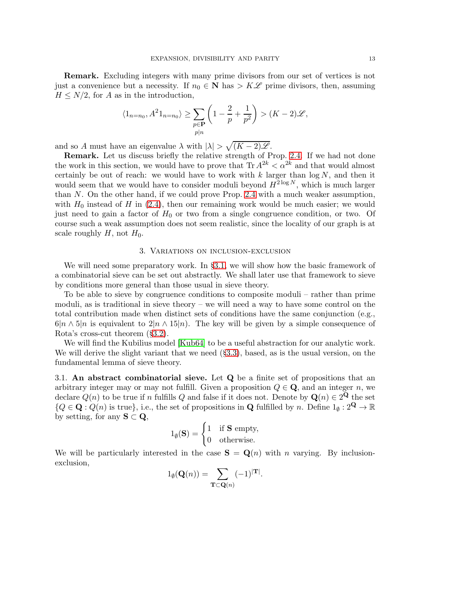Remark. Excluding integers with many prime divisors from our set of vertices is not just a convenience but a necessity. If  $n_0 \in \mathbb{N}$  has  $\geq K\mathscr{L}$  prime divisors, then, assuming  $H \leq N/2$ , for A as in the introduction,

$$
\langle 1_{n=n_0}, A^2 1_{n=n_0} \rangle \ge \sum_{\substack{p \in \mathbf{P} \ p|n}} \left( 1 - \frac{2}{p} + \frac{1}{p^2} \right) > (K-2)\mathscr{L},
$$

and so A must have an eigenvalue  $\lambda$  with  $|\lambda| > \sqrt{(K-2)\mathscr{L}}$ .

Remark. Let us discuss briefly the relative strength of Prop. [2.4.](#page-11-1) If we had not done the work in this section, we would have to prove that  $\text{Tr } A^{2k} < \alpha^{2k}$  and that would almost certainly be out of reach: we would have to work with  $k$  larger than  $\log N$ , and then it would seem that we would have to consider moduli beyond  $H^{2 \log N}$ , which is much larger than N. On the other hand, if we could prove Prop. [2.4](#page-11-1) with a much weaker assumption, with  $H_0$  instead of H in  $(2.4)$ , then our remaining work would be much easier; we would just need to gain a factor of  $H_0$  or two from a single congruence condition, or two. Of course such a weak assumption does not seem realistic, since the locality of our graph is at scale roughly  $H$ , not  $H_0$ .

#### 3. Variations on inclusion-exclusion

We will need some preparatory work. In  $\S 3.1$ , we will show how the basic framework of a combinatorial sieve can be set out abstractly. We shall later use that framework to sieve by conditions more general than those usual in sieve theory.

To be able to sieve by congruence conditions to composite moduli – rather than prime moduli, as is traditional in sieve theory – we will need a way to have some control on the total contribution made when distinct sets of conditions have the same conjunction (e.g.,  $6|n \wedge 5|n$  is equivalent to  $2|n \wedge 15|n$ . The key will be given by a simple consequence of Rota's cross-cut theorem (§[3.2\)](#page-14-0).

We will find the Kubilius model [\[Kub64\]](#page-99-5) to be a useful abstraction for our analytic work. We will derive the slight variant that we need  $(\S 3.3)$  $(\S 3.3)$ , based, as is the usual version, on the fundamental lemma of sieve theory.

<span id="page-12-0"></span>3.1. An abstract combinatorial sieve. Let Q be a finite set of propositions that an arbitrary integer may or may not fulfill. Given a proposition  $Q \in \mathbf{Q}$ , and an integer n, we declare  $Q(n)$  to be true if n fulfills Q and false if it does not. Denote by  $\mathbf{Q}(n) \in 2^{\mathbf{Q}}$  the set  ${Q \in \mathbf{Q} : Q(n) \text{ is true}}, \text{ i.e., the set of propositions in } \mathbf{Q} \text{ fulfilled by } n. \text{ Define } 1_{\emptyset} : 2^{\mathbf{Q}} \to \mathbb{R}$ by setting, for any  $S \subset Q$ ,

$$
1_{\emptyset}(\mathbf{S}) = \begin{cases} 1 & \text{if } \mathbf{S} \text{ empty,} \\ 0 & \text{otherwise.} \end{cases}
$$

We will be particularly interested in the case  $S = Q(n)$  with *n* varying. By inclusionexclusion,

$$
1_{\emptyset}(\mathbf{Q}(n)) = \sum_{\mathbf{T} \subset \mathbf{Q}(n)} (-1)^{|\mathbf{T}|}.
$$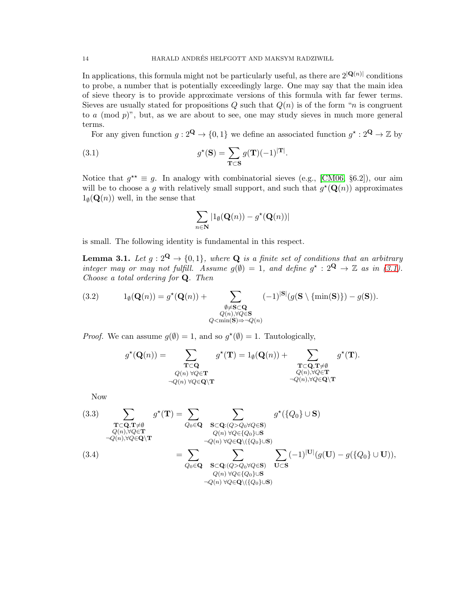In applications, this formula might not be particularly useful, as there are  $2^{|{\bf Q}(n)|}$  conditions to probe, a number that is potentially exceedingly large. One may say that the main idea of sieve theory is to provide approximate versions of this formula with far fewer terms. Sieves are usually stated for propositions  $Q$  such that  $Q(n)$  is of the form "n is congruent" to  $a \pmod{p}$ , but, as we are about to see, one may study sieves in much more general terms.

For any given function  $g: 2^{\mathbf{Q}} \to \{0, 1\}$  we define an associated function  $g^* : 2^{\mathbf{Q}} \to \mathbb{Z}$  by

(3.1) 
$$
g^{\star}(\mathbf{S}) = \sum_{\mathbf{T} \subset \mathbf{S}} g(\mathbf{T})(-1)^{|\mathbf{T}|}.
$$

Notice that  $g^{\star\star} \equiv g$ . In analogy with combinatorial sieves (e.g., [\[CM06,](#page-98-1) §6.2]), our aim will be to choose a g with relatively small support, and such that  $g^*(\mathbf{Q}(n))$  approximates  $1_{\emptyset}(\mathbf{Q}(n))$  well, in the sense that

<span id="page-13-0"></span>
$$
\sum_{n\in\mathbf{N}}|1_{\emptyset}(\mathbf{Q}(n))-g^{\star}(\mathbf{Q}(n))|
$$

is small. The following identity is fundamental in this respect.

<span id="page-13-3"></span>**Lemma 3.1.** Let  $g: 2^{\mathbf{Q}} \to \{0,1\}$ , where **Q** is a finite set of conditions that an arbitrary *integer may or may not fulfill. Assume*  $g(\emptyset) = 1$ *, and define*  $g^* : 2^{\mathbf{Q}} \to \mathbb{Z}$  *as in* [\(3.1\)](#page-13-0)*. Choose a total ordering for* Q*. Then*

<span id="page-13-2"></span>(3.2) 
$$
1_{\emptyset}(\mathbf{Q}(n)) = g^{\star}(\mathbf{Q}(n)) + \sum_{\substack{\emptyset \neq \mathbf{S} \subset \mathbf{Q} \\ Q(n), \forall Q \in \mathbf{S} \\ Q < \min(\mathbf{S}) \Rightarrow \neg Q(n)}} (-1)^{|\mathbf{S}|} (g(\mathbf{S} \setminus {\min(\mathbf{S})}) - g(\mathbf{S})).
$$

*Proof.* We can assume  $g(\emptyset) = 1$ , and so  $g^*(\emptyset) = 1$ . Tautologically,

$$
g^{\star}(\mathbf{Q}(n)) = \sum_{\substack{\mathbf{T} \subset \mathbf{Q} \\ Q(n) \forall Q \in \mathbf{T} \\ \neg Q(n) \forall Q \in \mathbf{Q} \setminus \mathbf{T}}} g^{\star}(\mathbf{T}) = 1_{\emptyset}(\mathbf{Q}(n)) + \sum_{\substack{\mathbf{T} \subset \mathbf{Q}, \mathbf{T} \neq \emptyset \\ Q(n), \forall Q \in \mathbf{T} \\ \neg Q(n), \forall Q \in \mathbf{Q} \setminus \mathbf{T}}} g^{\star}(\mathbf{T}).
$$

Now

<span id="page-13-1"></span>(3.3) 
$$
\sum_{\substack{\mathbf{T}\subset\mathbf{Q},\mathbf{T}\neq\emptyset\\Q(n),\forall Q\in\mathbf{T}\\ \neg Q(n),\forall Q\in\mathbf{Q}\backslash\mathbf{T}}}\n\begin{aligned}\ng^{\star}(\mathbf{T}) &= \sum_{Q_0\in\mathbf{Q}}\sum_{\substack{\mathbf{S}\subset\mathbf{Q}: (Q>Q_0\forall Q\in\mathbf{S})\\Q(n)\ \forall Q\in\{Q_0\}\cup\mathbf{S}\\ \neg Q(n)\ \forall Q\in\mathbf{Q}\backslash(\{Q_0\}\cup\mathbf{S})}}\n\end{aligned}
$$
\n
$$
(3.4) \quad\n= \sum_{Q_0\in\mathbf{Q}}\sum_{\substack{\mathbf{S}\subset\mathbf{Q}: (Q>Q_0\forall Q\in\mathbf{S})\\Q(n)\ \forall Q\in\{Q_0\}\cup\mathbf{S}\\ \neg Q(n)\ \forall Q\in\mathbf{Q}\backslash(\{Q_0\}\cup\mathbf{S})}}\n\sum_{\substack{\mathbf{U}\subset\mathbf{S}\\Q(n)\ \forall Q\in\mathbf{Q}\backslash(\{Q_0\}\cup\mathbf{S})}}\n\sum_{\substack{\mathbf{U}\subset\mathbf{S}\\Q(n)\ \forall Q\in\mathbf{Q}\backslash(\{Q_0\}\cup\mathbf{S})}}\n\end{aligned}
$$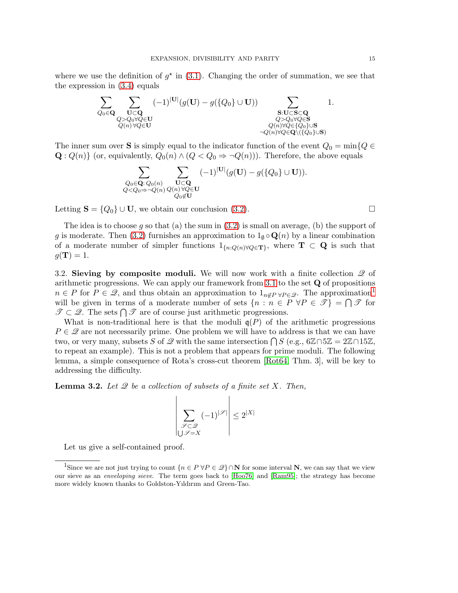where we use the definition of  $g^*$  in [\(3.1\)](#page-13-0). Changing the order of summation, we see that the expression in [\(3.4\)](#page-13-1) equals



The inner sum over S is simply equal to the indicator function of the event  $Q_0 = \min\{Q \in$  $\mathbf{Q}: Q(n)$  (or, equivalently,  $Q_0(n) \wedge (Q < Q_0 \Rightarrow \neg Q(n))$ ). Therefore, the above equals

$$
\sum_{\substack{Q_0 \in \mathbf{Q}: Q_0(n) \\ Q < Q_0 \Rightarrow \neg Q(n) \ Q(n) \forall Q \in \mathbf{U}}} \sum_{\substack{\mathbf{U} \subset \mathbf{Q} \\ Q_0 \notin \mathbf{U}}} (-1)^{|\mathbf{U}|} (g(\mathbf{U}) - g(\{Q_0\} \cup \mathbf{U})).
$$

Letting  $S = \{Q_0\} \cup U$ , we obtain our conclusion [\(3.2\)](#page-13-2).

The idea is to choose g so that (a) the sum in  $(3.2)$  is small on average, (b) the support of g is moderate. Then [\(3.2\)](#page-13-2) furnishes an approximation to  $1_{\emptyset} \circ \mathbf{Q}(n)$  by a linear combination of a moderate number of simpler functions  $1_{\{n:Q(n)\forall Q\in\mathbf{T}\}}$ , where  $\mathbf{T} \subset \mathbf{Q}$  is such that  $g(\mathbf{T})=1.$ 

<span id="page-14-0"></span>3.2. Sieving by composite moduli. We will now work with a finite collection  $\mathscr Q$  of arithmetic progressions. We can apply our framework from  $3.1$  to the set  $\bf Q$  of propositions  $n \in P$  for  $P \in \mathscr{Q}$ , and thus obtain an approximation to  $1_{n \notin P} \forall P \in \mathscr{Q}$  $1_{n \notin P} \forall P \in \mathscr{Q}$ . The approximation<sup>1</sup> will be given in terms of a moderate number of sets  $\{n : n \in P \forall P \in \mathcal{T}\} = \bigcap \mathcal{T}$  for  $\mathscr{T} \subset \mathscr{Q}$ . The sets  $\bigcap \mathscr{T}$  are of course just arithmetic progressions.

What is non-traditional here is that the moduli  $q(P)$  of the arithmetic progressions  $P \in \mathcal{Q}$  are not necessarily prime. One problem we will have to address is that we can have two, or very many, subsets S of  $\mathscr Q$  with the same intersection  $\bigcap S$  (e.g.,  $6\mathbb Z \cap 5\mathbb Z = 2\mathbb Z \cap 15\mathbb Z$ , to repeat an example). This is not a problem that appears for prime moduli. The following lemma, a simple consequence of Rota's cross-cut theorem [\[Rot64,](#page-99-6) Thm. 3], will be key to addressing the difficulty.

<span id="page-14-2"></span>Lemma 3.2. *Let* Q *be a collection of subsets of a finite set* X*. Then,*

 $\begin{array}{c} \end{array}$  $\parallel$  $\mathsf{I}$  $\left| \right|$  $\mathsf{I}$  $\overline{\phantom{a}}$  $\mathsf{I}$  $\overline{\phantom{a}}$ 

$$
\left|\sum_{\substack{\mathcal{S}\subset\mathcal{Q}\\ \bigcup\mathcal{S}=X}} (-1)^{|\mathcal{S}|} \right|\leq 2^{|X|}
$$

Let us give a self-contained proof.

<span id="page-14-1"></span><sup>&</sup>lt;sup>1</sup>Since we are not just trying to count  $\{n \in P \forall P \in \mathcal{Q}\} \cap \mathbf{N}$  for some interval  $\mathbf{N}$ , we can say that we view our sieve as an *enveloping sieve*. The term goes back to [\[Hoo76\]](#page-99-7) and [\[Ram95\]](#page-99-8); the strategy has become more widely known thanks to Goldston-Yıldırım and Green-Tao.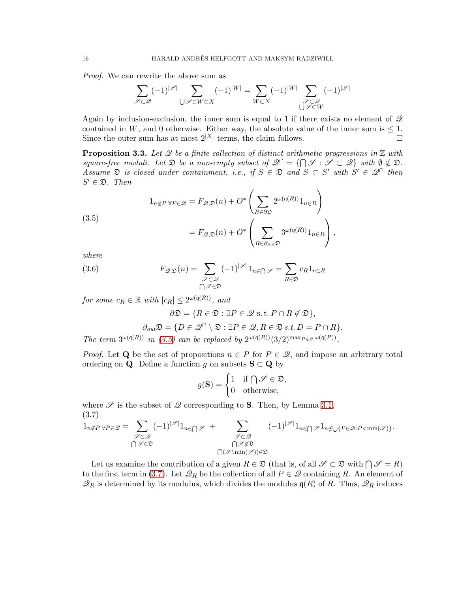*Proof.* We can rewrite the above sum as

$$
\sum_{{\mathscr S}\subset {\mathscr Q}} (-1)^{|{\mathscr S}|} \sum_{\bigcup {\mathscr S}\subset W \subset X} (-1)^{|W|} = \sum_{W\subset X} (-1)^{|W|} \sum_{{\mathscr S}\subset {\mathscr Q}\atop{\bigcup {\mathscr S}\subset W}} (-1)^{|{\mathscr S}|}
$$

Again by inclusion-exclusion, the inner sum is equal to 1 if there exists no element of  $\mathscr Q$ contained in W, and 0 otherwise. Either way, the absolute value of the inner sum is  $\leq 1$ .<br>Since the outer sum has at most  $2^{|X|}$  terms, the claim follows Since the outer sum has at most  $2^{|X|}$  terms, the claim follows.

<span id="page-15-3"></span>**Proposition 3.3.** Let 2 be a finite collection of distinct arithmetic progressions in  $\mathbb{Z}$  with *square-free moduli.* Let  $\mathfrak{D}$  *be a non-empty subset of*  $\mathscr{Q}^{\cap} = \{ \bigcap \mathscr{S} : \mathscr{S} \subset \mathscr{Q} \}$  *with*  $\emptyset \notin \mathfrak{D}$ *. Assume*  $\mathfrak{D}$  *is closed under containment, i.e., if*  $S \in \mathfrak{D}$  *and*  $S \subset S'$  *with*  $S' \in \mathcal{Q}^{\cap}$  *then*  $S' \in \mathfrak{D}$ . Then

<span id="page-15-0"></span>(3.5)  

$$
1_{n \notin P \forall P \in \mathcal{Q}} = F_{\mathcal{Q}, \mathfrak{D}}(n) + O^* \left( \sum_{R \in \partial \mathfrak{D}} 2^{\omega(\mathfrak{q}(R))} 1_{n \in R} \right)
$$

$$
= F_{\mathcal{Q}, \mathfrak{D}}(n) + O^* \left( \sum_{R \in \partial_{out} \mathfrak{D}} 3^{\omega(\mathfrak{q}(R))} 1_{n \in R} \right),
$$

*where*

(3.6) 
$$
F_{\mathscr{Q},\mathfrak{D}}(n) = \sum_{\substack{\mathscr{S}\subset\mathscr{Q} \\ \bigcap_{\mathscr{S}\in\mathfrak{D}}} (-1)^{|\mathscr{S}|} 1_{n\in\bigcap_{\mathscr{S}}} = \sum_{R\in\mathfrak{D}} c_R 1_{n\in R}
$$

*for some*  $c_R \in \mathbb{R}$  *with*  $|c_R| \leq 2^{\omega(\mathfrak{q}(R))}$ *, and* 

<span id="page-15-2"></span>
$$
\partial \mathfrak{D} = \{ R \in \mathfrak{D} : \exists P \in \mathcal{Q} \text{ s.t. } P \cap R \notin \mathfrak{D} \},
$$

$$
\partial_{out} \mathfrak{D} = \{ D \in \mathcal{Q} \cap \setminus \mathfrak{D} : \exists P \in \mathcal{Q}, R \in \mathfrak{D} \text{ s.t. } D = P \cap R \}.
$$

*The term*  $3^{\omega(\mathfrak{q}(R))}$  *in* [\(3.5\)](#page-15-0) *can be replaced by*  $2^{\omega(\mathfrak{q}(R))}(3/2)^{\max_{P \in \mathcal{Q}} \omega(\mathfrak{q}(P))}$ *.* 

*Proof.* Let Q be the set of propositions  $n \in P$  for  $P \in \mathcal{Q}$ , and impose an arbitrary total ordering on **Q**. Define a function g on subsets  $S \subset Q$  by

$$
g(\mathbf{S}) = \begin{cases} 1 & \text{if } \bigcap \mathscr{S} \in \mathfrak{D}, \\ 0 & \text{otherwise}, \end{cases}
$$

where  $\mathscr S$  is the subset of  $\mathscr Q$  corresponding to **S**. Then, by Lemma [3.1,](#page-13-3) (3.7)

<span id="page-15-1"></span>
$$
1_{n \notin P \; \forall P \in \mathcal{Q}} = \sum_{\substack{\mathcal{J} \subset \mathcal{Q} \\ \bigcap \mathcal{S} \in \mathfrak{D}}} (-1)^{|\mathcal{S}|} 1_{n \in \bigcap \mathcal{S}} + \sum_{\substack{\mathcal{J} \subset \mathcal{Q} \\ \bigcap \mathcal{S} \notin \mathfrak{D} \\ \bigcap (\mathcal{S} \setminus \min(\mathcal{S})) \in \mathfrak{D}}} (-1)^{|\mathcal{S}|} 1_{n \in \bigcap \mathcal{S}} 1_{n \notin \bigcup \{P \in \mathcal{Q} : P < \min(\mathcal{S})\}}.
$$

Let us examine the contribution of a given  $R \in \mathfrak{D}$  (that is, of all  $\mathscr{S} \subset \mathfrak{D}$  with  $\bigcap \mathscr{S} = R$ ) to the first term in [\(3.7\)](#page-15-1). Let  $\mathscr{Q}_R$  be the collection of all  $P \in \mathscr{Q}$  containing R. An element of  $\mathscr{Q}_R$  is determined by its modulus, which divides the modulus  $\mathfrak{q}(R)$  of R. Thus,  $\mathscr{Q}_R$  induces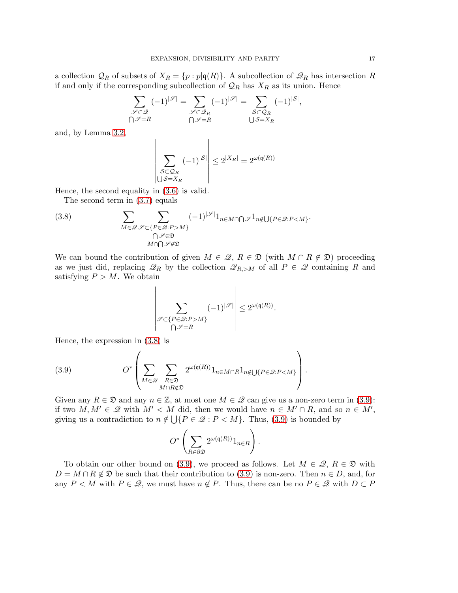a collection  $\mathcal{Q}_R$  of subsets of  $X_R = \{p : p | q(R)\}\$ . A subcollection of  $\mathcal{Q}_R$  has intersection R if and only if the corresponding subcollection of  $\mathcal{Q}_R$  has  $X_R$  as its union. Hence

$$
\sum_{\substack{\mathscr{S}\subset\mathscr{Q}\\ \bigcap\mathscr{S}=R}} (-1)^{|\mathscr{S}|} = \sum_{\substack{\mathscr{S}\subset\mathscr{Q}_R\\ \bigcap\mathscr{S}=R}} (-1)^{|\mathscr{S}|} = \sum_{\substack{\mathscr{S}\subset\mathscr{Q}_R\\ \bigcup\mathscr{S}=X_R}} (-1)^{|\mathscr{S}|},
$$

and, by Lemma [3.2,](#page-14-2)

$$
\left| \sum_{\substack{S \subset \mathcal{Q}_R \\ \cup S = X_R}} (-1)^{|S|} \right| \le 2^{|X_R|} = 2^{\omega(\mathfrak{q}(R))}
$$

Hence, the second equality in [\(3.6\)](#page-15-2) is valid.

<span id="page-16-0"></span>The second term in [\(3.7\)](#page-15-1) equals

(3.8) 
$$
\sum_{M \in \mathscr{Q}} \sum_{\substack{\mathscr{S} \subset \{P \in \mathscr{Q}: P > M\} \\ \bigcap \mathscr{S} \notin \mathfrak{D}}} (-1)^{|\mathscr{S}|} 1_{n \in M \cap \bigcap \mathscr{S}} 1_{n \notin \bigcup \{P \in \mathscr{Q}: P < M\}}.
$$

We can bound the contribution of given  $M \in \mathcal{Q}, R \in \mathcal{D}$  (with  $M \cap R \notin \mathcal{D}$ ) proceeding as we just did, replacing  $\mathscr{Q}_R$  by the collection  $\mathscr{Q}_{R,>M}$  of all  $P \in \mathscr{Q}$  containing R and satisfying  $P > M$ . We obtain

$$
\left|\sum_{\substack{\mathcal{S}\subset\{P\in\mathcal{Q}:P>M\}\\ \bigcap\mathcal{S}=R}}(-1)^{|\mathcal{S}|}\right|\leq 2^{\omega(\mathfrak{q}(R))}.
$$

Hence, the expression in [\(3.8\)](#page-16-0) is

<span id="page-16-1"></span>(3.9) 
$$
O^*\left(\sum_{M\in\mathcal{Q}}\sum_{\substack{R\in\mathfrak{D}\\M\cap R\notin\mathfrak{D}}}2^{\omega(\mathfrak{q}(R))}\mathbb{1}_{n\in M\cap R}\mathbb{1}_{n\notin\bigcup\{P\in\mathcal{Q}:P\leq M\}}\right).
$$

Given any  $R \in \mathfrak{D}$  and any  $n \in \mathbb{Z}$ , at most one  $M \in \mathcal{Q}$  can give us a non-zero term in [\(3.9\)](#page-16-1): if two  $M, M' \in \mathcal{Q}$  with  $M' < M$  did, then we would have  $n \in M' \cap R$ , and so  $n \in M'$ , giving us a contradiction to  $n \notin \bigcup \{P \in \mathcal{Q} : P < M\}$ . Thus, [\(3.9\)](#page-16-1) is bounded by

$$
O^*\left(\sum_{R\in\partial\mathfrak{D}}2^{\omega(\mathfrak{q}(R))}1_{n\in R}\right).
$$

To obtain our other bound on [\(3.9\)](#page-16-1), we proceed as follows. Let  $M \in \mathcal{Q}, R \in \mathfrak{D}$  with  $D = M \cap R \notin \mathfrak{D}$  be such that their contribution to [\(3.9\)](#page-16-1) is non-zero. Then  $n \in D$ , and, for any  $P \leq M$  with  $P \in \mathcal{Q}$ , we must have  $n \notin P$ . Thus, there can be no  $P \in \mathcal{Q}$  with  $D \subset P$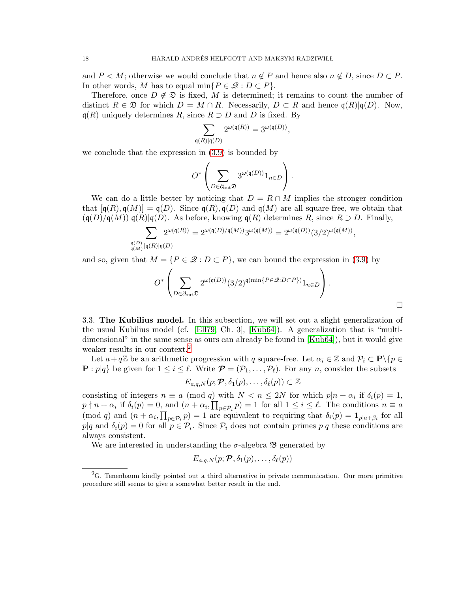and  $P \leq M$ ; otherwise we would conclude that  $n \notin P$  and hence also  $n \notin D$ , since  $D \subset P$ . In other words, M has to equal min $\{P \in \mathcal{Q} : D \subset P\}.$ 

Therefore, once  $D \notin \mathfrak{D}$  is fixed, M is determined; it remains to count the number of distinct  $R \in \mathfrak{D}$  for which  $D = M \cap R$ . Necessarily,  $D \subset R$  and hence  $\mathfrak{q}(R)|\mathfrak{q}(D)$ . Now,  $q(R)$  uniquely determines R, since  $R \supset D$  and D is fixed. By

$$
\sum_{\mathfrak{q}(R)|\mathfrak{q}(D)} 2^{\omega(\mathfrak{q}(R))} = 3^{\omega(\mathfrak{q}(D))},
$$

we conclude that the expression in [\(3.9\)](#page-16-1) is bounded by

$$
O^*\left(\sum_{D\in\partial_{\text{out}}\mathfrak{D}}3^{\omega(\mathfrak{q}(D))}1_{n\in D}\right).
$$

We can do a little better by noticing that  $D = R \cap M$  implies the stronger condition that  $[q(R), q(M)] = q(D)$ . Since  $q(R), q(D)$  and  $q(M)$  are all square-free, we obtain that  $(\mathfrak{q}(D)/\mathfrak{q}(M))|\mathfrak{q}(R)|\mathfrak{q}(D)$ . As before, knowing  $\mathfrak{q}(R)$  determines R, since  $R \supset D$ . Finally,

$$
\sum_{\mathbf{q}(D)\atop \mathbf{q}(M)} 2^{\omega(\mathbf{q}(R))} = 2^{\omega(\mathbf{q}(D)/\mathbf{q}(M))} 3^{\omega(\mathbf{q}(M))} = 2^{\omega(\mathbf{q}(D))} (3/2)^{\omega(\mathbf{q}(M))},
$$

and so, given that  $M = \{P \in \mathcal{Q} : D \subset P\}$ , we can bound the expression in [\(3.9\)](#page-16-1) by

$$
O^*\left(\sum_{D \in \partial_{\text{out}} \mathfrak{D}} 2^{\omega(\mathfrak{q}(D))} (3/2)^{\mathfrak{q}(\min\{P \in \mathcal{Q} : D \subset P\})} 1_{n \in D}\right).
$$

<span id="page-17-0"></span>3.3. The Kubilius model. In this subsection, we will set out a slight generalization of the usual Kubilius model (cf. [\[Ell79,](#page-98-2) Ch. 3], [\[Kub64\]](#page-99-5)). A generalization that is "multidimensional" in the same sense as ours can already be found in [\[Kub64\]](#page-99-5)), but it would give weaker results in our context.<sup>[2](#page-17-1)</sup>

Let  $a+q\mathbb{Z}$  be an arithmetic progression with q square-free. Let  $\alpha_i \in \mathbb{Z}$  and  $\mathcal{P}_i \subset \mathbf{P}\backslash\{p\in$  $\mathbf{P}: p|q$  be given for  $1 \leq i \leq \ell$ . Write  $\mathcal{P}=(\mathcal{P}_1,\ldots,\mathcal{P}_\ell)$ . For any n, consider the subsets

$$
E_{a,q,N}(p; \boldsymbol{\mathcal{P}}, \delta_1(p), \ldots, \delta_\ell(p)) \subset \mathbb{Z}
$$

consisting of integers  $n \equiv a \pmod{q}$  with  $N < n \le 2N$  for which  $p|n + \alpha_i$  if  $\delta_i(p) = 1$ ,  $p \nmid n + \alpha_i$  if  $\delta_i(p) = 0$ , and  $(n + \alpha_i, \prod_{p \in \mathcal{P}_i} p) = 1$  for all  $1 \le i \le \ell$ . The conditions  $n \equiv a$  $p \in \mathcal{P}_i$ (mod q) and  $(n + \alpha_i, \prod_{p \in \mathcal{P}_i} p) = 1$  are equivalent to requiring that  $\delta_i(p) = \mathbf{1}_{p|a+\beta_i}$  for all  $p|q$  and  $\delta_i(p) = 0$  for all  $p \in \mathcal{P}_i$ . Since  $\mathcal{P}_i$  does not contain primes  $p|q$  these conditions are always consistent.

We are interested in understanding the  $\sigma$ -algebra  $\mathfrak{B}$  generated by

$$
E_{a,q,N}(p; \boldsymbol{\mathcal{P}}, \delta_1(p), \ldots, \delta_{\ell}(p))
$$

<span id="page-17-1"></span> ${}^{2}G$ . Tenenbaum kindly pointed out a third alternative in private communication. Our more primitive procedure still seems to give a somewhat better result in the end.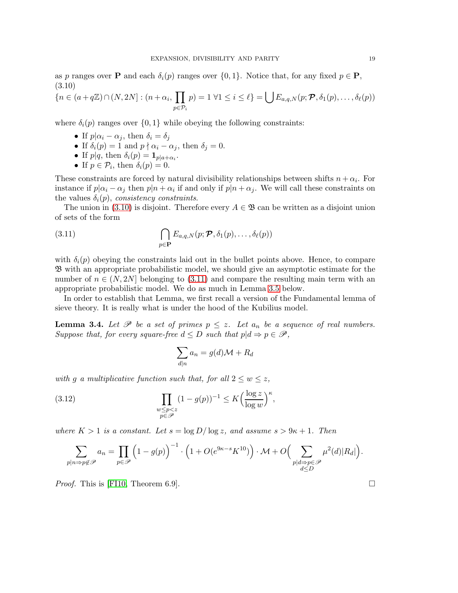as p ranges over **P** and each  $\delta_i(p)$  ranges over  $\{0, 1\}$ . Notice that, for any fixed  $p \in \mathbf{P}$ , (3.10)

<span id="page-18-0"></span>
$$
\{n \in (a+q\mathbb{Z}) \cap (N, 2N] : (n+\alpha_i, \prod_{p \in \mathcal{P}_i} p) = 1 \,\,\forall 1 \leq i \leq \ell\} = \bigcup E_{a,q,N}(p; \mathcal{P}, \delta_1(p), \ldots, \delta_\ell(p))
$$

where  $\delta_i(p)$  ranges over  $\{0, 1\}$  while obeying the following constraints:

- If  $p|\alpha_i \alpha_j$ , then  $\delta_i = \delta_j$
- If  $\delta_i(p) = 1$  and  $p \nmid \alpha_i \alpha_j$ , then  $\delta_j = 0$ .
- If  $p|q$ , then  $\delta_i(p) = \mathbf{1}_{p|a+\alpha_i}$ .
- If  $p \in \mathcal{P}_i$ , then  $\delta_i(p) = 0$ .

These constraints are forced by natural divisibility relationships between shifts  $n + \alpha_i$ . For instance if  $p|\alpha_i - \alpha_j$  then  $p|n + \alpha_i$  if and only if  $p|n + \alpha_j$ . We will call these constraints on the values  $\delta_i(p)$ , *consistency constraints*.

The union in [\(3.10\)](#page-18-0) is disjoint. Therefore every  $A \in \mathcal{B}$  can be written as a disjoint union of sets of the form

<span id="page-18-1"></span>(3.11) 
$$
\bigcap_{p \in \mathbf{P}} E_{a,q,N}(p; \mathbf{P}, \delta_1(p), \ldots, \delta_\ell(p))
$$

with  $\delta_i(p)$  obeying the constraints laid out in the bullet points above. Hence, to compare B with an appropriate probabilistic model, we should give an asymptotic estimate for the number of  $n \in (N, 2N]$  belonging to [\(3.11\)](#page-18-1) and compare the resulting main term with an appropriate probabilistic model. We do as much in Lemma [3.5](#page-19-0) below.

In order to establish that Lemma, we first recall a version of the Fundamental lemma of sieve theory. It is really what is under the hood of the Kubilius model.

<span id="page-18-3"></span>**Lemma 3.4.** Let  $\mathscr P$  be a set of primes  $p \leq z$ . Let  $a_n$  be a sequence of real numbers. *Suppose that, for every square-free*  $d \leq D$  *such that*  $p|d \Rightarrow p \in \mathscr{P}$ ,

<span id="page-18-2"></span>
$$
\sum_{d|n} a_n = g(d)\mathcal{M} + R_d
$$

*with* g a multiplicative function such that, for all  $2 \leq w \leq z$ ,

(3.12) 
$$
\prod_{\substack{w \le p < z \\ p \in \mathcal{P}}} (1 - g(p))^{-1} \le K \Big( \frac{\log z}{\log w} \Big)^{\kappa},
$$

*where*  $K > 1$  *is a constant. Let*  $s = \log D / \log z$ *, and assume*  $s > 9\kappa + 1$ *. Then* 

$$
\sum_{\substack{p|n\Rightarrow p\notin\mathscr{P}}} a_n = \prod_{p\in\mathscr{P}} \left(1 - g(p)\right)^{-1} \cdot \left(1 + O(e^{9\kappa - s}K^{10})\right) \cdot \mathcal{M} + O\Big(\sum_{\substack{p|d\Rightarrow p\in\mathscr{P} \\ d\leq D}} \mu^2(d)|R_d|\Big).
$$

*Proof.* This is [\[FI10,](#page-98-3) Theorem 6.9].  $\square$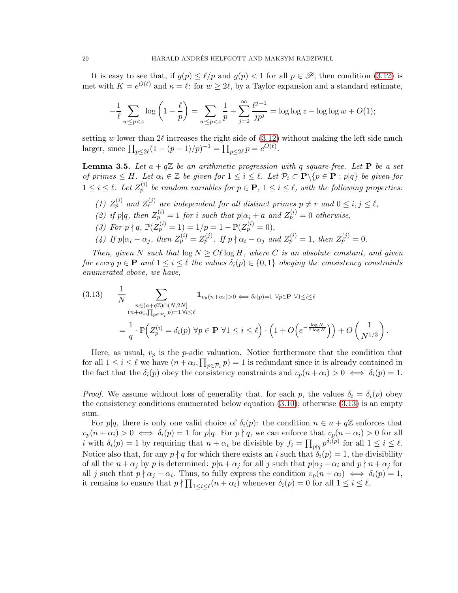It is easy to see that, if  $g(p) \leq \ell/p$  and  $g(p) < 1$  for all  $p \in \mathscr{P}$ , then condition [\(3.12\)](#page-18-2) is met with  $K = e^{O(\ell)}$  and  $\kappa = \ell$ : for  $w \geq 2\ell$ , by a Taylor expansion and a standard estimate,

$$
-\frac{1}{\ell} \sum_{w \le p < z} \log \left( 1 - \frac{\ell}{p} \right) = \sum_{w \le p < z} \frac{1}{p} + \sum_{j=2}^{\infty} \frac{\ell^{j-1}}{jp^j} = \log \log z - \log \log w + O(1);
$$

setting w lower than  $2\ell$  increases the right side of  $(3.12)$  without making the left side much larger, since  $\prod_{p \le 2\ell} (1 - (p-1)/p)^{-1} = \prod_{p \le 2\ell} p = e^{O(\ell)}$ .

<span id="page-19-0"></span>**Lemma 3.5.** Let  $a + q\mathbb{Z}$  be an arithmetic progression with q square-free. Let **P** be a set *of primes*  $\leq H$ *. Let*  $\alpha_i \in \mathbb{Z}$  *be given for*  $1 \leq i \leq \ell$ *. Let*  $\mathcal{P}_i \subset \mathbf{P} \setminus \{p \in \mathbf{P} : p|q\}$  *be given for*  $1 \leq i \leq \ell$ . Let  $Z_p^{(i)}$  be random variables for  $p \in \mathbf{P}$ ,  $1 \leq i \leq \ell$ , with the following properties:

- (1)  $Z_p^{(i)}$  and  $Z_r^{(j)}$  are independent for all distinct primes  $p \neq r$  and  $0 \leq i, j \leq \ell$ ,
- (2) if p|q, then  $Z_{p}^{(i)} = 1$  for i such that  $p|\alpha_i + a$  and  $Z_p^{(i)} = 0$  otherwise,
- (3) For  $p \nmid q$ ,  $\mathbb{P}(Z_p^{(i)} = 1) = 1/p = 1 \mathbb{P}(Z_p^{(i)} = 0),$
- (4) If  $p | \alpha_i \alpha_j$ , then  $Z_p^{(i)} = Z_p^{(j)}$ . If  $p \nmid \alpha_i \alpha_j$  and  $Z_p^{(i)} = 1$ , then  $Z_p^{(j)} = 0$ .

*Then, given* N *such that*  $\log N \geq C\ell \log H$ *, where* C *is an absolute constant, and given for every*  $p \in \mathbf{P}$  *and*  $1 \leq i \leq \ell$  *the values*  $\delta_i(p) \in \{0,1\}$  *obeying the consistency constraints enumerated above, we have,*

<span id="page-19-1"></span>(3.13) 
$$
\frac{1}{N} \sum_{\substack{n \in (a+q\mathbb{Z}) \cap (N,2N] \\ (n+\alpha_i,\prod_{p\in\mathcal{P}_i}p)=1 \forall i \leq \ell}} \mathbf{1}_{v_p(n+\alpha_i)>0} \Longleftrightarrow \delta_i(p)=1 \ \forall p \in \mathbf{P} \ \forall 1 \leq i \leq \ell
$$

$$
= \frac{1}{q} \cdot \mathbb{P}\Big(Z_p^{(i)} = \delta_i(p) \ \forall p \in \mathbf{P} \ \forall 1 \leq i \leq \ell\Big) \cdot \left(1 + O\Big(e^{-\frac{\log N}{2\log H}}\Big)\right) + O\left(\frac{1}{N^{1/3}}\right).
$$

Here, as usual,  $v_p$  is the p-adic valuation. Notice furthermore that the condition that for all  $1 \leq i \leq \ell$  we have  $(n + \alpha_i, \prod_{p \in \mathcal{P}_i} p) = 1$  is redundant since it is already contained in the fact that the  $\delta_i(p)$  obey the consistency constraints and  $v_p(n + \alpha_i) > 0 \iff \delta_i(p) = 1$ .

*Proof.* We assume without loss of generality that, for each p, the values  $\delta_i = \delta_i(p)$  obey the consistency conditions enumerated below equation  $(3.10)$ ; otherwise  $(3.13)$  is an empty sum.

For  $p|q$ , there is only one valid choice of  $\delta_i(p)$ : the condition  $n \in a + q\mathbb{Z}$  enforces that  $v_p(n + \alpha_i) > 0 \iff \delta_i(p) = 1$  for  $p \nmid q$ . For  $p \nmid q$ , we can enforce that  $v_p(n + \alpha_i) > 0$  for all *i* with  $\delta_i(p) = 1$  by requiring that  $n + \alpha_i$  be divisible by  $f_i = \prod_{p \nmid q} p^{\delta_i(p)}$  for all  $1 \leq i \leq \ell$ . Notice also that, for any  $p \nmid q$  for which there exists an i such that  $\delta_i(p) = 1$ , the divisibility of all the  $n + \alpha_j$  by p is determined:  $p|n + \alpha_j$  for all j such that  $p|\alpha_j - \alpha_i$  and  $p \nmid n + \alpha_j$  for all j such that  $p \nmid \alpha_j - \alpha_i$ . Thus, to fully express the condition  $v_p(n + \alpha_i) \iff \delta_i(p) = 1$ , it remains to ensure that  $p \nmid \prod_{1 \leq i \leq \ell} (n + \alpha_i)$  whenever  $\delta_i(p) = 0$  for all  $1 \leq i \leq \ell$ .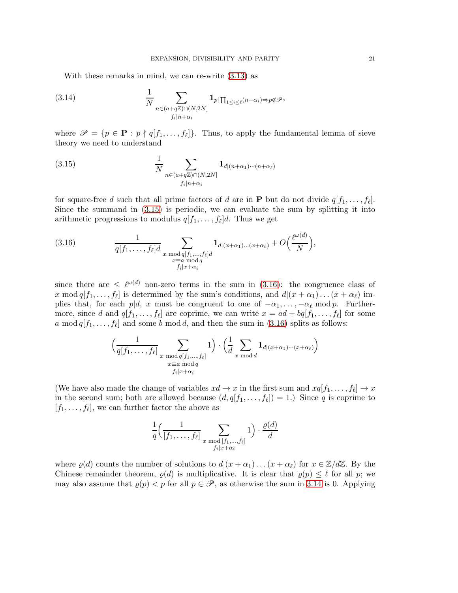<span id="page-20-2"></span>With these remarks in mind, we can re-write [\(3.13\)](#page-19-1) as

(3.14) 
$$
\frac{1}{N} \sum_{\substack{n \in (a+q\mathbb{Z}) \cap (N,2N] \\ f_i|n+\alpha_i}} \mathbf{1}_{p|\prod_{1 \le i \le \ell} (n+\alpha_i) \Rightarrow p \notin \mathcal{P}},
$$

where  $\mathscr{P} = \{p \in \mathbf{P} : p \nmid q[f_1, \ldots, f_\ell]\}.$  Thus, to apply the fundamental lemma of sieve theory we need to understand

<span id="page-20-0"></span>(3.15) 
$$
\frac{1}{N} \sum_{\substack{n \in (a+q\mathbb{Z}) \cap (N,2N] \\ f_i|n+\alpha_i}} \mathbf{1}_{d|(n+\alpha_1)\cdots(n+\alpha_\ell)}
$$

for square-free d such that all prime factors of d are in **P** but do not divide  $q[f_1, \ldots, f_\ell]$ . Since the summand in [\(3.15\)](#page-20-0) is periodic, we can evaluate the sum by splitting it into arithmetic progressions to modulus  $q[f_1, \ldots, f_\ell]d$ . Thus we get

<span id="page-20-1"></span>(3.16) 
$$
\frac{1}{q[f_1,\ldots,f_\ell]d} \sum_{\substack{x \bmod q[f_1,\ldots,f_\ell]d\\ x \equiv a \bmod q\\ f_i|x+\alpha_i}} \mathbf{1}_{d|(x+\alpha_1)\ldots(x+\alpha_\ell)} + O\Big(\frac{\ell^{\omega(d)}}{N}\Big),
$$

since there are  $\leq \ell^{\omega(d)}$  non-zero terms in the sum in [\(3.16\)](#page-20-1): the congruence class of x mod  $q[f_1, \ldots, f_\ell]$  is determined by the sum's conditions, and  $d|(x+\alpha_1) \ldots (x+\alpha_\ell)$  implies that, for each p|d, x must be congruent to one of  $-\alpha_1, \ldots, -\alpha_\ell \mod p$ . Furthermore, since d and  $q[f_1,\ldots,f_\ell]$  are coprime, we can write  $x = ad + bq[f_1,\ldots,f_\ell]$  for some a mod  $q[f_1, \ldots, f_\ell]$  and some b mod d, and then the sum in [\(3.16\)](#page-20-1) splits as follows:

$$
\left(\frac{1}{q[f_1,\ldots,f_\ell]}\sum_{\substack{x \bmod q[f_1,\ldots,f_\ell] \\ x \equiv a \bmod q}} 1\right) \cdot \left(\frac{1}{d}\sum_{x \bmod d} \mathbf{1}_{d|(x+\alpha_1)\cdots(x+\alpha_\ell)}\right)
$$

(We have also made the change of variables  $xd \to x$  in the first sum and  $xq[f_1, \ldots, f_\ell] \to x$ in the second sum; both are allowed because  $(d, q[f_1, \ldots, f_\ell]) = 1$ . Since q is coprime to  $[f_1, \ldots, f_\ell]$ , we can further factor the above as

$$
\frac{1}{q} \left( \frac{1}{[f_1, \dots, f_\ell]} \sum_{\substack{x \bmod [f_1, \dots, f_\ell] \\ f_i | x + \alpha_i}} 1 \right) \cdot \frac{\varrho(d)}{d}
$$

where  $\varrho(d)$  counts the number of solutions to  $d|(x+\alpha_1)...(x+\alpha_\ell)$  for  $x \in \mathbb{Z}/d\mathbb{Z}$ . By the Chinese remainder theorem,  $\varrho(d)$  is multiplicative. It is clear that  $\varrho(p) \leq \ell$  for all p; we may also assume that  $\varrho(p) < p$  for all  $p \in \mathscr{P}$ , as otherwise the sum in [3.14](#page-20-2) is 0. Applying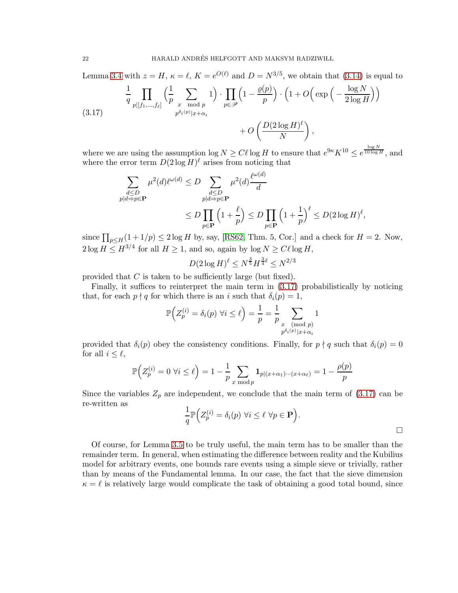Lemma [3.4](#page-18-3) with  $z = H$ ,  $\kappa = \ell$ ,  $K = e^{O(\ell)}$  and  $D = N^{3/5}$ , we obtain that [\(3.14\)](#page-20-2) is equal to

<span id="page-21-0"></span>
$$
\frac{1}{q} \prod_{p | [f_1, \dots, f_\ell]} \left( \frac{1}{p} \sum_{\substack{x \mod p \\ p^{\delta_i(p)} | x + \alpha_i}} 1 \right) \cdot \prod_{p \in \mathscr{P}} \left( 1 - \frac{\varrho(p)}{p} \right) \cdot \left( 1 + O\left( \exp\left( -\frac{\log N}{2 \log H} \right) \right) + O\left( \frac{D(2 \log H)^{\ell}}{N} \right) \right)
$$
\n
$$
(3.17)
$$

where we are using the assumption  $\log N \geq C\ell \log H$  to ensure that  $e^{9\kappa} K^{10} \leq e^{\frac{\log N}{10 \log H}}$ , and where the error term  $D(2\log H)$ <sup> $\ell$ </sup> arises from noticing that

$$
\sum_{\substack{d \le D \\ p|d \Rightarrow p \in \mathbf{P}}} \mu^2(d)\ell^{\omega(d)} \le D \sum_{\substack{d \le D \\ p|d \Rightarrow p \in \mathbf{P}}} \mu^2(d)\frac{\ell^{\omega(d)}}{d}
$$
\n
$$
\le D \prod_{p \in \mathbf{P}} \left(1 + \frac{\ell}{p}\right) \le D \prod_{p \in \mathbf{P}} \left(1 + \frac{1}{p}\right)^{\ell} \le D(2 \log H)^{\ell},
$$

since  $\prod_{p\leq H}(1+1/p)\leq 2\log H$  by, say, [\[RS62,](#page-100-3) Thm. 5, Cor.] and a check for  $H=2$ . Now,  $2\log H \le H^{3/4}$  for all  $H \ge 1$ , and so, again by  $\log N \ge C\ell \log H$ ,

$$
D(2\log H)^{\ell} \le N^{\frac{3}{5}} H^{\frac{3}{4}\ell} \le N^{2/3}
$$

provided that  $C$  is taken to be sufficiently large (but fixed).

Finally, it suffices to reinterpret the main term in [\(3.17\)](#page-21-0) probabilistically by noticing that, for each  $p \nmid q$  for which there is an i such that  $\delta_i(p) = 1$ ,

$$
\mathbb{P}\Big(Z_p^{(i)} = \delta_i(p) \,\,\forall i \leq \ell\Big) = \frac{1}{p} = \frac{1}{p} \sum_{\substack{x \pmod{p} \\ p^{\delta_i(p)} | x + \alpha_i}} 1
$$

provided that  $\delta_i(p)$  obey the consistency conditions. Finally, for  $p \nmid q$  such that  $\delta_i(p) = 0$ for all  $i \leq \ell$ ,

$$
\mathbb{P}\Big(Z_p^{(i)} = 0 \,\,\forall i \leq \ell\Big) = 1 - \frac{1}{p} \sum_{x \bmod p} \mathbf{1}_{p|(x+\alpha_1)\cdots(x+\alpha_\ell)} = 1 - \frac{\rho(p)}{p}
$$

Since the variables  $Z_p$  are independent, we conclude that the main term of  $(3.17)$  can be re-written as

$$
\frac{1}{q}\mathbb{P}\Big(Z_p^{(i)} = \delta_i(p) \,\,\forall i \leq \ell \,\,\forall p \in \mathbf{P}\Big).
$$

Of course, for Lemma [3.5](#page-19-0) to be truly useful, the main term has to be smaller than the remainder term. In general, when estimating the difference between reality and the Kubilius model for arbitrary events, one bounds rare events using a simple sieve or trivially, rather than by means of the Fundamental lemma. In our case, the fact that the sieve dimension  $\kappa = \ell$  is relatively large would complicate the task of obtaining a good total bound, since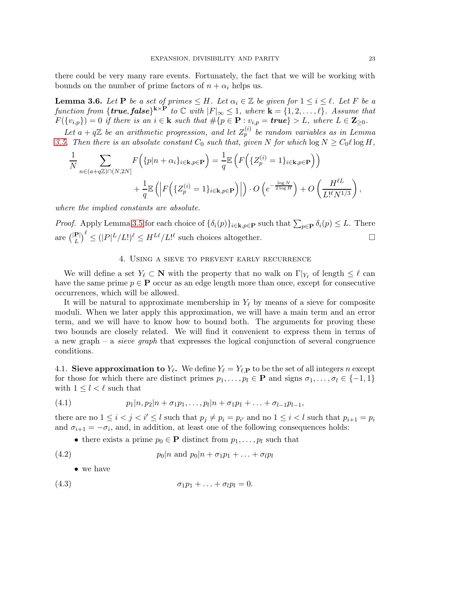there could be very many rare events. Fortunately, the fact that we will be working with bounds on the number of prime factors of  $n + \alpha_i$  helps us.

<span id="page-22-5"></span>**Lemma 3.6.** Let **P** be a set of primes  $\leq H$ . Let  $\alpha_i \in \mathbb{Z}$  be given for  $1 \leq i \leq \ell$ . Let F be a  $function from \{\textbf{true}, \textbf{false}\}^{k \times P}$  to  $\mathbb C$  *with*  $|F|_{\infty} \leq 1$ *, where*  $\mathbf{k} = \{1, 2, ..., \ell\}$ *. Assume that*  $F(\{v_{i,p}\}) = 0$  *if there is an*  $i \in \mathbf{k}$  *such that*  $\#\{p \in \mathbf{P} : v_{i,p} = \mathbf{true}\} > L$ *, where*  $L \in \mathbf{Z}_{\geq 0}$ *.* 

Let  $a + q\mathbb{Z}$  be an arithmetic progression, and let  $Z_p^{(i)}$  be random variables as in Lemma [3.5.](#page-19-0) Then there is an absolute constant  $C_0$  such that, given N for which  $\log N \geq C_0 \ell \log H$ ,

$$
\frac{1}{N} \sum_{n \in (a+q\mathbb{Z}) \cap (N,2N]} F\left(\{p|n+\alpha_i\}_{i \in \mathbf{k}, p \in \mathbf{P}}\right) = \frac{1}{q} \mathbb{E}\left(F\left(\{Z_p^{(i)}=1\}_{i \in \mathbf{k}, p \in \mathbf{P}}\right)\right)
$$
\n
$$
+ \frac{1}{q} \mathbb{E}\left(\left|F\left(\{Z_p^{(i)}=1\}_{i \in \mathbf{k}, p \in \mathbf{P}}\right)\right|\right) \cdot O\left(e^{-\frac{\log N}{2\log H}}\right) + O\left(\frac{H^{\ell L}}{L!^{\ell} N^{1/3}}\right),
$$

*where the implied constants are absolute.*

*Proof.* Apply Lemma [3.5](#page-19-0) for each choice of  $\{\delta_i(p)\}_{i\in\mathbf{k},p\in\mathbf{P}}$  such that  $\sum_{p\in\mathbf{P}} \delta_i(p) \leq L$ . There are  $\binom{|\mathbf{P}|}{L}^{\ell} \leq (|P|^L/L!)^{\ell} \leq H^{L\ell}/L!^{\ell}$  such choices altogether.

# 4. Using a sieve to prevent early recurrence

<span id="page-22-0"></span>We will define a set  $Y_{\ell} \subset \mathbb{N}$  with the property that no walk on  $\Gamma|_{Y_{\ell}}$  of length  $\leq \ell$  can have the same prime  $p \in \mathbf{P}$  occur as an edge length more than once, except for consecutive occurrences, which will be allowed.

It will be natural to approximate membership in  $Y_{\ell}$  by means of a sieve for composite moduli. When we later apply this approximation, we will have a main term and an error term, and we will have to know how to bound both. The arguments for proving these two bounds are closely related. We will find it convenient to express them in terms of a new graph – a *sieve graph* that expresses the logical conjunction of several congruence conditions.

<span id="page-22-4"></span>4.1. Sieve approximation to  $Y_{\ell}$ . We define  $Y_{\ell} = Y_{\ell, \mathbf{P}}$  to be the set of all integers n except for those for which there are distinct primes  $p_1, \ldots, p_l \in \mathbf{P}$  and signs  $\sigma_1, \ldots, \sigma_l \in \{-1, 1\}$ with  $1 \leq l < \ell$  such that

(4.1) 
$$
p_1|n, p_2|n + \sigma_1 p_1, \ldots, p_l|n + \sigma_1 p_1 + \ldots + \sigma_{l-1} p_{l-1},
$$

there are no  $1 \leq i < j < i' \leq l$  such that  $p_j \neq p_i = p_{i'}$  and no  $1 \leq i < l$  such that  $p_{i+1} = p_i$ and  $\sigma_{i+1} = -\sigma_i$ , and, in addition, at least one of the following consequences holds:

<span id="page-22-2"></span>• there exists a prime  $p_0 \in \mathbf{P}$  distinct from  $p_1, \ldots, p_l$  such that

(4.2) 
$$
p_0|n \text{ and } p_0|n + \sigma_1p_1 + \ldots + \sigma_l p_l
$$

<span id="page-22-3"></span><span id="page-22-1"></span>• we have

$$
\sigma_1 p_1 + \ldots + \sigma_l p_l = 0.
$$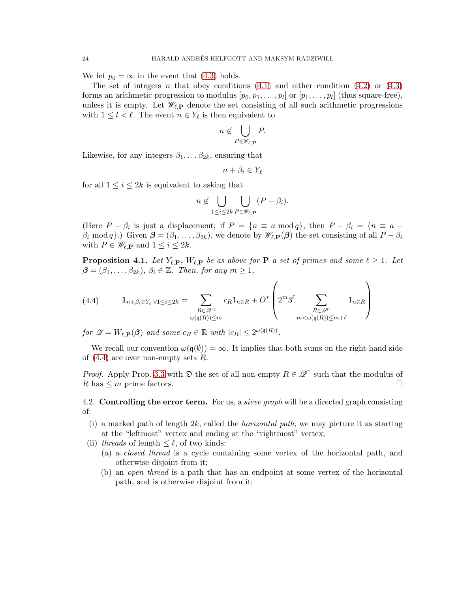We let  $p_0 = \infty$  in the event that [\(4.3\)](#page-22-1) holds.

The set of integers n that obey conditions  $(4.1)$  and either condition  $(4.2)$  or  $(4.3)$ forms an arithmetic progression to modulus  $[p_0, p_1, \ldots, p_l]$  or  $[p_1, \ldots, p_l]$  (thus square-free), unless it is empty. Let  $\mathscr{W}_{\ell,\mathbf{P}}$  denote the set consisting of all such arithmetic progressions with  $1 \leq l \leq \ell$ . The event  $n \in Y_{\ell}$  is then equivalent to

$$
n \notin \bigcup_{P \in \mathscr{W}_{\ell,\mathbf{P}}} P.
$$

Likewise, for any integers  $\beta_1, \ldots, \beta_{2k}$ , ensuring that

$$
n+\beta_i\in Y_\ell
$$

for all  $1 \leq i \leq 2k$  is equivalent to asking that

$$
n \notin \bigcup_{1 \leq i \leq 2k} \bigcup_{P \in \mathscr{W}_{\ell, \mathbf{P}}} (P - \beta_i).
$$

(Here  $P - \beta_i$  is just a displacement; if  $P = \{n \equiv a \mod q\}$ , then  $P - \beta_i = \{n \equiv a \beta_i \text{ mod } q$ .) Given  $\boldsymbol{\beta} = (\beta_1, \dots, \beta_{2k})$ , we denote by  $\mathscr{W}_{\ell, \mathbf{P}}(\boldsymbol{\beta})$  the set consisting of all  $P - \beta_i$ with  $P \in \mathscr{W}_{\ell, \mathbf{P}}$  and  $1 \leq i \leq 2k$ .

<span id="page-23-2"></span>**Proposition 4.1.** Let  $Y_{\ell,\mathbf{P}}$ ,  $W_{\ell,\mathbf{P}}$  be as above for **P** a set of primes and some  $\ell \geq 1$ . Let  $\beta = (\beta_1, \ldots, \beta_{2k}), \beta_i \in \mathbb{Z}$ *. Then, for any*  $m \geq 1$ *,* 

<span id="page-23-1"></span>(4.4) 
$$
\mathbf{1}_{n+\beta_i \in Y_\ell \,\forall 1 \leq i \leq 2k} = \sum_{\substack{R \in \mathcal{Q} \cap \ \omega(\mathfrak{q}(R)) \leq m}} c_R \mathbf{1}_{n \in R} + O^* \left( 2^m 3^\ell \sum_{\substack{R \in \mathcal{Q} \cap \ \omega(\mathfrak{q}(R)) \leq m+\ell}} 1_{n \in R} \right)
$$

*for*  $\mathscr{Q} = W_{\ell, \mathbf{P}}(\boldsymbol{\beta})$  *and some*  $c_R \in \mathbb{R}$  *with*  $|c_R| \leq 2^{\omega(\mathfrak{q}(R))}$ *.* 

We recall our convention  $\omega(\mathfrak{q}(\emptyset)) = \infty$ . It implies that both sums on the right-hand side of  $(4.4)$  are over non-empty sets R.

*Proof.* Apply Prop. [3.3](#page-15-3) with  $\mathfrak{D}$  the set of all non-empty  $R \in \mathcal{Q}^{\cap}$  such that the modulus of R has  $\leq m$  prime factors. R has  $\leq m$  prime factors.

<span id="page-23-0"></span>4.2. Controlling the error term. For us, a *sieve graph* will be a directed graph consisting of:

- (i) a marked path of length 2k, called the *horizontal path*; we may picture it as starting at the "leftmost" vertex and ending at the "rightmost" vertex;
- (ii) *threads* of length  $\leq \ell$ , of two kinds:
	- (a) a *closed thread* is a cycle containing some vertex of the horizontal path, and otherwise disjoint from it;
	- (b) an *open thread* is a path that has an endpoint at some vertex of the horizontal path, and is otherwise disjoint from it;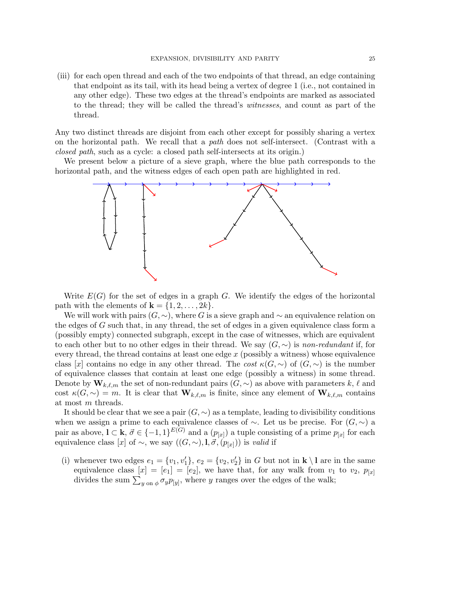(iii) for each open thread and each of the two endpoints of that thread, an edge containing that endpoint as its tail, with its head being a vertex of degree 1 (i.e., not contained in any other edge). These two edges at the thread's endpoints are marked as associated to the thread; they will be called the thread's *witnesses*, and count as part of the thread.

Any two distinct threads are disjoint from each other except for possibly sharing a vertex on the horizontal path. We recall that a *path* does not self-intersect. (Contrast with a *closed path*, such as a cycle: a closed path self-intersects at its origin.)

We present below a picture of a sieve graph, where the blue path corresponds to the horizontal path, and the witness edges of each open path are highlighted in red.



Write  $E(G)$  for the set of edges in a graph G. We identify the edges of the horizontal path with the elements of  $\mathbf{k} = \{1, 2, \ldots, 2k\}.$ 

We will work with pairs  $(G, \sim)$ , where G is a sieve graph and  $\sim$  an equivalence relation on the edges of G such that, in any thread, the set of edges in a given equivalence class form a (possibly empty) connected subgraph, except in the case of witnesses, which are equivalent to each other but to no other edges in their thread. We say (G, ∼) is *non-redundant* if, for every thread, the thread contains at least one edge  $x$  (possibly a witness) whose equivalence class [x] contains no edge in any other thread. The *cost*  $\kappa(G, \sim)$  of  $(G, \sim)$  is the number of equivalence classes that contain at least one edge (possibly a witness) in some thread. Denote by  $\mathbf{W}_{k,\ell,m}$  the set of non-redundant pairs  $(G,\sim)$  as above with parameters k,  $\ell$  and cost  $\kappa(G, \sim) = m$ . It is clear that  $\mathbf{W}_{k,\ell,m}$  is finite, since any element of  $\mathbf{W}_{k,\ell,m}$  contains at most m threads.

It should be clear that we see a pair  $(G, \sim)$  as a template, leading to divisibility conditions when we assign a prime to each equivalence classes of  $\sim$ . Let us be precise. For  $(G, \sim)$  a pair as above,  $\mathbf{l} \subset \mathbf{k}, \vec{\sigma} \in \{-1,1\}^{E(G)}$  and a  $(p_{[x]})$  a tuple consisting of a prime  $p_{[x]}$  for each equivalence class [x] of  $\sim$ , we say  $((G, \sim), \mathbf{l}, \vec{\sigma}, (p_{[x]}))$  is *valid* if

<span id="page-24-1"></span><span id="page-24-0"></span>(i) whenever two edges  $e_1 = \{v_1, v_1'\}, e_2 = \{v_2, v_2'\}$  in G but not in  $\mathbf{k} \setminus \mathbf{l}$  are in the same equivalence class  $[x] = [e_1] = [e_2]$ , we have that, for any walk from  $v_1$  to  $v_2$ ,  $p_{[x]}$ divides the sum  $\sum_{y \text{ on } \phi} \sigma_y p_{[y]}$ , where y ranges over the edges of the walk;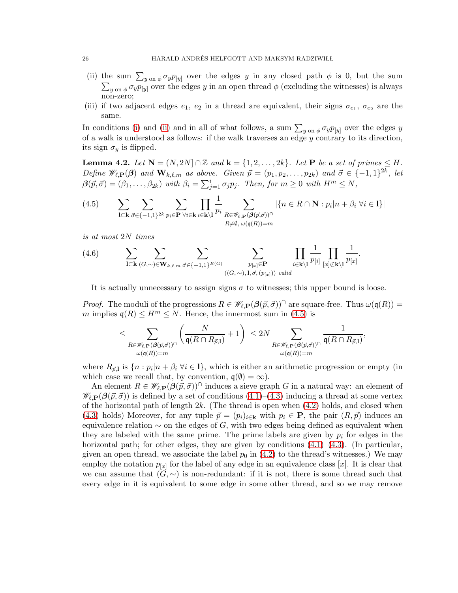- (ii) the sum  $\sum_{y \text{ on } \phi} \sigma_y p_{[y]}$  over the edges y in any closed path  $\phi$  is 0, but the sum  $\sum_{y \text{ on } \phi} \sigma_y p_{[y]}$  over the edges y in an open thread  $\phi$  (excluding the witnesses) is always non-zero;
- (iii) if two adjacent edges  $e_1, e_2$  in a thread are equivalent, their signs  $\sigma_{e_1}, \sigma_{e_2}$  are the same.

In conditions [\(i\)](#page-24-0) and [\(ii\)](#page-24-1) and in all of what follows, a sum  $\sum_{y \text{ on } \phi} \sigma_y p_{[y]}$  over the edges y of a walk is understood as follows: if the walk traverses an edge  $y$  contrary to its direction, its sign  $\sigma_y$  is flipped.

<span id="page-25-1"></span>**Lemma 4.2.** Let  $N = (N, 2N] \cap \mathbb{Z}$  and  $k = \{1, 2, ..., 2k\}$ . Let P be a set of primes  $\leq H$ . *Define*  $\mathscr{W}_{\ell,\mathbf{P}}(\boldsymbol{\beta})$  *and*  $\mathbf{W}_{k,\ell,m}$  *as above. Given*  $\vec{p} = (p_1, p_2, \ldots, p_{2k})$  *and*  $\vec{\sigma} \in \{-1,1\}^{2k}$ , *let*  $\beta(\vec{p}, \vec{\sigma}) = (\beta_1, \dots, \beta_{2k})$  *with*  $\beta_i = \sum_{j=1}^i \sigma_j p_j$ *. Then, for*  $m \geq 0$  *with*  $H^m \leq N$ *,* 

<span id="page-25-0"></span>
$$
(4.5) \qquad \sum_{\mathbf{l} \subset \mathbf{k}} \sum_{\vec{\sigma} \in \{-1,1\}^{2k}} \sum_{p_i \in \mathbf{P}} \prod_{\forall i \in \mathbf{k}} \prod_{i \in \mathbf{k} \setminus \mathbf{l}} \frac{1}{p_i} \sum_{\substack{R \in \mathscr{W}_{\ell,\mathbf{P}}(\mathcal{G}(\vec{p},\vec{\sigma}))^{\cap} \\ R \neq \emptyset, \ \omega(\mathfrak{q}(R)) = m}} |\{n \in R \cap \mathbf{N} : p_i | n + \beta_i \ \forall i \in \mathbf{l}\}|
$$

*is at most* 2N *times*

(4.6) 
$$
\sum_{\mathbf{l}\subset\mathbf{k}}\sum_{(G,\sim)\in\mathbf{W}_{k,\ell,m}}\sum_{\vec{\sigma}\in\{-1,1\}^{E(G)}}\sum_{\substack{p_{[x]}\in\mathbf{P}\\((G,\sim),\mathbf{l},\vec{\sigma},(p_{[x]}))\text{ valid}}}\prod_{i\in\mathbf{k}\backslash\mathbf{l}}\frac{1}{p_{[i]}}\prod_{[x]\not\subset\mathbf{k}\backslash\mathbf{l}}\frac{1}{p_{[x]}}.
$$

It is actually unnecessary to assign signs  $\sigma$  to witnesses; this upper bound is loose.

*Proof.* The moduli of the progressions  $R \in \mathscr{W}_{\ell,\mathbf{P}}(\beta(\vec{p},\vec{\sigma}))^{\cap}$  are square-free. Thus  $\omega(\mathfrak{q}(R)) =$ m implies  $\mathfrak{q}(R) \leq H^m \leq N$ . Hence, the innermost sum in [\(4.5\)](#page-25-0) is

$$
\leq \sum_{\substack{R\in \mathscr{W}_{\ell,\mathbf{P}}(\beta(\vec{p},\vec{\sigma}))^{\cap}\\ \omega(\mathfrak{q}(R))=m}}\left(\frac{N}{\mathfrak{q}(R\cap R_{\vec{p},\mathbf{l}})}+1\right) \ \leq 2N \sum_{\substack{R\in \mathscr{W}_{\ell,\mathbf{P}}(\beta(\vec{p},\vec{\sigma}))^{\cap}\\ \omega(\mathfrak{q}(R))=m}}\frac{1}{\mathfrak{q}(R\cap R_{\vec{p},\mathbf{l}})},
$$

where  $R_{\vec{p},l}$  is  $\{n : p_i | n + \beta_i \; \forall i \in \mathbb{I}\}\,$ , which is either an arithmetic progression or empty (in which case we recall that, by convention,  $q(\emptyset) = \infty$ ).

An element  $R \in \mathscr{W}_{\ell,\mathbf{P}}(\beta(\vec{p},\vec{\sigma}))^{\cap}$  induces a sieve graph G in a natural way: an element of  $\mathscr{W}_{\ell,\mathbf{P}}(\beta(\vec{p},\vec{\sigma}))$  is defined by a set of conditions  $(4.1)-(4.3)$  $(4.1)-(4.3)$  inducing a thread at some vertex of the horizontal path of length  $2k$ . (The thread is open when  $(4.2)$  holds, and closed when [\(4.3\)](#page-22-1) holds) Moreover, for any tuple  $\vec{p} = (p_i)_{i \in \mathbf{k}}$  with  $p_i \in \mathbf{P}$ , the pair  $(R, \vec{p})$  induces an equivalence relation  $\sim$  on the edges of G, with two edges being defined as equivalent when they are labeled with the same prime. The prime labels are given by  $p_i$  for edges in the horizontal path; for other edges, they are given by conditions  $(4.1)$ – $(4.3)$ . (In particular, given an open thread, we associate the label  $p_0$  in [\(4.2\)](#page-22-3) to the thread's witnesses.) We may employ the notation  $p_{[x]}$  for the label of any edge in an equivalence class [x]. It is clear that we can assume that  $(G, \sim)$  is non-redundant: if it is not, there is some thread such that every edge in it is equivalent to some edge in some other thread, and so we may remove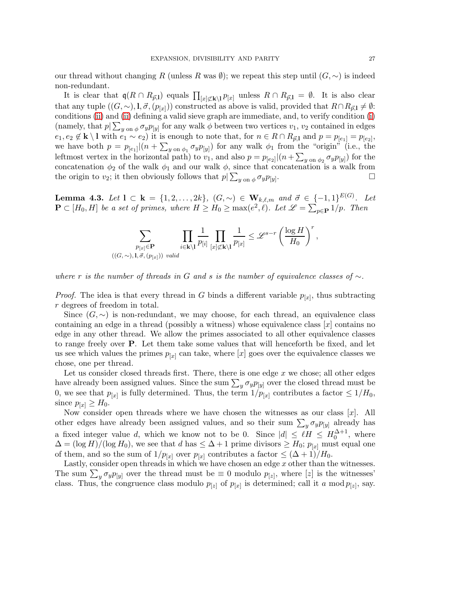our thread without changing R (unless R was  $\emptyset$ ); we repeat this step until  $(G, \sim)$  is indeed non-redundant.

It is clear that  $q(R \cap R_{\vec{p},l})$  equals  $\prod_{[x]\not\subset k\setminus l}p_{[x]}$  unless  $R \cap R_{\vec{p},l} = \emptyset$ . It is also clear that any tuple  $((G,\sim),\mathbf{l},\vec{\sigma},(p_{[x]}))$  constructed as above is valid, provided that  $R \cap R_{\vec{p},\mathbf{l}} \neq \emptyset$ : conditions [\(ii\)](#page-24-1) and [\(ii\)](#page-24-1) defining a valid sieve graph are immediate, and, to verify condition [\(i\)](#page-24-0) (namely, that  $p|\sum_{y \text{ on } \phi} \sigma_y p_{[y]}$  for any walk  $\phi$  between two vertices  $v_1, v_2$  contained in edges  $e_1, e_2 \notin \mathbf{k} \setminus \mathbf{l}$  with  $e_1 \sim e_2$ ) it is enough to note that, for  $n \in \mathbb{R} \cap R_{\vec{p},\mathbf{l}}$  and  $p = p_{[e_1]} = p_{[e_2]}$ , we have both  $p = p_{[e_1]}|(n + \sum_{y \text{ on } \phi_1} \sigma_y p_{[y]})$  for any walk  $\phi_1$  from the "origin" (i.e., the leftmost vertex in the horizontal path) to  $v_1$ , and also  $p = p_{[e_2]}|(n + \sum_{y \text{ on } \phi_2} \sigma_y p_{[y]})$  for the concatenation  $\phi_2$  of the walk  $\phi_1$  and our walk  $\phi$ , since that concatenation is a walk from the origin to  $v_2$ ; it then obviously follows that  $p|\sum_{y \text{ on } \phi} \sigma_y p_{[y]}$ . — Процессиональные просто производствовались и продата в собстановки производствовались на производствовалис<br>В собстановки производствовались производствовались производствовались производствовались производствовались и

<span id="page-26-0"></span>**Lemma 4.3.** *Let*  $1 \subset \mathbf{k} = \{1, 2, ..., 2k\}$ ,  $(G, \sim) \in \mathbf{W}_{k,\ell,m}$  and  $\vec{\sigma} \in \{-1, 1\}^{E(G)}$ . *Let*  $\mathbf{P} \subset [H_0, H]$  *be a set of primes, where*  $H \ge H_0 \ge \max(e^2, \ell)$ *. Let*  $\mathscr{L} = \sum_{p \in \mathbf{P}} 1/p$ *. Then* 

$$
\sum_{\substack{p_{[x]}\in \mathbf{P}\\ ((G,\sim),\mathbf{I},\vec{\sigma},(p_{[x]}))\text{ valid}}} \prod_{i\in \mathbf{k}\backslash \mathbf{I}}\frac{1}{p_{[i]}}\prod_{[x]\not\subset \mathbf{k}\backslash \mathbf{I}}\frac{1}{p_{[x]}} \leq \mathscr{L}^{s-r}\left(\frac{\log H}{H_0}\right)^r,
$$

*where* r *is the number of threads in* G *and* s *is the number of equivalence classes of* ∼*.*

*Proof.* The idea is that every thread in G binds a different variable  $p_{[x]}$ , thus subtracting r degrees of freedom in total.

Since  $(G, \sim)$  is non-redundant, we may choose, for each thread, an equivalence class containing an edge in a thread (possibly a witness) whose equivalence class [x] contains no edge in any other thread. We allow the primes associated to all other equivalence classes to range freely over P. Let them take some values that will henceforth be fixed, and let us see which values the primes  $p_{[x]}$  can take, where  $[x]$  goes over the equivalence classes we chose, one per thread.

Let us consider closed threads first. There, there is one edge  $x$  we chose; all other edges have already been assigned values. Since the sum  $\sum_{y} \sigma_{y} p_{[y]}$  over the closed thread must be 0, we see that  $p_{[x]}$  is fully determined. Thus, the term  $1/p_{[x]}$  contributes a factor  $\leq 1/H_0$ , since  $p_{[x]} \geq H_0$ .

Now consider open threads where we have chosen the witnesses as our class  $[x]$ . All other edges have already been assigned values, and so their sum  $\sum_{y} \sigma_{y} p_{[y]}$  already has a fixed integer value d, which we know not to be 0. Since  $|d| \leq \ell H \leq H_0^{\Delta+1}$ , where  $\Delta = (\log H)/(\log H_0)$ , we see that d has  $\leq \Delta + 1$  prime divisors  $\geq H_0$ ;  $p_{[x]}$  must equal one of them, and so the sum of  $1/p_{[x]}$  over  $p_{[x]}$  contributes a factor  $\leq (\Delta+1)/H_0$ .

Lastly, consider open threads in which we have chosen an edge  $x$  other than the witnesses. The sum  $\sum_{y} \sigma_y p_{[y]}$  over the thread must be  $\equiv 0$  modulo  $p_{[z]}$ , where  $[z]$  is the witnesses' class. Thus, the congruence class modulo  $p_{[z]}$  of  $p_{[x]}$  is determined; call it a mod  $p_{[z]}$ , say.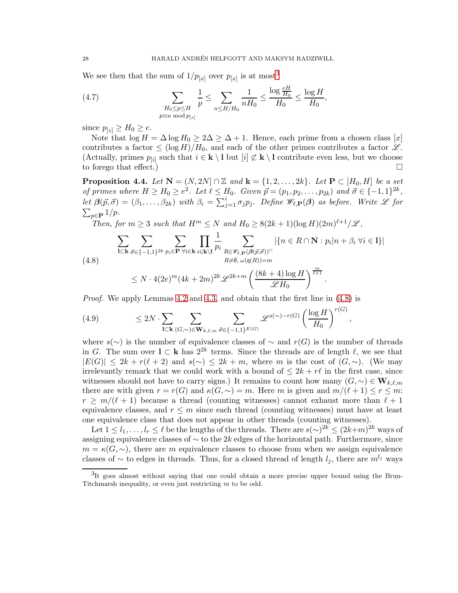We see then that the sum of  $1/p_{[x]}$  over  $p_{[x]}$  is at most<sup>[3](#page-27-0)</sup>

(4.7) 
$$
\sum_{\substack{H_0 \le p \le H \\ p \equiv a \bmod p_{[z]}}} \frac{1}{p} \le \sum_{n \le H/H_0} \frac{1}{nH_0} \le \frac{\log \frac{eH}{H_0}}{H_0} \le \frac{\log H}{H_0},
$$

since  $p_{[z]} \geq H_0 \geq e$ .

Note that  $\log H = \Delta \log H_0 \geq 2\Delta \geq \Delta + 1$ . Hence, each prime from a chosen class [x] contributes a factor  $\leq (\log H)/H_0$ , and each of the other primes contributes a factor  $\mathscr{L}$ . (Actually, primes  $p_{[i]}$  such that  $i \in \mathbf{k} \setminus \mathbf{l}$  but  $[i] \not\subset \mathbf{k} \setminus \mathbf{l}$  contribute even less, but we choose to forego that effect.)

<span id="page-27-3"></span>**Proposition 4.4.** *Let*  $N = (N, 2N] \cap \mathbb{Z}$  *and*  $k = \{1, 2, ..., 2k\}$ *. Let*  $P \subset [H_0, H]$  *be a set of primes where*  $H \ge H_0 \ge e^2$ . Let  $\ell \le H_0$ . Given  $\vec{p} = (p_1, p_2, \ldots, p_{2k})$  and  $\vec{\sigma} \in \{-1, 1\}^{2k}$ , *let*  $\beta(\vec{p}, \vec{\sigma}) = (\beta_1, \dots, \beta_{2k})$  *with*  $\beta_i = \sum_{j=1}^i \sigma_j p_j$ . Define  $\mathscr{W}_{\ell, \mathbf{P}}(\beta)$  as before. Write  $\mathscr{L}$  for  $\sum_{p \in \mathbf{P}} 1/p$ .

*Then, for*  $m \geq 3$  *such that*  $H^m \leq N$  *and*  $H_0 \geq 8(2k+1)(\log H)(2m)^{\ell+1}/\mathcal{L}$ ,

$$
\sum_{\mathbf{l}\subset\mathbf{k}}\sum_{\vec{\sigma}\in\{-1,1\}^{2k}}\sum_{p_i\in\mathbf{P}}\prod_{\forall i\in\mathbf{k}}\prod_{i\in\mathbf{k}\backslash\mathbf{l}}\frac{1}{p_i}\sum_{\substack{R\in\mathscr{W}_{\ell,\mathbf{P}}(\mathcal{G}(\vec{p},\vec{\sigma}))^{\cap}\\R\neq\emptyset,\ \omega(\mathfrak{q}(R))=m}}|\{n\in R\cap\mathbf{N}:p_i|n+\beta_i\ \forall i\in\mathbf{l}\}|
$$
\n
$$
(4.8)
$$

<span id="page-27-2"></span><span id="page-27-1"></span>
$$
\leq N \cdot 4(2e)^m (4k+2m)^{2k} \mathscr{L}^{2k+m} \left( \frac{(8k+4) \log H}{\mathscr{L} H_0} \right)^{\frac{1}{\ell+1}}.
$$

*Proof.* We apply Lemmas [4.2](#page-25-1) and [4.3,](#page-26-0) and obtain that the first line in [\(4.8\)](#page-27-1) is

(4.9) 
$$
\leq 2N \cdot \sum_{\mathbf{l} \subset \mathbf{k}} \sum_{(G,\sim) \in \mathbf{W}_{k,\ell,m}} \sum_{\vec{\sigma} \in \{-1,1\}^{E(G)}} \mathscr{L}^{s(\sim)-r(G)} \left(\frac{\log H}{H_0}\right)^{r(G)}
$$

where  $s(\sim)$  is the number of equivalence classes of  $\sim$  and  $r(G)$  is the number of threads in G. The sum over  $\mathbf{l} \subset \mathbf{k}$  has  $2^{2k}$  terms. Since the threads are of length  $\ell$ , we see that  $|E(G)| \leq 2k + r(\ell+2)$  and  $s(\sim) \leq 2k + m$ , where m is the cost of  $(G, \sim)$ . (We may irrelevantly remark that we could work with a bound of  $\leq 2k + r\ell$  in the first case, since witnesses should not have to carry signs.) It remains to count how many  $(G, \sim) \in W_{k,\ell,m}$ there are with given  $r = r(G)$  and  $\kappa(G, \sim) = m$ . Here m is given and  $m/(\ell+1) \leq r \leq m$ .  $r \geq m/(\ell+1)$  because a thread (counting witnesses) cannot exhaust more than  $\ell+1$ equivalence classes, and  $r \leq m$  since each thread (counting witnesses) must have at least one equivalence class that does not appear in other threads (counting witnesses).

,

Let  $1 \leq l_1, \ldots, l_r \leq \ell$  be the lengths of the threads. There are  $s(\sim)^{2k} \leq (2k+m)^{2k}$  ways of assigning equivalence classes of  $\sim$  to the 2k edges of the horizontal path. Furthermore, since  $m = \kappa(G, \sim)$ , there are m equivalence classes to choose from when we assign equivalence classes of  $\sim$  to edges in threads. Thus, for a closed thread of length  $l_j$ , there are  $m^{l_j}$  ways

<span id="page-27-0"></span><sup>&</sup>lt;sup>3</sup>It goes almost without saying that one could obtain a more precise upper bound using the Brun-Titchmarsh inequality, or even just restricting  $m$  to be odd.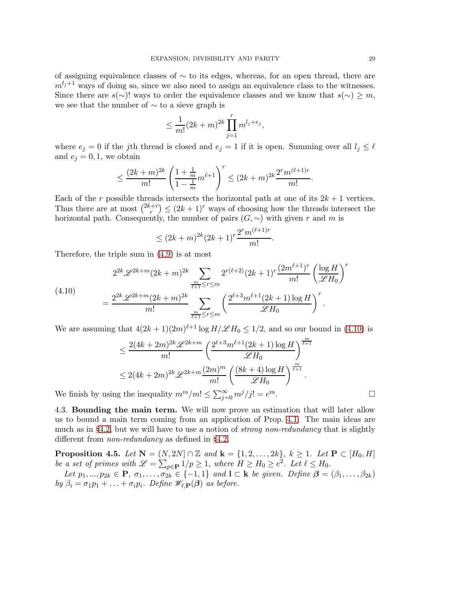of assigning equivalence classes of  $\sim$  to its edges, whereas, for an open thread, there are  $m^{l_j+1}$  ways of doing so, since we also need to assign an equivalence class to the witnesses. Since there are  $s(\sim)$ ! ways to order the equivalence classes and we know that  $s(\sim) \geq m$ , we see that the number of ∼ to a sieve graph is

$$
\leq \frac{1}{m!} (2k+m)^{2k} \prod_{j=1}^r m^{l_j+e_j},
$$

where  $e_j = 0$  if the jth thread is closed and  $e_j = 1$  if it is open. Summing over all  $l_j \leq \ell$ and  $e_i = 0, 1$ , we obtain

$$
\leq \frac{(2k+m)^{2k}}{m!} \left( \frac{1+\frac{1}{m}}{1-\frac{1}{m}} m^{\ell+1} \right)^r \leq (2k+m)^{2k} \frac{2^r m^{(\ell+1)r}}{m!}.
$$

Each of the r possible threads intersects the horizontal path at one of its  $2k + 1$  vertices. Thus there are at most  $\binom{2k+r}{r}$  $(r + r) \leq (2k + 1)^r$  ways of choosing how the threads intersect the horizontal path. Consequently, the number of pairs  $(G, \sim)$  with given r and m is

$$
\leq (2k+m)^{2k} (2k+1)^r \frac{2^r m^{(\ell+1)r}}{m!}
$$

.

Therefore, the triple sum in [\(4.9\)](#page-27-2) is at most

<span id="page-28-0"></span>(4.10)  

$$
= \frac{2^{2k} \mathscr{L}^{2k+m} (2k+m)^{2k}}{m!} \sum_{\frac{m}{\ell+1} \leq r \leq m} 2^{r(\ell+2)} (2k+1)^r \frac{(2m^{\ell+1})^r}{m!} \left(\frac{\log H}{\mathscr{L}H_0}\right)^{2k}
$$

$$
= \frac{2^{2k} \mathscr{L}^{2k+m} (2k+m)^{2k}}{m!} \sum_{\frac{m}{\ell+1} \leq r \leq m} \left(\frac{2^{\ell+3} m^{\ell+1} (2k+1) \log H}{\mathscr{L}H_0}\right)^r.
$$

We are assuming that  $4(2k+1)(2m)^{\ell+1}\log H/\mathscr{L}H_0 \leq 1/2$ , and so our bound in [\(4.10\)](#page-28-0) is

$$
\leq \frac{2(4k+2m)^{2k} \mathscr{L}^{2k+m}}{m!} \left( \frac{2^{\ell+3} m^{\ell+1} (2k+1) \log H}{\mathscr{L} H_0} \right)^{\frac{m}{\ell+1}}
$$
  

$$
\leq 2(4k+2m)^{2k} \mathscr{L}^{2k+m} \frac{(2m)^m}{m!} \left( \frac{(8k+4) \log H}{\mathscr{L} H_0} \right)^{\frac{m}{\ell+1}}.
$$
  
g the inequality  $m^m/m! \leq \sum_{i=0}^{\infty} \frac{m^j}{j!} = e^m.$ 

We finish by using the inequality  $m^m/m! \leq \sum_{j=0}^{\infty} m^j/j! = e$ 

4.3. Bounding the main term. We will now prove an estimation that will later allow us to bound a main term coming from an application of Prop. [4.1.](#page-23-2) The main ideas are much as in §[4.2,](#page-23-0) but we will have to use a notion of *strong non-redundancy* that is slightly different from *non-redundancy* as defined in §[4.2.](#page-23-0)

**Proposition 4.5.** *Let*  $N = (N, 2N] \cap \mathbb{Z}$  *and*  $k = \{1, 2, ..., 2k\}, k \ge 1$ *. Let*  $P \subset [H_0, H]$ *be a set of primes with*  $\mathscr{L} = \sum_{p \in \mathbf{P}} 1/p \geq 1$ *, where*  $H \geq H_0 \geq e^2$ *. Let*  $\ell \leq H_0$ *.* 

*Let*  $p_1, ..., p_{2k} \in \mathbf{P}, \sigma_1, ..., \sigma_{2k} \in \{-1, 1\}$  *and*  $\mathbf{l} \subset \mathbf{k}$  *be given. Define*  $\boldsymbol{\beta} = (\beta_1, ..., \beta_{2k})$ *by*  $\beta_i = \sigma_1 p_1 + \ldots + \sigma_i p_i$ *. Define*  $\mathscr{W}_{\ell, \mathbf{P}}(\boldsymbol{\beta})$  *as before.* 

r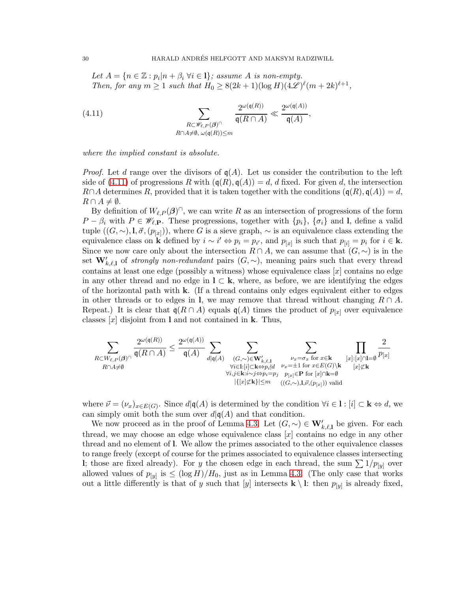<span id="page-29-0"></span>Let  $A = \{n \in \mathbb{Z} : p_i | n + \beta_i \; \forall i \in I\}$ *; assume* A *is non-empty. Then, for any*  $m \ge 1$  *such that*  $H_0 \ge 8(2k+1)(\log H)(4\mathscr{L})^{\ell}(m+2k)^{\ell+1}$ ,

(4.11) 
$$
\sum_{\substack{R\subset\mathscr{W}_{\ell,P}(\beta)^\cap\\R\cap A\neq\emptyset,\ \omega(\mathfrak{q}(R))\leq m}}\frac{2^{\omega(\mathfrak{q}(R))}}{\mathfrak{q}(R\cap A)}\ll \frac{2^{\omega(\mathfrak{q}(A))}}{\mathfrak{q}(A)},
$$

*where the implied constant is absolute.*

*Proof.* Let d range over the divisors of  $q(A)$ . Let us consider the contribution to the left side of [\(4.11\)](#page-29-0) of progressions R with  $(q(R), q(A)) = d$ , d fixed. For given d, the intersection  $R \cap A$  determines R, provided that it is taken together with the conditions  $(q(R), q(A)) = d$ ,  $R \cap A \neq \emptyset$ .

By definition of  $W_{\ell,P}(\beta)$ <sup> $\cap$ </sup>, we can write R as an intersection of progressions of the form  $P - \beta_i$  with  $P \in \mathscr{W}_{\ell,\mathbf{P}}$ . These progressions, together with  $\{p_i\}$ ,  $\{\sigma_i\}$  and l, define a valid tuple  $((G,\sim),\mathbf{l},\vec{\sigma},(p_{[x]}))$ , where G is a sieve graph,  $\sim$  is an equivalence class extending the equivalence class on **k** defined by  $i \sim i' \Leftrightarrow p_i = p_{i'}$ , and  $p_{[x]}$  is such that  $p_{[i]} = p_i$  for  $i \in \mathbf{k}$ . Since we now care only about the intersection  $R \cap A$ , we can assume that  $(G, \sim)$  is in the set  $\mathbf{W}'_{k,\ell,1}$  of *strongly non-redundant* pairs  $(G,\sim)$ , meaning pairs such that every thread contains at least one edge (possibly a witness) whose equivalence class  $[x]$  contains no edge in any other thread and no edge in  $\mathbf{l} \subset \mathbf{k}$ , where, as before, we are identifying the edges of the horizontal path with  $k$ . (If a thread contains only edges equivalent either to edges in other threads or to edges in l, we may remove that thread without changing  $R \cap A$ . Repeat.) It is clear that  $\mathfrak{q}(R \cap A)$  equals  $\mathfrak{q}(A)$  times the product of  $p_{[x]}$  over equivalence classes  $[x]$  disjoint from l and not contained in k. Thus,

$$
\sum_{\substack{R\subset W_{\ell,P}(\boldsymbol{\beta})^{\cap} \\ R\cap A\neq\emptyset}}\frac{2^{\omega(\mathfrak{q}(R))}}{\mathfrak{q}(R\cap A)} \leq \frac{2^{\omega(\mathfrak{q}(A))}}{\mathfrak{q}(A)} \sum_{\substack{d|\mathfrak{q}(A) \\ \forall i\in I: [i]\subset \mathbf{k}\Leftrightarrow p_i\nmid d \\ \forall i,j\in \mathbf{k}: i\sim j\Leftrightarrow p_i=p_j}}\sum_{\substack{\nu_x=\sigma_x \text{ for } x\in \mathbf{k}\\ \nu_x=\pm 1 \text{ for } x\in E(G)\backslash \mathbf{k} \\ P[x]\subset \mathbf{R} \\ P[x]\subset \mathbf{k} \\ (G,\sim),I,\vec{\nu},(p_{[x]}))\text{ valid}}}\frac{2}{p_{[x]}}\frac{2}{p_{[x]}}.
$$

where  $\vec{\nu} = (\nu_x)_{x \in E(G)}$ . Since  $d | \mathfrak{q}(A)$  is determined by the condition  $\forall i \in I : [i] \subset \mathbf{k} \Leftrightarrow d$ , we can simply omit both the sum over  $d|q(A)$  and that condition.

We now proceed as in the proof of Lemma [4.3.](#page-26-0) Let  $(G, \sim) \in W'_{k,\ell,1}$  be given. For each thread, we may choose an edge whose equivalence class  $[x]$  contains no edge in any other thread and no element of l. We allow the primes associated to the other equivalence classes to range freely (except of course for the primes associated to equivalence classes intersecting I; those are fixed already). For y the chosen edge in each thread, the sum  $\sum 1/p_{[y]}$  over allowed values of  $p_{[y]}$  is  $\leq (\log H)/H_0$ , just as in Lemma [4.3.](#page-26-0) (The only case that works out a little differently is that of y such that [y] intersects  $\mathbf{k} \setminus \mathbf{l}$ : then  $p_{[y]}$  is already fixed,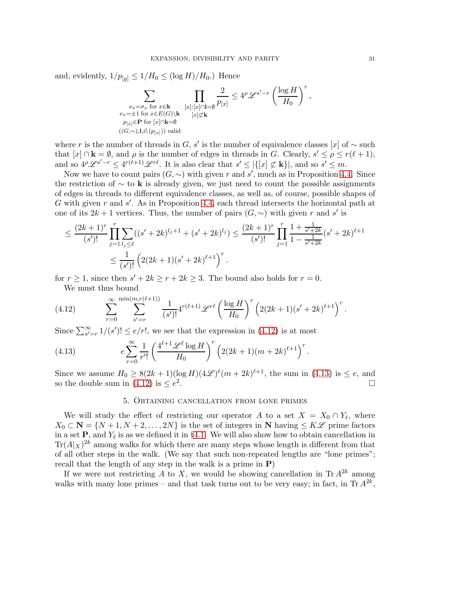and, evidently,  $1/p_{[y]} \leq 1/H_0 \leq (\log H)/H_0$ .) Hence

$$
\sum_{\substack{\nu_x = \sigma_x \text{ for } x \in \mathbf{k} \\ \nu_x = \pm 1 \text{ for } x \in E(G) \backslash \mathbf{k} \\ p_{[x]} \in \mathbf{P} \text{ for } [x] \cap \mathbf{k} = \emptyset}} \prod_{[x]: [x] \cap \mathbf{l} = \emptyset} \frac{2}{p_{[x]}} \le 4^{\rho} \mathscr{L}^{s' - r} \left( \frac{\log H}{H_0} \right)^r,
$$
  
\n
$$
\sum_{\substack{\nu_x = \pm 1 \text{ for } x \in E(G) \backslash \mathbf{k} \\ ((G, \sim), \mathbf{l}, \vec{v}, (p_{[x]})) \text{ valid}}}
$$

where r is the number of threads in G, s' is the number of equivalence classes [x] of  $\sim$  such that  $[x] \cap \mathbf{k} = \emptyset$ , and  $\rho$  is the number of edges in threads in G. Clearly,  $s' \leq \rho \leq r(\ell+1)$ , and so  $4^p\mathscr{L}^{s'-r} \leq 4^{r(\ell+1)}\mathscr{L}^{r\ell}$ . It is also clear that  $s' \leq |\{[x] \not\subset \mathbf{k}\}|$ , and so  $s' \leq m$ .

Now we have to count pairs  $(G, \sim)$  with given r and s', much as in Proposition [4.4.](#page-27-3) Since the restriction of  $\sim$  to k is already given, we just need to count the possible assignments of edges in threads to different equivalence classes, as well as, of course, possible shapes of G with given r and  $s'$ . As in Proposition [4.4,](#page-27-3) each thread intersects the horizontal path at one of its  $2k + 1$  vertices. Thus, the number of pairs  $(G, \sim)$  with given r and s' is

$$
\leq \frac{(2k+1)^r}{(s')!} \prod_{j=1}^r \sum_{l_j \leq \ell} ((s'+2k)^{l_j+1} + (s'+2k)^{l_j}) \leq \frac{(2k+1)^r}{(s')!} \prod_{j=1}^r \frac{1 + \frac{1}{s'+2k}}{1 - \frac{1}{s'+2k}} (s'+2k)^{\ell+1}
$$
  

$$
\leq \frac{1}{(s')!} \left( 2(2k+1)(s'+2k)^{\ell+1} \right)^r.
$$

for  $r \geq 1$ , since then  $s' + 2k \geq r + 2k \geq 3$ . The bound also holds for  $r = 0$ .

<span id="page-30-1"></span>We must thus bound

(4.12) 
$$
\sum_{r=0}^{\infty} \sum_{s'=r}^{\min(m,r(\ell+1))} \frac{1}{(s')!} 4^{r(\ell+1)} \mathscr{L}^{r\ell} \left(\frac{\log H}{H_0}\right)^r \left(2(2k+1)(s'+2k)^{\ell+1}\right)^r.
$$

Since  $\sum_{s'=r}^{\infty} 1/(s')! \leq e/r!$ , we see that the expression in [\(4.12\)](#page-30-1) is at most

(4.13) 
$$
e \sum_{r=0}^{\infty} \frac{1}{r'!} \left( \frac{4^{\ell+1} \mathscr{L}^{\ell} \log H}{H_0} \right)^r \left( 2(2k+1)(m+2k)^{\ell+1} \right)^r.
$$

<span id="page-30-0"></span>Since we assume  $H_0 \geq 8(2k+1)(\log H)(4\mathscr{L})^{\ell}(m+2k)^{\ell+1}$ , the sum in [\(4.13\)](#page-30-2) is  $\leq e$ , and so the double sum in [\(4.12\)](#page-30-1) is  $\leq e^2$ .

#### <span id="page-30-2"></span>5. Obtaining cancellation from lone primes

We will study the effect of restricting our operator A to a set  $X = X_0 \cap Y_\ell$ , where  $X_0 \subset \mathbf{N} = \{N+1, N+2, \ldots, 2N\}$  is the set of integers in N having  $\leq K\mathscr{L}$  prime factors in a set  $\mathbf{P}$ , and  $Y_{\ell}$  is as we defined it in §[4.1.](#page-22-4) We will also show how to obtain cancellation in  $\text{Tr}(A|x)^{2k}$  among walks for which there are many steps whose length is different from that of all other steps in the walk. (We say that such non-repeated lengths are "lone primes"; recall that the length of any step in the walk is a prime in  $P$ )

If we were not restricting A to X, we would be showing cancellation in  $\text{Tr } A^{2k}$  among walks with many lone primes – and that task turns out to be very easy; in fact, in Tr  $A^{2k}$ ,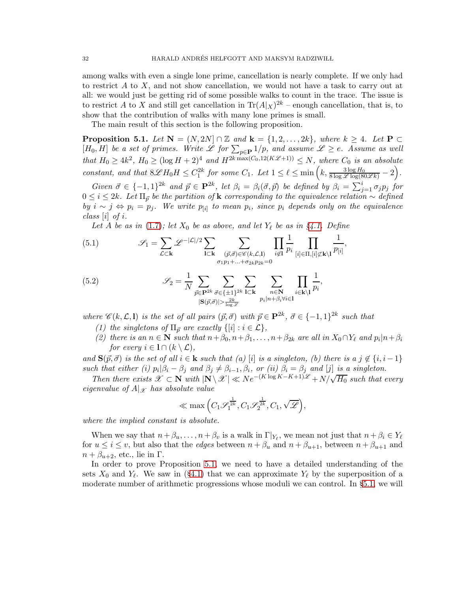among walks with even a single lone prime, cancellation is nearly complete. If we only had to restrict  $A$  to  $X$ , and not show cancellation, we would not have a task to carry out at all: we would just be getting rid of some possible walks to count in the trace. The issue is to restrict A to X and still get cancellation in  $\text{Tr}(A|x)^{2k}$  – enough cancellation, that is, to show that the contribution of walks with many lone primes is small.

The main result of this section is the following proposition.

<span id="page-31-0"></span>**Proposition 5.1.** *Let*  $N = (N, 2N] \cap \mathbb{Z}$  *and*  $k = \{1, 2, ..., 2k\}$ *, where*  $k \geq 4$ *. Let*  $P \subset$  $[H_0, H]$  *be a set of primes. Write*  $\mathscr L$  *for*  $\sum_{p \in \mathbf{P}} 1/p$ *, and assume*  $\mathscr L \geq e$ *. Assume as well that*  $H_0 \geq 4k^2$ ,  $H_0 \geq (\log H + 2)^4$  *and*  $H^{2k \max(C_0, 12(K\mathscr{L}+1))} \leq N$ , where  $C_0$  *is an absolute constant, and that*  $8\mathscr{L}H_0H \leq C_1^{2k}$  *for some*  $C_1$ *. Let*  $1 \leq \ell \leq \min\left(k, \frac{3\log H_0}{8\log \mathscr{L} \log(80\mathscr{L}k)} - 2\right)$ *.* 

 $Given \ \vec{\sigma} \in \{-1,1\}^{2k} \ \text{and} \ \vec{p} \in \mathbf{P}^{2k}$ , let  $\beta_i = \beta_i(\vec{\sigma}, \vec{p})$  be defined by  $\beta_i = \sum_{j=1}^i \sigma_j p_j$  for  $0 ≤ i ≤ 2k$ *. Let*  $\Pi_{\vec{p}}$  *be the partition of* **k** *corresponding to the equivalence relation* ∼ *defined by*  $i \sim j \Leftrightarrow p_i = p_j$ . We write  $p_{[i]}$  to mean  $p_i$ , since  $p_i$  depends only on the equivalence *class* [i] *of* i*.*

Let A be as in  $(1.7)$ ; let  $X_0$  be as above, and let  $Y_\ell$  be as in  $\S 4.1$ . Define

(5.1) 
$$
\mathscr{S}_1 = \sum_{\mathcal{L} \subset \mathbf{k}} \mathscr{L}^{-|\mathcal{L}|/2} \sum_{\mathbf{l} \subset \mathbf{k}} \sum_{\substack{(\vec{p}, \vec{\sigma}) \in \mathscr{C}(k, \mathcal{L}, \mathbf{l}) \\ \sigma_1 p_1 + \ldots + \sigma_{2k} p_{2k} = 0}} \prod_{i \notin \mathbf{l}} \frac{1}{p_i} \prod_{[i] \in \Pi, [i] \not\subset \mathbf{k} \setminus \mathbf{l}} \frac{1}{p_{[i]}},
$$

(5.2) 
$$
\mathscr{S}_2 = \frac{1}{N} \sum_{\vec{p} \in \mathbf{P}^{2k}} \sum_{\vec{\sigma} \in \{\pm 1\}^{2k}} \sum_{\substack{\mathbf{l} \subset \mathbf{k} \\ \mathbf{l} \leq (\vec{p}, \vec{\sigma}) \mid > \frac{2k}{\log \mathscr{L}}}} \sum_{\substack{n \in \mathbf{N} \\ p_i | n + \beta_i \forall i \in \mathbf{l}}} \prod_{i \in \mathbf{k} \setminus \mathbf{l}} \frac{1}{p_i},
$$

*where*  $\mathscr{C}(k, \mathcal{L}, \mathbf{l})$  *is the set of all pairs*  $(\vec{p}, \vec{\sigma})$  *with*  $\vec{p} \in \mathbf{P}^{2k}$ ,  $\vec{\sigma} \in \{-1, 1\}^{2k}$  *such that* 

- *(1) the singletons of*  $\Pi_{\vec{p}}$  *are exactly*  $\{[i] : i \in \mathcal{L}\},\$
- (2) there is an  $n \in \mathbb{N}$  *such that*  $n + \beta_0, n + \beta_1, \ldots, n + \beta_{2k}$  *are all in*  $X_0 \cap Y_\ell$  *and*  $p_i | n + \beta_i$ *for every*  $i \in I \cap (k \setminus \mathcal{L})$ ,

*and*  $\mathbf{S}(\vec{p}, \vec{\sigma})$  *is the set of all*  $i \in \mathbf{k}$  *such that*  $(a)$  [i] *is a singleton, (b) there is a*  $j \notin \{i, i-1\}$ *such that either (i)*  $p_i | \beta_i - \beta_j$  *and*  $\beta_j \neq \beta_{i-1}, \beta_i$ , *or (ii)*  $\beta_i = \beta_j$  *and* [j] *is a singleton.* 

*Then there exists*  $\mathscr{X} \subset \mathbb{N}$  *with*  $|\mathbb{N} \setminus \mathscr{X}| \ll Ne^{-(K \log K - K + 1)\mathscr{L}} + N/\sqrt{H_0}$  such that every *eigenvalue of*  $A|_{\mathcal{X}}$  *has absolute value* 

$$
\ll \max\Big(C_1\mathscr{S}_1^{\frac{1}{2k}},C_1\mathscr{S}_2^{\frac{1}{2k}},C_1,\sqrt{\mathscr{L}}\Big),
$$

*where the implied constant is absolute.*

When we say that  $n + \beta_u, \ldots, n + \beta_v$  is a walk in  $\Gamma|_{Y_\ell}$ , we mean not just that  $n + \beta_i \in Y_\ell$ for  $u \leq i \leq v$ , but also that the *edges* between  $n + \beta_u$  and  $n + \beta_{u+1}$ , between  $n + \beta_{u+1}$  and  $n + \beta_{u+2}$ , etc., lie in Γ.

In order to prove Proposition [5.1,](#page-31-0) we need to have a detailed understanding of the sets  $X_0$  and  $Y_\ell$ . We saw in (§[4.1\)](#page-22-4) that we can approximate  $Y_\ell$  by the superposition of a moderate number of arithmetic progressions whose moduli we can control. In §[5.1,](#page-33-0) we will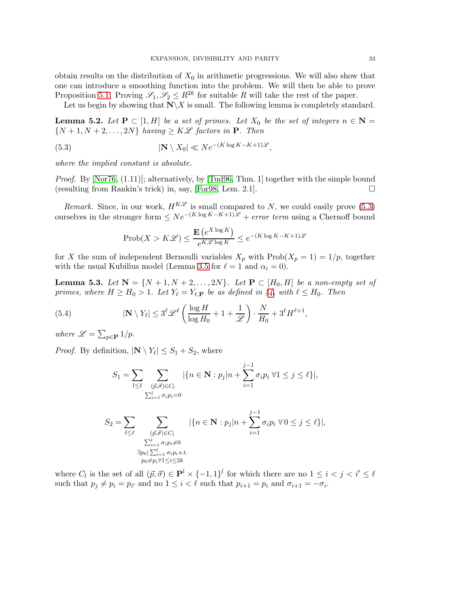obtain results on the distribution of  $X_0$  in arithmetic progressions. We will also show that one can introduce a smoothing function into the problem. We will then be able to prove Proposition [5.1.](#page-31-0) Proving  $\mathscr{S}_1, \mathscr{S}_2 \leq R^{2k}$  for suitable R will take the rest of the paper.

Let us begin by showing that  $\mathbb{N}\backslash X$  is small. The following lemma is completely standard.

**Lemma 5.2.** Let  $P \subset [1, H]$  be a set of primes. Let  $X_0$  be the set of integers  $n \in N =$  $\{N+1, N+2, \ldots, 2N\}$  *having*  $\geq K\mathscr{L}$  *factors in* **P**. Then

(5.3) 
$$
|\mathbf{N}\setminus X_0| \ll Ne^{-(K\log K - K + 1)\mathscr{L}},
$$

*where the implied constant is absolute.*

*Proof.* By [\[Nor76,](#page-99-9) (1.11)]; alternatively, by [\[Tud96,](#page-100-4) Thm. 1] together with the simple bound (resulting from Rankin's trick) in, say, [\[For98,](#page-98-4) Lem. 2.1].

*Remark.* Since, in our work,  $H^{K\mathscr{L}}$  is small compared to N, we could easily prove [\(5.3\)](#page-32-0) ourselves in the stronger form  $\leq Ne^{-(K \log K - K + 1)\mathscr{L}} +$  *error term* using a Chernoff bound

<span id="page-32-0"></span>
$$
\text{Prob}(X > K\mathcal{L}) \le \frac{\mathbf{E}\left(e^{X \log K}\right)}{e^{K\mathcal{L}\log K}} \le e^{-(K\log K - K + 1)\mathcal{L}}
$$

for X the sum of independent Bernoulli variables  $X_p$  with  $\text{Prob}(X_p = 1) = 1/p$ , together with the usual Kubilius model (Lemma [3.5](#page-19-0) for  $\ell = 1$  and  $\alpha_i = 0$ ).

**Lemma 5.3.** Let  $N = \{N+1, N+2, ..., 2N\}$ . Let  $P \subset [H_0, H]$  be a non-empty set of *primes, where*  $H \geq H_0 > 1$ *. Let*  $Y_\ell = Y_{\ell, \mathbf{P}}$  *be as defined in*  $\S4$ *, with*  $\ell \leq H_0$ *. Then* 

(5.4) 
$$
|\mathbf{N} \setminus Y_{\ell}| \leq 3^{\ell} \mathscr{L}^{\ell} \left( \frac{\log H}{\log H_0} + 1 + \frac{1}{\mathscr{L}} \right) \cdot \frac{N}{H_0} + 3^{\ell} H^{\ell+1},
$$

*where*  $\mathscr{L} = \sum_{p \in \mathbf{P}} 1/p$ *.* 

*Proof.* By definition,  $|\mathbf{N} \setminus Y_{\ell}| \leq S_1 + S_2$ , where

$$
S_1 = \sum_{l \leq \ell} \sum_{\substack{(\vec{p}, \vec{\sigma}) \in C_l \\ \sum_{i=1}^l \sigma_i p_i = 0}} |\{n \in \mathbf{N} : p_j | n + \sum_{i=1}^{j-1} \sigma_i p_i \,\forall 1 \leq j \leq \ell\}|,
$$
  

$$
S_2 = \sum_{l \leq \ell} \sum_{\substack{(\vec{p}, \vec{\sigma}) \in C_l \\ \sum_{i=1}^l \sigma_i p_i \neq 0}} |\{n \in \mathbf{N} : p_j | n + \sum_{i=1}^{j-1} \sigma_i p_i \,\forall 0 \leq j \leq \ell\}|,
$$
  

$$
\exists p_0 | \sum_{i=1}^{l} \sigma_i p_i \,\forall 1 \leq i \leq 2k
$$

where  $C_l$  is the set of all  $(\vec{p}, \vec{\sigma}) \in \mathbf{P}^l \times \{-1, 1\}^l$  for which there are no  $1 \leq i < j < i' \leq \ell$ such that  $p_j \neq p_i = p_{i'}$  and no  $1 \leq i < \ell$  such that  $p_{i+1} = p_i$  and  $\sigma_{i+1} = -\sigma_i$ .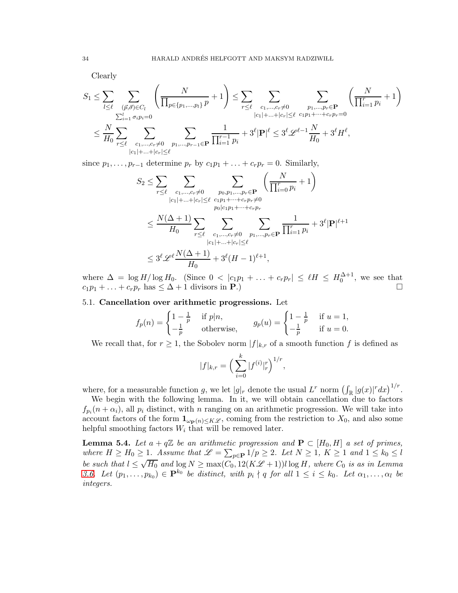Clearly

$$
S_1 \leq \sum_{l \leq \ell} \sum_{\substack{(\vec{p}, \vec{\sigma}) \in C_l \\ \sum_{i=1}^l \sigma_i p_i = 0}} \left( \frac{N}{\prod_{p \in \{p_1, \dots, p_l\}} p} + 1 \right) \leq \sum_{r \leq \ell} \sum_{\substack{c_1, \dots, c_r \neq 0 \\ |c_1| + \dots + |c_r| \leq \ell}} \sum_{\substack{p_1, \dots, p_r \in \mathbf{P} \\ r \leq \ell \text{ or } p_1 + \dots + r_r p_r = 0}} \left( \frac{N}{\prod_{i=1}^r p_i} + 1 \right)
$$
  

$$
\leq \frac{N}{H_0} \sum_{r \leq \ell} \sum_{\substack{c_1, \dots, c_r \neq 0 \\ |c_1| + \dots + |c_r| \leq \ell}} \sum_{p_1, \dots, p_{r-1} \in \mathbf{P}} \frac{1}{\prod_{i=1}^{r-1} p_i} + 3^{\ell} |\mathbf{P}|^{\ell} \leq 3^{\ell} \mathcal{L}^{\ell-1} \frac{N}{H_0} + 3^{\ell} H^{\ell},
$$

since  $p_1, \ldots, p_{r-1}$  determine  $p_r$  by  $c_1p_1 + \ldots + c_rp_r = 0$ . Similarly,

$$
S_2 \leq \sum_{r \leq \ell} \sum_{\substack{c_1, \ldots, c_r \neq 0 \\ |c_1| + \ldots + |c_r| \leq \ell}} \sum_{\substack{p_0, p_1, \ldots, p_r \in \mathbf{P} \\ p_0 | c_1 p_1 + \ldots + c_r p_r \neq 0}} \left( \frac{N}{\prod_{i=0}^r p_i} + 1 \right)
$$
  

$$
\leq \frac{N(\Delta + 1)}{H_0} \sum_{\substack{r \leq \ell \\ |c_1| + \ldots + |c_r| \leq \ell}} \sum_{\substack{c_1, \ldots, c_r \neq 0 \\ |c_1| + \ldots + |c_r| \leq \ell}} \sum_{\substack{p_1, \ldots, p_r \in \mathbf{P} \\ p_1 | c_1 | \dots + c_r | c_r}} \frac{1}{\prod_{i=1}^r p_i} + 3^{\ell} |\mathbf{P}|^{\ell+1}
$$
  

$$
\leq 3^{\ell} \mathscr{L}^{\ell} \frac{N(\Delta + 1)}{H_0} + 3^{\ell} (H - 1)^{\ell+1},
$$

where  $\Delta = \log H / \log H_0$ . (Since  $0 < |c_1p_1 + ... + c_rp_r| \leq \ell H \leq H_0^{\Delta+1}$ , we see that  $c_1p_1 + \ldots + c_rp_r$  has  $\leq \Delta + 1$  divisors in **P**.)

## <span id="page-33-0"></span>5.1. Cancellation over arithmetic progressions. Let

$$
f_p(n) = \begin{cases} 1 - \frac{1}{p} & \text{if } p|n, \\ -\frac{1}{p} & \text{otherwise,} \end{cases} \qquad g_p(u) = \begin{cases} 1 - \frac{1}{p} & \text{if } u = 1, \\ -\frac{1}{p} & \text{if } u = 0. \end{cases}
$$

We recall that, for  $r \geq 1$ , the Sobolev norm  $|f|_{k,r}$  of a smooth function f is defined as

$$
|f|_{k,r} = \left(\sum_{i=0}^k |f^{(i)}|_r^r\right)^{1/r},
$$

where, for a measurable function g, we let  $|g|_r$  denote the usual  $L^r$  norm  $\left(\int_{\mathbb{R}} |g(x)|^r dx\right)^{1/r}$ .

We begin with the following lemma. In it, we will obtain cancellation due to factors  $f_{p_i}(n+\alpha_i)$ , all  $p_i$  distinct, with n ranging on an arithmetic progression. We will take into account factors of the form  $\mathbf{1}_{\omega_{\mathbf{P}}(n)\leq K\mathscr{L}}$ , coming from the restriction to  $X_0$ , and also some helpful smoothing factors  $W_i$  that will be removed later.

**Lemma 5.4.** Let  $a + q\mathbb{Z}$  be an arithmetic progression and  $P \subset [H_0, H]$  a set of primes, where  $H \ge H_0 \ge 1$ . Assume that  $\mathscr{L} = \sum_{p \in \mathbf{P}} 1/p \ge 2$ . Let  $N \ge 1$ ,  $K \ge 1$  and  $1 \le k_0 \le l$ *be such that*  $l \leq \sqrt{H_0}$  and  $\log N \geq \max(C_0, 12(K\mathcal{L}+1))l \log H$ , where  $C_0$  is as in Lemma *[3.6.](#page-22-5)* Let  $(p_1, \ldots, p_{k_0}) \in \mathbf{P}^{k_0}$  *be distinct, with*  $p_i \nmid q$  *for all*  $1 \leq i \leq k_0$ *. Let*  $\alpha_1, \ldots, \alpha_l$  *be integers.*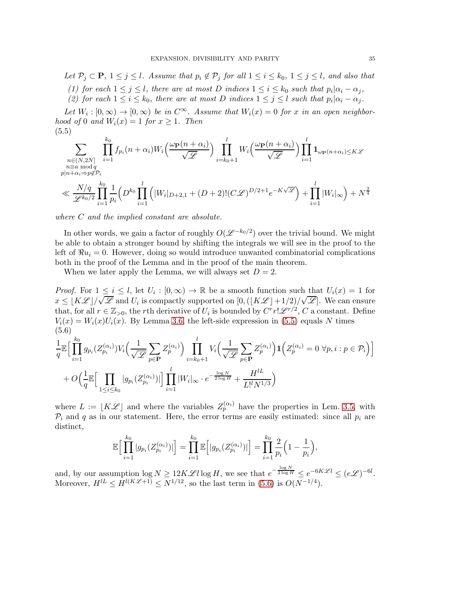*Let*  $\mathcal{P}_i \subset \mathbf{P}$ ,  $1 \leq j \leq l$ *. Assume that*  $p_i \notin \mathcal{P}_j$  *for all*  $1 \leq i \leq k_0$ ,  $1 \leq j \leq l$ *, and also that* 

- (1) for each  $1 \leq j \leq l$ , there are at most D *indices*  $1 \leq i \leq k_0$  such that  $p_i | \alpha_i \alpha_j$ ,
- (2) for each  $1 \leq i \leq k_0$ , there are at most D indices  $1 \leq j \leq l$  such that  $p_i | \alpha_i \alpha_j$ .

Let  $W_i : [0, \infty) \to [0, \infty)$  be in  $C^{\infty}$ . Assume that  $W_i(x) = 0$  for x in an open neighbor*hood of* 0 *and*  $W_i(x) = 1$  *for*  $x \ge 1$ *. Then* (5.5)

<span id="page-34-0"></span>
$$
\sum_{\substack{n \in (N,2N] \\ n \equiv a \bmod q \\ p|n+\alpha_i \Rightarrow p \notin P_i}} \prod_{i=1}^{k_0} f_{p_i}(n+\alpha_i) W_i\left(\frac{\omega_{\mathbf{P}}(n+\alpha_i)}{\sqrt{\mathscr{L}}}\right) \prod_{i=k_0+1}^l W_i\left(\frac{\omega_{\mathbf{P}}(n+\alpha_i)}{\sqrt{\mathscr{L}}}\right) \prod_{i=1}^l \mathbf{1}_{\omega_{\mathbf{P}}(n+\alpha_i) \le K\mathscr{L}}
$$
\n
$$
\ll \frac{N/q}{\mathscr{L}^{k_0/2}} \prod_{i=1}^{k_0} \frac{1}{p_i} \left(D^{k_0} \prod_{i=1}^l \left(|W_i|_{D+2,1} + (D+2)!(C\mathscr{L})^{D/2+1} e^{-K\sqrt{\mathscr{L}}}\right) + \prod_{i=1}^l |W_i|_{\infty}\right) + N^{\frac{3}{4}}
$$
\n
$$
\text{where } C, \text{ and the implied constant are absolute.}
$$

*where* C *and the implied constant are absolute.*

In other words, we gain a factor of roughly  $O(\mathcal{L}^{-k_0/2})$  over the trivial bound. We might be able to obtain a stronger bound by shifting the integrals we will see in the proof to the left of  $\Re u_i = 0$ . However, doing so would introduce unwanted combinatorial complications both in the proof of the Lemma and in the proof of the main theorem.

When we later apply the Lemma, we will always set  $D = 2$ .

*Proof.* For  $1 \leq i \leq l$ , let  $U_i : [0, \infty) \to \mathbb{R}$  be a smooth function such that  $U_i(x) = 1$  for  $x \leq [K\mathscr{L}]/\sqrt{\mathscr{L}}$  and  $U_i$  is compactly supported on  $[0, (\lfloor K\mathscr{L} \rfloor + 1/2)/\sqrt{\mathscr{L}}]$ . We can ensure that, for all  $r \in \mathbb{Z}_{\geq 0}$ , the rth derivative of  $U_i$  is bounded by  $C^r r! \mathscr{L}^{r/2}$ ,  $C$  a constant. Define  $V_i(x) = W_i(x)U_i(x)$ . By Lemma [3.6,](#page-22-5) the left-side expression in [\(5.5\)](#page-34-0) equals N times (5.6) 1  $\frac{1}{q}\mathbb{E}\Big[\prod_{i=1}^{k_0}$  $i=1$  $g_{p_i}(Z_{p_i}^{(\alpha_i)})V_i\Big(\frac{1}{\sqrt{q_i}}\Big)$ √ L  $\blacktriangledown$  $p\in \mathbf{P}$  $Z_p^{(\alpha_i)}\Big)\;\;\prod^l$  $i = k_0 + 1$  $V_i\Big(\frac{1}{\sqrt{2}}\Big)$ √ L  $\sum$  $p\in \mathbf{P}$  $Z_p^{(\alpha_i)}$  $\mathbf{1}\Big(Z^{(\alpha_i)}_p=0 \,\,\forall p,i : p \in \mathcal{P}_i\Big)\Big]$  $+ O(\frac{1}{2})$  $\frac{1}{q}\mathbb{E}\Big[\prod_{1\leq i\leq n}$  $1\leq i\leq k_0$  $|g_{p_i}(Z_{p_i}^{(\alpha_i)})|\bigg] \prod^l$  $i=1$  $|W_i|_{\infty} \cdot e^{-\frac{\log N}{2 \log H}} + \frac{H^{lL}}{L^{l}N^1}$  $L!^l N^{1/3}$  $\overline{ }$ 

<span id="page-34-1"></span>where  $L := [K\mathscr{L}]$  and where the variables  $Z_p^{(\alpha_i)}$  have the properties in Lem. [3.5,](#page-19-0) with  $P_i$  and q as in our statement. Here, the error terms are easily estimated: since all  $p_i$  are distinct,

$$
\mathbb{E}\Big[\prod_{i=1}^{k_0} |g_{p_i}(Z_{p_i}^{(\alpha_i)})|\Big] = \prod_{i=1}^{k_0} \mathbb{E}\Big[|g_{p_i}(Z_{p_i}^{(\alpha_i)})|\Big] = \prod_{i=1}^{k_0} \frac{2}{p_i} \Big(1 - \frac{1}{p_i}\Big),
$$

and, by our assumption  $\log N \geq 12K\mathscr{L}l \log H$ , we see that  $e^{-\frac{\log N}{2\log H}} \leq e^{-6K\mathscr{L}l} \leq (e\mathscr{L})^{-6l}$ . Moreover,  $H^{lL} \leq H^{l(K\mathscr{L}+1)} \leq N^{1/12}$ , so the last term in [\(5.6\)](#page-34-1) is  $O(N^{-1/4})$ .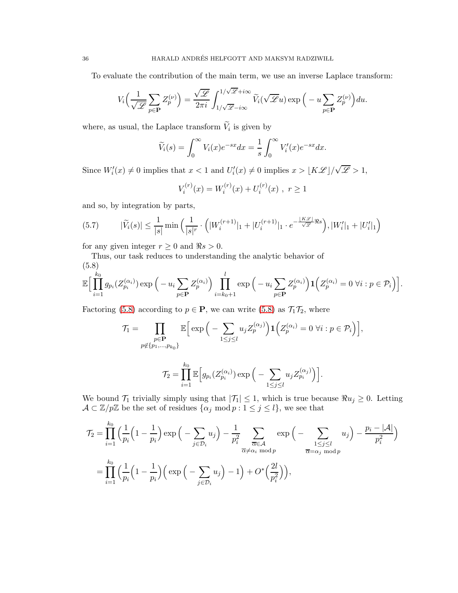To evaluate the contribution of the main term, we use an inverse Laplace transform:

$$
V_i\Big(\frac{1}{\sqrt{\mathscr{L}}}\sum_{p\in \mathbf{P}} Z_p^{(\nu)}\Big) = \frac{\sqrt{\mathscr{L}}}{2\pi i} \int_{1/\sqrt{\mathscr{L}}-i\infty}^{1/\sqrt{\mathscr{L}}+i\infty} \widetilde{V}_i(\sqrt{\mathscr{L}} u) \exp\Big(-u \sum_{p\in \mathbf{P}} Z_p^{(\nu)}\Big) du.
$$

where, as usual, the Laplace transform  $V_i$  is given by

$$
\widetilde{V}_i(s) = \int_0^\infty V_i(x)e^{-sx}dx = \frac{1}{s} \int_0^\infty V'_i(x)e^{-sx}dx.
$$

Since  $W_i'(x) \neq 0$  implies that  $x < 1$  and  $U_i'(x) \neq 0$  implies  $x > \lfloor K\mathcal{L} \rfloor / \sqrt{\mathcal{L}} > 1$ ,

$$
V_i^{(r)}(x) = W_i^{(r)}(x) + U_i^{(r)}(x) , r \ge 1
$$

and so, by integration by parts,

$$
(5.7) \qquad |\widetilde{V}_i(s)| \le \frac{1}{|s|} \min \left( \frac{1}{|s|^r} \cdot \left( |W_i^{(r+1)}|_1 + |U_i^{(r+1)}|_1 \cdot e^{-\frac{|K\mathscr{L}|}{\sqrt{\mathscr{L}} \mathscr{R} s}} \right), |W_i'|_1 + |U_i'|_1 \right)
$$

for any given integer  $r \geq 0$  and  $\Re s > 0$ .

Thus, our task reduces to understanding the analytic behavior of

<span id="page-35-0"></span>
$$
(5.8)
$$
  

$$
\mathbb{E}\Big[\prod_{i=1}^{k_0} g_{p_i}(Z_{p_i}^{(\alpha_i)}) \exp\Big(-u_i \sum_{p \in \mathbf{P}} Z_p^{(\alpha_i)}\Big) \prod_{i=k_0+1}^l \exp\Big(-u_i \sum_{p \in \mathbf{P}} Z_p^{(\alpha_i)}\Big) \mathbf{1}\Big(Z_p^{(\alpha_i)} = 0 \,\forall i : p \in \mathcal{P}_i\Big)\Big].
$$

Factoring [\(5.8\)](#page-35-0) according to  $p \in \mathbf{P}$ , we can write (5.8) as  $\mathcal{T}_1 \mathcal{T}_2$ , where

$$
\mathcal{T}_1 = \prod_{\substack{p \in \mathbf{P} \\ p \notin \{p_1, \dots, p_{k_0}\}}} \mathbb{E}\Big[\exp\Big(-\sum_{1 \leq j \leq l} u_j Z_p^{(\alpha_j)}\Big) \mathbf{1}\Big(Z_p^{(\alpha_i)} = 0 \,\forall i : p \in \mathcal{P}_i\Big)\Big],
$$

$$
\mathcal{T}_2 = \prod_{i=1}^{k_0} \mathbb{E}\Big[g_{p_i}(Z_{p_i}^{(\alpha_i)}) \exp\Big(-\sum_{1 \leq j \leq l} u_j Z_{p_i}^{(\alpha_j)}\Big)\Big].
$$

We bound  $\mathcal{T}_1$  trivially simply using that  $|\mathcal{T}_1| \leq 1$ , which is true because  $\Re u_j \geq 0$ . Letting  $\mathcal{A} \subset \mathbb{Z}/p\mathbb{Z}$  be the set of residues  $\{\alpha_j \mod p : 1 \leq j \leq l\}$ , we see that

$$
\mathcal{T}_2 = \prod_{i=1}^{k_0} \left( \frac{1}{p_i} \left( 1 - \frac{1}{p_i} \right) \exp \left( - \sum_{j \in \mathcal{D}_i} u_j \right) - \frac{1}{p_i^2} \sum_{\substack{\overline{\alpha} \in \mathcal{A} \\ \overline{\alpha} \neq \alpha_i \bmod p}} \exp \left( - \sum_{1 \leq j \leq l} u_j \right) - \frac{p_i - |\mathcal{A}|}{p_i^2} \right)
$$

$$
= \prod_{i=1}^{k_0} \left( \frac{1}{p_i} \left( 1 - \frac{1}{p_i} \right) \left( \exp \left( - \sum_{j \in \mathcal{D}_i} u_j \right) - 1 \right) + O^* \left( \frac{2l}{p_i^2} \right) \right),
$$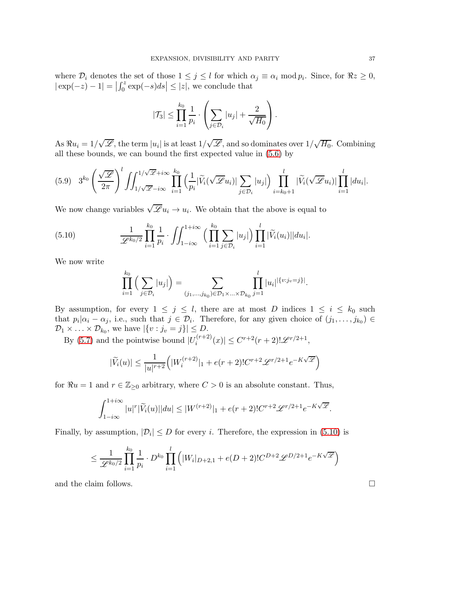where  $\mathcal{D}_i$  denotes the set of those  $1 \leq j \leq l$  for which  $\alpha_j \equiv \alpha_i \mod p_i$ . Since, for  $\Re z \geq 0$ ,  $|\exp(-z) - 1| = \left| \int_0^z \exp(-s)ds \right| \leq |z|$ , we conclude that

$$
|\mathcal{T}_3| \leq \prod_{i=1}^{k_0} \frac{1}{p_i} \cdot \left( \sum_{j \in \mathcal{D}_i} |u_j| + \frac{2}{\sqrt{H_0}} \right).
$$

As  $\Re u_i = 1/\sqrt{\mathscr{L}}$ , the term  $|u_i|$  is at least  $1/\sqrt{\mathscr{L}}$ , and so dominates over  $1/\sqrt{H_0}$ . Combining all these bounds, we can bound the first expected value in [\(5.6\)](#page-34-0) by

$$
(5.9) \quad 3^{k_0} \left(\frac{\sqrt{\mathscr{L}}}{2\pi}\right)^l \iint_{1/\sqrt{\mathscr{L}}-i\infty}^{1/\sqrt{\mathscr{L}}+i\infty} \prod_{i=1}^{k_0} \left(\frac{1}{p_i} |\widetilde{V}_i(\sqrt{\mathscr{L}}u_i)| \sum_{j \in \mathcal{D}_i} |u_j|\right) \prod_{i=k_0+1}^l |\widetilde{V}_i(\sqrt{\mathscr{L}}u_i)| \prod_{i=1}^l |du_i|.
$$

We now change variables  $\sqrt{\mathscr{L}} u_i \to u_i$ . We obtain that the above is equal to

(5.10) 
$$
\frac{1}{\mathscr{L}^{k_0/2}} \prod_{i=1}^{k_0} \frac{1}{p_i} \cdot \iint_{1-i\infty}^{1+i\infty} \left( \prod_{i=1}^{k_0} \sum_{j \in \mathcal{D}_i} |u_j| \right) \prod_{i=1}^l |\widetilde{V}_i(u_i)| |du_i|.
$$

We now write

<span id="page-36-0"></span>
$$
\prod_{i=1}^{k_0} \left( \sum_{j \in \mathcal{D}_i} |u_j| \right) = \sum_{(j_1, \dots, j_{k_0}) \in \mathcal{D}_1 \times \dots \times \mathcal{D}_{k_0}} \prod_{j=1}^l |u_i|^{|\{v : j_v = j\}|}.
$$

By assumption, for every  $1 \leq j \leq l$ , there are at most D indices  $1 \leq i \leq k_0$  such that  $p_i | \alpha_i - \alpha_j$ , i.e., such that  $j \in \mathcal{D}_i$ . Therefore, for any given choice of  $(j_1, \ldots, j_{k_0}) \in$  $\mathcal{D}_1 \times \ldots \times \mathcal{D}_{k_0}$ , we have  $|\{v : j_v = j\}| \leq D$ .

By [\(5.7\)](#page-35-0) and the pointwise bound  $|U_i^{(r+2)}|$  $\left| \sum_{i}^{(r+2)}(x) \right| \leq C^{r+2}(r+2)! \mathscr{L}^{r/2+1},$ 

$$
|\widetilde{V}_i(u)| \leq \frac{1}{|u|^{r+2}} \Big( |W_i^{(r+2)}|_1 + e(r+2)! C^{r+2} \mathscr{L}^{r/2+1} e^{-K \sqrt{\mathscr{L}}}\Big)
$$

for  $\Re u = 1$  and  $r \in \mathbb{Z}_{\geq 0}$  arbitrary, where  $C > 0$  is an absolute constant. Thus,

$$
\int_{1-i\infty}^{1+i\infty} |u|^r |\widetilde{V}_i(u)| |du| \le |W^{(r+2)}|_1 + e(r+2)! C^{r+2} \mathscr{L}^{r/2+1} e^{-K\sqrt{\mathscr{L}}}.
$$

Finally, by assumption,  $|\mathcal{D}_i| \leq D$  for every *i*. Therefore, the expression in [\(5.10\)](#page-36-0) is

$$
\leq \frac{1}{\mathscr{L}^{k_0/2}} \prod_{i=1}^{k_0} \frac{1}{p_i} \cdot D^{k_0} \prod_{i=1}^l \left( |W_i|_{D+2,1} + e(D+2)! C^{D+2} \mathscr{L}^{D/2+1} e^{-K\sqrt{\mathscr{L}}} \right)
$$

and the claim follows.  $\Box$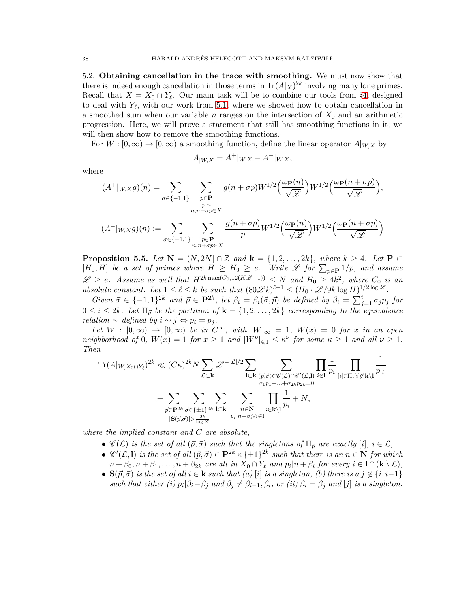5.2. Obtaining cancellation in the trace with smoothing. We must now show that there is indeed enough cancellation in those terms in  $\text{Tr}(A|x)^{2k}$  involving many lone primes. Recall that  $X = X_0 \cap Y_\ell$ . Our main task will be to combine our tools from §[4,](#page-22-0) designed to deal with  $Y_{\ell}$ , with our work from [5.1,](#page-33-0) where we showed how to obtain cancellation in a smoothed sum when our variable n ranges on the intersection of  $X_0$  and an arithmetic progression. Here, we will prove a statement that still has smoothing functions in it; we will then show how to remove the smoothing functions.

For  $W : [0, \infty) \to [0, \infty)$  a smoothing function, define the linear operator  $A|_{W,X}$  by

$$
A_{|W,X} = A^+|_{W,X} - A^-|_{W,X},
$$

where

$$
(A^+|_{W,X}g)(n) = \sum_{\sigma \in \{-1,1\}} \sum_{\substack{p \in \mathbf{P} \\ n, n + \sigma p \in X}} g(n + \sigma p) W^{1/2} \left(\frac{\omega_{\mathbf{P}}(n)}{\sqrt{\mathscr{L}}}\right) W^{1/2} \left(\frac{\omega_{\mathbf{P}}(n + \sigma p)}{\sqrt{\mathscr{L}}}\right),
$$

$$
(A^-|_{W,X}g)(n) := \sum_{\sigma \in \{-1,1\}} \sum_{\substack{p \in \mathbf{P} \\ p \in \mathbb{Z}}} \frac{g(n + \sigma p)}{p} W^{1/2} \left(\frac{\omega_{\mathbf{P}}(n)}{\sqrt{\mathscr{L}}}\right) W^{1/2} \left(\frac{\omega_{\mathbf{P}}(n + \sigma p)}{\sqrt{\mathscr{L}}}\right).
$$

<span id="page-37-0"></span>**Proposition 5.5.** *Let*  $N = (N, 2N] \cap \mathbb{Z}$  *and*  $k = \{1, 2, ..., 2k\}$ *, where*  $k \geq 4$ *. Let*  $P \subset$  $[H_0, H]$  *be a set of primes where*  $H \geq H_0 \geq e$ . Write  $\mathscr L$  *for*  $\sum_{p \in \mathbf{P}} 1/p$ *, and assume*  $\mathscr{L} \geq e$ . Assume as well that  $H^{2k \max(C_0, 12(K\mathscr{L}+1))} \leq N$  and  $H_0 \geq 4k^2$ , where  $C_0$  is an absolute constant. Let  $1 \leq \ell \leq k$  be such that  $(80\mathscr{L}k)^{\ell+1} \leq (H_0 \cdot \mathscr{L}/9k \log H)^{1/2 \log \mathscr{L}}$ .

 $n, n+\sigma p \in X$ 

 $Given \ \vec{\sigma} \in \{-1,1\}^{2k} \ \text{and} \ \vec{p} \in \mathbf{P}^{2k}, \ \text{let} \ \beta_i = \beta_i(\vec{\sigma}, \vec{p}) \ \text{be defined by} \ \beta_i = \sum_{j=1}^i \sigma_j p_j \ \text{for}$  $0 \leq i \leq 2k$ *. Let*  $\Pi_{\vec{p}}$  *be the partition of*  $\mathbf{k} = \{1, 2, ..., 2k\}$  *corresponding to the equivalence relation* ∼ *defined by*  $i \sim j \Leftrightarrow p_i = p_j$ .

*Let*  $W : [0, \infty) \rightarrow [0, \infty)$  *be in*  $C^{\infty}$ *, with*  $|W|_{\infty} = 1$ *,*  $W(x) = 0$  *for* x *in an open neighborhood of* 0*,*  $W(x) = 1$  *for*  $x \ge 1$  *and*  $|W^{\nu}|_{4,1} \le \kappa^{\nu}$  *for some*  $\kappa \ge 1$  *and all*  $\nu \ge 1$ *. Then*

$$
\mathrm{Tr}(A|_{W,X_0 \cap Y_{\ell}})^{2k} \ll (C\kappa)^{2k} N \sum_{\mathcal{L} \subset \mathbf{k}} \mathscr{L}^{-|\mathcal{L}|/2} \sum_{\mathbf{l} \subset \mathbf{k}} \sum_{\substack{(\vec{p}, \vec{\sigma}) \in \mathscr{C}(\mathcal{L}) \cap \mathscr{C}'(\mathcal{L}, \mathbf{l}) \\ \sigma_1 p_1 + \ldots + \sigma_{2k} p_{2k} = 0}} \prod_{i \in \mathbf{l}} \frac{1}{p_i} \prod_{[i] \in \Pi, [i] \not\subset \mathbf{k} \setminus \mathbf{l}} \frac{1}{p_{[i]}} \\ + \sum_{\substack{\vec{p} \in \mathbf{P}^{2k} \\ |\mathbf{S}(\vec{p}, \vec{\sigma})| > \frac{2k}{\log \mathscr{L}}}} \sum_{\substack{1 \in \mathbf{k} \\ p_i | n + \beta_i \forall i \in \mathbf{l}}} \prod_{i \in \mathbf{k} \setminus \mathbf{l}} \frac{1}{p_i} + N,
$$

*where the implied constant and* C *are absolute,*

- $\mathscr{C}(\mathcal{L})$  *is the set of all*  $(\vec{p}, \vec{\sigma})$  *such that the singletons of*  $\Pi_{\vec{p}}$  *are exactly* [i],  $i \in \mathcal{L}$ *,*
- $\mathscr{C}'(\mathcal{L},1)$  *is the set of all*  $(\vec{p}, \vec{\sigma}) \in \mathbf{P}^{2k} \times {\{\pm 1\}}^{2k}$  *such that there is an*  $n \in \mathbf{N}$  *for which*  $n + \beta_0, n + \beta_1, \ldots, n + \beta_{2k}$  are all in  $X_0 \cap Y_\ell$  and  $p_i | n + \beta_i$  for every  $i \in I \cap (\mathbf{k} \setminus \mathcal{L}),$
- $S(\vec{p}, \vec{\sigma})$  *is the set of all*  $i \in \mathbf{k}$  *such that (a)* [i] *is a singleton, (b) there is a*  $j \notin \{i, i-1\}$ *such that either (i)*  $p_i | \beta_i - \beta_j$  *and*  $\beta_j \neq \beta_{i-1}, \beta_i$ , *or (ii)*  $\beta_i = \beta_j$  *and* [j] *is a singleton.*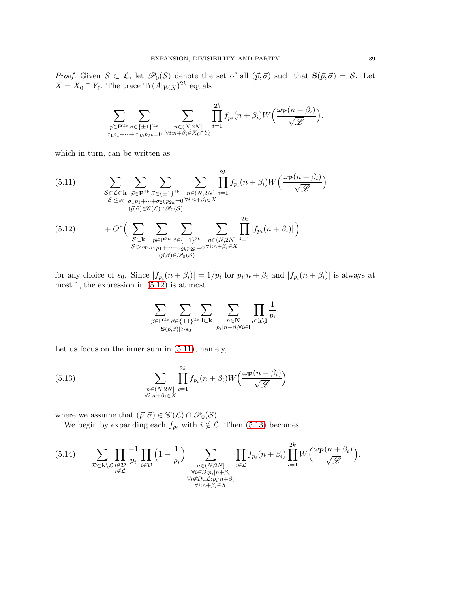*Proof.* Given  $S \subset \mathcal{L}$ , let  $\mathcal{P}_0(S)$  denote the set of all  $(\vec{p}, \vec{\sigma})$  such that  $S(\vec{p}, \vec{\sigma}) = S$ . Let  $X = X_0 \cap Y_{\ell}$ . The trace  $\text{Tr}(A|_{W,X})^{2k}$  equals

$$
\sum_{\substack{\vec{p}\in \mathbf{P}^{2k}\ \vec{\sigma}\in \{\pm 1\}^{2k}\\ \sigma_1p_1+\cdots+\sigma_{2k}p_{2k}=0}}\sum_{\substack{n\in (N,2N]\\ \forall i:n+\beta_i\in X_0\cap Y_\ell}}\prod_{i=1}^{2k}f_{p_i}(n+\beta_i)W\left(\frac{\omega_{\mathbf{P}}(n+\beta_i)}{\sqrt{\mathscr{L}}}\right),
$$

which in turn, can be written as

<span id="page-38-1"></span>(5.11) 
$$
\sum_{\substack{S \subset \mathcal{L} \subset \mathbf{k} \\ |S| \le s_0}} \sum_{\substack{\vec{p} \in \mathbf{P}^{2k} \\ \sigma_1 p_1 + \dots + \sigma_{2k} p_{2k} = 0 \\ (\vec{p}, \vec{\sigma}) \in \mathscr{C}(\mathcal{L}) \cap \mathscr{P}_0(S)}} \sum_{\substack{n \in (N, 2N] \\ (p, \vec{\sigma}) \in \mathscr{C}(\mathcal{L}) \cap \mathscr{P}_0(S)}} \prod_{i=1}^{2k} f_{p_i}(n + \beta_i) W\left(\frac{\omega_{\mathbf{P}}(n + \beta_i)}{\sqrt{\mathscr{L}}}\right)
$$
  
(5.12) 
$$
+ O^* \left( \sum_{\substack{S \subset \mathbf{k} \\ S \subset \mathbf{k} \\ |S| > s_0}} \sum_{\substack{\vec{p} \in \mathbf{P}^{2k} \\ \vec{p} \in \mathbf{P}^{2k} \\ (\vec{p}, \vec{\sigma}) \in \mathscr{P}_0(S)}} \sum_{\substack{n \in (N, 2N] \\ n \in N, 2k}} \prod_{i=1}^{2k} |f_{p_i}(n + \beta_i)| \right)
$$

<span id="page-38-0"></span>for any choice of  $s_0$ . Since  $|f_{p_i}(n+\beta_i)| = 1/p_i$  for  $p_i|n+\beta_i$  and  $|f_{p_i}(n+\beta_i)|$  is always at most 1, the expression in [\(5.12\)](#page-38-0) is at most

<span id="page-38-2"></span>
$$
\sum_{\substack{\vec{p}\in{\bf P}^{2k}\\ |{\bf S}(\vec{p},\vec{\sigma})|>s_0}}\sum_{\substack{I\subset{\bf k}}\\ p_i|n+\beta_i\forall i\in I}}\sum_{\substack{n\in{\bf N}\\ p_i|n+\beta_i\forall i\in I}}\prod_{i\in{\bf k}\setminus I}\frac{1}{p_i}.
$$

Let us focus on the inner sum in [\(5.11\)](#page-38-1), namely,

(5.13) 
$$
\sum_{\substack{n \in (N,2N] \\ \forall i:n+\beta_i \in X}} \prod_{i=1}^{2k} f_{p_i}(n+\beta_i) W\left(\frac{\omega_{\mathbf{P}}(n+\beta_i)}{\sqrt{\mathscr{L}}}\right)
$$

where we assume that  $(\vec{p}, \vec{\sigma}) \in \mathscr{C}(\mathcal{L}) \cap \mathscr{P}_0(\mathcal{S})$ .

We begin by expanding each  $f_{p_i}$  with  $i \notin \mathcal{L}$ . Then [\(5.13\)](#page-38-2) becomes

<span id="page-38-3"></span>(5.14) 
$$
\sum_{\substack{\mathcal{D}\subset\mathbf{k}\backslash\mathcal{L} \\ i\notin\mathcal{L} \\ i\notin\mathcal{L}}} \prod_{\substack{\mathcal{D}\\ i\in\mathcal{D} \\ i\notin\mathcal{D}}} \frac{-1}{p_i} \prod_{i\in\mathcal{D}} \left(1-\frac{1}{p_i}\right) \sum_{\substack{n\in(N,2N] \\ \forall i\in\mathcal{D}: p_i|n+\beta_i \\ \forall i\in\mathcal{D}: p_i|n+\beta_i \\ \forall i:n+\beta_i\in X}} \prod_{i\in\mathcal{L}} f_{p_i}(n+\beta_i) \prod_{i=1}^{2k} W\left(\frac{\omega_{\mathbf{P}}(n+\beta_i)}{\sqrt{\mathscr{L}}}\right).
$$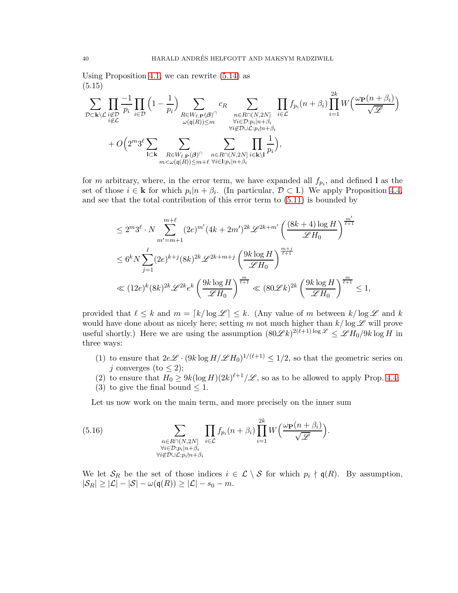Using Proposition [4.1,](#page-23-0) we can rewrite [\(5.14\)](#page-38-3) as (5.15)

<span id="page-39-1"></span>

for m arbitrary, where, in the error term, we have expanded all  $f_{p_i}$ , and defined l as the set of those  $i \in \mathbf{k}$  for which  $p_i | n + \beta_i$ . (In particular,  $\mathcal{D} \subset \mathbf{l}$ .) We apply Proposition [4.4,](#page-27-0) and see that the total contribution of this error term to [\(5.11\)](#page-38-1) is bounded by

$$
\leq 2^m 3^\ell \cdot N \sum_{m'=m+1}^{m+\ell} (2e)^{m'} (4k+2m')^{2k} \mathscr{L}^{2k+m'} \left( \frac{(8k+4) \log H}{\mathscr{L} H_0} \right)^{\frac{m'}{\ell+1}}
$$
  

$$
\leq 6^k N \sum_{j=1}^\ell (2e)^{k+j} (8k)^{2k} \mathscr{L}^{2k+m+j} \left( \frac{9k \log H}{\mathscr{L} H_0} \right)^{\frac{m+j}{\ell+1}}
$$
  

$$
\ll (12e)^k (8k)^{2k} \mathscr{L}^{2k} e^k \left( \frac{9k \log H}{\mathscr{L} H_0} \right)^{\frac{m}{\ell+1}} \ll (80 \mathscr{L} k)^{2k} \left( \frac{9k \log H}{\mathscr{L} H_0} \right)^{\frac{m}{\ell+1}} \leq 1,
$$

provided that  $\ell \leq k$  and  $m = \lceil k/\log \mathcal{L} \rceil \leq k$ . (Any value of m between  $k/\log \mathcal{L}$  and k would have done about as nicely here; setting m not much higher than  $k/\log \mathscr{L}$  will prove useful shortly.) Here we are using the assumption  $(80\mathscr{L}k)^{2(\tilde{\ell}+1)\log \mathscr{L}} \leq \mathscr{L}H_0/9k\log H$  in three ways:

- (1) to ensure that  $2e\mathscr{L} \cdot (9k \log H/\mathscr{L} H_0)^{1/(\ell+1)} \leq 1/2$ , so that the geometric series on j converges (to  $\leq$  2);
- (2) to ensure that  $H_0 \ge 9k(\log H)(2k)^{\ell+1}/\mathscr{L}$ , so as to be allowed to apply Prop. [4.4;](#page-27-0)
- (3) to give the final bound  $\leq 1$ .

<span id="page-39-0"></span>Let us now work on the main term, and more precisely on the inner sum

(5.16) 
$$
\sum_{\substack{n \in R \cap (N, 2N] \\ \forall i \in \mathcal{D}: p_i | n + \beta_i \\ \forall i \notin \mathcal{D} \cup \mathcal{L}: p_i \nmid n + \beta_i}} \prod_{i \in \mathcal{L}} f_{p_i}(n + \beta_i) \prod_{i=1}^{2k} W\left(\frac{\omega_{\mathbf{P}}(n + \beta_i)}{\sqrt{\mathscr{L}}}\right).
$$

We let  $S_R$  be the set of those indices  $i \in \mathcal{L} \setminus \mathcal{S}$  for which  $p_i \nmid \mathfrak{q}(R)$ . By assumption,  $|\mathcal{S}_R| \geq |\mathcal{L}| - |\mathcal{S}| - \omega(\mathfrak{q}(R)) \geq |\mathcal{L}| - s_0 - m.$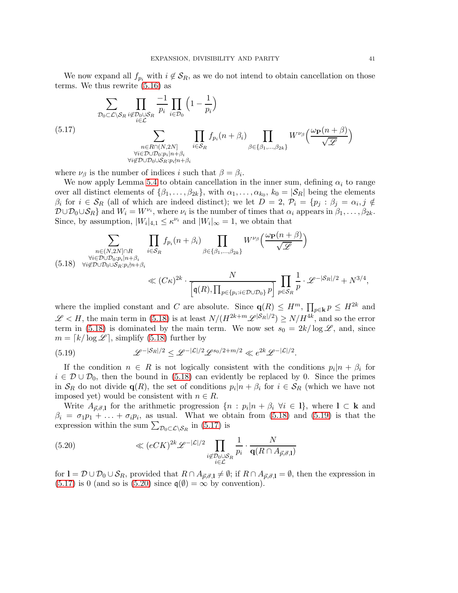We now expand all  $f_{p_i}$  with  $i \notin \mathcal{S}_R$ , as we do not intend to obtain cancellation on those terms. We thus rewrite [\(5.16\)](#page-39-0) as

<span id="page-40-2"></span>
$$
\sum_{\substack{\mathcal{D}_0 \subset \mathcal{L} \setminus \mathcal{S}_R \ i \notin \mathcal{D}_0 \cup \mathcal{S}_R}} \prod_{\substack{i \in \mathcal{D}_0 \\ i \in \mathcal{L}}} \frac{-1}{p_i} \prod_{i \in \mathcal{D}_0} \left(1 - \frac{1}{p_i}\right)
$$
\n
$$
\sum_{\substack{n \in R \cap (N, 2N] \\ \forall i \in \mathcal{D} \cup \mathcal{D}_0 : p_i | n + \beta_i \\ \forall i \notin \mathcal{D} \cup \mathcal{D}_0 \cup S_R : p_i \nmid n + \beta_i}} \prod_{i \in S_R} f_{p_i}(n + \beta_i) \prod_{\beta \in \{\beta_1, \dots, \beta_{2k}\}} W^{\nu_{\beta}}\left(\frac{\omega_{\mathbf{P}}(n + \beta)}{\sqrt{\mathscr{L}}}\right)
$$

where  $\nu_{\beta}$  is the number of indices i such that  $\beta = \beta_i$ .

We now apply Lemma [5.4](#page-33-1) to obtain cancellation in the inner sum, defining  $\alpha_i$  to range over all distinct elements of  $\{\beta_1, \ldots, \beta_{2k}\}\$ , with  $\alpha_1, \ldots, \alpha_{k_0}, k_0 = |\mathcal{S}_R|$  being the elements  $\beta_i$  for  $i \in \mathcal{S}_R$  (all of which are indeed distinct); we let  $D = 2$ ,  $\mathcal{P}_i = \{p_j : \beta_j = \alpha_i, j \notin \mathcal{P}_j\}$  $\mathcal{D} \cup \mathcal{D}_0 \cup \mathcal{S}_R$  and  $W_i = W^{\nu_i}$ , where  $\nu_i$  is the number of times that  $\alpha_i$  appears in  $\beta_1, \ldots, \beta_{2k}$ . Since, by assumption,  $|W_i|_{4,1} \leq \kappa^{\nu_i}$  and  $|W_i|_{\infty} = 1$ , we obtain that

<span id="page-40-0"></span>
$$
\sum_{\substack{n \in (N,2N] \cap R \\ \forall i \in \mathcal{D} \cup \mathcal{D}_0 : p_i | n + \beta_i \\ \forall i \notin \mathcal{D} \cup \mathcal{D}_0 \cup S_R : p_i \nmid n + \beta_i}} \prod_{i \in S_R} f_{p_i}(n + \beta_i) \prod_{\beta \in \{\beta_1, \dots, \beta_{2k}\}} W^{\nu_\beta} \left( \frac{\omega_{\mathbf{P}}(n + \beta)}{\sqrt{\mathscr{L}}} \right)
$$
\n
$$
\ll (C\kappa)^{2k} \cdot \frac{N}{\left[ \mathfrak{q}(R), \prod_{p \in \{p_i : i \in \mathcal{D} \cup \mathcal{D}_0\}} p \right]} \prod_{p \in S_R} \frac{1}{p} \cdot \mathscr{L}^{-|S_R|/2} + N^{3/4},
$$

where the implied constant and C are absolute. Since  $q(R) \leq H^m$ ,  $\prod_{p \in \mathbf{k}} p \leq H^{2k}$  and  $\mathscr{L} < H$ , the main term in [\(5.18\)](#page-40-0) is at least  $N/(H^{2k+m}\mathscr{L}^{|\mathcal{S}_R|/2}) \geq N/H^{4k}$ , and so the error term in [\(5.18\)](#page-40-0) is dominated by the main term. We now set  $s_0 = 2k/\log \mathscr{L}$ , and, since  $m = \lfloor k/\log \mathcal{L} \rfloor$ , simplify [\(5.18\)](#page-40-0) further by

<span id="page-40-1"></span>(5.19) 
$$
\mathscr{L}^{-|\mathcal{S}_R|/2} \leq \mathscr{L}^{-|\mathcal{L}|/2} \mathscr{L}^{s_0/2+m/2} \ll e^{2k} \mathscr{L}^{-|\mathcal{L}|/2}.
$$

If the condition  $n \in R$  is not logically consistent with the conditions  $p_i | n + \beta_i$  for  $i \in \mathcal{D} \cup \mathcal{D}_0$ , then the bound in [\(5.18\)](#page-40-0) can evidently be replaced by 0. Since the primes in  $S_R$  do not divide  $\mathbf{q}(R)$ , the set of conditions  $p_i|n + \beta_i$  for  $i \in S_R$  (which we have not imposed yet) would be consistent with  $n \in R$ .

Write  $A_{\vec{p},\vec{\sigma},\mathbf{l}}$  for the arithmetic progression  $\{n : p_i | n + \beta_i \; \forall i \in \mathbf{l}\}\,$ , where  $\mathbf{l} \subset \mathbf{k}$  and  $\beta_i = \sigma_1 p_1 + \ldots + \sigma_i p_i$ , as usual. What we obtain from [\(5.18\)](#page-40-0) and [\(5.19\)](#page-40-1) is that the expression within the sum  $\sum_{\mathcal{D}_0 \subset \mathcal{L} \backslash \mathcal{S}_R}$  in [\(5.17\)](#page-40-2) is

<span id="page-40-3"></span>(5.20) 
$$
\ll (eCK)^{2k} \mathscr{L}^{-|\mathcal{L}|/2} \prod_{\substack{i \notin \mathcal{D}_0 \cup \mathcal{S}_R \\ i \in \mathcal{L}}} \frac{1}{p_i} \cdot \frac{N}{\mathbf{q}(R \cap A_{\vec{p},\vec{\sigma},\mathbf{l}})}
$$

for  $I = \mathcal{D} \cup \mathcal{D}_0 \cup \mathcal{S}_R$ , provided that  $R \cap A_{\vec{p},\vec{\sigma},1} \neq \emptyset$ ; if  $R \cap A_{\vec{p},\vec{\sigma},1} = \emptyset$ , then the expression in  $(5.17)$  is 0 (and so is  $(5.20)$  since  $\mathfrak{q}(\emptyset) = \infty$  by convention).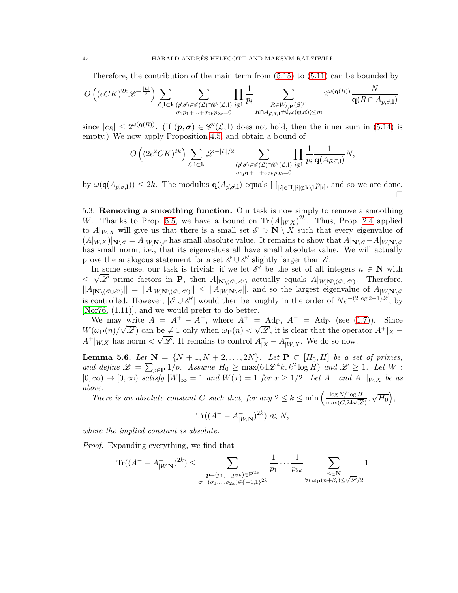Therefore, the contribution of the main term from [\(5.15\)](#page-39-1) to [\(5.11\)](#page-38-1) can be bounded by

$$
O\left((eCK)^{2k}\mathscr{L}^{-\frac{|\mathcal{L}|}{2}}\right)\sum_{\substack{\mathcal{L},\mathbf{l}\subset\mathbf{k}(\vec{p},\vec{\sigma})\in\mathscr{C}(\mathcal{L})\cap\mathscr{C}'(\mathcal{L},\mathbf{l})\\ \sigma_1p_1+\ldots+\sigma_{2k}p_{2k}=0}}\prod_{i\notin\mathbf{l}}\frac{1}{p_i}\sum_{\substack{R\in W_{\ell,\mathbf{P}}(\mathcal{B})\cap\\ R\cap A_{\vec{p},\vec{\sigma},\mathbf{l}}\neq\emptyset,\omega(\mathfrak{q}(R))\leq m}}2^{\omega(\mathbf{q}(R))}\frac{N}{\mathbf{q}(R\cap A_{\vec{p},\vec{\sigma},\mathbf{l}})},
$$

since  $|c_R| \leq 2^{\omega(\mathbf{q}(R))}$ . (If  $(p, \sigma) \in \mathscr{C}'(\mathcal{L}, I)$  does not hold, then the inner sum in [\(5.14\)](#page-38-3) is empty.) We now apply Proposition [4.5,](#page-28-0) and obtain a bound of

$$
O\left((2e^2CK)^{2k}\right)\sum_{\mathcal{L},\mathbf{l}\subset\mathbf{k}}\mathscr{L}^{-|\mathcal{L}|/2}\sum_{\substack{(\vec{p},\vec{\sigma})\in\mathscr{C}(\mathcal{L})\cap\mathscr{C}'(\mathcal{L},\mathbf{l})\\ \sigma_1p_1+\ldots+\sigma_{2k}p_{2k}=0}}\prod_{i\not\in\mathbf{l}}\frac{1}{p_i}\frac{1}{\mathbf{q}(A_{\vec{p},\vec{\sigma},\mathbf{l}})}N,
$$

by  $\omega(\mathfrak{q}(A_{\vec{p},\vec{\sigma},1})) \leq 2k$ . The modulus  $\mathbf{q}(A_{\vec{p},\vec{\sigma},1})$  equals  $\prod_{[i] \in \Pi,[i] \notin \mathbf{k} \setminus \mathbf{l}} p_{[i]}$ , and so we are done.  $\Box$ 

5.3. Removing a smoothing function. Our task is now simply to remove a smoothing W. Thanks to Prop. [5.5,](#page-37-0) we have a bound on  $\text{Tr} (A|_{W,X})^{2k}$ . Thus, Prop. [2.4](#page-11-0) applied to  $A|_{W,X}$  will give us that there is a small set  $\mathscr{E} \supset \mathbf{N} \setminus X$  such that every eigenvalue of  $(A|_{W,X})|_{N\setminus\mathscr{E}} = A|_{W,N\setminus\mathscr{E}}$  has small absolute value. It remains to show that  $A|_{N\setminus\mathscr{E}} - A|_{W,N\setminus\mathscr{E}}$ has small norm, i.e., that its eigenvalues all have small absolute value. We will actually prove the analogous statement for a set  $\mathscr{E} \cup \mathscr{E}'$  slightly larger than  $\mathscr{E}$ .

In some sense, our task is trivial: if we let  $\mathscr{E}'$  be the set of all integers  $n \in \mathbb{N}$  with ≤  $\sqrt{\mathscr{L}}$  prime factors in **P**, then  $A|_{\mathbf{N}\setminus(\mathscr{E}\cup\mathscr{E}')}$  actually equals  $A|_{W,\mathbf{N}\setminus(\mathscr{E}\cup\mathscr{E}')}$ . Therefore,  $||A_{|\mathbf{N}\setminus(\mathscr{E}\cup\mathscr{E}')}|| = ||A_{|W,\mathbf{N}\setminus(\mathscr{E}\cup\mathscr{E}')}|| \leq ||A_{|W,\mathbf{N}\setminus\mathscr{E}}||$ , and so the largest eigenvalue of  $A_{|W,\mathbf{N}\setminus\mathscr{E}}$ is controlled. However,  $|\mathscr{E} \cup \mathscr{E}'|$  would then be roughly in the order of  $Ne^{-(2\log 2-1)\mathscr{L}}$ , by [\[Nor76,](#page-99-0)  $(1.11)$ ], and we would prefer to do better.

We may write  $A = A^+ - A^-$ , where  $A^+ = \text{Ad}_{\Gamma}$ ,  $A^- = \text{Ad}_{\Gamma'}$  (see [\(1.7\)](#page-2-0)). Since  $W(\omega_{\mathbf{P}}(n)/\sqrt{\mathscr{L}})$  can be  $\neq 1$  only when  $\omega_{\mathbf{P}}(n) < \sqrt{\mathscr{L}}$ , it is clear that the operator  $A^+|_X$  –  $A^+|_{W,X}$  has norm  $\langle \sqrt{\mathscr{L}}.$  It remains to control  $A^-_{|X} - A^-_{|W,X}$ . We do so now.

<span id="page-41-0"></span>**Lemma 5.6.** *Let*  $N = \{N + 1, N + 2, ..., 2N\}$ . *Let*  $P \subset [H_0, H]$  *be a set of primes,* and define  $\mathscr{L} = \sum_{p \in \mathbf{P}} 1/p$ . Assume  $H_0 \ge \max(64\mathscr{L}^4 k, k^2 \log H)$  and  $\mathscr{L} \ge 1$ . Let  $W$ :  $[0,\infty) \to [0,\infty)$  *satisfy*  $|W|_{\infty} = 1$  *and*  $W(x) = 1$  *for*  $x \ge 1/2$ *. Let*  $A^-$  *and*  $A^-|_{W,X}$  *be as above.*

*There is an absolute constant* C *such that, for any*  $2 \leq k \leq \min\left(\frac{\log N/\log H}{\max(C, 24\sqrt{\mathscr{L}})}, \sqrt{H_0}\right)$ ,

$$
\operatorname{Tr}((A^- - A^-_{|W,\mathbf{N}})^{2k}) \ll N,
$$

*where the implied constant is absolute.*

*Proof.* Expanding everything, we find that

$$
\text{Tr}((A^{-} - A_{|W,\mathbf{N}}^{-})^{2k}) \leq \sum_{\substack{\mathbf{p}=(p_1,\ldots,p_{2k})\in\mathbf{P}^{2k} \\ \sigma=(\sigma_1,\ldots,\sigma_{2k})\in\{-1,1\}^{2k}}} \frac{1}{p_1} \cdots \frac{1}{p_{2k}} \sum_{\substack{n\in\mathbf{N} \\ \forall i \ \omega_{\mathbf{P}}(n+\beta_i)\leq \sqrt{\mathscr{L}}/2}} 1
$$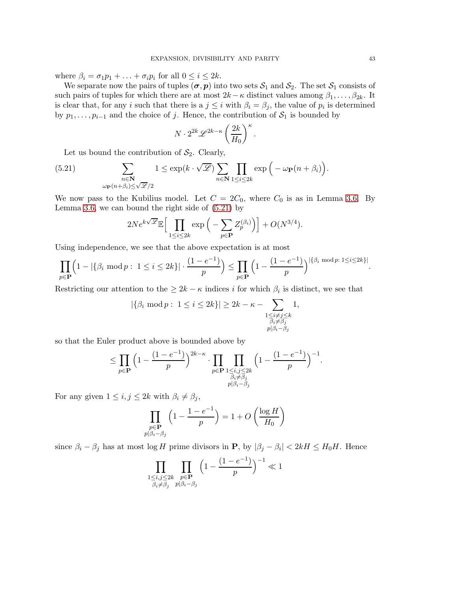where  $\beta_i = \sigma_1 p_1 + \ldots + \sigma_i p_i$  for all  $0 \leq i \leq 2k$ .

We separate now the pairs of tuples  $(\sigma, p)$  into two sets  $S_1$  and  $S_2$ . The set  $S_1$  consists of such pairs of tuples for which there are at most  $2k-\kappa$  distinct values among  $\beta_1, \ldots, \beta_{2k}$ . It is clear that, for any i such that there is a  $j \leq i$  with  $\beta_i = \beta_j$ , the value of  $p_i$  is determined by  $p_1, \ldots, p_{i-1}$  and the choice of j. Hence, the contribution of  $S_1$  is bounded by

$$
N \cdot 2^{2k} \mathscr{L}^{2k-\kappa} \left(\frac{2k}{H_0}\right)^{\kappa}.
$$

<span id="page-42-0"></span>Let us bound the contribution of  $S_2$ . Clearly,

(5.21) 
$$
\sum_{\substack{n \in \mathbb{N} \\ \omega_{\mathbf{P}}(n+\beta_i)\leq \sqrt{\mathscr{L}}/2}} 1 \leq \exp(k \cdot \sqrt{\mathscr{L}}) \sum_{n \in \mathbb{N}} \prod_{1 \leq i \leq 2k} \exp\left(-\omega_{\mathbf{P}}(n+\beta_i)\right).
$$

We now pass to the Kubilius model. Let  $C = 2C_0$ , where  $C_0$  is as in Lemma [3.6.](#page-22-1) By Lemma [3.6,](#page-22-1) we can bound the right side of [\(5.21\)](#page-42-0) by

$$
2Ne^{k\sqrt{\mathscr{L}}}\mathbb{E}\Big[\prod_{1\leq i\leq 2k}\exp\Big(-\sum_{p\in \mathbf{P}}Z^{(\beta_i)}_p\Big)\Big]+O(N^{3/4}).
$$

Using independence, we see that the above expectation is at most

$$
\prod_{p \in \mathbf{P}} \left( 1 - |\{\beta_i \bmod p : 1 \le i \le 2k\}| \cdot \frac{(1 - e^{-1})}{p} \right) \le \prod_{p \in \mathbf{P}} \left( 1 - \frac{(1 - e^{-1})}{p} \right)^{|\{\beta_i \bmod p : 1 \le i \le 2k\}|}.
$$

Restricting our attention to the  $\geq 2k - \kappa$  indices i for which  $\beta_i$  is distinct, we see that

$$
|\{\beta_i \mod p : 1 \le i \le 2k\}| \ge 2k - \kappa - \sum_{\substack{1 \le i \ne j \le k \\ \beta_i \ne \beta_j \\ p|\beta_i - \beta_j}} 1,
$$

so that the Euler product above is bounded above by

$$
\leq \prod_{p\in \mathbf{P}} \Big(1-\frac{(1-e^{-1})}{p}\Big)^{2k-\kappa} \cdot \prod_{\substack{p\in \mathbf{P} \\ \beta_i \neq \beta_j \\ p|\beta_i-\beta_j}} \prod_{\substack{1 \leq i,j \leq 2k \\ \beta_i \neq \beta_j}} \Big(1-\frac{(1-e^{-1})}{p}\Big)^{-1}.
$$

For any given  $1 \leq i, j \leq 2k$  with  $\beta_i \neq \beta_j$ ,

$$
\prod_{\substack{p \in \mathbf{P} \\ p|\beta_i - \beta_j}} \left( 1 - \frac{1 - e^{-1}}{p} \right) = 1 + O\left(\frac{\log H}{H_0}\right)
$$

since  $\beta_i - \beta_j$  has at most log H prime divisors in **P**, by  $|\beta_j - \beta_i| < 2kH \leq H_0H$ . Hence

$$
\prod_{\substack{1\le i,j\le 2k\\ \beta_i\neq \beta_j}}\prod_{\substack{p\in \mathbf{P}\\ p|\beta_i-\beta_j}}\Big(1-\frac{(1-e^{-1})}{p}\Big)^{-1}\ll 1
$$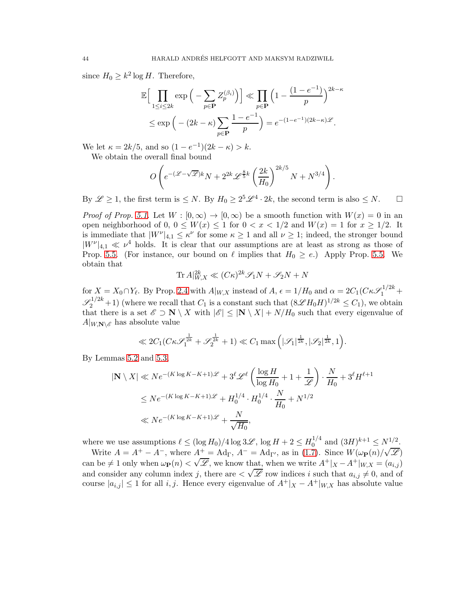since  $H_0 \geq k^2 \log H$ . Therefore,

$$
\mathbb{E}\Big[\prod_{1\leq i\leq 2k} \exp\Big(-\sum_{p\in \mathbf{P}} Z_p^{(\beta_i)}\Big)\Big] \ll \prod_{p\in \mathbf{P}} \Big(1 - \frac{(1 - e^{-1})}{p}\Big)^{2k - \kappa}
$$
  

$$
\leq \exp\Big(-(2k - \kappa)\sum_{p\in \mathbf{P}} \frac{1 - e^{-1}}{p}\Big) = e^{-(1 - e^{-1})(2k - \kappa)\mathscr{L}}.
$$

We let  $\kappa = 2k/5$ , and so  $(1 - e^{-1})(2k - \kappa) > k$ .

We obtain the overall final bound

$$
O\left(e^{-(\mathscr{L}-\sqrt{\mathscr{L}})k}N+2^{2k}\mathscr{L}^{\frac{8}{5}k}\left(\frac{2k}{H_0}\right)^{2k/5}N+N^{3/4}\right).
$$

By  $\mathscr{L} \geq 1$ , the first term is  $\leq N$ . By  $H_0 \geq 2^5 \mathscr{L}^4 \cdot 2k$ , the second term is also  $\leq N$ .  $\Box$ 

*Proof of Prop.* [5.1.](#page-31-0) Let  $W : [0, \infty) \to [0, \infty)$  be a smooth function with  $W(x) = 0$  in an open neighborhood of 0,  $0 \leq W(x) \leq 1$  for  $0 < x < 1/2$  and  $W(x) = 1$  for  $x \geq 1/2$ . It is immediate that  $|W^{\nu}|_{4,1} \leq \kappa^{\nu}$  for some  $\kappa \geq 1$  and all  $\nu \geq 1$ ; indeed, the stronger bound  $|W^{\nu}|_{4,1} \ll \nu^4$  holds. It is clear that our assumptions are at least as strong as those of Prop. [5.5.](#page-37-0) (For instance, our bound on  $\ell$  implies that  $H_0 \geq e$ .) Apply Prop. 5.5. We obtain that

$$
\text{Tr}\,A|_{W,X}^{2k} \ll (C\kappa)^{2k} \mathcal{S}_1 N + \mathcal{S}_2 N + N
$$

for  $X = X_0 \cap Y_\ell$ . By Prop. [2.4](#page-11-0) with  $A|_{W,X}$  instead of  $A, \epsilon = 1/H_0$  and  $\alpha = 2C_1(C\kappa\mathscr{S}_1^{1/2k} +$  $\mathscr{S}_2^{1/2k}$  + 1) (where we recall that  $C_1$  is a constant such that  $(8\mathscr{L}H_0H)^{1/2k} \leq C_1$ ), we obtain that there is a set  $\mathscr{E} \supset \mathbf{N} \setminus X$  with  $|\mathscr{E}| \leq |\mathbf{N} \setminus X| + N/H_0$  such that every eigenvalue of  $A|_{W,\mathbf{N}\setminus\mathscr{E}}$  has absolute value

$$
\ll 2C_1(C\kappa \mathscr{S}_1^{\frac{1}{2k}} + \mathscr{S}_2^{\frac{1}{2k}} + 1) \ll C_1 \max\left(|\mathscr{S}_1|^{\frac{1}{2k}}, |\mathscr{S}_2|^{\frac{1}{2k}}, 1\right).
$$

By Lemmas [5.2](#page-32-0) and [5.3,](#page-32-1)

$$
|\mathbf{N} \setminus X| \ll Ne^{-(K \log K - K + 1)\mathscr{L}} + 3^{\ell} \mathscr{L}^{\ell} \left( \frac{\log H}{\log H_0} + 1 + \frac{1}{\mathscr{L}} \right) \cdot \frac{N}{H_0} + 3^{\ell} H^{\ell+1}
$$
  
\$\leq Ne^{-(K \log K - K + 1)\mathscr{L}} + H\_0^{1/4} \cdot H\_0^{1/4} \cdot \frac{N}{H\_0} + N^{1/2}\$  
\$\ll Ne^{-(K \log K - K + 1)\mathscr{L}} + \frac{N}{\sqrt{H\_0}}\$,

where we use assumptions  $\ell \leq (\log H_0)/4 \log 3\mathscr{L}$ ,  $\log H + 2 \leq H_0^{1/4}$  $0^{1/4}$  and  $(3H)^{k+1} \leq N^{1/2}$ .

Write  $A = A^+ - A^-$ , where  $A^+ = \text{Ad}_{\Gamma}$ ,  $A^- = \text{Ad}_{\Gamma'}$ , as in [\(1.7\)](#page-2-0). Since  $W(\omega_{\mathbf{P}}(n)/\sqrt{\mathscr{L}})$ can be  $\neq 1$  only when  $\omega_{\mathbf{P}}(n) < \sqrt{\mathscr{L}}$ , we know that, when we write  $A^+|_{X} - A^+|_{W,X} = (a_{i,j})$ and consider any column index j, there are  $\langle \sqrt{\mathscr{L}} \rangle$  row indices i such that  $a_{i,j} \neq 0$ , and of course  $|a_{i,j}| \leq 1$  for all i, j. Hence every eigenvalue of  $A^+|_X - A^+|_{W,X}$  has absolute value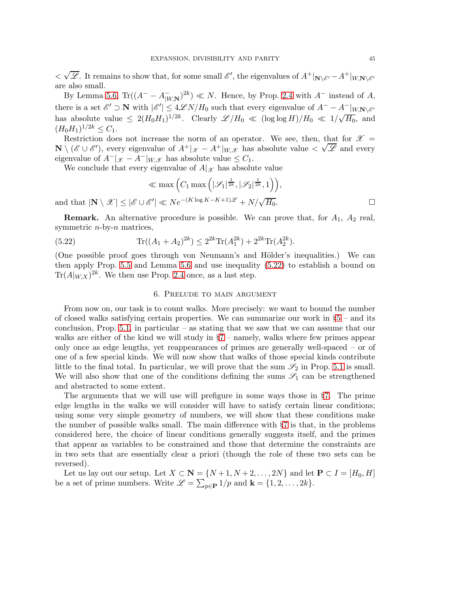$<\sqrt{\mathscr{L}}$ . It remains to show that, for some small  $\mathscr{E}'$ , the eigenvalues of  $A^+|_{\mathbf{N}\setminus\mathscr{E}'}-A^+|_{W,\mathbf{N}\setminus\mathscr{E}'}$ are also small.

By Lemma [5.6,](#page-41-0)  $\text{Tr}((A^{-} - A_{[W,N]}^{-})^{2k}) \ll N$ . Hence, by Prop. [2.4](#page-11-0) with  $A^{-}$  instead of A, there is a set  $\mathscr{E}' \supset \mathbf{N}$  with  $|\mathscr{E}'| \leq 4\mathscr{L}N/H_0$  such that every eigenvalue of  $A^- - A^-|_{W,\mathbf{N}\setminus\mathscr{E}'}$ has absolute value  $\leq 2(H_0H_1)^{1/2k}$ . Clearly  $\mathscr{L}/H_0 \ll (\log \log H)/H_0 \ll 1/\sqrt{H_0}$ , and  $(H_0H_1)^{1/2k} \leq C_1.$ 

Restriction does not increase the norm of an operator. We see, then, that for  $\mathscr{X} =$  $\mathbf{N} \setminus (\mathscr{E} \cup \mathscr{E}')$ , every eigenvalue of  $A^+|_{\mathscr{X}} - A^+|_{W,\mathscr{X}}$  has absolute value  $\lt \sqrt{\mathscr{L}}$  and every eigenvalue of  $A^-|_{\mathcal{X}} - A^-|_{W,\mathcal{X}}$  has absolute value  $\leq C_1$ .

We conclude that every eigenvalue of  $A|\mathscr{X}$  has absolute value

$$
\ll \max\left(C_1 \max\left(|\mathcal{S}_1|^{\frac{1}{2k}}, |\mathcal{S}_2|^{\frac{1}{2k}}, 1\right)\right),\
$$
  
and that  $|\mathbf{N} \setminus \mathcal{X}| \leq |\mathcal{E} \cup \mathcal{E}'| \ll Ne^{-(K \log K - K + 1)\mathcal{L}} + N/\sqrt{H_0}.$ 

**Remark.** An alternative procedure is possible. We can prove that, for  $A_1$ ,  $A_2$  real, symmetric  $n$ -by- $n$  matrices,

(5.22) 
$$
\text{Tr}((A_1 + A_2)^{2k}) \le 2^{2k} \text{Tr}(A_1^{2k}) + 2^{2k} \text{Tr}(A_2^{2k}).
$$

(One possible proof goes through von Neumann's and Hölder's inequalities.) We can then apply Prop. [5.5](#page-37-0) and Lemma [5.6](#page-41-0) and use inequality [\(5.22\)](#page-44-0) to establish a bound on  $\text{Tr}(A|_{W,X})^{2k}$ . We then use Prop. [2.4](#page-11-0) once, as a last step.

### <span id="page-44-0"></span>6. Prelude to main argument

<span id="page-44-1"></span>From now on, our task is to count walks. More precisely: we want to bound the number of closed walks satisfying certain properties. We can summarize our work in  $\S5$  $\S5$  – and its conclusion, Prop. [5.1,](#page-31-0) in particular – as stating that we saw that we can assume that our walks are either of the kind we will study in  $\S7$  $\S7$  – namely, walks where few primes appear only once as edge lengths, yet reappearances of primes are generally well-spaced – or of one of a few special kinds. We will now show that walks of those special kinds contribute little to the final total. In particular, we will prove that the sum  $\mathscr{S}_2$  in Prop. [5.1](#page-31-0) is small. We will also show that one of the conditions defining the sums  $\mathscr{S}_1$  can be strengthened and abstracted to some extent.

The arguments that we will use will prefigure in some ways those in §[7.](#page-55-0) The prime edge lengths in the walks we will consider will have to satisfy certain linear conditions; using some very simple geometry of numbers, we will show that these conditions make the number of possible walks small. The main difference with §[7](#page-55-0) is that, in the problems considered here, the choice of linear conditions generally suggests itself, and the primes that appear as variables to be constrained and those that determine the constraints are in two sets that are essentially clear a priori (though the role of these two sets can be reversed).

Let us lay out our setup. Let  $X \subset \mathbf{N} = \{N+1, N+2, \ldots, 2N\}$  and let  $\mathbf{P} \subset I = [H_0, H]$ be a set of prime numbers. Write  $\mathscr{L} = \sum_{p \in \mathbf{P}} 1/p$  and  $\mathbf{k} = \{1, 2, \ldots, 2k\}.$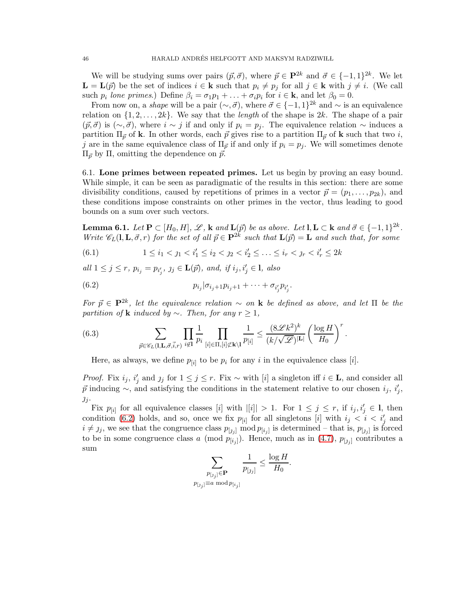We will be studying sums over pairs  $(\vec{p}, \vec{\sigma})$ , where  $\vec{p} \in \mathbf{P}^{2k}$  and  $\vec{\sigma} \in \{-1, 1\}^{2k}$ . We let  $\mathbf{L} = \mathbf{L}(\vec{p})$  be the set of indices  $i \in \mathbf{k}$  such that  $p_i \neq p_j$  for all  $j \in \mathbf{k}$  with  $j \neq i$ . (We call such  $p_i$  lone primes.) Define  $\beta_i = \sigma_1 p_1 + \ldots + \sigma_i p_i$  for  $i \in \mathbf{k}$ , and let  $\beta_0 = 0$ .

From now on, a *shape* will be a pair  $(\sim, \vec{\sigma})$ , where  $\vec{\sigma} \in \{-1, 1\}^{2k}$  and  $\sim$  is an equivalence relation on  $\{1, 2, \ldots, 2k\}$ . We say that the *length* of the shape is 2k. The shape of a pair  $(\vec{p}, \vec{\sigma})$  is  $(\sim, \vec{\sigma})$ , where  $i \sim j$  if and only if  $p_i = p_j$ . The equivalence relation  $\sim$  induces a partition  $\Pi_{\vec{p}}$  of **k**. In other words, each  $\vec{p}$  gives rise to a partition  $\Pi_{\vec{p}}$  of **k** such that two i, j are in the same equivalence class of  $\Pi_{\vec{p}}$  if and only if  $p_i = p_j$ . We will sometimes denote  $\Pi_{\vec{p}}$  by Π, omitting the dependence on  $\vec{p}$ .

<span id="page-45-2"></span>6.1. Lone primes between repeated primes. Let us begin by proving an easy bound. While simple, it can be seen as paradigmatic of the results in this section: there are some divisibility conditions, caused by repetitions of primes in a vector  $\vec{p} = (p_1, \ldots, p_{2k})$ , and these conditions impose constraints on other primes in the vector, thus leading to good bounds on a sum over such vectors.

<span id="page-45-3"></span>**Lemma 6.1.** *Let*  $P \subset [H_0, H]$ *,*  $\mathscr{L}$ *,* **k** and  $L(\vec{p})$  *be as above. Let*  $I, L \subset \mathbf{k}$  *and*  $\vec{\sigma} \in \{-1, 1\}^{2k}$ *. Write*  $\mathscr{C}_L(1, \mathbf{L}, \vec{\sigma}, r)$  *for the set of all*  $\vec{p} \in \mathbf{P}^{2k}$  *such that*  $\mathbf{L}(\vec{p}) = \mathbf{L}$  *and such that, for some* 

<span id="page-45-1"></span>(6.1)  $1 \leq i_1 < j_1 < i_1' \leq i_2 < j_2 < i_2' \leq \ldots \leq i_r < j_r < i_r' \leq 2k$ 

 $all \ 1 \leq j \leq r, \ p_{i_j} = p_{i'_j}, \ j_j \in \mathbf{L}(\vec{p}), \ and, \ if \ i_j, i'_j \in \mathbf{l}, \ also$ 

<span id="page-45-0"></span>(6.2) 
$$
p_{i_j} | \sigma_{i_j+1} p_{i_j+1} + \cdots + \sigma_{i'_j} p_{i'_j}.
$$

 $For \ \vec{p} \in \mathbf{P}^{2k}$ , let the equivalence relation ~ on **k** be defined as above, and let  $\Pi$  be the *partition of* **k** *induced by* ∼*. Then, for any*  $r \geq 1$ *,* 

(6.3) 
$$
\sum_{\vec{p}\in\mathscr{C}_L(1,\mathbf{L},\vec{\sigma},\vec{i},r)}\prod_{i\notin\mathbf{I}}\frac{1}{p_i}\prod_{[i]\in\Pi,[i]\nleq\mathbf{k}\backslash\mathbf{l}}\frac{1}{p_{[i]}}\leq\frac{(8\mathscr{L}k^2)^k}{(k/\sqrt{\mathscr{L}})^{|\mathbf{L}|}}\left(\frac{\log H}{H_0}\right)^r.
$$

Here, as always, we define  $p_{[i]}$  to be  $p_i$  for any i in the equivalence class [i].

*Proof.* Fix  $i_j$ ,  $i'_j$  and  $j_j$  for  $1 \leq j \leq r$ . Fix ~ with [i] a singleton iff  $i \in \mathbf{L}$ , and consider all  $\vec{p}$  inducing ~, and satisfying the conditions in the statement relative to our chosen  $i_j$ ,  $i'_j$ ,  $j_j$ .

Fix  $p_{[i]}$  for all equivalence classes [i] with  $|[i]| > 1$ . For  $1 \leq j \leq r$ , if  $i_j, i'_j \in I$ , then condition [\(6.2\)](#page-45-0) holds, and so, once we fix  $p_{[i]}$  for all singletons  $[i]$  with  $i_j < i < i'_j$  and  $i \neq j_j$ , we see that the congruence class  $p_{[j_j]} \mod p_{[i_j]}$  is determined – that is,  $p_{[j_j]}$  is forced to be in some congruence class a (mod  $p_{[i_j]}$ ). Hence, much as in [\(4.7\)](#page-27-1),  $p_{[j_j]}$  contributes a sum

$$
\sum_{\substack{p_{[j_j]}\in \mathbf{P}\\p_{[j_j]}\equiv a \bmod p_{[i_j]}}}\frac{1}{p_{[j_j]}}\leq \frac{\log H}{H_0}.
$$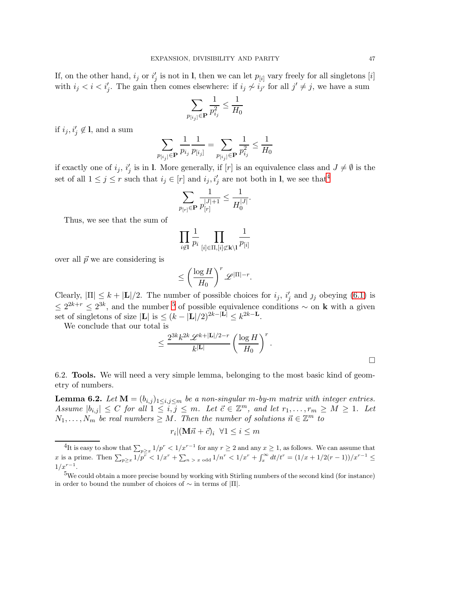If, on the other hand,  $i_j$  or  $i'_j$  is not in l, then we can let  $p_{[i]}$  vary freely for all singletons  $[i]$ with  $i_j < i < i'_j$ . The gain then comes elsewhere: if  $i_j \nsim i_{j'}$  for all  $j' \neq j$ , we have a sum

$$
\sum_{p_{[i_j]}\in{\bf P}}\frac{1}{p_{i_j}^2}\leq\frac{1}{H_0}
$$

if  $i_j, i'_j \notin I$ , and a sum

$$
\sum_{p_{[i_j]}\in{\bf P}}\frac{1}{p_{i_j}}\frac{1}{p_{[i_j]}}=\sum_{p_{[i_j]}\in{\bf P}}\frac{1}{p_{i_j}^2}\leq\frac{1}{H_0}
$$

if exactly one of  $i_j$ ,  $i'_j$  is in l. More generally, if  $[r]$  is an equivalence class and  $J \neq \emptyset$  is the set of all  $1 \leq j \leq r$  such that  $i_j \in [r]$  and  $i_j, i'_j$  are not both in  $\mathbf{l}$ , we see that<sup>[4](#page-46-0)</sup>

$$
\sum_{p_{[r]} \in {\bf P}} \frac{1}{p^{|J|+1}_{[r]}} \leq \frac{1}{H_0^{|J|}}.
$$

Thus, we see that the sum of

$$
\prod_{i \not\in I} \frac{1}{p_i} \prod_{[i] \in \Pi, [i] \not\subset \mathbf{k} \setminus I} \frac{1}{p_{[i]}}
$$

over all  $\vec{p}$  we are considering is

$$
\leq \left(\frac{\log H}{H_0}\right)^r \mathscr{L}^{|\Pi|-r}.
$$

Clearly,  $|\Pi| \leq k + |\mathbf{L}|/2$ . The number of possible choices for  $i_j$ ,  $i'_j$  and  $j_j$  obeying [\(6.1\)](#page-45-1) is  $\leq 2^{2k+r} \leq 2^{3k}$ , and the number <sup>[5](#page-46-1)</sup> of possible equivalence conditions ∼ on k with a given set of singletons of size  $|\mathbf{L}|$  is  $\leq (k - |\mathbf{L}|/2)^{2k-|\mathbf{L}|} \leq k^{2k-1}$ .

We conclude that our total is

$$
\leq \frac{2^{3k}k^{2k}\mathscr{L}^{k+|\mathbf{L}|/2-r}}{k^{|\mathbf{L}|}}\left(\frac{\log H}{H_0}\right)^r.
$$

<span id="page-46-2"></span>6.2. Tools. We will need a very simple lemma, belonging to the most basic kind of geometry of numbers.

<span id="page-46-3"></span>**Lemma 6.2.** *Let*  $M = (b_{i,j})_{1 \leq i,j \leq m}$  *be a non-singular m-by-m matrix with integer entries.*  $Assume \, |b_{i,j}| \leq C \, \text{ for all } 1 \leq i,j \leq m. \, \text{ Let } \vec{c} \in \mathbb{Z}^m, \text{ and let } r_1, \ldots, r_m \geq M \geq 1. \, \text{ Let }$  $N_1, \ldots, N_m$  be real numbers  $\geq M$ . Then the number of solutions  $\vec{n} \in \mathbb{Z}^m$  to

$$
r_i | (\mathbf{M}\vec{n} + \vec{c})_i \ \forall 1 \le i \le m
$$

<span id="page-46-0"></span><sup>&</sup>lt;sup>4</sup>It is easy to show that  $\sum_{p\geq x} 1/p^r < 1/x^{r-1}$  for any  $r \geq 2$  and any  $x \geq 1$ , as follows. We can assume that x is a prime. Then  $\sum_{p\geq x} 1/p^r < 1/x^r + \sum_{n > x \text{ odd}} 1/n^r < 1/x^r + \int_x^{\infty} dt/t^r = (1/x + 1/2(r-1))/x^{r-1} \leq$  $1/x^{r-1}$ .

<span id="page-46-1"></span><sup>&</sup>lt;sup>5</sup>We could obtain a more precise bound by working with Stirling numbers of the second kind (for instance) in order to bound the number of choices of  $\sim$  in terms of  $|\Pi|$ .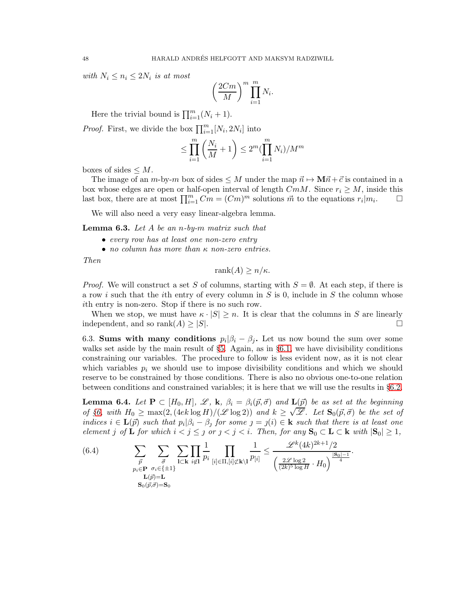*with*  $N_i \leq n_i \leq 2N_i$  *is at most* 

$$
\left(\frac{2Cm}{M}\right)^m \prod_{i=1}^m N_i.
$$

Here the trivial bound is  $\prod_{i=1}^{m} (N_i + 1)$ .

*Proof.* First, we divide the box  $\prod_{i=1}^{m} [N_i, 2N_i]$  into

$$
\leq \prod_{i=1}^m \left( \frac{N_i}{M} + 1 \right) \leq 2^m (\prod_{i=1}^m N_i) / M^m
$$

boxes of sides  $\leq M$ .

The image of an m-by-m box of sides  $\leq M$  under the map  $\vec{n} \mapsto M\vec{n} + \vec{c}$  is contained in a box whose edges are open or half-open interval of length  $CmM$ . Since  $r_i \geq M$ , inside this last box, there are at most  $\prod_{i=1}^{m} Cm = (Cm)^{m}$  solutions  $\vec{m}$  to the equations  $r_i|m_i$  $\Box$ 

We will also need a very easy linear-algebra lemma.

<span id="page-47-0"></span>Lemma 6.3. *Let* A *be an* n*-by-*m *matrix such that*

- *every row has at least one non-zero entry*
- *no column has more than* κ *non-zero entries.*

*Then*

$$
rank(A) \ge n/\kappa.
$$

*Proof.* We will construct a set S of columns, starting with  $S = \emptyset$ . At each step, if there is a row i such that the ith entry of every column in  $S$  is 0, include in  $S$  the column whose ith entry is non-zero. Stop if there is no such row.

When we stop, we must have  $\kappa \cdot |S| \ge n$ . It is clear that the columns in S are linearly dependent, and so rank $(A) > |S|$ . independent, and so  $rank(A) \geq |S|$ .

6.3. Sums with many conditions  $p_i | \beta_i - \beta_j$ . Let us now bound the sum over some walks set aside by the main result of §[5.](#page-30-0) Again, as in §[6.1,](#page-45-2) we have divisibility conditions constraining our variables. The procedure to follow is less evident now, as it is not clear which variables  $p_i$  we should use to impose divisibility conditions and which we should reserve to be constrained by those conditions. There is also no obvious one-to-one relation between conditions and constrained variables; it is here that we will use the results in §[6.2.](#page-46-2)

<span id="page-47-2"></span>**Lemma 6.4.** Let  $P \subset [H_0, H], \mathscr{L}, k, \beta_i = \beta_i(\vec{p}, \vec{\sigma})$  and  $L(\vec{p})$  be as set at the beginning *of* §*6*, with  $H_0 \ge \max(2, (4ek \log H)/(\mathscr{L} \log 2))$  *and*  $k \ge \sqrt{\mathscr{L}}$ . Let  $\mathbf{S}_0(\vec{p}, \vec{\sigma})$  be the set of *indices*  $i \in \mathbf{L}(\vec{p})$  *such that*  $p_i | \beta_i - \beta_j$  *for some*  $j = j(i) \in \mathbf{k}$  *such that there is at least one element j of* **L** *for which*  $i < j \leq j$  *or*  $j < j < i$ *. Then, for any*  $\mathbf{S}_0 \subset \mathbf{L} \subset \mathbf{k}$  *with*  $|\mathbf{S}_0| \geq 1$ *,* 

<span id="page-47-1"></span>(6.4) 
$$
\sum_{\substack{\vec{p} \ \text{p} \in \mathbf{P} \ \sigma_i \in \{\pm 1\} \\ p_i \in \mathbf{P} \ \sigma_i \in \{\pm 1\} \\ \mathbf{L}(\vec{p}) = \mathbf{L}}} \sum_{\substack{\vec{d} \ \text{p} \ \text{p} \ \text{p} \ \text{p} \ \text{p} \ \text{p} \ \text{p} \ \text{p} \ \text{p} \ \text{p} \ \text{p} \ \text{p} \ \text{p} \ \text{p} \ \text{p} \ \text{p} \ \text{p} \ \text{p} \ \text{p} \ \text{p} \ \text{p} \ \text{p} \ \text{p} \ \text{p} \ \text{p} \ \text{p} \ \text{p} \ \text{p} \ \text{p} \ \text{p} \ \text{p} \ \text{p} \ \text{p} \ \text{p} \ \text{p} \ \text{p} \ \text{p} \ \text{p} \ \text{p} \ \text{p} \ \text{p} \ \text{p} \ \text{p} \ \text{p} \ \text{p} \ \text{p} \ \text{p} \ \text{p} \ \text{p} \ \text{p} \ \text{p} \ \text{p} \ \text{p} \ \text{p} \ \text{p} \ \text{p} \ \text{p} \ \text{p} \ \text{p} \ \text{p} \ \text{p} \ \text{p} \ \text{p} \ \text{p} \ \text{p} \ \text{p} \ \text{p} \ \text{p} \ \text{p} \ \text{p} \ \text{p} \ \text{p} \ \text{p} \ \text{p} \ \text{p} \ \text{p} \ \text{p} \ \text{p} \ \text{p} \ \text{p} \ \text{p} \ \text{p} \ \text{p} \ \text{p} \ \text{p} \ \text{p} \ \text{p} \ \text{p} \ \text{p} \ \text{p} \ \text{p} \ \text{p} \ \text{p} \ \text{p} \ \text{p} \ \text{p} \ \text{p} \ \text{p} \ \text{p} \ \text{p} \ \text{p} \ \text{p} \ \text{p} \ \text{p} \ \text{p} \ \text{p} \ \text{p} \ \text{p} \ \text{p} \ \text{p} \ \text
$$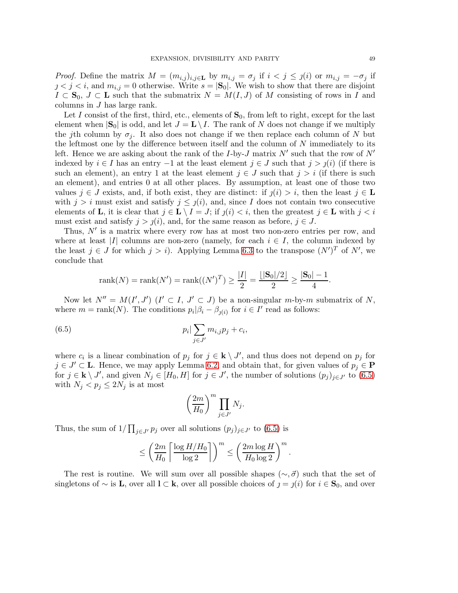*Proof.* Define the matrix  $M = (m_{i,j})_{i,j \in \mathbf{L}}$  by  $m_{i,j} = \sigma_j$  if  $i < j \leq j(i)$  or  $m_{i,j} = -\sigma_j$  if  $j < j < i$ , and  $m_{i,j} = 0$  otherwise. Write  $s = |S_0|$ . We wish to show that there are disjoint  $I \subset \mathbf{S}_0, J \subset \mathbf{L}$  such that the submatrix  $N = M(I, J)$  of M consisting of rows in I and columns in J has large rank.

Let I consist of the first, third, etc., elements of  $S_0$ , from left to right, except for the last element when  $|S_0|$  is odd, and let  $J = L \setminus I$ . The rank of N does not change if we multiply the jth column by  $\sigma_j$ . It also does not change if we then replace each column of N but the leftmost one by the difference between itself and the column of  $N$  immediately to its left. Hence we are asking about the rank of the *I*-by-*J* matrix  $N'$  such that the row of  $N'$ indexed by  $i \in I$  has an entry  $-1$  at the least element  $j \in J$  such that  $j > j(i)$  (if there is such an element), an entry 1 at the least element  $j \in J$  such that  $j > i$  (if there is such an element), and entries 0 at all other places. By assumption, at least one of those two values  $j \in J$  exists, and, if both exist, they are distinct: if  $j(i) > i$ , then the least  $j \in L$ with  $j > i$  must exist and satisfy  $j \leq j(i)$ , and, since I does not contain two consecutive elements of **L**, it is clear that  $j \in L \setminus I = J$ ; if  $j(i) < i$ , then the greatest  $j \in L$  with  $j < i$ must exist and satisfy  $j > j(i)$ , and, for the same reason as before,  $j \in J$ .

Thus,  $N'$  is a matrix where every row has at most two non-zero entries per row, and where at least |I| columns are non-zero (namely, for each  $i \in I$ , the column indexed by the least  $j \in J$  for which  $j > i$ ). Applying Lemma [6.3](#page-47-0) to the transpose  $(N')^T$  of N', we conclude that

$$
rank(N) = rank(N') = rank((N')^{T}) \ge \frac{|I|}{2} = \frac{\lfloor |\mathbf{S}_{0}|/2 \rfloor}{2} \ge \frac{|\mathbf{S}_{0}| - 1}{4}.
$$

Now let  $N'' = M(I', J')$   $(I' \subset I, J' \subset J)$  be a non-singular m-by-m submatrix of N, where  $m = \text{rank}(N)$ . The conditions  $p_i | \beta_i - \beta_{j(i)}$  for  $i \in I'$  read as follows:

(6.5) 
$$
p_i | \sum_{j \in J'} m_{i,j} p_j + c_i,
$$

where  $c_i$  is a linear combination of  $p_j$  for  $j \in \mathbf{k} \setminus J'$ , and thus does not depend on  $p_j$  for  $j \in J' \subset L$ . Hence, we may apply Lemma [6.2,](#page-46-3) and obtain that, for given values of  $p_j \in P$ for  $j \in \mathbf{k} \setminus J'$ , and given  $N_j \in [H_0, H]$  for  $j \in J'$ , the number of solutions  $(p_j)_{j \in J'}$  to  $(6.5)$ with  $N_j < p_j \leq 2N_j$  is at most

<span id="page-48-0"></span>
$$
\left(\frac{2m}{H_0}\right)^m \prod_{j\in J'} N_j.
$$

Thus, the sum of  $1/\prod_{j\in J'} p_j$  over all solutions  $(p_j)_{j\in J'}$  to  $(6.5)$  is

$$
\leq \left(\frac{2m}{H_0}\left\lceil\frac{\log H/H_0}{\log 2}\right\rceil\right)^m \leq \left(\frac{2m\log H}{H_0\log 2}\right)^m.
$$

The rest is routine. We will sum over all possible shapes ( $\sim$ ,  $\vec{\sigma}$ ) such that the set of singletons of  $\sim$  is **L**, over all  $I \subset \mathbf{k}$ , over all possible choices of  $j = j(i)$  for  $i \in \mathbf{S}_0$ , and over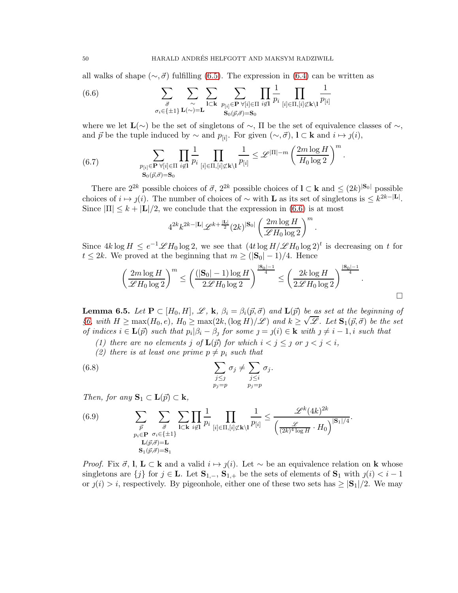all walks of shape ( $\sim$ ,  $\vec{\sigma}$ ) fulfilling [\(6.5\)](#page-48-0). The expression in [\(6.4\)](#page-47-1) can be written as

<span id="page-49-0"></span>(6.6) 
$$
\sum_{\substack{\vec{\sigma} \\ \sigma_i \in \{\pm 1\} \ L(\sim)=\mathbf{L}}} \sum_{\substack{\mathbf{l} \subset \mathbf{k} \\ \mathbf{s}_0(\vec{p},\vec{\sigma})=\mathbf{S}_0}} \sum_{\substack{\mathbf{l} \in \mathbf{P} \ \forall [i] \in \Pi \ i \notin \mathbf{l} \\ \mathbf{s}_0(\vec{p},\vec{\sigma})=\mathbf{S}_0}} \prod_{\substack{\mathbf{l} \\ [i] \in \Pi, [i] \not\subset \mathbf{k} \setminus \mathbf{l}}} \frac{1}{p_{[i]}}
$$

where we let  $\mathbf{L}(\sim)$  be the set of singletons of  $\sim$ ,  $\Pi$  be the set of equivalence classes of  $\sim$ , and  $\vec{p}$  be the tuple induced by  $\sim$  and  $p_{[i]}$ . For given  $(\sim, \vec{\sigma})$ ,  $\mathbf{l} \subset \mathbf{k}$  and  $i \mapsto j(i)$ ,

<span id="page-49-2"></span>(6.7) 
$$
\sum_{\substack{p_{[i]}\in \mathbf{P} \ \forall [i]\in \Pi \ i\not\in I}} \prod_{i\not\in I} \frac{1}{p_i} \prod_{[i]\in \Pi, [i]\not\subset \mathbf{k}\setminus I} \frac{1}{p_{[i]}} \leq \mathscr{L}^{|\Pi|-m} \left(\frac{2m\log H}{H_0\log 2}\right)^m
$$

$$
\mathbf{S}_0(\vec{p},\vec{\sigma})=\mathbf{S}_0
$$

There are  $2^{2k}$  possible choices of  $\vec{\sigma}$ ,  $2^{2k}$  possible choices of  $\mathbf{l} \subset \mathbf{k}$  and  $\leq (2k)^{|\mathbf{S}_0|}$  possible choices of  $i \mapsto j(i)$ . The number of choices of ∼ with **L** as its set of singletons is  $\leq k^{2k-|\mathbf{L}|}$ . Since  $|\Pi| \leq k + |\mathbf{L}|/2$ , we conclude that the expression in [\(6.6\)](#page-49-0) is at most

$$
4^{2k}k^{2k-|\mathbf{L}|}\mathscr{L}^{k+\frac{|\mathbf{L}|}{2}}(2k)^{|\mathbf{S}_0|}\left(\frac{2m\log H}{\mathscr{L}H_0\log 2}\right)^m
$$

Since  $4k \log H \le e^{-1} \mathscr{L} H_0 \log 2$ , we see that  $(4t \log H/\mathscr{L} H_0 \log 2)^t$  is decreasing on t for  $t \leq 2k$ . We proved at the beginning that  $m \geq (|\mathbf{S}_0| - 1)/4$ . Hence

$$
\left(\frac{2m\log H}{\mathscr{L}H_0\log 2}\right)^m \le \left(\frac{(|\mathbf{S}_0|-1)\log H}{2\mathscr{L}H_0\log 2}\right)^{\frac{|\mathbf{S}_0|-1}{4}} \le \left(\frac{2k\log H}{2\mathscr{L}H_0\log 2}\right)^{\frac{|\mathbf{S}_0|-1}{4}}.
$$

.

.

.

<span id="page-49-4"></span>**Lemma 6.5.** Let  $P \subset [H_0, H]$ ,  $\mathscr{L}$ , **k**,  $\beta_i = \beta_i(\vec{p}, \vec{\sigma})$  and  $\mathbf{L}(\vec{p})$  be as set at the beginning of **Example 3.6.** Let  $S_0$ ,  $\Xi_0$  is  $\Xi_1$  is  $\Xi_2$  in  $\Xi_1$   $\Xi_2$  ( $\Xi_3$ )  $\Xi_3$  and  $\Xi_4$   $\Xi_5$  ( $\Xi_7$ )  $\Xi_7$  and  $\Xi_8$   $\Xi_8$  ( $\Xi_7$ )  $\Xi_7$  and  $\Xi_8$   $\Xi_8$  ( $\Xi_7$ )  $\Xi_7$  and  $\Xi_8$   $\Xi_7$   $\Xi_7$   $\Xi_7$  *of indices*  $i \in \mathbf{L}(\vec{p})$  *such that*  $p_i | \beta_i - \beta_j$  *for some*  $j = j(i) \in \mathbf{k}$  *with*  $j \neq i - 1, i$  *such that* 

- <span id="page-49-3"></span>*(1) there are no elements j of*  $\mathbf{L}(\vec{p})$  *for which*  $i < j \leq j$  *or*  $j < j < i$ *,*
- <span id="page-49-1"></span>*(2) there is at least one prime*  $p \neq p_i$  *such that*

(6.8) 
$$
\sum_{\substack{j\leq j\\p_j=p}} \sigma_j \neq \sum_{\substack{j\leq i\\p_j=p}} \sigma_j.
$$

*Then, for any*  $\mathbf{S}_1 \subset \mathbf{L}(\vec{p}) \subset \mathbf{k}$ *,* 

(6.9) 
$$
\sum_{\substack{\vec{p} \ \text{p}_{i} \in \mathbf{P} \ \sigma_{i} \in \{\pm 1\} \\ D(\vec{p}, \vec{\sigma}) = \mathbf{L}}} \sum_{\substack{\vec{p} \ \text{all} \\ \mathbf{L}(\vec{p}, \vec{\sigma}) = \mathbf{L}}} \prod_{\substack{\mathbf{i} \in \mathbf{R} \ i \notin \mathbf{l} \\ \mathbf{S}_1(\vec{p}, \vec{\sigma}) = \mathbf{S}_1}} \frac{1}{p_i} \prod_{\substack{\mathbf{i} \in \mathbf{R}, |\mathbf{i}| \notin \mathbf{k} \\ \mathbf{l}(\mathbf{k}) \in \mathbf{R}}} \frac{1}{p_{[i]}} \leq \frac{\mathscr{L}^k(4k)^{2k}}{\left(\frac{\mathscr{L}}{(2k)^4 \log H} \cdot H_0\right)^{|\mathbf{S}_1|/4}}
$$

*Proof.* Fix  $\vec{\sigma}$ , **l**,  $\mathbf{L} \subset \mathbf{k}$  and a valid  $i \mapsto j(i)$ . Let  $\sim$  be an equivalence relation on **k** whose singletons are  $\{j\}$  for  $j \in L$ . Let  $S_{1,-}, S_{1,+}$  be the sets of elements of  $S_1$  with  $j(i) < i-1$ or  $j(i) > i$ , respectively. By pigeonhole, either one of these two sets has  $\geq |\mathbf{S}_1|/2$ . We may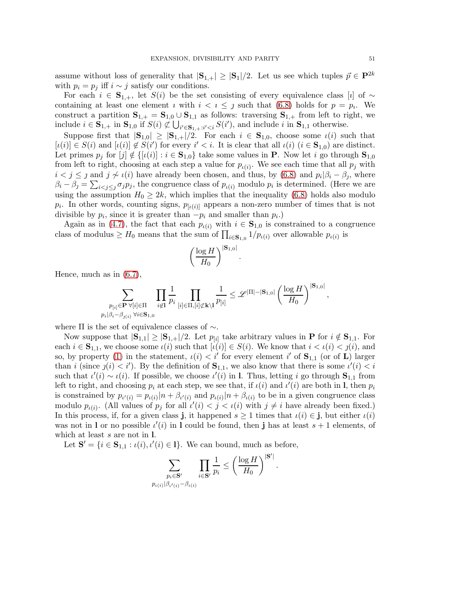assume without loss of generality that  $|\mathbf{S}_{1,+}| \geq |\mathbf{S}_1|/2$ . Let us see which tuples  $\vec{p} \in \mathbf{P}^{2k}$ with  $p_i = p_j$  iff  $i \sim j$  satisfy our conditions.

For each  $i \in S_{1,+}$ , let  $S(i)$  be the set consisting of every equivalence class [i] of ~ containing at least one element  $i$  with  $i < i \leq j$  such that [\(6.8\)](#page-49-1) holds for  $p = p_i$ . We construct a partition  $S_{1,+} = S_{1,0} \cup S_{1,1}$  as follows: traversing  $S_{1,+}$  from left to right, we include  $i \in \mathbf{S}_{1,+}$  in  $\mathbf{S}_{1,0}$  if  $S(i) \not\subset \bigcup_{i' \in \mathbf{S}_{1,+}:i' \leq i} S(i')$ , and include i in  $\mathbf{S}_{1,1}$  otherwise.

Suppose first that  $|S_{1,0}| \geq |S_{1,+}|/2$ . For each  $i \in S_{1,0}$ , choose some  $\iota(i)$  such that  $[\iota(i)] \in S(i)$  and  $[\iota(i)] \notin S(i')$  for every  $i' < i$ . It is clear that all  $\iota(i)$   $(i \in S_{1,0})$  are distinct. Let primes  $p_j$  for  $[j] \notin \{[\iota(i)] : i \in \mathbf{S}_{1,0}\}$  take some values in **P**. Now let i go through  $\mathbf{S}_{1,0}$ from left to right, choosing at each step a value for  $p_{\iota(i)}$ . We see each time that all  $p_j$  with  $i < j \leq j$  and  $j \not\sim \iota(i)$  have already been chosen, and thus, by [\(6.8\)](#page-49-1) and  $p_i | \beta_i - \beta_j$ , where  $\beta_i - \beta_j = \sum_{i < j \leq j} \sigma_j p_j$ , the congruence class of  $p_{\iota(i)}$  modulo  $p_i$  is determined. (Here we are using the assumption  $H_0 \geq 2k$ , which implies that the inequality [\(6.8\)](#page-49-1) holds also modulo  $p_i$ . In other words, counting signs,  $p_{\lbrack i(i)\rbrack}$  appears a non-zero number of times that is not divisible by  $p_i$ , since it is greater than  $-p_i$  and smaller than  $p_i$ .)

Again as in [\(4.7\)](#page-27-1), the fact that each  $p_{\iota(i)}$  with  $i \in \mathbf{S}_{1,0}$  is constrained to a congruence class of modulus  $\geq H_0$  means that the sum of  $\prod_{i\in\mathbf{S}_{1,0}}1/p_{\iota(i)}$  over allowable  $p_{\iota(i)}$  is

$$
\left(\frac{\log H}{H_0}\right)^{|\mathbf{S}_{1,0}|}
$$

.

Hence, much as in [\(6.7\)](#page-49-2),

$$
\sum_{\substack{p_{[i]}\in \mathbf{P} \ \forall [i]\in \Pi \\ p_i|\beta_i-\beta_{j(i)}\ \forall i\in \mathbf{S}_{1,0}}}\prod_{i\not\in \mathbf{I}}\frac{1}{p_i}\prod_{[i]\in \Pi, [i]\not\subset \mathbf{k}\backslash \mathbf{l}}\frac{1}{p_{[i]}}\leq \mathscr{L}^{|\Pi|-|\mathbf{S}_{1,0}|}\left(\frac{\log H}{H_0}\right)^{|\mathbf{S}_{1,0}|},
$$

where  $\Pi$  is the set of equivalence classes of  $\sim$ .

Now suppose that  $|\mathbf{S}_{1,1}| \geq |\mathbf{S}_{1,+}|/2$ . Let  $p_{[i]}$  take arbitrary values in **P** for  $i \notin \mathbf{S}_{1,1}$ . For each  $i \in \mathbf{S}_{1,1}$ , we choose some  $\iota(i)$  such that  $[\iota(i)] \in S(i)$ . We know that  $i < \iota(i) < j(i)$ , and so, by property [\(1\)](#page-49-3) in the statement,  $\iota(i) < i'$  for every element i' of  $S_{1,1}$  (or of L) larger than i (since  $j(i) < i'$ ). By the definition of  $S_{1,1}$ , we also know that there is some  $\iota'(i) < i$ such that  $\iota'(i) \sim \iota(i)$ . If possible, we choose  $\iota'(i)$  in l. Thus, letting i go through  $S_{1,1}$  from left to right, and choosing  $p_i$  at each step, we see that, if  $\iota(i)$  and  $\iota'(i)$  are both in **l**, then  $p_i$ is constrained by  $p_{\iota'(i)} = p_{\iota(i)}|n + \beta_{\iota'(i)}$  and  $p_{\iota(i)}|n + \beta_{\iota(i)}$  to be in a given congruence class modulo  $p_{\iota(i)}$ . (All values of  $p_j$  for all  $\iota'(i) < j < \iota(i)$  with  $j \neq i$  have already been fixed.) In this process, if, for a given class j, it happened  $s \geq 1$  times that  $\iota(i) \in j$ , but either  $\iota(i)$ was not in 1 or no possible  $\iota'(i)$  in 1 could be found, then j has at least  $s + 1$  elements, of which at least s are not in **l**.

Let  $S' = \{i \in S_{1,1} : \iota(i), \iota'(i) \in I\}$ . We can bound, much as before,

$$
\sum_{\substack{p_i \in \mathbf{S}^{\prime} \\ p_{\iota(i)} | \beta_{\iota'(i)} - \beta_{\iota(i)}}} \prod_{i \in \mathbf{S}^{\prime}} \frac{1}{p_i} \le \left(\frac{\log H}{H_0}\right)^{|\mathbf{S}^{\prime}|}
$$

.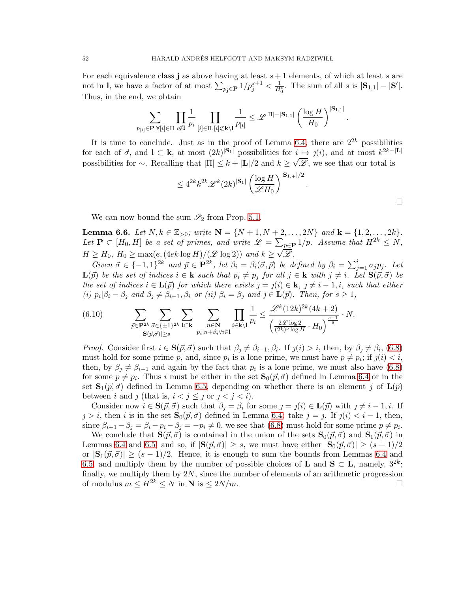For each equivalence class j as above having at least  $s + 1$  elements, of which at least s are not in 1, we have a factor of at most  $\sum_{p_j \in \mathbf{P}} 1/p_j^{s+1} < \frac{1}{H_0^s}$ . The sum of all s is  $|\mathbf{S}_{1,1}| - |\mathbf{S}'|$ . Thus, in the end, we obtain

$$
\sum_{p_{[i]}\in \mathbf{P}}\prod_{\forall [i]\in \Pi}\prod_{i\not\in \mathbf{I}}\frac{1}{p_i}\prod_{[i]\in \Pi, [i]\not\subset \mathbf{k}\setminus \mathbf{l}}\frac{1}{p_{[i]}}\leq \mathscr{L}^{|\Pi|-|\mathbf{S}_{1,1}|}\left(\frac{\log H}{H_0}\right)^{|\mathbf{S}_{1,1}|}.
$$

It is time to conclude. Just as in the proof of Lemma [6.4,](#page-47-2) there are  $2^{2k}$  possibilities for each of  $\vec{\sigma}$ , and  $\mathbf{l} \subset \mathbf{k}$ , at most  $(2k)^{|\mathbf{S}_1|}$  possibilities for  $i \mapsto j(i)$ , and at most  $k^{2k-|\mathbf{L}|}$ possibilities for ∼. Recalling that  $|\Pi| \le k + |\mathbf{L}|/2$  and  $k \ge \sqrt{\mathscr{L}}$ , we see that our total is

$$
\leq 4^{2k} k^{2k} \mathscr{L}^k(2k)^{|\mathbf{S}_1|} \left(\frac{\log H}{\mathscr{L}H_0}\right)^{|\mathbf{S}_{1,+}|/2}.
$$

We can now bound the sum  $\mathcal{S}_2$  from Prop. [5.1.](#page-31-0)

<span id="page-51-0"></span>Lemma 6.6. Let  $N, k \in \mathbb{Z}_{>0}$ ; write  $N = \{N+1, N+2, \ldots, 2N\}$  and  $k = \{1, 2, \ldots, 2k\}$ . Let  $P \subset [H_0, H]$  be a set of primes, and write  $\mathscr{L} = \sum_{p \in P} 1/p$ . Assume that  $H^{2k} \le N$ ,  $H \geq H_0, H_0 \geq \max(e, (4ek \log H)/(\mathcal{L} \log 2))$  *and*  $k \geq \sqrt{\mathcal{L}}$ .

 $Given \ \vec{\sigma} \in \{-1,1\}^{2k} \ and \ \vec{p} \in \mathbf{P}^{2k}, \ let \ \beta_i = \beta_i(\vec{\sigma}, \vec{p}) \ be \ defined \ by \ \beta_i = \sum_{j=1}^i \sigma_j p_j.$  Let  $\mathbf{L}(\vec{p})$  *be the set of indices*  $i \in \mathbf{k}$  *such that*  $p_i \neq p_j$  *for all*  $j \in \mathbf{k}$  *with*  $j \neq i$ *. Let*  $\mathbf{S}(\vec{p}, \vec{\sigma})$  *be the set of indices*  $i \in L(\vec{p})$  *for which there exists*  $j = j(i) \in k$ ,  $j \neq i - 1, i$ *, such that either (i)*  $p_i | \beta_i - \beta_j$  *and*  $\beta_j \neq \beta_{i-1}, \beta_i$  *or (ii)*  $\beta_i = \beta_j$  *and*  $j \in \mathbf{L}(\vec{p})$ *. Then, for*  $s \geq 1$ *,* 

(6.10) 
$$
\sum_{\vec{p}\in \mathbf{P}^{2k}} \sum_{\vec{\sigma}\in\{\pm 1\}^{2k}} \sum_{\mathbf{l}\subset \mathbf{k}} \sum_{\substack{n\in \mathbf{N} \\ p_i|n+\beta_i\forall i\in \mathbf{l}}} \prod_{i\in \mathbf{k}\backslash \mathbf{l}} \frac{1}{p_i} \leq \frac{\mathscr{L}^k (12k)^{2k} (4k+2)}{\left(\frac{2\mathscr{L}\log 2}{(2k)^5 \log H} \cdot H_0\right)^{\frac{s-1}{8}}} \cdot N.
$$

*Proof.* Consider first  $i \in \mathbf{S}(\vec{p}, \vec{\sigma})$  such that  $\beta_j \neq \beta_{i-1}, \beta_i$ . If  $j(i) > i$ , then, by  $\beta_j \neq \beta_i$ , [\(6.8\)](#page-49-1) must hold for some prime p, and, since  $p_i$  is a lone prime, we must have  $p \neq p_i$ ; if  $j(i) \leq i$ , then, by  $\beta_j \neq \beta_{i-1}$  and again by the fact that  $p_i$  is a lone prime, we must also have [\(6.8\)](#page-49-1) for some  $p \neq p_i$ . Thus i must be either in the set  $\mathbf{S}_0(\vec{p}, \vec{\sigma})$  defined in Lemma [6.4](#page-47-2) or in the set  $\mathbf{S}_1(\vec{p}, \vec{\sigma})$  defined in Lemma [6.5,](#page-49-4) depending on whether there is an element j of  $\mathbf{L}(\vec{p})$ between i and j (that is,  $i < j \leq j$  or  $j < j < i$ ).

Consider now  $i \in \mathbf{S}(\vec{p}, \vec{\sigma})$  such that  $\beta_j = \beta_i$  for some  $j = j(i) \in \mathbf{L}(\vec{p})$  with  $j \neq i - 1, i$ . If  $j > i$ , then i is in the set  $\mathbf{S}_0(\vec{p}, \vec{\sigma})$  defined in Lemma [6.4:](#page-47-2) take  $j = j$ . If  $j(i) < i - 1$ , then, since  $\beta_{i-1} - \beta_j = \beta_i - p_i - \beta_j = -p_i \neq 0$ , we see that  $(6.8)$  must hold for some prime  $p \neq p_i$ .

We conclude that  $\mathbf{S}(\vec{p}, \vec{\sigma})$  is contained in the union of the sets  $\mathbf{S}_0(\vec{p}, \vec{\sigma})$  and  $\mathbf{S}_1(\vec{p}, \vec{\sigma})$  in Lemmas [6.4](#page-47-2) and [6.5,](#page-49-4) and so, if  $|\mathbf{S}(\vec{p}, \vec{\sigma})| \geq s$ , we must have either  $|\mathbf{S}_0(\vec{p}, \vec{\sigma})| \geq (s+1)/2$ or  $|S_1(\vec{p}, \vec{\sigma})| \ge (s-1)/2$ . Hence, it is enough to sum the bounds from Lemmas [6.4](#page-47-2) and [6.5,](#page-49-4) and multiply them by the number of possible choices of **L** and **S**  $\subset$  **L**, namely,  $3^{2k}$ ; finally, we multiply them by  $2N$ , since the number of elements of an arithmetic progression of modulus  $m \le H^{2k} \le N$  in  $N$  is  $\le 2N/m$ .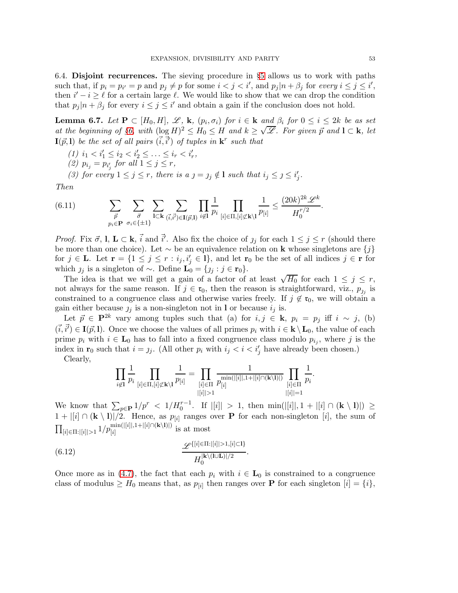6.4. Disjoint recurrences. The sieving procedure in §[5](#page-30-0) allows us to work with paths such that, if  $p_i = p_{i'} = p$  and  $p_j \neq p$  for some  $i < j < i'$ , and  $p_j | n + \beta_j$  for *every*  $i \leq j \leq i'$ , then  $i' - i \geq \ell$  for a certain large  $\ell$ . We would like to show that we can drop the condition that  $p_j | n + \beta_j$  for every  $i \leq j \leq i'$  and obtain a gain if the conclusion does not hold.

<span id="page-52-1"></span>**Lemma 6.7.** Let  $P \subset [H_0, H]$ ,  $\mathscr{L}, \mathbf{k}, (p_i, \sigma_i)$  for  $i \in \mathbf{k}$  and  $\beta_i$  for  $0 \leq i \leq 2k$  be as set *at the beginning of §[6,](#page-44-1) with*  $(\log H)^2 \leq H_0 \leq H$  *and*  $k \geq \sqrt{\mathscr{L}}$ *. For given*  $\vec{p}$  *and*  $1 \subset k$ *, let*  $I(\vec{p},l)$  *be the set of all pairs*  $(\vec{i}, \vec{i}')$  *of tuples in*  $\mathbf{k}^r$  *such that* 

 $(1)$   $i_1 < i'_1 \leq i_2 < i'_2 \leq \ldots \leq i_r < i'_r$ ,

(2)  $p_{i_j} = p_{i'_j}$  for all  $1 \leq j \leq r$ ,

*(3) for every*  $1 \leq j \leq r$ , there is  $a_j = j_j \notin I$  such that  $i_j \leq j \leq i'_j$ .

*Then*

(6.11) 
$$
\sum_{\vec{p}} \sum_{\substack{\vec{\sigma} \\ p_i \in \mathbf{P}}} \sum_{\substack{\sigma_i \in \{\pm 1\} }} \sum_{\mathbf{l} \subset \mathbf{k}} \sum_{(\vec{i},\vec{i'}) \in \mathbf{I}(\vec{p},\mathbf{l})} \prod_{i \notin \mathbf{l}} \frac{1}{p_i} \prod_{[i] \in \Pi, [i] \not\subset \mathbf{k} \setminus \mathbf{l}} \frac{1}{p_{[i]}} \leq \frac{(20k)^{2k} \mathscr{L}^k}{H_0^{r/2}}.
$$

*Proof.* Fix  $\vec{\sigma}$ , **l**,  $\mathbf{L} \subset \mathbf{k}$ ,  $\vec{i}$  and  $\vec{i}'$ . Also fix the choice of  $j_j$  for each  $1 \leq j \leq r$  (should there be more than one choice). Let  $\sim$  be an equivalence relation on **k** whose singletons are  $\{j\}$ for  $j \in \mathbf{L}$ . Let  $\mathbf{r} = \{1 \leq j \leq r : i_j, i'_j \in \mathbf{l}\}$ , and let  $\mathbf{r}_0$  be the set of all indices  $j \in \mathbf{r}$  for which  $j_j$  is a singleton of ∼. Define  $\mathbf{L}_0 = \{j_j : j \in \mathbf{r}_0\}.$ 

The idea is that we will get a gain of a factor of at least  $\sqrt{H_0}$  for each  $1 \leq j \leq r$ , not always for the same reason. If  $j \in \mathfrak{r}_0$ , then the reason is straightforward, viz.,  $p_{j_j}$  is constrained to a congruence class and otherwise varies freely. If  $j \notin \mathfrak{r}_0$ , we will obtain a gain either because  $j_j$  is a non-singleton not in l or because  $i_j$  is.

Let  $\vec{p} \in \mathbf{P}^{2k}$  vary among tuples such that (a) for  $i, j \in \mathbf{k}$ ,  $p_i = p_j$  iff  $i \sim j$ , (b)  $(\vec{i}, \vec{i'}) \in I(\vec{p}, l)$ . Once we choose the values of all primes  $p_i$  with  $i \in \mathbf{k} \setminus L_0$ , the value of each prime  $p_i$  with  $i \in \mathbf{L}_0$  has to fall into a fixed congruence class modulo  $p_{i_j}$ , where j is the index in  $\mathbf{r}_0$  such that  $i = j_j$ . (All other  $p_i$  with  $i_j < i < i'_j$  have already been chosen.)

Clearly,

<span id="page-52-0"></span>
$$
\prod_{i \notin I} \frac{1}{p_i} \prod_{[i] \in \Pi, [i] \not\subset \mathbf{k} \setminus I} \frac{1}{p_{[i]}} = \prod_{\substack{[i] \in \Pi \\ |[i]| > 1}} \frac{1}{p_{[i]}} \prod_{\substack{[i] \cap (\mathbf{k} \setminus I)] \\ |[i]| = 1}} \prod_{\substack{[i] \in \Pi \\ |[i]| = 1}} \frac{1}{p_i}
$$

.

We know that  $\sum_{p\in \mathbf{P}} 1/p^r < 1/H_0^{r-1}$ . If  $|[i]| > 1$ , then  $\min(|[i]|, 1 + |[i] \cap (\mathbf{k} \setminus 1)|) \ge$  $1+|[i] \cap (\mathbf{k} \setminus \mathbf{l})|/2$ . Hence, as  $p_{[i]}$  ranges over **P** for each non-singleton [i], the sum of  $\prod_{[i] \in \Pi : |[i]| > 1} 1/p^{\min(|[i]|,1+|[i]\cap(\mathbf{k}\setminus\mathbf{l})|)}_{[i]}$  is at most

(6.12) 
$$
\frac{\mathscr{L}\{[i] \in \Pi : |[i]| > 1, [i] \subset I\}}{H_0^{[k \setminus (I \cup L)]/2}}.
$$

Once more as in [\(4.7\)](#page-27-1), the fact that each  $p_i$  with  $i \in L_0$  is constrained to a congruence class of modulus  $\geq H_0$  means that, as  $p_{[i]}$  then ranges over **P** for each singleton  $[i] = \{i\},$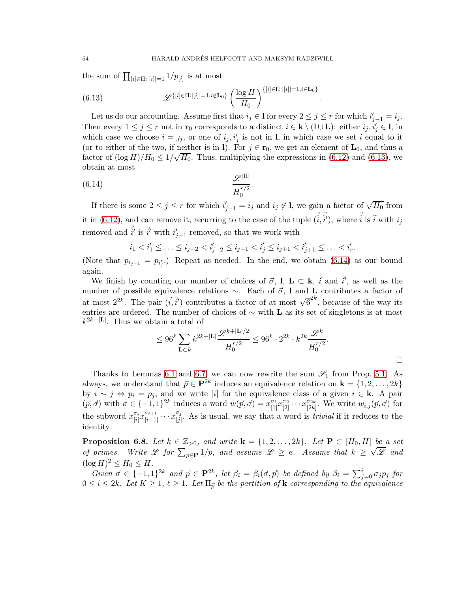.

the sum of  $\prod_{[i] \in \Pi : |[i]|=1} 1/p_{[i]}$  is at most

<span id="page-53-0"></span>(6.13) 
$$
\mathscr{L}\{\text{[}i]\in\Pi:\text{[}[i]|=1,i\notin \mathbf{L}_0\}\left(\frac{\log H}{H_0}\right)^{\{[i]\in\Pi:\text{[}[i]|=1,i\in \mathbf{L}_0\}}\right)
$$

Let us do our accounting. Assume first that  $i_j \in I$  for every  $2 \leq j \leq r$  for which  $i'_{j-1} = i_j$ . Then every  $1 \leq j \leq r$  not in  $\mathbf{r}_0$  corresponds to a distinct  $i \in \mathbf{k} \setminus (I \cup \mathbf{L})$ : either  $i_j, i'_j \in \mathbf{l}$ , in which case we choose  $i = j_j$ , or one of  $i_j, i'_j$  is not in l, in which case we set i equal to it (or to either of the two, if neither is in l). For  $j \in \mathbf{r}_0$ , we get an element of  $\mathbf{L}_0$ , and thus a factor of  $(\log H)/H_0 \leq 1/\sqrt{H_0}$ . Thus, multiplying the expressions in [\(6.12\)](#page-52-0) and [\(6.13\)](#page-53-0), we obtain at most

$$
\frac{\mathscr{L}^{|\Pi|}}{H_0^{r/2}}.
$$

If there is some  $2 \leq j \leq r$  for which  $i'_{j-1} = i_j$  and  $i_j \notin I$ , we gain a factor of  $\sqrt{H_0}$  from it in [\(6.12\)](#page-52-0), and can remove it, recurring to the case of the tuple  $(\vec{i}, \vec{i}')$ , where  $\vec{i}$  is  $\vec{i}$  with  $i_j$ removed and  $\vec{i'}$  is  $\vec{i'}$  with  $i'_{j-1}$  removed, so that we work with

<span id="page-53-1"></span>
$$
i_1 < i'_1 \leq \ldots \leq i_{j-2} < i'_{j-2} \leq i_{j-1} < i'_j \leq i_{j+1} < i'_{j+1} \leq \ldots < i'_r.
$$

(Note that  $p_{i_{j-1}} = p_{i'_j}$ .) Repeat as needed. In the end, we obtain [\(6.14\)](#page-53-1) as our bound again.

We finish by counting our number of choices of  $\vec{\sigma}$ , l, L ⊂ k,  $\vec{i}$  and  $\vec{i'}$ , as well as the number of possible equivalence relations  $\sim$ . Each of  $\vec{\sigma}$ , l and L contributes a factor of at most  $2^{2k}$ . The pair  $(\vec{i}, \vec{i}')$  contributes a factor of at most  $\sqrt{6}^{2k}$ , because of the way its entries are ordered. The number of choices of  $\sim$  with **L** as its set of singletons is at most  $k^{2k-|\mathbf{L}|}$ . Thus we obtain a total of

$$
\leq 96^k \sum_{{\mathbf L} \subset k} k^{2k-|{\mathbf L}|} \frac{\mathscr{L}^{k+|{\mathbf L}|/2}}{H_0^{r/2}} \leq 96^k \cdot 2^{2k} \cdot k^{2k} \frac{\mathscr{L}^k}{H_0^{r/2}}.
$$

Thanks to Lemmas [6.1](#page-45-3) and [6.7,](#page-52-1) we can now rewrite the sum  $\mathscr{S}_1$  from Prop. [5.1.](#page-31-0) As always, we understand that  $\vec{p} \in \mathbf{P}^{2k}$  induces an equivalence relation on  $\mathbf{k} = \{1, 2, ..., 2k\}$ by  $i \sim j \Leftrightarrow p_i = p_j$ , and we write [i] for the equivalence class of a given  $i \in \mathbf{k}$ . A pair  $(\vec{p}, \vec{\sigma})$  with  $\sigma \in \{-1, 1\}^{2k}$  induces a word  $w(\vec{p}, \vec{\sigma}) = x_{[1]}^{\sigma_1} x_{[2]}^{\sigma_2} \cdots x_{[2k]}^{\sigma_{2k}}$  $\begin{bmatrix} \sigma_{2k} \\ [2k] \end{bmatrix}$ . We write  $w_{i,j}(\vec{p}, \vec{\sigma})$  for the subword  $x_{[i]}^{\sigma_i}$  $\frac{\sigma_i}{[i]} x_{[i+1]}^{\sigma_{i+1}} \cdots x_{[j]}^{\sigma_j}$  $\begin{bmatrix} \begin{smallmatrix} \mathcal{O}_j \\ j \end{smallmatrix} \end{bmatrix}$ . As is usual, we say that a word is *trivial* if it reduces to the identity.

<span id="page-53-2"></span>**Proposition 6.8.** Let  $k \in \mathbb{Z}_{>0}$ , and write  $\mathbf{k} = \{1, 2, \ldots, 2k\}$ . Let  $\mathbf{P} \subset [H_0, H]$  be a set *of primes.* Write L for  $\sum_{p \in \mathbf{P}} 1/p$ *, and assume*  $\mathcal{L} \geq e$ *. Assume that*  $k \geq \sqrt{\mathcal{L}}$  and  $(\log H)^2 \le H_0 \le H$ .

 $Given \ \vec{\sigma} \in \{-1,1\}^{2k} \ \text{and} \ \vec{p} \in \mathbf{P}^{2k}, \ \text{let} \ \beta_i = \beta_i(\vec{\sigma}, \vec{p}) \ \text{be defined by} \ \beta_i = \sum_{j=0}^i \sigma_j p_j \ \text{for}$  $0 \leq i \leq 2k$ *. Let*  $K \geq 1$ ,  $\ell \geq 1$ *. Let*  $\Pi_{\vec{p}}$  *be the partition of* **k** *corresponding to the equivalence*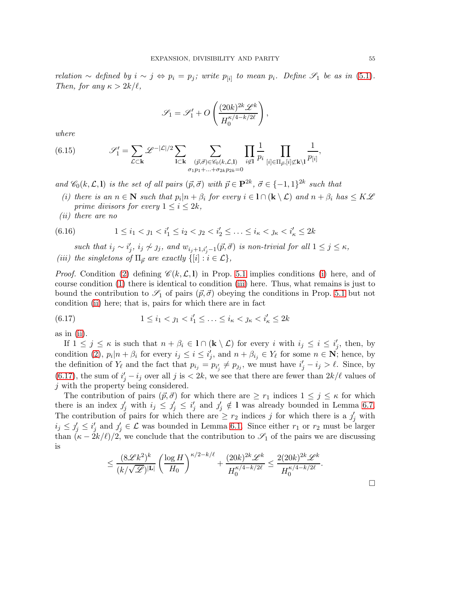*relation* ∼ *defined by*  $i \sim j \Leftrightarrow p_i = p_j$ ; write  $p_{[i]}$  to mean  $p_i$ . Define  $\mathcal{S}_1$  be as in [\(5.1\)](#page-31-1). *Then, for any*  $\kappa > 2k/\ell$ ,

$$
\mathscr{S}_1 = \mathscr{S}'_1 + O\left(\frac{(20k)^{2k} \mathscr{L}^k}{H_0^{\kappa/4 - k/2\ell}}\right),\,
$$

*where*

<span id="page-54-4"></span>(6.15) 
$$
\mathscr{S}'_1 = \sum_{\mathcal{L} \subset \mathbf{k}} \mathscr{L}^{-|\mathcal{L}|/2} \sum_{\mathbf{l} \subset \mathbf{k}} \sum_{\substack{(\vec{p}, \vec{\sigma}) \in \mathscr{C}_0(k, \mathcal{L}, \mathbf{l}) \\ \sigma_1 p_1 + \ldots + \sigma_{2k} p_{2k} = 0}} \prod_{i \notin \mathbf{l}} \frac{1}{p_i} \prod_{[i] \in \Pi_{\vec{p}}, [i] \not\subset \mathbf{k} \setminus \mathbf{l}} \frac{1}{p_{[i]}}
$$

<span id="page-54-0"></span>*and*  $\mathscr{C}_0(k, \mathcal{L}, 1)$  *is the set of all pairs*  $(\vec{p}, \vec{\sigma})$  *with*  $\vec{p} \in \mathbf{P}^{2k}$ ,  $\vec{\sigma} \in \{-1, 1\}^{2k}$  *such that* 

- *(i)* there is an  $n \in \mathbb{N}$  such that  $p_i|n + \beta_i$  for every  $i \in \mathbb{N} \cap (\mathbf{k} \setminus \mathcal{L})$  and  $n + \beta_i$  has  $\leq K\mathcal{L}$ *prime divisors for every*  $1 \leq i \leq 2k$ ,
- <span id="page-54-2"></span>*(ii) there are no*

$$
(6.16) \t 1 \leq i_1 < j_1 < i'_1 \leq i_2 < j_2 < i'_2 \leq \ldots \leq i_\kappa < j_\kappa < i'_\kappa \leq 2k
$$

<span id="page-54-1"></span>*such that*  $i_j \sim i'_j$ ,  $i_j \not\sim j_j$ , and  $w_{i_j+1,i'_j-1}(\vec{p}, \vec{\sigma})$  *is non-trivial for all*  $1 \leq j \leq \kappa$ , *(iii)* the singletons of  $\Pi_{\vec{p}}$  are exactly  $\{[i] : i \in \mathcal{L}\},\$ 

*Proof.* Condition [\(2\)](#page-31-2) defining  $\mathscr{C}(k,\mathcal{L},I)$  in Prop. [5.1](#page-31-0) implies conditions [\(i\)](#page-54-0) here, and of course condition [\(1\)](#page-31-3) there is identical to condition [\(iii\)](#page-54-1) here. Thus, what remains is just to bound the contribution to  $\mathscr{S}_1$  of pairs  $(\vec{p}, \vec{\sigma})$  obeying the conditions in Prop. [5.1](#page-31-0) but not condition [\(ii\)](#page-54-2) here; that is, pairs for which there are in fact

<span id="page-54-3"></span>(6.17) 
$$
1 \leq i_1 < j_1 < i_1' \leq \ldots \leq i_\kappa < j_\kappa < i_\kappa' \leq 2k
$$

as in [\(ii\)](#page-54-2).

If  $1 \leq j \leq \kappa$  is such that  $n + \beta_i \in \mathbb{1} \cap (\mathbf{k} \setminus \mathcal{L})$  for every i with  $i_j \leq i \leq i'_j$ , then, by condition [\(2\)](#page-31-2),  $p_i|n + \beta_i$  for every  $i_j \leq i \leq i'_j$ , and  $n + \beta_{i_j} \in Y_\ell$  for some  $n \in \mathbb{N}$ ; hence, by the definition of  $Y_{\ell}$  and the fact that  $p_{i_j} = p_{i'_j} \neq p_{j_j}$ , we must have  $i'_j - i_j > \ell$ . Since, by [\(6.17\)](#page-54-3), the sum of  $i'_j - i_j$  over all j is  $\langle 2k, w \rangle$  see that there are fewer than  $2k/\ell$  values of j with the property being considered.

The contribution of pairs  $(\vec{p}, \vec{\sigma})$  for which there are  $\geq r_1$  indices  $1 \leq j \leq \kappa$  for which there is an index  $j'_j$  with  $i_j \leq j'_j \leq i'_j$  and  $j'_j \notin I$  was already bounded in Lemma [6.7.](#page-52-1) The contribution of pairs for which there are  $\geq r_2$  indices j for which there is a  $j'_j$  with  $i_j \leq j'_j \leq i'_j$  and  $j'_j \in \mathcal{L}$  was bounded in Lemma [6.1.](#page-45-3) Since either  $r_1$  or  $r_2$  must be larger than  $(\kappa - 2k/\ell)/2$ , we conclude that the contribution to  $\mathscr{S}_1$  of the pairs we are discussing is

$$
\leq \frac{(8\mathscr{L}k^2)^k}{(k/\sqrt{\mathscr{L}})^{|\mathbf{L}|}} \left(\frac{\log H}{H_0}\right)^{\kappa/2-k/\ell} + \frac{(20k)^{2k}\mathscr{L}^k}{H_0^{\kappa/4-k/2\ell}} \leq \frac{2(20k)^{2k}\mathscr{L}^k}{H_0^{\kappa/4-k/2\ell}}.
$$

 $\Box$ 

,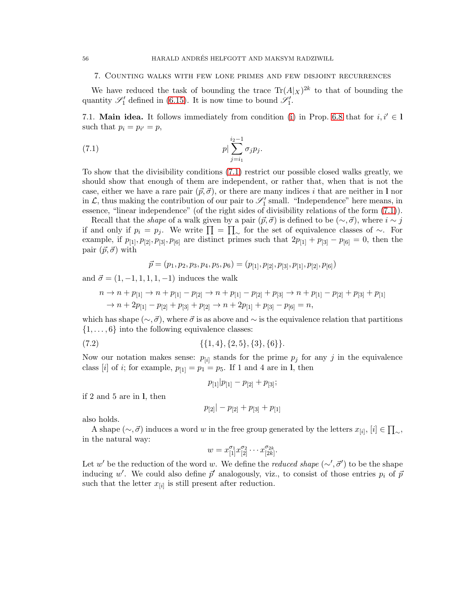### <span id="page-55-0"></span>7. Counting walks with few lone primes and few disjoint recurrences

We have reduced the task of bounding the trace  $\text{Tr}(A|x)^{2k}$  to that of bounding the quantity  $\mathscr{S}'_1$  defined in [\(6.15\)](#page-54-4). It is now time to bound  $\mathscr{S}'_1$ .

<span id="page-55-2"></span>7.1. **Main idea.** It follows immediately from condition [\(i\)](#page-54-0) in Prop. [6.8](#page-53-2) that for  $i, i' \in I$ such that  $p_i = p_{i'} = p$ ,

(7.1) 
$$
p|\sum_{j=i_1}^{i_2-1} \sigma_j p_j.
$$

To show that the divisibility conditions [\(7.1\)](#page-55-1) restrict our possible closed walks greatly, we should show that enough of them are independent, or rather that, when that is not the case, either we have a rare pair  $(\vec{p}, \vec{\sigma})$ , or there are many indices i that are neither in l nor in  $\mathcal{L}$ , thus making the contribution of our pair to  $\mathscr{S}'_1$  small. "Independence" here means, in essence, "linear independence" (of the right sides of divisibility relations of the form [\(7.1\)](#page-55-1)).

Recall that the *shape* of a walk given by a pair  $(\vec{p}, \vec{\sigma})$  is defined to be  $(\sim, \vec{\sigma})$ , where  $i \sim j$ if and only if  $p_i = p_j$ . We write  $\prod = \prod_{\sim}$  for the set of equivalence classes of ∼. For example, if  $p_{[1]}, p_{[2]}, p_{[3]}, p_{[6]}$  are distinct primes such that  $2p_{[1]} + p_{[3]} - p_{[6]} = 0$ , then the pair  $(\vec{p}, \vec{\sigma})$  with

<span id="page-55-1"></span>
$$
\vec{p} = (p_1, p_2, p_3, p_4, p_5, p_6) = (p_{[1]}, p_{[2]}, p_{[3]}, p_{[1]}, p_{[2]}, p_{[6]})
$$

and  $\vec{\sigma} = (1, -1, 1, 1, 1, -1)$  induces the walk

$$
n \to n + p_{[1]} \to n + p_{[1]} - p_{[2]} \to n + p_{[1]} - p_{[2]} + p_{[3]} \to n + p_{[1]} - p_{[2]} + p_{[3]} + p_{[1]} \to n + 2p_{[1]} - p_{[2]} + p_{[3]} + p_{[2]} \to n + 2p_{[1]} + p_{[3]} - p_{[6]} = n,
$$

which has shape ( $\sim$ ,  $\vec{\sigma}$ ), where  $\vec{\sigma}$  is as above and  $\sim$  is the equivalence relation that partitions  $\{1, \ldots, 6\}$  into the following equivalence classes:

(7.2) 
$$
\{\{1,4\},\{2,5\},\{3\},\{6\}\}.
$$

Now our notation makes sense:  $p_{[i]}$  stands for the prime  $p_j$  for any j in the equivalence class [i] of i; for example,  $p_{1} = p_1 = p_5$ . If 1 and 4 are in 1, then

<span id="page-55-3"></span>
$$
p_{[1]}|p_{[1]}-p_{[2]}+p_{[3]};
$$

if 2 and 5 are in l, then

$$
p_{[2]}|-p_{[2]}+p_{[3]}+p_{[1]}
$$

also holds.

A shape  $(\sim, \vec{\sigma})$  induces a word w in the free group generated by the letters  $x_{[i]}, [i] \in \prod_{\sim}$ , in the natural way:

$$
w = x_{[1]}^{\sigma_1} x_{[2]}^{\sigma_2} \cdots x_{[2k]}^{\sigma_{2k}}.
$$

Let w' be the reduction of the word w. We define the *reduced shape* (∼',  $\vec{\sigma}$ ') to be the shape inducing w'. We could also define  $\vec{p}'$  analogously, viz., to consist of those entries  $p_i$  of  $\vec{p}$ such that the letter  $x_{[i]}$  is still present after reduction.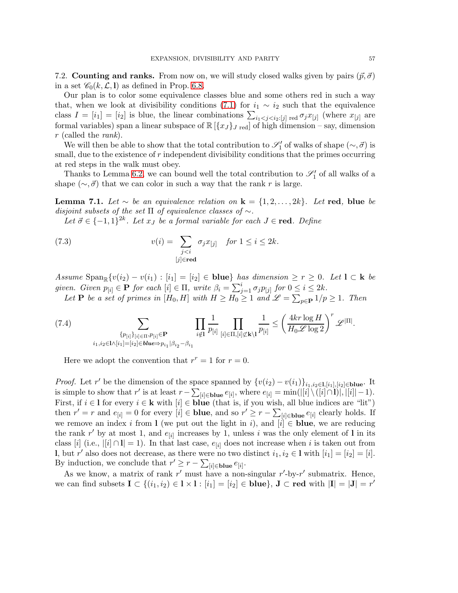7.2. Counting and ranks. From now on, we will study closed walks given by pairs  $(\vec{p}, \vec{\sigma})$ in a set  $\mathcal{C}_0(k,\mathcal{L},\mathbf{l})$  as defined in Prop. [6.8.](#page-53-2)

Our plan is to color some equivalence classes blue and some others red in such a way that, when we look at divisibility conditions [\(7.1\)](#page-55-1) for  $i_1 \sim i_2$  such that the equivalence class  $I = [i_1] = [i_2]$  is blue, the linear combinations  $\sum_{i_1 < j < i_2 : [j]}$  red  $\sigma_j x_{[j]}$  (where  $x_{[j]}$  are formal variables) span a linear subspace of  $\mathbb{R}[\{x_J\}_J]$  red of high dimension – say, dimension r (called the *rank*).

We will then be able to show that the total contribution to  $\mathscr{S}'_1$  of walks of shape  $(\sim, \vec{\sigma})$  is small, due to the existence of  $r$  independent divisibility conditions that the primes occurring at red steps in the walk must obey.

Thanks to Lemma [6.2,](#page-46-3) we can bound well the total contribution to  $\mathscr{S}'_1$  of all walks of a shape ( $\sim$ ,  $\vec{\sigma}$ ) that we can color in such a way that the rank r is large.

<span id="page-56-1"></span>**Lemma 7.1.** *Let* ∼ *be an equivalence relation on*  $\mathbf{k} = \{1, 2, ..., 2k\}$ *. Let* red, blue *be disjoint subsets of the set* Π *of equivalence classes of* ∼*.*

Let  $\vec{\sigma} \in \{-1,1\}^{2k}$ . Let  $x_J$  be a formal variable for each  $J \in \text{red}$ . Define

(7.3) 
$$
v(i) = \sum_{\substack{j < i \\ [j] \in \text{red}}} \sigma_j x_{[j]} \quad \text{for } 1 \le i \le 2k.
$$

*Assume*  $\text{Span}_{\mathbb{R}}\{v(i_2) - v(i_1) : |i_1| = |i_2| \in \text{blue}\}$  *has dimension*  $\geq r \geq 0$ *. Let*  $\mathbf{l} \subset \mathbf{k}$  *be given. Given*  $p_{[i]} \in \mathbf{P}$  *for each*  $[i] \in \Pi$ *, write*  $\beta_i = \sum_{j=1}^i \sigma_j p_{[j]}$  *for*  $0 \le i \le 2k$ *.* 

Let  $P$  *be a set of primes in*  $[H_0, H]$  *with*  $H \geq H_0 \geq 1$  *and*  $\mathscr{L} = \sum_{p \in P} 1/p \geq 1$ *. Then* 

<span id="page-56-0"></span>(7.4) 
$$
\sum_{\{p_{[i]}\}_{[i] \in \Pi, p_{[i]}\in \mathbf{P} \atop i_1, i_2 \in \mathbf{I} \wedge [i_1] = [i_2] \in \mathbf{blue} \Rightarrow p_{i_1} | \beta_{i_2} - \beta_{i_1}} \prod_{i \notin I} \frac{1}{p_{[i]}} \prod_{[i] \in \Pi, [i] \nsubseteq \mathbf{k} \setminus I} \frac{1}{p_{[i]}} \le \left(\frac{4kr \log H}{H_0 \mathscr{L} \log 2}\right)^r \mathscr{L}^{|\Pi|}.
$$

Here we adopt the convention that  $r^r = 1$  for  $r = 0$ .

*Proof.* Let r' be the dimension of the space spanned by  $\{v(i_2) - v(i_1)\}_{i_1, i_2 \in I, [i_1], [i_2] \in blue}$ . It is simple to show that r' is at least  $r - \sum_{[i] \in \text{blue}} e_{[i]}$ , where  $e_{[i]} = \min(|[i] \setminus ([i] \cap 1)|, |[i]| - 1)$ . First, if  $i \in I$  for every  $i \in k$  with  $[i] \in$  blue (that is, if you wish, all blue indices are "lit") then  $r' = r$  and  $e_{[i]} = 0$  for every  $[i] \in$  blue, and so  $r' \ge r - \sum_{[i] \in$  blue  $e_{[i]}$  clearly holds. If we remove an index i from I (we put out the light in i), and  $[i] \in$  blue, we are reducing the rank r' by at most 1, and  $e_{[i]}$  increases by 1, unless i was the only element of 1 in its class [i] (i.e.,  $|[i] \cap I| = 1$ ). In that last case,  $e_{[i]}$  does not increase when i is taken out from **l**, but r' also does not decrease, as there were no two distinct  $i_1, i_2 \in \mathbb{I}$  with  $[i_1] = [i_2] = [i]$ . By induction, we conclude that  $r' \geq r - \sum_{[i] \in blue} e_{[i]}$ .

As we know, a matrix of rank  $r'$  must have a non-singular  $r'$ -by- $r'$  submatrix. Hence, we can find subsets  $I \subset \{(i_1, i_2) \in I \times I : [i_1] = [i_2] \in blue\}$ ,  $J \subset red$  with  $|I| = |J| = r'$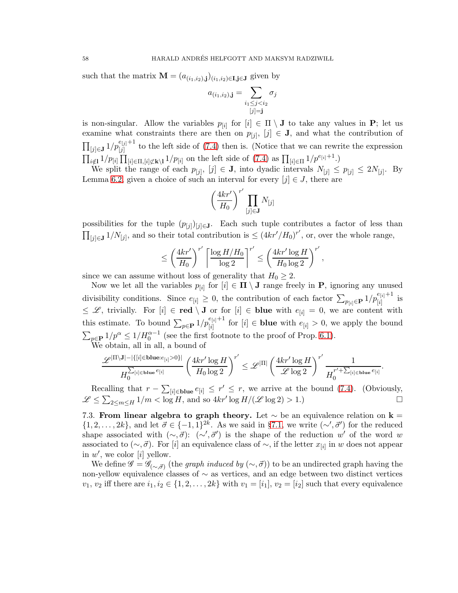such that the matrix  $\mathbf{M} = (a_{(i_1,i_2),j})_{(i_1,i_2)\in\mathbf{I},j\in\mathbf{J}}$  given by

$$
a_{(i_1,i_2),\mathbf{j}} = \sum_{\substack{i_1 \leq j < i_2 \\ [j]=\mathbf{j}}} \sigma_j
$$

is non-singular. Allow the variables  $p_{[i]}$  for  $[i] \in \Pi \setminus J$  to take any values in **P**; let us examine what constraints there are then on  $p_{[j]}$ ,  $[j] \in J$ , and what the contribution of  $\prod_{[j]\in\mathbf{J}}1/p_{[j]}^{e_{[j]}+1}$  to the left side of [\(7.4\)](#page-56-0) then is. (Notice that we can rewrite the expression  $\prod_{i \notin I} 1/p_{[i]} \prod_{[i] \in \Pi, [i] \not\subset k \setminus I} 1/p_{[i]}$  on the left side of [\(7.4\)](#page-56-0) as  $\prod_{[i] \in \Pi} 1/p^{e_{[i]}+1}$ .)

We split the range of each  $p_{[j]}$ ,  $[j] \in J$ , into dyadic intervals  $N_{[j]} \leq p_{[j]} \leq 2N_{[j]}$ . By Lemma [6.2,](#page-46-3) given a choice of such an interval for every  $[j] \in J$ , there are

$$
\left(\frac{4kr'}{H_0}\right)^{r'}\prod_{[j]\in\mathbf{J}}N_{[j]}
$$

possibilities for the tuple  $(p_{[j]})_{[j]\in\mathbf{J}}$ . Each such tuple contributes a factor of less than  $\prod_{[j]\in\mathbf{J}} 1/N_{[j]}$ , and so their total contribution is ≤  $(4kr'/H_0)^{r'}$ , or, over the whole range,

$$
\leq \left(\frac{4kr'}{H_0}\right)^{r'} \left[\frac{\log H/H_0}{\log 2}\right]^{r'} \leq \left(\frac{4kr'\log H}{H_0\log 2}\right)^{r'}
$$

,

.

since we can assume without loss of generality that  $H_0 \geq 2$ .

Now we let all the variables  $p_{[i]}$  for  $[i] \in \Pi \setminus J$  range freely in **P**, ignoring any unused divisibility conditions. Since  $e_{[i]} \geq 0$ , the contribution of each factor  $\sum_{p_{[i]}\in \mathbf{P}} 1/p_{[i]}^{e_{[i]}+1}$  is  $\leq \mathscr{L}$ , trivially. For  $[i] \in \text{red} \setminus J$  or for  $[i] \in \text{blue with } e_{[i]} = 0$ , we are content with this estimate. To bound  $\sum_{p\in \mathbf{P}} 1/p_{[i]}^{e_{[i]}+1}$  for  $[i] \in \mathbf{blue}$  with  $e_{[i]} > 0$ , we apply the bound  $\sum_{p \in \mathbf{P}} 1/p^{\alpha} \le 1/H_0^{\alpha-1}$  (see the first footnote to the proof of Prop. [6.1\)](#page-45-3). We obtain, all in all, a bound of

$$
\frac{\mathscr{L}^{|\Pi\backslash \mathbf{J}|-|\{[i] \in \textrm{blue}:e_{[i]} > 0\}|}}{H_0^{\sum_{[i] \in \textrm{blue}:e_{[i]}}}{}}\left(\frac{4kr'\log H}{H_0\log 2}\right)^{r'} \leq \mathscr{L}^{|\Pi|}\left(\frac{4kr'\log H}{\mathscr{L}\log 2}\right)^{r'}\frac{1}{H_0^{r'+\sum_{[i] \in \textrm{blue}:e_{[i]}}{r'}}}
$$

Recalling that  $r - \sum_{[i] \in \text{blue}} e_{[i]} \leq r' \leq r$ , we arrive at the bound [\(7.4\)](#page-56-0). (Obviously,  $\mathscr{L} \leq \sum_{2 \leq m \leq H} 1/m < \log H$ , and so  $4kr' \log H/(\mathscr{L} \log 2) > 1$ .)

7.3. From linear algebra to graph theory. Let  $\sim$  be an equivalence relation on k =  $\{1, 2, \ldots, 2k\}$ , and let  $\vec{\sigma} \in \{-1, 1\}^{2k}$ . As we said in §[7.1,](#page-55-2) we write  $(\sim', \vec{\sigma}')$  for the reduced shape associated with  $(\sim, \vec{\sigma})$ :  $(\sim', \vec{\sigma}')$  is the shape of the reduction w' of the word w associated to  $(\sim, \vec{\sigma})$ . For [i] an equivalence class of  $\sim$ , if the letter  $x_{[i]}$  in w does not appear in  $w'$ , we color [i] yellow.

We define  $\mathscr{G} = \mathscr{G}_{(\sim, \vec{\sigma})}$  (the *graph induced by*  $(\sim, \vec{\sigma})$ ) to be an undirected graph having the non-yellow equivalence classes of ∼ as vertices, and an edge between two distinct vertices  $v_1, v_2$  iff there are  $i_1, i_2 \in \{1, 2, \ldots, 2k\}$  with  $v_1 = [i_1], v_2 = [i_2]$  such that every equivalence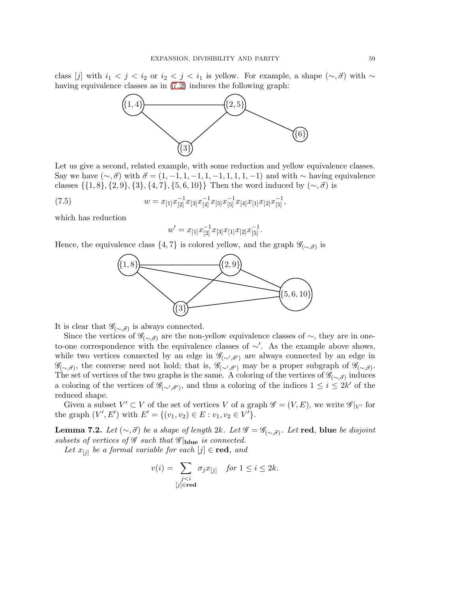class [j] with  $i_1 < j < i_2$  or  $i_2 < j < i_1$  is yellow. For example, a shape  $(\sim, \vec{\sigma})$  with  $\sim$ having equivalence classes as in [\(7.2\)](#page-55-3) induces the following graph:



Let us give a second, related example, with some reduction and yellow equivalence classes. Say we have  $(\sim, \vec{\sigma})$  with  $\vec{\sigma} = (1, -1, 1, -1, 1, -1, 1, 1, 1, -1)$  and with  $\sim$  having equivalence classes  $\{\{1, 8\}, \{2, 9\}, \{3\}, \{4, 7\}, \{5, 6, 10\}\}\$  Then the word induced by  $(\sim, \vec{\sigma})$  is

(7.5) 
$$
w = x_{[1]} x_{[2]}^{-1} x_{[3]} x_{[4]}^{-1} x_{[5]} x_{[5]}^{-1} x_{[4]} x_{[1]} x_{[2]} x_{[5]}^{-1},
$$

which has reduction

<span id="page-58-1"></span>
$$
w' = x_{[1]} x_{[2]}^{-1} x_{[3]} x_{[1]} x_{[2]} x_{[5]}^{-1}.
$$

Hence, the equivalence class  $\{4, 7\}$  is colored yellow, and the graph  $\mathscr{G}_{(\sim, \vec{\sigma})}$  is



It is clear that  $\mathscr{G}_{(\sim,\vec{\sigma})}$  is always connected.

Since the vertices of  $\mathscr{G}_{(\sim,\vec{\sigma})}$  are the non-yellow equivalence classes of  $\sim$ , they are in oneto-one correspondence with the equivalence classes of ∼′ . As the example above shows, while two vertices connected by an edge in  $\mathscr{G}_{(\sim',\vec{\sigma}')}$  are always connected by an edge in  $\mathscr{G}_{(\sim,\vec{\sigma})}$ , the converse need not hold; that is,  $\mathscr{G}_{(\sim',\vec{\sigma}')}$  may be a proper subgraph of  $\mathscr{G}_{(\sim,\vec{\sigma})}$ . The set of vertices of the two graphs is the same. A coloring of the vertices of  $\mathscr{G}_{(\sim,\vec{\sigma})}$  induces a coloring of the vertices of  $\mathscr{G}_{(\sim',\vec{\sigma}')},$  and thus a coloring of the indices  $1 \leq i \leq 2k'$  of the reduced shape.

Given a subset  $V' \subset V$  of the set of vertices V of a graph  $\mathscr{G} = (V, E)$ , we write  $\mathscr{G}|_{V'}$  for the graph  $(V', E')$  with  $E' = \{(v_1, v_2) \in E : v_1, v_2 \in V'\}.$ 

<span id="page-58-0"></span>**Lemma 7.2.** *Let*  $(\sim, \vec{\sigma})$  *be a shape of length* 2k. *Let*  $\mathscr{G} = \mathscr{G}_{(\sim, \vec{\sigma})}$ *. Let* **red**, blue *be disjoint subsets of vertices of*  $\mathscr G$  *such that*  $\mathscr G|_{\text{blue}}$  *is connected.* 

*Let*  $x_{[j]}$  *be a formal variable for each*  $[j] \in \text{red}$ *, and* 

$$
v(i) = \sum_{\substack{j < i \\ [j] \in \text{red}}} \sigma_j x_{[j]} \quad \text{for } 1 \le i \le 2k.
$$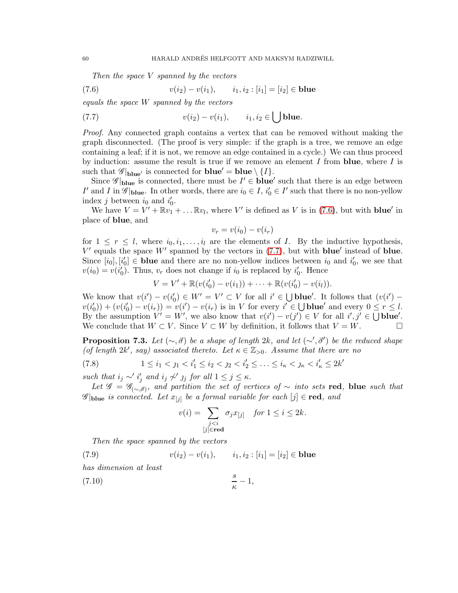<span id="page-59-1"></span><span id="page-59-0"></span>*Then the space* V *spanned by the vectors*

(7.6) 
$$
v(i_2) - v(i_1), \qquad i_1, i_2 : [i_1] = [i_2] \in blue
$$

*equals the space* W *spanned by the vectors*

(7.7) 
$$
v(i_2) - v(i_1), \qquad i_1, i_2 \in \bigcup \text{blue}.
$$

*Proof.* Any connected graph contains a vertex that can be removed without making the graph disconnected. (The proof is very simple: if the graph is a tree, we remove an edge containing a leaf; if it is not, we remove an edge contained in a cycle.) We can thus proceed by induction: assume the result is true if we remove an element I from **blue**, where I is such that  $\mathscr{G}|_{blue'}$  is connected for  $blue' = blue \setminus \{I\}.$ 

Since  $\mathscr{G}|_{\text{blue}}$  is connected, there must be  $I' \in \text{blue}'$  such that there is an edge between I' and I in  $\mathscr{G}|_{\text{blue}}$ . In other words, there are  $i_0 \in I$ ,  $i'_0 \in I'$  such that there is no non-yellow index *j* between  $i_0$  and  $i'_0$ .

We have  $V = V' + \mathbb{R}v_1 + ... \mathbb{R}v_l$ , where V' is defined as V is in [\(7.6\)](#page-59-0), but with **blue'** in place of blue, and

$$
v_r = v(i_0) - v(i_r)
$$

for  $1 \leq r \leq l$ , where  $i_0, i_1, \ldots, i_l$  are the elements of *I*. By the inductive hypothesis,  $V'$  equals the space  $W'$  spanned by the vectors in [\(7.7\)](#page-59-1), but with **blue**' instead of **blue**. Since  $[i_0], [i'_0] \in$  blue and there are no non-yellow indices between  $i_0$  and  $i'_0$ , we see that  $v(i_0) = v(i'_0)$ . Thus,  $v_r$  does not change if  $i_0$  is replaced by  $i'_0$ . Hence

$$
V = V' + \mathbb{R}(v(i'_0) - v(i_1)) + \cdots + \mathbb{R}(v(i'_0) - v(i_l)).
$$

We know that  $v(i') - v(i_0') \in W' = V' \subset V$  for all  $i' \in \bigcup \textbf{blue}'$ . It follows that  $(v(i') - v(i_0'))$  $v(i'_0) + (v(i'_0) - v(i_r)) = v(i') - v(i_r)$  is in V for every  $i' \in \bigcup \textbf{blue}'$  and every  $0 \leq r \leq l$ . By the assumption  $V' = W'$ , we also know that  $v(i') - v(j') \in V$  for all  $i', j' \in \bigcup \textbf{blue}'.$ We conclude that  $W \subset V$ . Since  $V \subset W$  by definition, it follows that  $V = W$ .

<span id="page-59-4"></span>**Proposition 7.3.** *Let*  $(\sim, \vec{\sigma})$  *be a shape of length* 2k, and let  $(\sim', \vec{\sigma}')$  *be the reduced shape* (*of length*  $2k'$ , say) associated thereto. Let  $\kappa \in \mathbb{Z}_{>0}$ . Assume that there are no

$$
(7.8) \t1 \leq i_1 < j_1 < i_1' \leq i_2 < j_2 < i_2' \leq \ldots \leq i_\kappa < j_\kappa < i_\kappa' \leq 2k'
$$

*such that*  $i_j \sim' i'_j$  *and*  $i_j \not\sim' j_j$  *for all*  $1 \leq j \leq \kappa$ *.* 

*Let*  $\mathscr{G} = \mathscr{G}_{(\sim, \vec{\sigma})}$ , and partition the set of vertices of ∼ *into sets* red, blue *such that*  $\mathscr{G}|_{\text{blue}}$  *is connected. Let*  $x_{[j]}$  *be a formal variable for each*  $[j] \in \text{red}$ , and

<span id="page-59-3"></span><span id="page-59-2"></span>
$$
v(i) = \sum_{\substack{j < i \\ [j] \in \text{red}}} \sigma_j x_{[j]} \quad \text{for } 1 \le i \le 2k.
$$

κ

*Then the space spanned by the vectors*

(7.9) 
$$
v(i_2) - v(i_1), \qquad i_1, i_2 : [i_1] = [i_2] \in blue
$$
  
has dimension at least  
(7.10) 
$$
\frac{s}{\kappa} - 1,
$$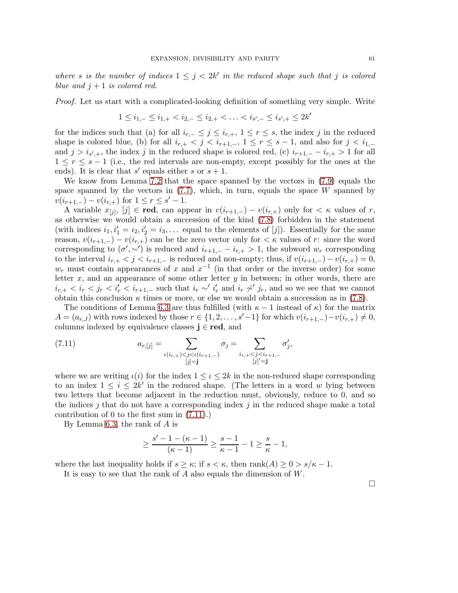where *s* is the number of indices  $1 \leq j < 2k'$  in the reduced shape such that j is colored *blue and*  $j + 1$  *is colored red.* 

*Proof.* Let us start with a complicated-looking definition of something very simple. Write

$$
1 \leq i_{1,-} \leq i_{1,+} < i_{2,-} \leq i_{2,+} < \ldots < i_{s',-} \leq i_{s',+} \leq 2k'
$$

for the indices such that (a) for all  $i_{r,-} \leq j \leq i_{r,+}$ ,  $1 \leq r \leq s$ , the index j in the reduced shape is colored blue, (b) for all  $i_{r,+} < j < i_{r+1,-}$ ,  $1 \leq r \leq s-1$ , and also for  $j < i_{1,-}$ and  $j > i_{s',+}$ , the index j in the reduced shape is colored red, (c)  $i_{r+1,-} - i_{r,+} > 1$  for all  $1 \leq r \leq s-1$  (i.e., the red intervals are non-empty, except possibly for the ones at the ends). It is clear that s' equals either s or  $s + 1$ .

We know from Lemma [7.2](#page-58-0) that the space spanned by the vectors in [\(7.9\)](#page-59-2) equals the space spanned by the vectors in  $(7.7)$ , which, in turn, equals the space W spanned by  $v(i_{r+1,-}) - v(i_{r,+})$  for  $1 \leq r \leq s'-1$ .

A variable  $x_{[j]}$ ,  $[j] \in \text{red}$ , can appear in  $v(i_{r+1,-}) - v(i_{r,+})$  only for  $\lt \kappa$  values of r, as otherwise we would obtain a succession of the kind [\(7.8\)](#page-59-3) forbidden in the statement (with indices  $i_1, i'_1 = i_2, i'_2 = i_3, \ldots$  equal to the elements of [j]). Essentially for the same reason,  $v(i_{r+1,-}) - v(i_{r,+})$  can be the zero vector only for  $\lt \kappa$  values of r: since the word corresponding to  $(\sigma', \sim')$  is reduced and  $i_{r+1,-} - i_{r,+} > 1$ , the subword  $w_r$  corresponding to the interval  $i_{r,+} < j < i_{r+1,-}$  is reduced and non-empty; thus, if  $v(i_{r+1,-}) - v(i_{r,+}) = 0$ ,  $w_r$  must contain appearances of x and  $x^{-1}$  (in that order or the inverse order) for some letter  $x$ , and an appearance of some other letter  $y$  in between; in other words, there are  $i_{r,+} < i_r < j_r < i'_r < i_{r+1,-}$  such that  $i_r \sim i'_r$  and  $i_r \not\sim j_r$ , and so we see that we cannot obtain this conclusion  $\kappa$  times or more, or else we would obtain a succession as in [\(7.8\)](#page-59-3).

The conditions of Lemma [6.3](#page-47-0) are thus fulfilled (with  $\kappa - 1$  instead of  $\kappa$ ) for the matrix  $A = (a_{r,J})$  with rows indexed by those  $r \in \{1, 2, \ldots, s'-1\}$  for which  $v(i_{r+1,-})-v(i_{r,+}) \neq 0$ , columns indexed by equivalence classes  $j \in red$ , and

<span id="page-60-0"></span>(7.11) 
$$
a_{r,[j]} = \sum_{\substack{\iota(i_{r,+}) < j < \iota(i_{r+1,-}) \\ [j]=\mathbf{j}}} \sigma_j = \sum_{\substack{i_{r,+} < j < i_{r+1,-} \\ [j]' = \mathbf{j}}} \sigma'_j,
$$

where we are writing  $\iota(i)$  for the index  $1 \leq \iota \leq 2k$  in the non-reduced shape corresponding to an index  $1 \leq i \leq 2k'$  in the reduced shape. (The letters in a word w lying between two letters that become adjacent in the reduction must, obviously, reduce to 0, and so the indices  $\gamma$  that do not have a corresponding index  $\gamma$  in the reduced shape make a total contribution of 0 to the first sum in [\(7.11\)](#page-60-0).)

By Lemma [6.3,](#page-47-0) the rank of A is

$$
\geq \frac{s'-1-(\kappa-1)}{(\kappa-1)} \geq \frac{s-1}{\kappa-1} - 1 \geq \frac{s}{\kappa} - 1,
$$

where the last inequality holds if  $s \geq \kappa$ ; if  $s < \kappa$ , then  $\operatorname{rank}(A) \geq 0 > s/\kappa - 1$ .

It is easy to see that the rank of A also equals the dimension of W.

 $\Box$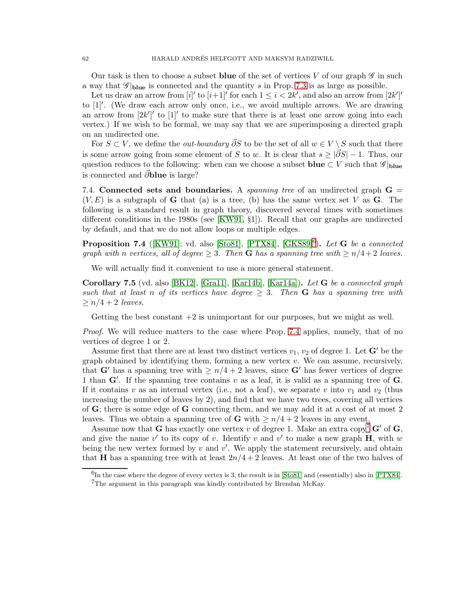62 HARALD ANDRÉS HELFGOTT AND MAKSYM RADZIWILL

Our task is then to choose a subset blue of the set of vertices V of our graph  $\mathscr G$  in such a way that  $\mathscr{G}|_{blue}$  is connected and the quantity s in Prop. [7.3](#page-59-4) is as large as possible.

Let us draw an arrow from  $[i]'$  to  $[i+1]'$  for each  $1 \leq i < 2k'$ , and also an arrow from  $[2k']'$ to [1]′ . (We draw each arrow only once, i.e., we avoid multiple arrows. We are drawing an arrow from  $[2k']'$  to  $[1]'$  to make sure that there is at least one arrow going into each vertex.) If we wish to be formal, we may say that we are superimposing a directed graph on an undirected one.

For  $S \subset V$ , we define the *out-boundary*  $\overline{\partial}S$  to be the set of all  $w \in V \setminus S$  such that there is some arrow going from some element of S to w. It is clear that  $s \geq |\vec{\partial}S| - 1$ . Thus, our question reduces to the following: when can we choose a subset **blue**  $\subset V$  such that  $\mathscr{G}|_{\text{blue}}$ is connected and  $\vec{\partial}$ blue is large?

7.4. Connected sets and boundaries. A *spanning tree* of an undirected graph G =  $(V, E)$  is a subgraph of **G** that (a) is a tree, (b) has the same vertex set V as **G**. The following is a standard result in graph theory, discovered several times with sometimes different conditions in the 1980s (see [\[KW91,](#page-99-1) §1]). Recall that our graphs are undirected by default, and that we do not allow loops or multiple edges.

<span id="page-61-1"></span>**Proposition 7.4** ([\[KW91\]](#page-99-1); vd. also [\[Sto81\]](#page-100-0), [\[PTX84\]](#page-99-2), [\[GKS89\]](#page-98-0)<sup>[6](#page-61-0)</sup>). Let **G** be a connected *graph with* n *vertices, all of degree*  $\geq$  3*. Then* **G** *has a spanning tree with*  $\geq$  n/4+2 *leaves.* 

We will actually find it convenient to use a more general statement.

<span id="page-61-3"></span>Corollary 7.5 (vd. also [\[BK12\]](#page-98-1), [\[Gra11\]](#page-98-2), [\[Kar14b\]](#page-99-3), [\[Kar14a\]](#page-99-4)). *Let* G *be a connected graph such that at least* n *of its vertices have degree*  $\geq$  3*. Then* **G** *has a spanning tree with*  $\geq n/4 + 2$  *leaves.* 

Getting the best constant  $+2$  is unimportant for our purposes, but we might as well.

*Proof.* We will reduce matters to the case where Prop. [7.4](#page-61-1) applies, namely, that of no vertices of degree 1 or 2.

Assume first that there are at least two distinct vertices  $v_1, v_2$  of degree 1. Let  $\mathbf{G}'$  be the graph obtained by identifying them, forming a new vertex  $v$ . We can assume, recursively, that G' has a spanning tree with  $\geq n/4 + 2$  leaves, since G' has fewer vertices of degree 1 than  $\mathbf{G}'$ . If the spanning tree contains v as a leaf, it is valid as a spanning tree of  $\mathbf{G}$ . If it contains v as an internal vertex (i.e., not a leaf), we separate v into  $v_1$  and  $v_2$  (thus increasing the number of leaves by 2), and find that we have two trees, covering all vertices of  $\bf{G}$ ; there is some edge of  $\bf{G}$  connecting them, and we may add it at a cost of at most 2 leaves. Thus we obtain a spanning tree of **G** with  $\geq n/4 + 2$  leaves in any event.

Assume now that **G** has exactly one vertex v of degree 1. Make an extra copy<sup>[7](#page-61-2)</sup>  $\mathbf{G}'$  of  $\mathbf{G}$ , and give the name  $v'$  to its copy of v. Identify v and  $v'$  to make a new graph **H**, with w being the new vertex formed by  $v$  and  $v'$ . We apply the statement recursively, and obtain that H has a spanning tree with at least  $2n/4 + 2$  leaves. At least one of the two halves of

 ${}^{6}$ In the case where the degree of every vertex is 3, the result is in [\[Sto81\]](#page-100-0) and (essentially) also in [\[PTX84\]](#page-99-2).

<span id="page-61-2"></span><span id="page-61-0"></span><sup>7</sup>The argument in this paragraph was kindly contributed by Brendan McKay.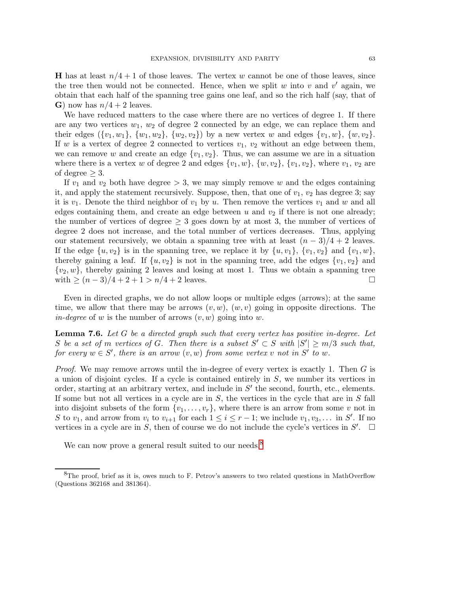**H** has at least  $n/4 + 1$  of those leaves. The vertex w cannot be one of those leaves, since the tree then would not be connected. Hence, when we split  $w$  into  $v$  and  $v'$  again, we obtain that each half of the spanning tree gains one leaf, and so the rich half (say, that of G) now has  $n/4 + 2$  leaves.

We have reduced matters to the case where there are no vertices of degree 1. If there are any two vertices  $w_1, w_2$  of degree 2 connected by an edge, we can replace them and their edges  $({v_1, w_1}, {w_1, w_2}, {w_2, v_2})$  by a new vertex w and edges  ${v_1, w}$ ,  ${w, v_2}$ . If w is a vertex of degree 2 connected to vertices  $v_1, v_2$  without an edge between them, we can remove w and create an edge  $\{v_1, v_2\}$ . Thus, we can assume we are in a situation where there is a vertex w of degree 2 and edges  $\{v_1, w\}$ ,  $\{w, v_2\}$ ,  $\{v_1, v_2\}$ , where  $v_1, v_2$  are of degree  $\geq 3$ .

If  $v_1$  and  $v_2$  both have degree  $> 3$ , we may simply remove w and the edges containing it, and apply the statement recursively. Suppose, then, that one of  $v_1, v_2$  has degree 3; say it is  $v_1$ . Denote the third neighbor of  $v_1$  by u. Then remove the vertices  $v_1$  and w and all edges containing them, and create an edge between u and  $v_2$  if there is not one already; the number of vertices of degree  $\geq 3$  goes down by at most 3, the number of vertices of degree 2 does not increase, and the total number of vertices decreases. Thus, applying our statement recursively, we obtain a spanning tree with at least  $(n-3)/4+2$  leaves. If the edge  $\{u, v_2\}$  is in the spanning tree, we replace it by  $\{u, v_1\}$ ,  $\{v_1, v_2\}$  and  $\{v_1, w\}$ , thereby gaining a leaf. If  $\{u, v_2\}$  is not in the spanning tree, add the edges  $\{v_1, v_2\}$  and  $\{v_2, w\}$ , thereby gaining 2 leaves and losing at most 1. Thus we obtain a spanning tree with  $\geq (n-3)/4 + 2 + 1 > n/4 + 2$  leaves. with  $\geq (n-3)/4 + 2 + 1 > n/4 + 2$  leaves.

Even in directed graphs, we do not allow loops or multiple edges (arrows); at the same time, we allow that there may be arrows  $(v, w)$ ,  $(w, v)$  going in opposite directions. The *in-degree* of w is the number of arrows  $(v, w)$  going into w.

<span id="page-62-1"></span>Lemma 7.6. *Let* G *be a directed graph such that every vertex has positive in-degree. Let* S be a set of m vertices of G. Then there is a subset  $S' \subset S$  with  $|S'| \ge m/3$  such that,  $for\ every\ w \in S',\ there\ is\ an\ arrow\ (v, w) \ from\ some\ vertex\ v\ not\ in\ S'\ to\ w.$ 

*Proof.* We may remove arrows until the in-degree of every vertex is exactly 1. Then G is a union of disjoint cycles. If a cycle is contained entirely in  $S$ , we number its vertices in order, starting at an arbitrary vertex, and include in  $S'$  the second, fourth, etc., elements. If some but not all vertices in a cycle are in  $S$ , the vertices in the cycle that are in  $S$  fall into disjoint subsets of the form  $\{v_1, \ldots, v_r\}$ , where there is an arrow from some v not in S to  $v_1$ , and arrow from  $v_i$  to  $v_{i+1}$  for each  $1 \leq i \leq r-1$ ; we include  $v_1, v_3, \ldots$  in S'. If no vertices in a cycle are in S, then of course we do not include the cycle's vertices in  $S'$ .  $\Box$ 

We can now prove a general result suited to our needs.<sup>[8](#page-62-0)</sup>

<span id="page-62-0"></span><sup>&</sup>lt;sup>8</sup>The proof, brief as it is, owes much to F. Petrov's answers to two related questions in MathOverflow (Questions 362168 and 381364).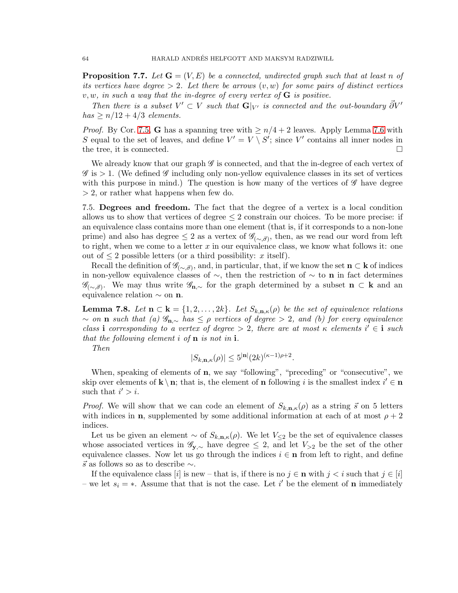<span id="page-63-1"></span>**Proposition 7.7.** Let  $G = (V, E)$  be a connected, undirected graph such that at least n of *its vertices have degree*  $> 2$ *. Let there be arrows*  $(v, w)$  *for some pairs of distinct vertices* v, w*, in such a way that the in-degree of every vertex of* G *is positive.*

*Then there is a subset*  $V' \subset V$  *such that*  $\mathbf{G}|_{V'}$  *is connected and the out-boundary*  $\partial V'$  $has \geq n/12 + 4/3$  *elements.* 

*Proof.* By Cor. [7.5,](#page-61-3) **G** has a spanning tree with  $\geq n/4 + 2$  leaves. Apply Lemma [7.6](#page-62-1) with S equal to the set of leaves, and define  $V' = V \setminus S'$ ; since V' contains all inner nodes in the tree, it is connected.

We already know that our graph  $\mathscr G$  is connected, and that the in-degree of each vertex of  $\mathscr{G}$  is  $> 1$ . (We defined  $\mathscr{G}$  including only non-yellow equivalence classes in its set of vertices with this purpose in mind.) The question is how many of the vertices of  $\mathscr G$  have degree > 2, or rather what happens when few do.

7.5. Degrees and freedom. The fact that the degree of a vertex is a local condition allows us to show that vertices of degree  $\leq 2$  constrain our choices. To be more precise: if an equivalence class contains more than one element (that is, if it corresponds to a non-lone prime) and also has degree  $\leq 2$  as a vertex of  $\mathscr{G}_{(\sim,\vec{\sigma})}$ , then, as we read our word from left to right, when we come to a letter  $x$  in our equivalence class, we know what follows it: one out of  $\leq 2$  possible letters (or a third possibility: x itself).

Recall the definition of  $\mathscr{G}_{(\sim,\vec{\sigma})}$ , and, in particular, that, if we know the set  $\mathbf{n} \subset \mathbf{k}$  of indices in non-yellow equivalence classes of  $\sim$ , then the restriction of  $\sim$  to **n** in fact determines  $\mathscr{G}_{(\sim,\vec{\sigma})}$ . We may thus write  $\mathscr{G}_{n,\sim}$  for the graph determined by a subset  $n \subset k$  and an equivalence relation  $\sim$  on **n**.

<span id="page-63-0"></span>**Lemma 7.8.** Let  $\mathbf{n} \subset \mathbf{k} = \{1, 2, ..., 2k\}$ . Let  $S_{k, \mathbf{n}, \kappa}(\rho)$  be the set of equivalence relations <sup>∼</sup> *on* <sup>n</sup> *such that (a)* <sup>G</sup>n,<sup>∼</sup> *has* <sup>≤</sup> <sup>ρ</sup> *vertices of degree* <sup>&</sup>gt; <sup>2</sup>*, and (b) for every equivalence class* i *corresponding* to a vertex of degree > 2, there are at most  $\kappa$  elements i'  $\in$  i *such that the following element* i *of* n *is not in* i*.*

*Then*

$$
|S_{k,n,\kappa}(\rho)| \le 5^{|\mathbf{n}|} (2k)^{(\kappa-1)\rho+2}.
$$

When, speaking of elements of  $\bf{n}$ , we say "following", "preceding" or "consecutive", we skip over elements of  $\mathbf{k} \setminus \mathbf{n}$ ; that is, the element of **n** following i is the smallest index  $i' \in \mathbf{n}$ such that  $i' > i$ .

*Proof.* We will show that we can code an element of  $S_{k,n,\kappa}(\rho)$  as a string  $\vec{s}$  on 5 letters with indices in **n**, supplemented by some additional information at each of at most  $\rho + 2$ indices.

Let us be given an element  $\sim$  of  $S_{k,n,\kappa}(\rho)$ . We let  $V_{\leq 2}$  be the set of equivalence classes whose associated vertices in  $\mathscr{G}_{y, \sim}$  have degree  $\leq 2$ , and let  $V_{\geq 2}$  be the set of the other equivalence classes. Now let us go through the indices  $i \in \mathbf{n}$  from left to right, and define  $\vec{s}$  as follows so as to describe  $\sim$ .

If the equivalence class [i] is new – that is, if there is no  $j \in \mathbf{n}$  with  $j < i$  such that  $j \in [i]$ – we let  $s_i = *$ . Assume that that is not the case. Let i' be the element of **n** immediately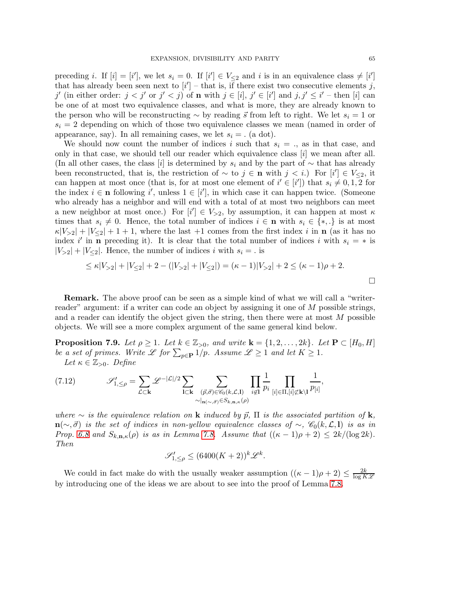preceding *i*. If  $[i] = [i']$ , we let  $s_i = 0$ . If  $[i'] \in V_{\leq 2}$  and *i* is in an equivalence class  $\neq [i']$ that has already been seen next to  $[i']$  – that is, if there exist two consecutive elements j, j' (in either order:  $j < j'$  or  $j' < j$ ) of **n** with  $j \in [i]$ ,  $j' \in [i']$  and  $j, j' \le i'$  - then [i] can be one of at most two equivalence classes, and what is more, they are already known to the person who will be reconstructing  $\sim$  by reading  $\vec{s}$  from left to right. We let  $s_i = 1$  or  $s_i = 2$  depending on which of those two equivalence classes we mean (named in order of appearance, say). In all remaining cases, we let  $s_i =$ . (a dot).

We should now count the number of indices i such that  $s_i =$ ., as in that case, and only in that case, we should tell our reader which equivalence class [i] we mean after all. (In all other cases, the class [i] is determined by  $s_i$  and by the part of  $\sim$  that has already been reconstructed, that is, the restriction of  $\sim$  to  $j \in \mathbf{n}$  with  $j < i$ .) For  $[i'] \in V_{\leq 2}$ , it can happen at most once (that is, for at most one element of  $i' \in [i']$ ) that  $s_i \neq 0, 1, 2$  for the index  $i \in \mathbf{n}$  following  $i'$ , unless  $1 \in [i']$ , in which case it can happen twice. (Someone who already has a neighbor and will end with a total of at most two neighbors can meet a new neighbor at most once.) For  $[i'] \in V_{\geq 2}$ , by assumption, it can happen at most  $\kappa$ times that  $s_i \neq 0$ . Hence, the total number of indices  $i \in \mathbf{n}$  with  $s_i \in \{*,.\}$  is at most  $\kappa|V_{>2}| + |V_{\leq 2}| + 1 + 1$ , where the last +1 comes from the first index i in **n** (as it has no index i' in **n** preceding it). It is clear that the total number of indices i with  $s_i = *$  is  $|V_{>2}| + |V_{\leq 2}|$ . Hence, the number of indices i with  $s_i =$ . is

$$
\leq \kappa |V_{>2}| + |V_{\leq 2}| + 2 - (|V_{>2}| + |V_{\leq 2}|) = (\kappa - 1)|V_{>2}| + 2 \leq (\kappa - 1)\rho + 2.
$$

Remark. The above proof can be seen as a simple kind of what we will call a "writerreader" argument: if a writer can code an object by assigning it one of M possible strings, and a reader can identify the object given the string, then there were at most  $M$  possible objects. We will see a more complex argument of the same general kind below.

<span id="page-64-1"></span>**Proposition 7.9.** *Let*  $\rho \geq 1$ *. Let*  $k \in \mathbb{Z}_{>0}$ *, and write*  $\mathbf{k} = \{1, 2, \ldots, 2k\}$ *. Let*  $\mathbf{P} \subset [H_0, H]$ *be a set of primes. Write*  $\mathscr L$  *for*  $\sum_{p \in \mathbf{P}} 1/p$ *. Assume*  $\mathscr L \ge 1$  *and let*  $K \ge 1$ *. Let*  $\kappa \in \mathbb{Z}_{>0}$ *. Define* 

<span id="page-64-0"></span>(7.12) 
$$
\mathscr{S}'_{1,\leq \rho} = \sum_{\mathcal{L} \subset \mathbf{k}} \mathscr{L}^{-|\mathcal{L}|/2} \sum_{\mathbf{l} \subset \mathbf{k}} \sum_{\substack{(\vec{p}, \vec{\sigma}) \in \mathscr{C}_0(k,\mathcal{L},\mathbf{l}) \\ \sim |_{\mathbf{n}(\sim,\vec{\sigma})} \in S_{k,\mathbf{n},\kappa}(\rho)}} \prod_{i \notin \mathbf{l}} \frac{1}{p_i} \prod_{[i] \in \Pi, [i] \not\subset \mathbf{k} \setminus \mathbf{l}} \frac{1}{p_{[i]}},
$$

*where*  $\sim$  *is the equivalence relation on* **k** *induced by*  $\vec{p}$ ,  $\Pi$  *is the associated partition of* **k**,  $n(\sim, \vec{\sigma})$  *is the set of indices in non-yellow equivalence classes of*  $\sim$ ,  $\mathcal{C}_0(k, \mathcal{L}, l)$  *is as in Prop.* [6.8](#page-53-2) and  $S_{k,n,\kappa}(\rho)$  *is as in Lemma [7.8.](#page-63-0) Assume that*  $((\kappa - 1)\rho + 2) \leq 2k/(\log 2k)$ *. Then*

$$
\mathscr{S}'_{1,\leq\rho} \leq (6400(K+2))^{k} \mathscr{L}^{k}.
$$

We could in fact make do with the usually weaker assumption  $((\kappa - 1)\rho + 2) \le \frac{2k}{\log K \mathscr{L}}$ by introducing one of the ideas we are about to see into the proof of Lemma [7.8.](#page-63-0)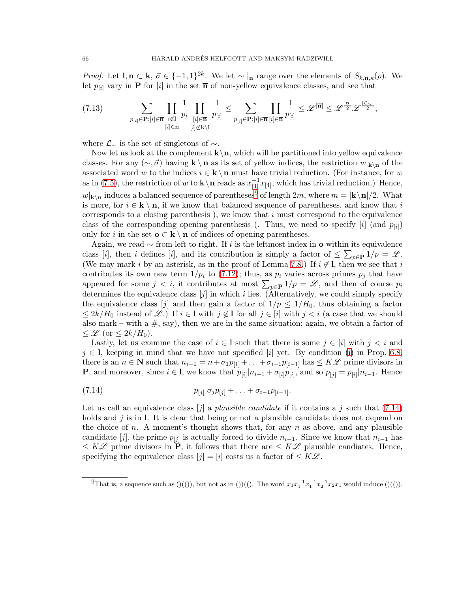*Proof.* Let  $\mathbf{l}, \mathbf{n} \subset \mathbf{k}, \ \vec{\sigma} \in \{-1, 1\}^{2k}$ . We let  $\sim |\mathbf{n}|$  range over the elements of  $S_{k, \mathbf{n}, \kappa}(\rho)$ . We let  $p_{[i]}$  vary in **P** for  $[i]$  in the set  $\overline{n}$  of non-yellow equivalence classes, and see that

$$
(7.13) \qquad \sum_{p_{[i]}\in\mathbf{P}: [i]\in\overline{\mathbf{n}}} \prod_{i\notin I} \frac{1}{p_i} \prod_{[i]\in\overline{\mathbf{n}}} \frac{1}{p_{[i]}} \leq \sum_{p_{[i]}\in\mathbf{P}: [i]\in\overline{\mathbf{n}}} \prod_{[i]\in\overline{\mathbf{n}}} \frac{1}{p_{[i]}} \leq \mathscr{L}^{|\overline{\mathbf{n}}|} \leq \mathscr{L}^{\frac{|\mathbf{n}|}{2}} \mathscr{L}^{\frac{|\mathcal{L}_{\sim}|}{2}},
$$

where  $\mathcal{L}_{\sim}$  is the set of singletons of  $\sim$ .

Now let us look at the complement  $\mathbf{k}\setminus\mathbf{n}$ , which will be partitioned into yellow equivalence classes. For any  $(\sim, \vec{\sigma})$  having **k** \ **n** as its set of yellow indices, the restriction  $w|_{\mathbf{k}\setminus\mathbf{n}}$  of the associated word w to the indices  $i \in \mathbf{k} \setminus \mathbf{n}$  must have trivial reduction. (For instance, for w as in [\(7.5\)](#page-58-1), the restriction of w to  $\mathbf{k}\setminus\mathbf{n}$  reads as  $x_{[4]}^{-1}x_{[4]}$ , which has trivial reduction.) Hence,  $w|_{\mathbf{k}\setminus\mathbf{n}}$  induces a balanced sequence of parentheses<sup>[9](#page-65-0)</sup> of length  $2m$ , where  $m = |\mathbf{k}\setminus\mathbf{n}|/2$ . What is more, for  $i \in \mathbf{k} \setminus \mathbf{n}$ , if we know that balanced sequence of parentheses, and know that i corresponds to a closing parenthesis), we know that  $i$  must correspond to the equivalence class of the corresponding opening parenthesis (. Thus, we need to specify  $[i]$  (and  $p_{[i]}$ ) only for i in the set  $\mathbf{o} \subset \mathbf{k} \setminus \mathbf{n}$  of indices of opening parentheses.

Again, we read  $\sim$  from left to right. If i is the leftmost index in **o** within its equivalence class [i], then i defines [i], and its contribution is simply a factor of  $\leq \sum_{p \in \mathbf{P}} 1/p = \mathcal{L}$ . (We may mark i by an asterisk, as in the proof of Lemma [7.8.](#page-63-0)) If  $i \notin I$ , then we see that i contributes its own new term  $1/p_i$  to [\(7.12\)](#page-64-0); thus, as  $p_i$  varies across primes  $p_j$  that have appeared for some  $j < i$ , it contributes at most  $\sum_{p \in \mathbf{P}} 1/p = \mathcal{L}$ , and then of course  $p_i$ determines the equivalence class  $[j]$  in which i lies. (Alternatively, we could simply specify the equivalence class [j] and then gain a factor of  $1/p \leq 1/H_0$ , thus obtaining a factor  $\leq 2k/H_0$  instead of  $\mathscr{L}$ .) If  $i \in I$  with  $j \notin I$  for all  $j \in [i]$  with  $j < i$  (a case that we should also mark – with a  $\#$ , say), then we are in the same situation; again, we obtain a factor of  $\leq \mathscr{L}$  (or  $\leq 2k/H_0$ ).

Lastly, let us examine the case of  $i \in I$  such that there is some  $j \in [i]$  with  $j < i$  and  $j \in I$ , keeping in mind that we have not specified [i] yet. By condition [\(i\)](#page-54-0) in Prop. [6.8,](#page-53-2) there is an  $n \in \mathbb{N}$  such that  $n_{i-1} = n + \sigma_1 p_{[1]} + \ldots + \sigma_{i-1} p_{[i-1]}$  has  $\leq K \mathscr{L}$  prime divisors in **P**, and moreover, since  $i \in I$ , we know that  $p_{[i]}|n_{i-1} + \sigma_{[i]}p_{[i]}$ , and so  $p_{[j]} = p_{[i]}|n_{i-1}$ . Hence

<span id="page-65-1"></span>(7.14) 
$$
p_{[j]}|\sigma_j p_{[j]} + \ldots + \sigma_{i-1} p_{[i-1]}.
$$

Let us call an equivalence class  $[i]$  a *plausible candidate* if it contains a j such that [\(7.14\)](#page-65-1) holds and  $j$  is in l. It is clear that being or not a plausible candidate does not depend on the choice of n. A moment's thought shows that, for any n as above, and any plausible candidate [j], the prime  $p_{[j]}$  is actually forced to divide  $n_{i-1}$ . Since we know that  $n_{i-1}$  has  $\leq K\mathscr{L}$  prime divisors in  $\overline{\mathbf{P}}$ , it follows that there are  $\leq K\mathscr{L}$  plausible candiates. Hence, specifying the equivalence class  $[j] = [i]$  costs us a factor of  $\leq K\mathscr{L}$ .

<span id="page-65-0"></span><sup>&</sup>lt;sup>9</sup>That is, a sequence such as ()(()), but not as in ())((). The word  $x_1x_1^{-1}x_1^{-1}x_2^{-1}x_2x_1$  would induce ()(()).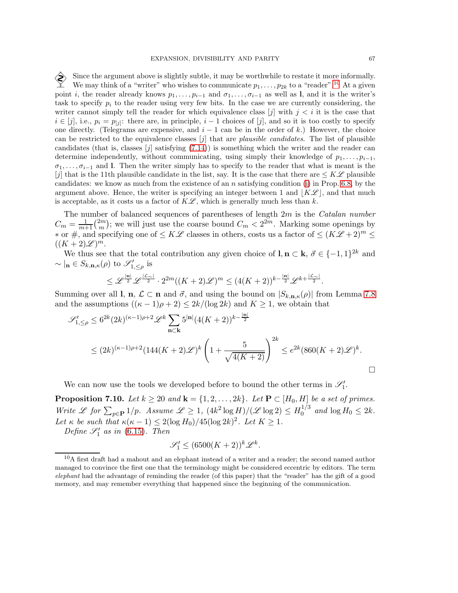Since the argument above is slightly subtle, it may be worthwhile to restate it more informally.<br>We may think of a "writer" who wishes to communicate  $p_1, \ldots, p_k$  to a "reader". <sup>10</sup> At a given We may think of a "writer" who wishes to communicate  $p_1, \ldots, p_{2k}$  to a "reader".<sup>[10](#page-66-0)</sup> At a given point *i*, the reader already knows  $p_1, \ldots, p_{i-1}$  and  $\sigma_1, \ldots, \sigma_{i-1}$  as well as l, and it is the writer's task to specify  $p_i$  to the reader using very few bits. In the case we are currently considering, the writer cannot simply tell the reader for which equivalence class  $[j]$  with  $j < i$  it is the case that  $i \in [j]$ , i.e.,  $p_i = p_{[j]}$ : there are, in principle,  $i - 1$  choices of  $[j]$ , and so it is too costly to specify one directly. (Telegrams are expensive, and  $i - 1$  can be in the order of k.) However, the choice can be restricted to the equivalence classes [j] that are *plausible candidates*. The list of plausible candidates (that is, classes  $[j]$  satisfying  $(7.14)$ ) is something which the writer and the reader can determine independently, without communicating, using simply their knowledge of  $p_1, \ldots, p_{i-1}$ ,  $\sigma_1, \ldots, \sigma_{i-1}$  and l. Then the writer simply has to specify to the reader that what is meant is the [j] that is the 11th plausible candidate in the list, say. It is the case that there are  $\leq K\mathscr{L}$  plausible candidates: we know as much from the existence of an n satisfying condition [\(i\)](#page-54-0) in Prop. [6.8,](#page-53-2) by the argument above. Hence, the writer is specifying an integer between 1 and  $|K\mathscr{L}|$ , and that much is acceptable, as it costs us a factor of  $K\mathscr{L}$ , which is generally much less than k.

The number of balanced sequences of parentheses of length 2m is the *Catalan number*  $C_m = \frac{1}{m+1} \binom{2m}{m}$  $\binom{2m}{m}$ ; we will just use the coarse bound  $C_m < 2^{2m}$ . Marking some openings by  $*$  or #, and specifying one of  $\leq K\mathscr{L}$  classes in others, costs us a factor of  $\leq (K\mathscr{L}+2)^m \leq$  $((K+2)\mathscr{L})^m$ .

We thus see that the total contribution any given choice of  $\mathbf{l}, \mathbf{n} \subset \mathbf{k}, \vec{\sigma} \in \{-1, 1\}^{2k}$  and  $\sim \vert_{\mathbf{n}} \in S_{k,\mathbf{n},\kappa}(\rho)$  to  $\mathscr{S}'_{1,\leq \rho}$  is

$$
\leq \mathscr{L}^{\frac{|\mathbf{n}|}{2}} \mathscr{L}^{\frac{|\mathcal{L}\sim|}{2}} \cdot 2^{2m}((K+2)\mathscr{L})^m \leq (4(K+2))^{k-\frac{|\mathbf{n}|}{2}} \mathscr{L}^{k+\frac{|\mathcal{L}\sim|}{2}}.
$$

Summing over all l, **n**,  $\mathcal{L} \subset \mathbf{n}$  and  $\vec{\sigma}$ , and using the bound on  $|S_{k,n,\kappa}(\rho)|$  from Lemma [7.8](#page-63-0) and the assumptions  $((\kappa - 1)\rho + 2) \leq 2k/(\log 2k)$  and  $K \geq 1$ , we obtain that

$$
\mathscr{S}'_{1,\leq \rho} \leq 6^{2k} (2k)^{(\kappa-1)\rho+2} \mathscr{L}^k \sum_{\mathbf{n} \subset \mathbf{k}} 5^{|\mathbf{n}|} (4(K+2))^{k-\frac{|\mathbf{n}|}{2}}
$$
  
 
$$
\leq (2k)^{(\kappa-1)\rho+2} (144(K+2)\mathscr{L})^k \left(1+\frac{5}{\sqrt{4(K+2)}}\right)^{2k} \leq e^{2k} (860(K+2)\mathscr{L})^k.
$$

We can now use the tools we developed before to bound the other terms in  $\mathscr{S}'_1$ .

<span id="page-66-1"></span>**Proposition 7.10.** *Let*  $k \geq 20$  *and*  $\mathbf{k} = \{1, 2, \ldots, 2k\}$ *. Let*  $\mathbf{P} \subset [H_0, H]$  *be a set of primes. Write*  $\mathscr L$  for  $\sum_{p \in \mathbf{P}} 1/p$ . Assume  $\mathscr L \geq 1$ ,  $(4k^2 \log H)/(\mathscr L \log 2) \leq H_0^{1/3}$  $_{0}^{1/3}$  and  $\log H_0 \leq 2k$ . Let  $\kappa$  be such that  $\kappa(\kappa - 1) \leq 2(\log H_0)/45(\log 2k)^2$ . Let  $K \geq 1$ .

*Define*  $\mathscr{S}'_1$  *as in* [\(6.15\)](#page-54-4)*. Then* 

$$
\mathscr{S}'_1 \le (6500(K+2))^k \mathscr{L}^k.
$$

<span id="page-66-0"></span> $10A$  first draft had a mahout and an elephant instead of a writer and a reader; the second named author managed to convince the first one that the terminology might be considered eccentric by editors. The term *elephant* had the advantage of reminding the reader (of this paper) that the "reader" has the gift of a good memory, and may remember everything that happened since the beginning of the communication.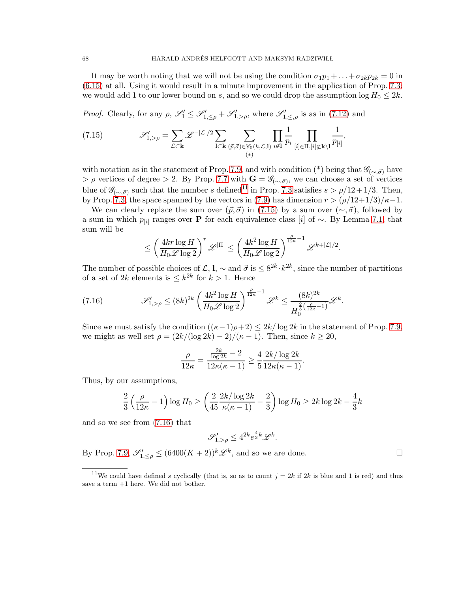It may be worth noting that we will not be using the condition  $\sigma_1 p_1 + \ldots + \sigma_{2k} p_{2k} = 0$  in [\(6.15\)](#page-54-4) at all. Using it would result in a minute improvement in the application of Prop. [7.3:](#page-59-4) we would add 1 to our lower bound on s, and so we could drop the assumption  $\log H_0 \leq 2k$ .

*Proof.* Clearly, for any  $\rho$ ,  $\mathscr{S}'_1 \leq \mathscr{S}'_{1, \leq \rho} + \mathscr{S}'_{1, >\rho}$ , where  $\mathscr{S}'_{1, \leq \rho}$  is as in [\(7.12\)](#page-64-0) and

<span id="page-67-1"></span>(7.15) 
$$
\mathscr{S}'_{1,>\rho} = \sum_{\mathcal{L}\subset \mathbf{k}} \mathscr{L}^{-|\mathcal{L}|/2} \sum_{\mathbf{l}\subset \mathbf{k}} \sum_{(\vec{p},\vec{\sigma})\in \mathscr{C}_0(k,\mathcal{L},\mathbf{l})} \prod_{i\notin \mathbf{l}} \frac{1}{p_i} \prod_{[i]\in \Pi, [i]\not\subset \mathbf{k}\setminus \mathbf{l}} \frac{1}{p_{[i]}},
$$

with notation as in the statement of Prop. [7.9,](#page-64-1) and with condition (\*) being that  $\mathscr{G}_{(\sim,\vec{\sigma})}$  have  $> \rho$  vertices of degree  $> 2$ . By Prop. [7.7](#page-63-1) with  $\mathbf{G} = \mathscr{G}_{(\sim,\vec{\sigma})}$ , we can choose a set of vertices blue of  $\mathscr{G}_{(\sim,\vec{\sigma})}$  such that the number s defined<sup>[11](#page-67-0)</sup> in Prop. [7.3](#page-59-4) satisfies  $s > \rho/12 + 1/3$ . Then, by Prop. [7.3,](#page-59-4) the space spanned by the vectors in [\(7.9\)](#page-59-2) has dimension  $r > (\rho/12+1/3)/\kappa-1$ .

We can clearly replace the sum over  $(\vec{p}, \vec{\sigma})$  in [\(7.15\)](#page-67-1) by a sum over  $(\sim, \vec{\sigma})$ , followed by a sum in which  $p_{[i]}$  ranges over **P** for each equivalence class [i] of ~. By Lemma [7.1,](#page-56-1) that sum will be

$$
\leq \left(\frac{4kr\log H}{H_0\mathscr{L}\log2}\right)^r\mathscr{L}^{|\Pi|}\leq \left(\frac{4k^2\log H}{H_0\mathscr{L}\log2}\right)^{\frac{\rho}{12\kappa}-1}\mathscr{L}^{k+|\mathcal{L}|/2}
$$

.

The number of possible choices of  $\mathcal{L}, \mathbf{l}, \sim$  and  $\vec{\sigma}$  is  $\leq 8^{2k} \cdot k^{2k}$ , since the number of partitions of a set of 2k elements is  $\leq k^{2k}$  for  $k > 1$ . Hence

<span id="page-67-2"></span>(7.16) 
$$
\mathscr{S}'_{1,>\rho} \le (8k)^{2k} \left(\frac{4k^2 \log H}{H_0 \mathscr{L} \log 2}\right)^{\frac{\rho}{12\kappa}-1} \mathscr{L}^k \le \frac{(8k)^{2k}}{H_0^{\frac{2}{3}}(\frac{\rho}{12\kappa}-1)} \mathscr{L}^k.
$$

Since we must satisfy the condition  $((\kappa-1)\rho+2) \leq 2k/\log 2k$  in the statement of Prop. [7.9,](#page-64-1) we might as well set  $\rho = \frac{2k}{(\log 2k) - 2}{(\kappa - 1)}$ . Then, since  $k \ge 20$ ,

$$
\frac{\rho}{12\kappa} = \frac{\frac{2k}{\log 2k} - 2}{12\kappa(\kappa - 1)} \ge \frac{4}{5} \frac{2k/\log 2k}{12\kappa(\kappa - 1)}.
$$

Thus, by our assumptions,

$$
\frac{2}{3} \left( \frac{\rho}{12\kappa} - 1 \right) \log H_0 \ge \left( \frac{2}{45} \frac{2k/\log 2k}{\kappa(\kappa - 1)} - \frac{2}{3} \right) \log H_0 \ge 2k \log 2k - \frac{4}{3}k
$$

and so we see from [\(7.16\)](#page-67-2) that

$$
\mathscr{S}_{1,>\rho}^{\prime} \le 4^{2k} e^{\frac{4}{3}k} \mathscr{L}^k.
$$

By Prop. [7.9,](#page-64-1)  $\mathscr{S}'_{1, \leq \rho} \leq (6400(K+2))^k \mathscr{L}^k$ , and so we are done.

<span id="page-67-0"></span><sup>&</sup>lt;sup>11</sup>We could have defined s cyclically (that is, so as to count  $j = 2k$  if  $2k$  is blue and 1 is red) and thus save a term +1 here. We did not bother.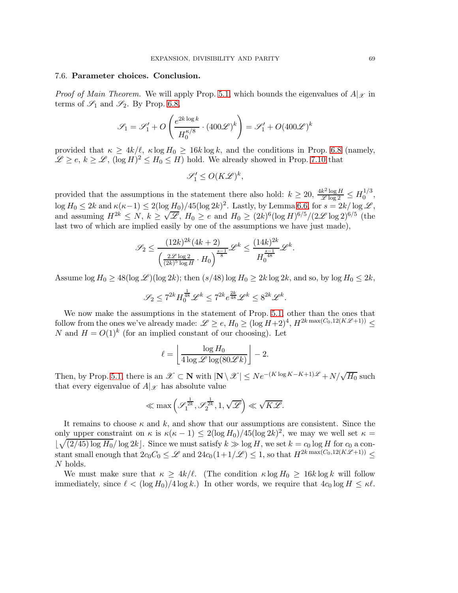## 7.6. Parameter choices. Conclusion.

*Proof of Main Theorem.* We will apply Prop. [5.1,](#page-31-0) which bounds the eigenvalues of  $A|\chi$  in terms of  $\mathscr{S}_1$  and  $\mathscr{S}_2$ . By Prop. [6.8,](#page-53-2)

$$
\mathscr{S}_1 = \mathscr{S}_1' + O\left(\frac{e^{2k\log k}}{H_0^{\kappa/8}} \cdot (400\mathscr{L})^k\right) = \mathscr{S}_1' + O(400\mathscr{L})^k
$$

provided that  $\kappa \geq 4k/\ell$ ,  $\kappa \log H_0 \geq 16k \log k$ , and the conditions in Prop. [6.8](#page-53-2) (namely,  $\mathscr{L} \geq e, k \geq \mathscr{L}, (\log H)^2 \leq H_0 \leq H$ ) hold. We already showed in Prop. [7.10](#page-66-1) that

$$
\mathscr{S}'_1 \le O(K\mathscr{L})^k,
$$

provided that the assumptions in the statement there also hold:  $k \ge 20$ ,  $\frac{4k^2 \log H}{\mathscr{L} \log 2} \le H_0^{1/3}$  $\frac{1}{0}$ ,  $\log H_0 \leq 2k$  and  $\kappa(\kappa-1) \leq 2(\log H_0)/45(\log 2k)^2$ . Lastly, by Lemma [6.6,](#page-51-0) for  $s = 2k/\log \mathscr{L}$ , and assuming  $H^{2k} \le N$ ,  $k \ge \sqrt{\mathscr{L}}$ ,  $H_0 \ge e$  and  $H_0 \ge (2k)^6 (\log H)^{6/5} / (2\mathscr{L} \log 2)^{6/5}$  (the last two of which are implied easily by one of the assumptions we have just made),

$$
\mathscr{S}_2 \leq \frac{(12k)^{2k} (4k+2)}{\left(\frac{2\mathscr{L} \log 2}{(2k)^5 \log H} \cdot H_0\right)^{\frac{s-1}{8}}}\mathscr{L}^k \leq \frac{(14k)^{2k}}{H_0^{\frac{s-1}{48}}}\mathscr{L}^k.
$$

Assume  $\log H_0 \geq 48(\log \mathcal{L})(\log 2k)$ ; then  $(s/48) \log H_0 \geq 2k \log 2k$ , and so, by  $\log H_0 \leq 2k$ ,

$$
\mathscr{S}_2\leq 7^{2k}H_0^{\frac{1}{48}}\mathscr{L}^k\leq 7^{2k}e^{\frac{2k}{48}}\mathscr{L}^k\leq 8^{2k}\mathscr{L}^k.
$$

We now make the assumptions in the statement of Prop. [5.1,](#page-31-0) other than the ones that follow from the ones we've already made:  $\mathscr{L} \geq e$ ,  $H_0 \geq (\log H + 2)^4$ ,  $H^{2k \max(C_0, 12(K\mathscr{L}+1))} \leq$ N and  $H = O(1)^k$  (for an implied constant of our choosing). Let

$$
\ell = \left\lfloor \frac{\log H_0}{4 \log \mathscr{L} \log(80 \mathscr{L} k)} \right\rfloor - 2.
$$

Then, by Prop. [5.1,](#page-31-0) there is an  $\mathscr{X} \subset \mathbb{N}$  with  $|\mathbb{N} \setminus \mathscr{X}| \leq Ne^{-(K \log K - K + 1)\mathscr{L}} + N/\sqrt{H_0}$  such that every eigenvalue of  $A|\mathscr{X}$  has absolute value

$$
\ll \max\left(\mathscr{S}_1^{\frac{1}{2k}},\mathscr{S}_2^{\frac{1}{2k}},1,\sqrt{\mathscr{L}}\right)\ll \sqrt{K\mathscr{L}}.
$$

It remains to choose  $\kappa$  and  $k$ , and show that our assumptions are consistent. Since the only upper constraint on  $\kappa$  is  $\kappa(\kappa-1) \leq 2(\log H_0)/45(\log 2k)^2$ , we may we well set  $\kappa =$  $\lfloor \sqrt{(2/45) \log H_0}/\log 2k \rfloor$ . Since we must satisfy  $k \gg \log H$ , we set  $k = c_0 \log H$  for  $c_0$  a constant small enough that  $2c_0C_0 \leq \mathscr{L}$  and  $24c_0(1+1/\mathscr{L}) \leq 1$ , so that  $H^{2k \max(C_0,12(K\mathscr{L}+1))} \leq$ N holds.

We must make sure that  $\kappa \geq 4k/\ell$ . (The condition  $\kappa \log H_0 \geq 16k \log k$  will follow immediately, since  $\ell < (\log H_0)/4 \log k$ .) In other words, we require that  $4c_0 \log H \leq \kappa \ell$ .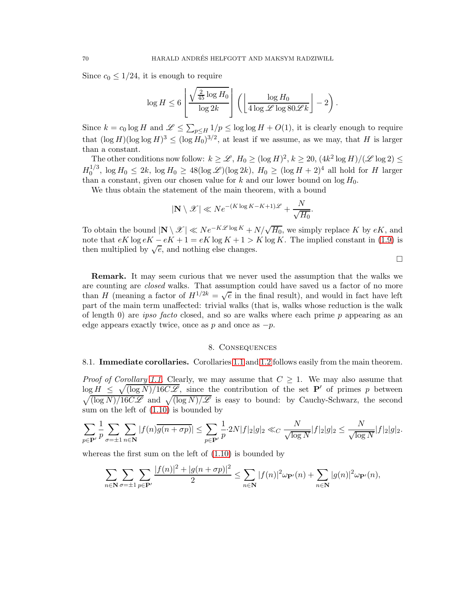Since  $c_0 \leq 1/24$ , it is enough to require

$$
\log H \le 6 \left[ \frac{\sqrt{\frac{2}{45} \log H_0}}{\log 2k} \right] \left( \left[ \frac{\log H_0}{4 \log \mathscr{L} \log 80 \mathscr{L} k} \right] - 2 \right).
$$

Since  $k = c_0 \log H$  and  $\mathscr{L} \leq \sum_{p \leq H} 1/p \leq \log \log H + O(1)$ , it is clearly enough to require that  $(\log H)(\log \log H)^3 \le (\log H_0)^{3/2}$ , at least if we assume, as we may, that H is larger than a constant.

The other conditions now follow:  $k \geq \mathscr{L}$ ,  $H_0 \geq (\log H)^2$ ,  $k \geq 20$ ,  $(4k^2 \log H)/(\mathscr{L} \log 2) \leq$  $H_0^{1/3}$  $\int_0^{1/3}$ ,  $\log H_0 \leq 2k$ ,  $\log H_0 \geq 48(\log \mathcal{L})(\log 2k)$ ,  $H_0 \geq (\log H + 2)^4$  all hold for H larger than a constant, given our chosen value for k and our lower bound on  $\log H_0$ .

We thus obtain the statement of the main theorem, with a bound

$$
|\mathbf{N} \setminus \mathcal{X}| \ll N e^{-(K \log K - K + 1)\mathcal{L}} + \frac{N}{\sqrt{H_0}}.
$$

To obtain the bound  $|\mathbf{N} \setminus \mathcal{X}| \ll Ne^{-K\mathcal{L} \log K} + N/\sqrt{H_0}$ , we simply replace K by eK, and note that  $eK \log eK - eK + 1 = eK \log K + 1 > K \log K$ . The implied constant in [\(1.9\)](#page-3-0) is then multiplied by  $\sqrt{e}$ , and nothing else changes.

 $\Box$ 

Remark. It may seem curious that we never used the assumption that the walks we are counting are *closed* walks. That assumption could have saved us a factor of no more than H (meaning a factor of  $H^{1/2k} = \sqrt{e}$  in the final result), and would in fact have left part of the main term unaffected: trivial walks (that is, walks whose reduction is the walk of length 0) are *ipso facto* closed, and so are walks where each prime p appearing as an edge appears exactly twice, once as p and once as  $-p$ .

### 8. Consequences

# 8.1. Immediate corollaries. Corollaries [1.1](#page-3-1) and [1.2](#page-3-2) follows easily from the main theorem.

*Proof of Corollary* [1.1.](#page-3-1) Clearly, we may assume that  $C \geq 1$ . We may also assume that  $\log H \leq \sqrt{\log N / 16C\mathcal{L}}$ , since the contribution of the set **P'** of primes p between  $\sqrt{\frac{\log N}{16C\mathscr{L}}}$  and  $\sqrt{\frac{\log N}{\mathscr{L}}}$  is easy to bound: by Cauchy-Schwarz, the second sum on the left of [\(1.10\)](#page-3-3) is bounded by

$$
\sum_{p \in \mathbf{P}'} \frac{1}{p} \sum_{\sigma = \pm 1} \sum_{n \in \mathbf{N}} |f(n)\overline{g(n+\sigma p)}| \le \sum_{p \in \mathbf{P}'} \frac{1}{p} \cdot 2N|f|_2|g|_2 \ll_C \frac{N}{\sqrt{\log N}}|f|_2|g|_2 \le \frac{N}{\sqrt{\log N}}|f|_2|g|_2.
$$

whereas the first sum on the left of [\(1.10\)](#page-3-3) is bounded by

$$
\sum_{n\in\mathbf{N}}\sum_{\sigma=\pm 1}\sum_{p\in\mathbf{P}'}\frac{|f(n)|^2+|g(n+\sigma p)|^2}{2}\leq \sum_{n\in\mathbf{N}}|f(n)|^2\omega_{\mathbf{P}'}(n)+\sum_{n\in\mathbf{N}}|g(n)|^2\omega_{\mathbf{P}'}(n),
$$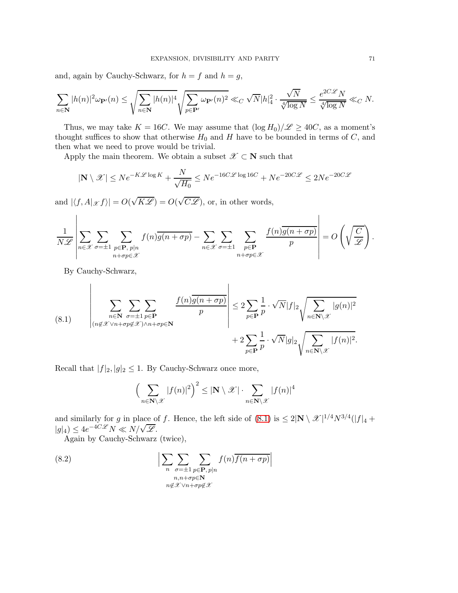and, again by Cauchy-Schwarz, for  $h = f$  and  $h = g$ ,

$$
\sum_{n\in \mathbf{N}} |h(n)|^2 \omega_{\mathbf{P}'}(n) \leq \sqrt{\sum_{n\in \mathbf{N}} |h(n)|^4} \sqrt{\sum_{p\in \mathbf{P}'} \omega_{\mathbf{P}'}(n)^2} \ll_C \sqrt{N} |h|_4^2 \cdot \frac{\sqrt{N}}{\sqrt[4]{\log N}} \leq \frac{e^{2C\mathscr{L}}N}{\sqrt[4]{\log N}} \ll_C N.
$$

Thus, we may take  $K = 16C$ . We may assume that  $(\log H_0)/\mathscr{L} \geq 40C$ , as a moment's thought suffices to show that otherwise  $H_0$  and H have to be bounded in terms of  $C$ , and then what we need to prove would be trivial.

Apply the main theorem. We obtain a subset  $\mathscr{X} \subset \mathbf{N}$  such that

$$
|\mathbf{N} \setminus \mathcal{X}| \le N e^{-K\mathcal{L} \log K} + \frac{N}{\sqrt{H_0}} \le N e^{-16C\mathcal{L} \log 16C} + N e^{-20C\mathcal{L}} \le 2N e^{-20C\mathcal{L}}
$$

and  $|\langle f, A|_{\mathscr X} f \rangle| = O(\sqrt{K\mathscr L}) = O(\sqrt{C\mathscr L})$ , or, in other words,  $\mathbf{L}$ 

$$
\frac{1}{N\mathscr{L}}\left|\sum_{n\in\mathscr{X}}\sum_{\sigma=\pm 1}\sum_{\substack{p\in\mathbf{P},\ p|n\\ n+\sigma p\in\mathscr{X}}}f(n)\overline{g(n+\sigma p)}-\sum_{n\in\mathscr{X}}\sum_{\sigma=\pm 1}\sum_{\substack{p\in\mathbf{P}\\ n+\sigma p\in\mathscr{X}}}\frac{f(n)\overline{g(n+\sigma p)}}{p}\right|=O\left(\sqrt{\frac{C}{\mathscr{L}}}\right).
$$

By Cauchy-Schwarz,

<span id="page-70-0"></span>(8.1) 
$$
\left| \sum_{\substack{n \in \mathbb{N} \\ (n \notin \mathcal{X} \vee n + \sigma p \notin \mathcal{X}) \wedge n + \sigma p \in \mathbb{N}}} \sum_{\substack{f(n)g(n + \sigma p) \\ p}} \frac{f(n)\overline{g(n + \sigma p)}}{p} \right| \leq 2 \sum_{p \in \mathbb{P}} \frac{1}{p} \cdot \sqrt{N} |f|_2 \sqrt{\sum_{n \in \mathbb{N} \setminus \mathcal{X}} |g(n)|^2} + 2 \sum_{p \in \mathbb{P}} \frac{1}{p} \cdot \sqrt{N} |g|_2 \sqrt{\sum_{n \in \mathbb{N} \setminus \mathcal{X}} |f(n)|^2}.
$$

Recall that  $|f|_2, |g|_2 \leq 1$ . By Cauchy-Schwarz once more,

<span id="page-70-1"></span>
$$
\left(\sum_{n\in\mathbf{N}\setminus\mathscr{X}}|f(n)|^2\right)^2\leq |\mathbf{N}\setminus\mathscr{X}|\cdot\sum_{n\in\mathbf{N}\setminus\mathscr{X}}|f(n)|^4
$$

and similarly for g in place of f. Hence, the left side of  $(8.1)$  is  $\leq 2|\mathbf{N}\setminus\mathcal{X}|^{1/4}N^{3/4}(|f|_4 +$  $|g|_4$ )  $\leq 4e^{-4C\mathscr{L}}N \ll N/\sqrt{\mathscr{L}}$ .

Again by Cauchy-Schwarz (twice),

(8.2) 
$$
\left| \sum_{n} \sum_{\substack{\sigma = \pm 1 \\ n, n + \sigma p \in \mathbb{N} \\ n \notin \mathcal{X} \lor n + \sigma p \notin \mathcal{X}}} f(n) \overline{f(n + \sigma p)} \right|
$$

 $\mathbf{I}$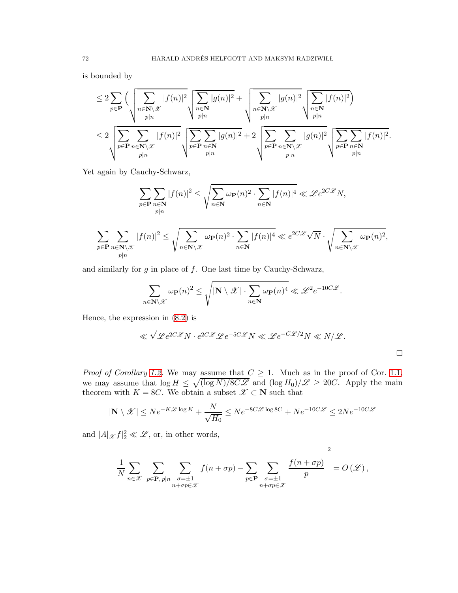is bounded by

$$
\leq 2 \sum_{p \in \mathbf{P}} \Big( \sqrt{\sum_{n \in \mathbf{N} \setminus \mathcal{X}} |f(n)|^2} \sqrt{\sum_{n \in \mathbf{N}} |g(n)|^2} + \sqrt{\sum_{n \in \mathbf{N} \setminus \mathcal{X}} |g(n)|^2} \sqrt{\sum_{n \in \mathbf{N} \setminus \mathcal{X}} |f(n)|^2} \Big) \leq 2 \sqrt{\sum_{p \in \mathbf{P}} \sum_{n \in \mathbf{N} \setminus \mathcal{X}} |f(n)|^2} \sqrt{\sum_{p \in \mathbf{P}} \sum_{n \in \mathbf{N}} |g(n)|^2} + 2 \sqrt{\sum_{p \in \mathbf{P}} \sum_{n \in \mathbf{N} \setminus \mathcal{X}} |g(n)|^2} \sqrt{\sum_{p \in \mathbf{P}} \sum_{n \in \mathbf{N} \setminus \mathcal{X}} |f(n)|^2}.
$$

Yet again by Cauchy-Schwarz,

$$
\sum_{p \in \mathbf{P}} \sum_{n \in \mathbf{N}} |f(n)|^2 \le \sqrt{\sum_{n \in \mathbf{N}} \omega_{\mathbf{P}}(n)^2 \cdot \sum_{n \in \mathbf{N}} |f(n)|^4} \ll \mathcal{L} e^{2C\mathcal{L}} N,
$$
  

$$
\sum_{p \in \mathbf{P}} \sum_{n \in \mathbf{N} \backslash \mathcal{X}} |f(n)|^2 \le \sqrt{\sum_{n \in \mathbf{N} \backslash \mathcal{X}} \omega_{\mathbf{P}}(n)^2 \cdot \sum_{n \in \mathbf{N}} |f(n)|^4} \ll e^{2C\mathcal{L}} \sqrt{N} \cdot \sqrt{\sum_{n \in \mathbf{N} \backslash \mathcal{X}} \omega_{\mathbf{P}}(n)^2},
$$

and similarly for  $g$  in place of  $f$ . One last time by Cauchy-Schwarz,

$$
\sum_{n\in\mathbf{N}\backslash\mathscr{X}}\omega_{\mathbf{P}}(n)^2\leq\sqrt{|\mathbf{N}\setminus\mathscr{X}|\cdot\sum_{n\in\mathbf{N}}\omega_{\mathbf{P}}(n)^4}\ll\mathscr{L}^2e^{-10C\mathscr{L}}.
$$

Hence, the expression in [\(8.2\)](#page-70-1) is

$$
\ll \sqrt{\mathcal{L}e^{2C\mathcal{L}}N \cdot e^{2C\mathcal{L}}\mathcal{L}e^{-5C\mathcal{L}}N} \ll \mathcal{L}e^{-C\mathcal{L}/2}N \ll N/\mathcal{L}.
$$

*Proof of Corollary [1.2.](#page-3-2)* We may assume that  $C \geq 1$ . Much as in the proof of Cor. [1.1,](#page-3-1) we may assume that  $\log H \leq \sqrt{\frac{\log N}{8C\mathscr{L}}}$  and  $(\log H_0)/\mathscr{L} \geq 20C$ . Apply the main theorem with  $K = 8C$ . We obtain a subset  $\mathscr{X} \subset \mathbf{N}$  such that

$$
|\mathbf{N} \setminus \mathcal{X}| \le N e^{-K\mathcal{L} \log K} + \frac{N}{\sqrt{H_0}} \le N e^{-8C\mathcal{L} \log 8C} + N e^{-10C\mathcal{L}} \le 2N e^{-10C\mathcal{L}}
$$

and  $|A|_{\mathscr{X}}f|_2^2 \ll \mathscr{L}$ , or, in other words,

$$
\frac{1}{N} \sum_{n \in \mathcal{X}} \left| \sum_{p \in \mathbf{P}, p | n} \sum_{\substack{\sigma = \pm 1 \\ n + \sigma p \in \mathcal{X}}} f(n + \sigma p) - \sum_{p \in \mathbf{P}} \sum_{\substack{\sigma = \pm 1 \\ n + \sigma p \in \mathcal{X}}} \frac{f(n + \sigma p)}{p} \right|^2 = O(\mathcal{L}),
$$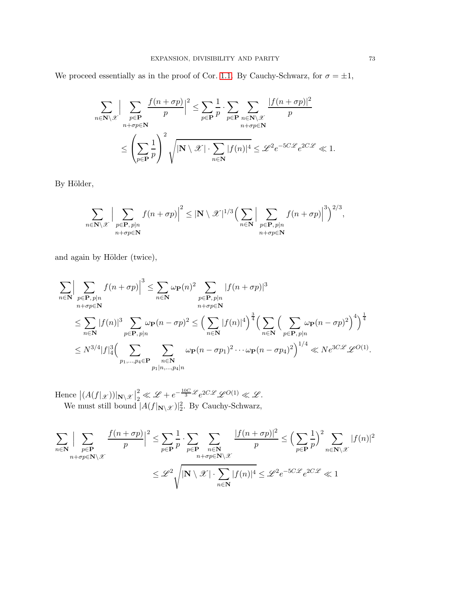We proceed essentially as in the proof of Cor. [1.1.](#page-3-0) By Cauchy-Schwarz, for  $\sigma = \pm 1$ ,

$$
\sum_{n \in \mathbf{N} \setminus \mathcal{X}} \Big| \sum_{\substack{p \in \mathbf{P} \\ n + \sigma p \in \mathbf{N}}} \frac{f(n + \sigma p)}{p} \Big|^2 \le \sum_{p \in \mathbf{P}} \frac{1}{p} \cdot \sum_{p \in \mathbf{P}} \sum_{\substack{n \in \mathbf{N} \setminus \mathcal{X} \\ n + \sigma p \in \mathbf{N}}} \frac{|f(n + \sigma p)|^2}{p} \le \sum_{p \in \mathbf{P}} \frac{1}{p} \cdot \sum_{n + \sigma p \in \mathbf{N}} \frac{|f(n + \sigma p)|^2}{p} \le \sum_{p \in \mathbf{P}} \frac{1}{p} \cdot \sum_{n \in \mathbf{N}} |f(n)|^4 \le \mathcal{L}^2 e^{-5C\mathcal{L}} e^{2C\mathcal{L}} \ll 1.
$$

By Hölder,

$$
\sum_{n\in\mathbf{N}\backslash\mathscr{X}}\Big|\sum_{\substack{p\in\mathbf{P},\,p|n\\ n+\sigma p\in\mathbf{N}}}f(n+\sigma p)\Big|^2\leq|\mathbf{N}\setminus\mathscr{X}|^{1/3}\Big(\sum_{n\in\mathbf{N}}\Big|\sum_{\substack{p\in\mathbf{P},\,p|n\\ n+\sigma p\in\mathbf{N}}}f(n+\sigma p)\Big|^3\Big)^{2/3},
$$

and again by Hölder (twice),

$$
\sum_{n\in\mathbb{N}}\Big|\sum_{\substack{p\in\mathbf{P},\,p|n\\n+\sigma p\in\mathbb{N}}}f(n+\sigma p)\Big|^3\leq\sum_{n\in\mathbb{N}}\omega_{\mathbf{P}}(n)^2\sum_{\substack{p\in\mathbf{P},\,p|n\\n+\sigma p\in\mathbb{N}}} |f(n+\sigma p)|^3
$$
\n
$$
\leq\sum_{n\in\mathbb{N}}|f(n)|^3\sum_{p\in\mathbf{P},\,p|n}\omega_{\mathbf{P}}(n-\sigma p)^2\leq\Big(\sum_{n\in\mathbb{N}}|f(n)|^4\Big)^{\frac{3}{4}}\Big(\sum_{n\in\mathbb{N}}\Big(\sum_{p\in\mathbf{P},\,p|n}\omega_{\mathbf{P}}(n-\sigma p)^2\Big)^4\Big)^{\frac{1}{4}}
$$
\n
$$
\leq N^{3/4}|f|_4^3\Big(\sum_{p_1,\dots,p_4\in\mathbf{P}}\sum_{\substack{n\in\mathbb{N}\\p_1|n,\dots,p_4|n}}\omega_{\mathbf{P}}(n-\sigma p_1)^2\cdots\omega_{\mathbf{P}}(n-\sigma p_4)^2\Big)^{1/4}\ll N e^{3C\mathcal{L}}\mathcal{L}^{O(1)}.
$$

Hence  $|(A(f|_{\mathscr{X}}))|_{\mathbf{N}\setminus\mathscr{X}}|_2^2 \ll \mathscr{L} + e^{-\frac{10C}{3}\mathscr{L}}e^{2C\mathscr{L}}\mathscr{L}^{O(1)} \ll \mathscr{L}.$ We must still bound  $|A(f|\mathbf{x}\setminus\mathscr{X})|^2_2$ . By Cauchy-Schwarz,

$$
\sum_{n \in \mathbf{N}} \Big| \sum_{p \in \mathbf{P}} \frac{f(n+\sigma p)}{p} \Big|^2 \le \sum_{p \in \mathbf{P}} \frac{1}{p} \cdot \sum_{p \in \mathbf{P}} \sum_{n \in \mathbf{N}} \frac{|f(n+\sigma p)|^2}{p} \le \left(\sum_{p \in \mathbf{P}} \frac{1}{p}\right)^2 \sum_{n \in \mathbf{N} \setminus \mathcal{X}} |f(n)|^2
$$
  

$$
\le \mathcal{L}^2 \sqrt{|\mathbf{N} \setminus \mathcal{X}| \cdot \sum_{n \in \mathbf{N}} |f(n)|^4} \le \mathcal{L}^2 e^{-5C\mathcal{L}} e^{2C\mathcal{L}} \ll 1
$$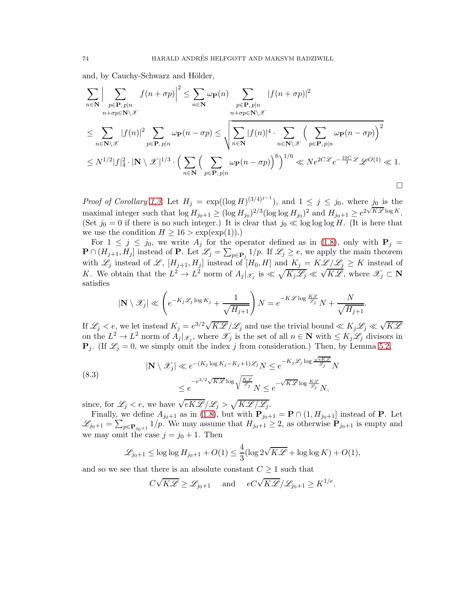and, by Cauchy-Schwarz and Hölder,

$$
\sum_{n\in\mathbf{N}}\Big|\sum_{\substack{p\in\mathbf{P},p|n\\ n+q\in\mathbf{N}\setminus\mathcal{X}}}f(n+\sigma p)\Big|^2\leq\sum_{n\in\mathbf{N}}\omega_{\mathbf{P}}(n)\sum_{\substack{p\in\mathbf{P},p|n\\ n+q\in\mathbf{N}\setminus\mathcal{X}}} |f(n+\sigma p)|^2
$$
\n
$$
\leq \sum_{n\in\mathbf{N}\setminus\mathcal{X}}|f(n)|^2\sum_{p\in\mathbf{P},p|n}\omega_{\mathbf{P}}(n-\sigma p)\leq\sqrt{\sum_{n\in\mathbf{N}}|f(n)|^4\cdot\sum_{n\in\mathbf{N}\setminus\mathcal{X}}\left(\sum_{p\in\mathbf{P},p|n}\omega_{\mathbf{P}}(n-\sigma p)\right)^2}
$$
\n
$$
\leq N^{1/2}|f|_4^2\cdot|\mathbf{N}\setminus\mathcal{X}|^{1/3}\cdot\left(\sum_{n\in\mathbf{N}}\left(\sum_{p\in\mathbf{P},p|n}\omega_{\mathbf{P}}(n-\sigma p)\right)^6\right)^{1/6}\ll Ne^{2C\mathcal{L}}e^{-\frac{10C}{3}\mathcal{L}}\mathcal{L}^{O(1)}\ll1.
$$

*Proof of Corollary* [1.3.](#page-4-0) Let  $H_j = \exp((\log H)^{(3/4)^{j-1}})$ , and  $1 \le j \le j_0$ , where  $j_0$  is the maximal integer such that  $\log H_{j_0+1} \ge (\log H_{j_0})^{2/3} (\log \log H_{j_0})^2$  and  $H_{j_0+1} \ge e^{2\sqrt{K\mathscr{L}} \log K}$ . (Set  $j_0 = 0$  if there is no such integer.) It is clear that  $j_0 \ll \log \log \log H$ . (It is here that we use the condition  $H \ge 16 > \exp(\exp(1)).$ 

For  $1 \leq j \leq j_0$ , we write  $A_j$  for the operator defined as in [\(1.8\)](#page-2-0), only with  $P_j =$  $\mathbf{P} \cap (H_{j+1}, H_j]$  instead of  $\mathbf{P}$ . Let  $\mathscr{L}_j = \sum_{p \in \mathbf{P}_j} 1/p$ . If  $\mathscr{L}_j \geq e$ , we apply the main theorem with  $\mathscr{L}_j$  instead of  $\mathscr{L}, [H_{j+1}, H_j]$  instead of  $[H_0, H]$  and  $K_j = K\mathscr{L}/\mathscr{L}_j \geq K$  instead of K. We obtain that the  $L^2 \to L^2$  norm of  $A_j|_{\mathscr{X}_j}$  is  $\ll \sqrt{K_j \mathscr{L}_j} \ll \sqrt{K \mathscr{L}}$ , where  $\mathscr{X}_j \subset \mathbb{N}$ satisfies

$$
|\mathbf{N} \setminus \mathscr{X}_j| \ll \left(e^{-K_j \mathscr{L}_j \log K_j} + \frac{1}{\sqrt{H_{j+1}}}\right)N = e^{-K\mathscr{L} \log \frac{K\mathscr{L}}{\mathscr{L}_j}}N + \frac{N}{\sqrt{H_{j+1}}}.
$$

If  $\mathscr{L}_j < e$ , we let instead  $K_j = e^{3/2} \sqrt{K \mathscr{L}} / \mathscr{L}_j$  and use the trivial bound  $\ll K_j \mathscr{L}_j \ll \sqrt{K \mathscr{L}}$ on the  $L^2 \to L^2$  norm of  $A_j|_{\mathscr{X}_j}$ , where  $\mathscr{X}_j$  is the set of all  $n \in \mathbb{N}$  with  $\leq K_j \mathscr{L}_j$  divisors in  $\mathbf{P}_j$ . (If  $\mathscr{L}_j = 0$ , we simply omit the index j from consideration.) Then, by Lemma [5.2,](#page-32-0)

<span id="page-73-0"></span>(8.3)  

$$
|\mathbf{N} \setminus \mathcal{X}_j| \ll e^{-(K_j \log K_j - K_j + 1)\mathcal{L}_j} N \le e^{-K_j \mathcal{L}_j \log \frac{\sqrt{\epsilon K \mathcal{L}}}{\mathcal{L}_j}} N
$$

$$
\le e^{-e^{3/2} \sqrt{K \mathcal{L}} \log \sqrt{\frac{K \mathcal{L}}{\mathcal{L}_j}}} N \le e^{-\sqrt{K \mathcal{L}} \log \frac{K \mathcal{L}}{\mathcal{L}_j}} N,
$$

since, for  $\mathscr{L}_j < e$ , we have  $\sqrt{eK\mathscr{L}}/\mathscr{L}_j > \sqrt{K\mathscr{L}/\mathscr{L}_j}$ .

Finally, we define  $A_{j_0+1}$  as in [\(1.8\)](#page-2-0), but with  $\mathbf{P}_{j_0+1} = \mathbf{P} \cap (1, H_{j_0+1}]$  instead of **P**. Let  $\mathscr{L}_{j_0+1} = \sum_{p \in \mathbf{P}_{j_0+1}} 1/p$ . We may assume that  $H_{j_0+1} \geq 2$ , as otherwise  $\mathbf{P}_{j_0+1}$  is empty and we may omit the case  $j = j_0 + 1$ . Then

$$
\mathcal{L}_{j_0+1} \le \log \log H_{j_0+1} + O(1) \le \frac{4}{3} (\log 2\sqrt{K\mathcal{L}} + \log \log K) + O(1),
$$

and so we see that there is an absolute constant  $C \geq 1$  such that

$$
C\sqrt{K\mathscr{L}} \geq \mathscr{L}_{j_0+1}
$$
 and  $eC\sqrt{K\mathscr{L}}/\mathscr{L}_{j_0+1} \geq K^{1/e}$ .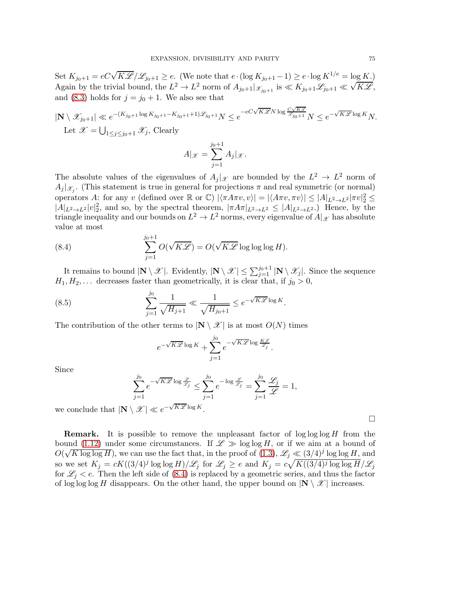Set  $K_{j_0+1} = eC\sqrt{K\mathscr{L}}/\mathscr{L}_{j_0+1} \geq e$ . (We note that  $e \cdot (\log K_{j_0+1} - 1) \geq e \cdot \log K^{1/e} = \log K$ .) Again by the trivial bound, the  $L^2 \to L^2$  norm of  $A_{j_0+1}|_{\mathcal{X}_{j_0+1}}$  is  $\ll K_{j_0+1}\mathcal{L}_{j_0+1} \ll \sqrt{K\mathcal{L}}$ , and [\(8.3\)](#page-73-0) holds for  $j = j_0 + 1$ . We also see that

$$
|\mathbf{N} \setminus \mathcal{X}_{j_0+1}| \ll e^{-(K_{j_0+1} \log K_{j_0+1} - K_{j_0+1} + 1)\mathcal{L}_{j_0+1}} N \le e^{-eC\sqrt{K\mathcal{L}} N \log \frac{C\sqrt{K\mathcal{L}}}{\mathcal{L}_{j_0+1}}} N \le e^{-\sqrt{K\mathcal{L}} \log K} N.
$$
  
Let  $\mathcal{X} = \bigcup_{1 \le j \le j_0+1} \mathcal{X}_j$ , Clearly

$$
A|_{\mathscr{X}} = \sum_{j=1}^{j_0+1} A_j |_{\mathscr{X}}.
$$

The absolute values of the eigenvalues of  $A_j |_{\mathcal{X}}$  are bounded by the  $L^2 \to L^2$  norm of  $A_j |_{\mathscr{X}_j}$ . (This statement is true in general for projections  $\pi$  and real symmetric (or normal) operators A: for any v (defined over  $\mathbb R$  or  $\mathbb C$ )  $|\langle \pi A\pi v, v \rangle| = |\langle A\pi v, \pi v \rangle| \leq |A|_{L^2 \to L^2} |\pi v|_2^2 \leq$  $|A|_{L^2\to L^2}|v|_2^2$ , and so, by the spectral theorem,  $|\pi A\pi|_{L^2\to L^2} \leq |A|_{L^2\to L^2}$ .) Hence, by the triangle inequality and our bounds on  $L^2 \to L^2$  norms, every eigenvalue of  $A|_{\mathscr{X}}$  has absolute value at most

<span id="page-74-0"></span>(8.4) 
$$
\sum_{j=1}^{j_0+1} O(\sqrt{K\mathscr{L}}) = O(\sqrt{K\mathscr{L}} \log \log \log H).
$$

It remains to bound  $|\mathbf{N} \setminus \mathcal{X}|$ . Evidently,  $|\mathbf{N} \setminus \mathcal{X}| \le \sum_{j=1}^{j_0+1} |\mathbf{N} \setminus \mathcal{X}_j|$ . Since the sequence  $H_1, H_2, \ldots$  decreases faster than geometrically, it is clear that, if  $j_0 > 0$ ,

(8.5) 
$$
\sum_{j=1}^{j_0} \frac{1}{\sqrt{H_{j+1}}} \ll \frac{1}{\sqrt{H_{j_0+1}}} \le e^{-\sqrt{K\mathscr{L}} \log K}.
$$

The contribution of the other terms to  $|\mathbf{N} \setminus \mathcal{X}|$  is at most  $O(N)$  times

$$
e^{-\sqrt{K\mathscr{L}}\log K} + \sum_{j=1}^{j_0} e^{-\sqrt{K\mathscr{L}}\log \frac{K\mathscr{L}}{\mathscr{L}_j}}.
$$

Since

$$
\sum_{j=1}^{j_0} e^{-\sqrt{K\mathscr{L}} \log \frac{\mathscr{L}}{\mathscr{L}_j}} \leq \sum_{j=1}^{j_0} e^{-\log \frac{\mathscr{L}}{\mathscr{L}_j}} = \sum_{j=1}^{j_0} \frac{\mathscr{L}_j}{\mathscr{L}} = 1,
$$

we conclude that  $|\mathbf{N} \setminus \mathcal{X}| \ll e^{-\sqrt{K\mathcal{L}} \log K}$ .

**Remark.** It is possible to remove the unpleasant factor of  $\log \log \log H$  from the bound [\(1.12\)](#page-4-1) under some circumstances. If  $\mathscr{L} \gg \log \log H$ , or if we aim at a bound of  $O(\sqrt{K \log \log H})$ , we can use the fact that, in the proof of  $(1.3)$ ,  $\mathscr{L}_j \ll (3/4)^j \log \log H$ , and so we set  $K_j = cK((3/4)^j \log \log H)/\mathscr{L}_j$  for  $\mathscr{L}_j \geq e$  and  $K_j = c\sqrt{K((3/4)^j \log \log H}/\mathscr{L}_j$ for  $\mathscr{L}_j < e$ . Then the left side of [\(8.4\)](#page-74-0) is replaced by a geometric series, and thus the factor of log log log H disappears. On the other hand, the upper bound on  $|\mathbf{N} \setminus \mathcal{X}|$  increases.

 $\Box$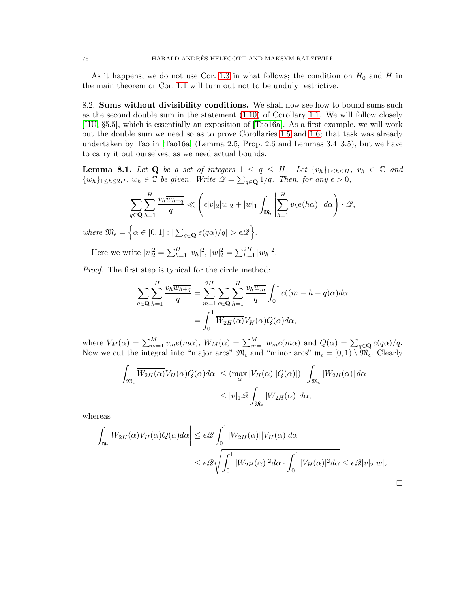As it happens, we do not use Cor. [1.3](#page-4-0) in what follows; the condition on  $H_0$  and H in the main theorem or Cor. [1.1](#page-3-0) will turn out not to be unduly restrictive.

8.2. Sums without divisibility conditions. We shall now see how to bound sums such as the second double sum in the statement [\(1.10\)](#page-3-1) of Corollary [1.1.](#page-3-0) We will follow closely [\[HU,](#page-99-0) §5.5], which is essentially an exposition of [\[Tao16a\]](#page-100-0). As a first example, we will work out the double sum we need so as to prove Corollaries [1.5](#page-5-0) and [1.6;](#page-5-1) that task was already undertaken by Tao in [\[Tao16a\]](#page-100-0) (Lemma 2.5, Prop. 2.6 and Lemmas 3.4–3.5), but we have to carry it out ourselves, as we need actual bounds.

<span id="page-75-0"></span>**Lemma 8.1.** Let Q be a set of integers  $1 \leq q \leq H$ . Let  $\{v_h\}_{1\leq h \leq H}$ ,  $v_h \in \mathbb{C}$  and  $\{w_h\}_{1\leq h\leq 2H}$ ,  $w_h \in \mathbb{C}$  *be given. Write*  $\mathscr{Q} = \sum_{q \in \mathbf{Q}} 1/q$ *. Then, for any*  $\epsilon > 0$ ,

$$
\sum_{q\in\mathbf{Q}}\sum_{h=1}^H\frac{v_h\overline{w_{h+q}}}{q}\ll \left(\epsilon|v|_2|w|_2+|w|_1\int_{\mathfrak{M}_{\epsilon}}\left|\sum_{h=1}^Hv_he(h\alpha)\right|\,d\alpha\right)\cdot\mathscr{Q},
$$

where  $\mathfrak{M}_{\epsilon} = \left\{ \alpha \in [0,1] : |\sum_{q \in \mathbf{Q}} e(q\alpha)/q| > \epsilon \mathcal{Q} \right\}.$ 

Here we write  $|v|_2^2 = \sum_{h=1}^H |v_h|^2$ ,  $|w|_2^2 = \sum_{h=1}^{2H} |w_h|^2$ .

*Proof.* The first step is typical for the circle method:

$$
\sum_{q \in \mathbf{Q}} \sum_{h=1}^{H} \frac{v_h \overline{w_{h+q}}}{q} = \sum_{m=1}^{2H} \sum_{q \in \mathbf{Q}} \sum_{h=1}^{H} \frac{v_h \overline{w_m}}{q} \int_0^1 e((m-h-q)\alpha) d\alpha
$$

$$
= \int_0^1 \overline{W_{2H}(\alpha)} V_H(\alpha) Q(\alpha) d\alpha,
$$

where  $V_M(\alpha) = \sum_{m=1}^M v_m e(m\alpha)$ ,  $W_M(\alpha) = \sum_{m=1}^M w_m e(m\alpha)$  and  $Q(\alpha) = \sum_{q \in \mathbf{Q}} e(q\alpha)/q$ . Now we cut the integral into "major arcs"  $\mathfrak{M}_{\epsilon}$  and "minor arcs"  $\mathfrak{m}_{\epsilon} = [0,1) \setminus \mathfrak{M}_{\epsilon}$ . Clearly

$$
\left| \int_{\mathfrak{M}_{\epsilon}} \overline{W_{2H}(\alpha)} V_{H}(\alpha) Q(\alpha) d\alpha \right| \leq \left( \max_{\alpha} |V_{H}(\alpha)| |Q(\alpha)| \right) \cdot \int_{\mathfrak{M}_{\epsilon}} |W_{2H}(\alpha)| d\alpha
$$
  

$$
\leq |v|_{1} \mathcal{Q} \int_{\mathfrak{M}_{\epsilon}} |W_{2H}(\alpha)| d\alpha,
$$

whereas

$$
\left| \int_{\mathfrak{m}_{\epsilon}} \overline{W_{2H}(\alpha)} V_H(\alpha) Q(\alpha) d\alpha \right| \leq \epsilon \mathcal{Q} \int_0^1 |W_{2H}(\alpha)| |V_H(\alpha)| d\alpha
$$
  

$$
\leq \epsilon \mathcal{Q} \sqrt{\int_0^1 |W_{2H}(\alpha)|^2 d\alpha \cdot \int_0^1 |V_H(\alpha)|^2 d\alpha} \leq \epsilon \mathcal{Q}|v|_2 |w|_2.
$$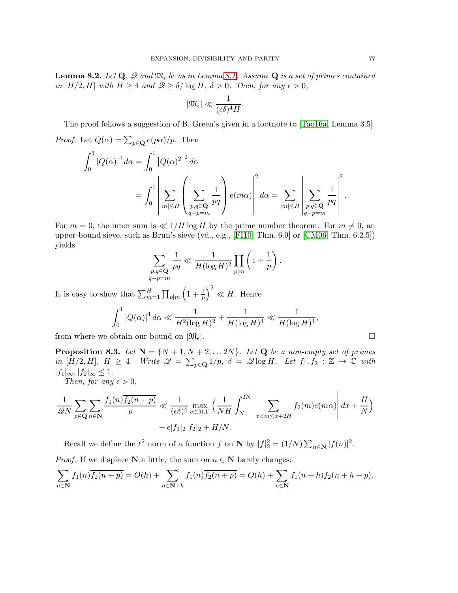<span id="page-76-0"></span>**Lemma 8.2.** Let  $\mathbf{Q}$ ,  $\mathcal{Q}$  and  $\mathfrak{M}_{\epsilon}$  be as in Lemma [8.1.](#page-75-0) Assume  $\mathbf{Q}$  is a set of primes contained *in*  $[H/2, H]$  *with*  $H \geq 4$  *and*  $\mathcal{Q} \geq \delta/\log H$ ,  $\delta > 0$ *. Then, for any*  $\epsilon > 0$ ,

$$
|\mathfrak{M}_{\epsilon}| \ll \frac{1}{(\epsilon \delta)^4 H}.
$$

The proof follows a suggestion of B. Green's given in a footnote to [\[Tao16a,](#page-100-0) Lemma 3.5].

*Proof.* Let  $Q(\alpha) = \sum_{p \in \mathbf{Q}} e(p\alpha)/p$ . Then

$$
\int_0^1 |Q(\alpha)|^4 d\alpha = \int_0^1 |Q(\alpha)|^2 d\alpha
$$
  
= 
$$
\int_0^1 \left| \sum_{|m| \le H} \left( \sum_{\substack{p,q \in \mathbf{Q} \\ q-p=m}} \frac{1}{pq} \right) e(m\alpha) \right|^2 d\alpha = \sum_{|m| \le H} \left| \sum_{\substack{p,q \in \mathbf{Q} \\ q-p=m}} \frac{1}{pq} \right|^2
$$

For  $m = 0$ , the inner sum is  $\ll 1/H \log H$  by the prime number theorem. For  $m \neq 0$ , an upper-bound sieve, such as Brun's sieve (vd., e.g., [\[FI10,](#page-98-0) Thm. 6.9] or [\[CM06,](#page-98-1) Thm. 6.2.5]) yields

$$
\sum_{\substack{p,q \in \mathbf{Q} \\ q-p=m}} \frac{1}{pq} \ll \frac{1}{H(\log H)^2} \prod_{p|m} \left(1 + \frac{1}{p}\right).
$$

It is easy to show that  $\sum_{m=1}^{H} \prod_{p|m}$  $\left(1+\frac{1}{p}\right)$  $\Big)^2 \ll H$ . Hence

$$
\int_0^1 |Q(\alpha)|^4 \, d\alpha \ll \frac{1}{H^2(\log H)^2} + \frac{1}{H(\log H)^4} \ll \frac{1}{H(\log H)^4},
$$

from where we obtain our bound on  $|\mathfrak{M}_{\epsilon}|$ .

<span id="page-76-1"></span>**Proposition 8.3.** Let  $N = \{N+1, N+2, \ldots 2N\}$ . Let **Q** be a non-empty set of primes *in*  $[H/2, H]$ *,*  $H \geq 4$ *. Write*  $\mathscr{Q} = \sum_{p \in \mathbf{Q}} 1/p$ *,*  $\delta = \mathscr{Q} \log H$ *. Let*  $f_1, f_2 : \mathbb{Z} \to \mathbb{C}$  with  $|f_1|_{\infty}, |f_2|_{\infty} \leq 1.$ 

*Then, for any*  $\epsilon > 0$ *,* 

$$
\frac{1}{\mathscr{Q}N} \sum_{p \in \mathbf{Q}} \sum_{n \in \mathbf{N}} \frac{f_1(n) \overline{f_2(n+p)}}{p} \ll \frac{1}{(\epsilon \delta)^4} \max_{\alpha \in [0,1]} \left( \frac{1}{NH} \int_N^{2N} \left| \sum_{x < m \leq x+2H} f_2(m) e(m\alpha) \right| dx + \frac{H}{N} \right) + \epsilon |f_1|_2 |f_2|_2 + H/N.
$$

Recall we define the  $\ell^2$  norm of a function f on **N** by  $|f|_2^2 = (1/N) \sum_{n \in \mathbb{N}} |f(n)|^2$ .

*Proof.* If we displace **N** a little, the sum on  $n \in \mathbb{N}$  barely changes:

$$
\sum_{n \in \mathbf{N}} f_1(n) \overline{f_2(n+p)} = O(h) + \sum_{n \in \mathbf{N}+h} f_1(n) \overline{f_2(n+p)} = O(h) + \sum_{n \in \mathbf{N}} f_1(n+h) f_2(n+h+p).
$$

.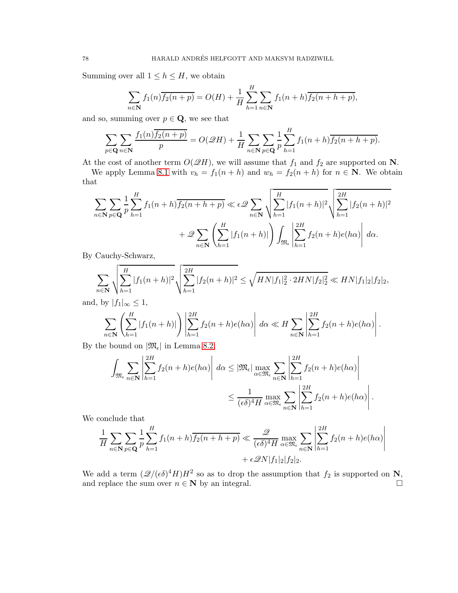Summing over all  $1 \leq h \leq H$ , we obtain

$$
\sum_{n \in \mathbf{N}} f_1(n) \overline{f_2(n+p)} = O(H) + \frac{1}{H} \sum_{h=1}^{H} \sum_{n \in \mathbf{N}} f_1(n+h) \overline{f_2(n+h+p)},
$$

and so, summing over  $p \in \mathbf{Q}$ , we see that

$$
\sum_{p \in \mathbf{Q}} \sum_{n \in \mathbf{N}} \frac{f_1(n) \overline{f_2(n+p)}}{p} = O(\mathcal{Q}H) + \frac{1}{H} \sum_{n \in \mathbf{N}} \sum_{p \in \mathbf{Q}} \frac{1}{p} \sum_{h=1}^H f_1(n+h) \overline{f_2(n+h+p)}.
$$

At the cost of another term  $O(\mathscr{Q}H)$ , we will assume that  $f_1$  and  $f_2$  are supported on N.

We apply Lemma [8.1](#page-75-0) with  $v_h = f_1(n+h)$  and  $w_h = f_2(n+h)$  for  $n \in \mathbb{N}$ . We obtain that

$$
\sum_{n \in \mathbf{N}} \sum_{p \in \mathbf{Q}} \frac{1}{p} \sum_{h=1}^{H} f_1(n+h) \overline{f_2(n+h+p)} \ll \epsilon \mathcal{Q} \sum_{n \in \mathbf{N}} \sqrt{\sum_{h=1}^{H} |f_1(n+h)|^2} \sqrt{\sum_{h=1}^{2H} |f_2(n+h)|^2} + \mathcal{Q} \sum_{n \in \mathbf{N}} \left( \sum_{h=1}^{H} |f_1(n+h)| \right) \int_{\mathfrak{M}_{\epsilon}} \left| \sum_{h=1}^{2H} f_2(n+h)e(h\alpha) \right| d\alpha.
$$

By Cauchy-Schwarz,

$$
\sum_{n\in\mathbf{N}}\sqrt{\sum_{h=1}^{H}|f_1(n+h)|^2}\sqrt{\sum_{h=1}^{2H}|f_2(n+h)|^2} \le \sqrt{HN|f_1|^2_2\cdot 2HN|f_2|^2_2} \ll HN|f_1|_2|f_2|_2,
$$

and, by  $|f_1|_{\infty} \leq 1$ ,

$$
\sum_{n\in\mathbf{N}}\left(\sum_{h=1}^{H}|f_1(n+h)|\right)\left|\sum_{h=1}^{2H}f_2(n+h)e(h\alpha)\right|d\alpha \ll H\sum_{n\in\mathbf{N}}\left|\sum_{h=1}^{2H}f_2(n+h)e(h\alpha)\right|.
$$

By the bound on  $|\mathfrak{M}_{\epsilon}|$  in Lemma [8.2,](#page-76-0)

$$
\int_{\mathfrak{M}_{\epsilon}} \sum_{n \in \mathbf{N}} \left| \sum_{h=1}^{2H} f_2(n+h)e(h\alpha) \right| d\alpha \leq |\mathfrak{M}_{\epsilon}| \max_{\alpha \in \mathfrak{M}_{\epsilon}} \sum_{n \in \mathbf{N}} \left| \sum_{h=1}^{2H} f_2(n+h)e(h\alpha) \right|
$$
  

$$
\leq \frac{1}{(\epsilon \delta)^4 H} \max_{\alpha \in \mathfrak{M}_{\epsilon}} \sum_{n \in \mathbf{N}} \left| \sum_{h=1}^{2H} f_2(n+h)e(h\alpha) \right|.
$$

We conclude that

$$
\frac{1}{H} \sum_{n \in \mathbf{N}} \sum_{p \in \mathbf{Q}} \frac{1}{p} \sum_{h=1}^{H} f_1(n+h) \overline{f_2(n+h+p)} \ll \frac{\mathcal{Q}}{(\epsilon \delta)^4 H} \max_{\alpha \in \mathfrak{M}_{\epsilon}} \sum_{n \in \mathbf{N}} \left| \sum_{h=1}^{2H} f_2(n+h)e(h\alpha) \right|
$$
  
+  $\epsilon \mathcal{Q}N |f_1|_2 |f_2|_2$ .

We add a term  $(\mathcal{Q}/(\epsilon \delta)^4 H)H^2$  so as to drop the assumption that  $f_2$  is supported on N, and replace the sum over  $n \in \mathbb{N}$  by an integral.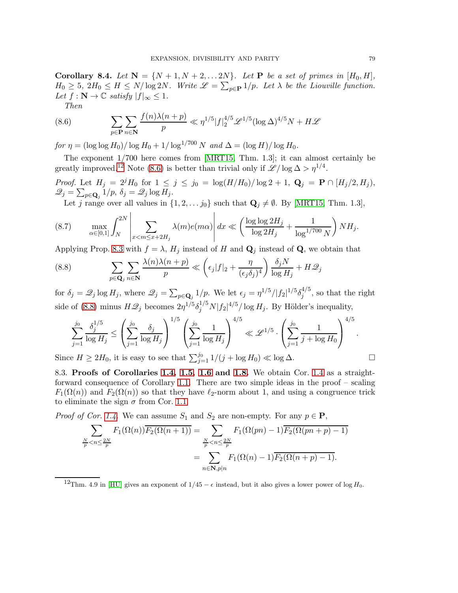<span id="page-78-3"></span>**Corollary 8.4.** Let  $N = \{N+1, N+2, \ldots 2N\}$ . Let **P** be a set of primes in  $[H_0, H]$ ,  $H_0 \geq 5$ ,  $2H_0 \leq H \leq N/\log 2N$ . Write  $\mathscr{L} = \sum_{p \in \mathbf{P}} 1/p$ . Let  $\lambda$  be the Liouville function. *Let*  $f : \mathbb{N} \to \mathbb{C}$  *satisfy*  $|f|_{\infty} \leq 1$ *.* 

<span id="page-78-1"></span>*Then*

(8.6) 
$$
\sum_{p \in \mathbf{P}} \sum_{n \in \mathbf{N}} \frac{f(n)\lambda(n+p)}{p} \ll \eta^{1/5} |f|_2^{4/5} \mathcal{L}^{1/5} (\log \Delta)^{4/5} N + H \mathcal{L}
$$

*for*  $\eta = (\log \log H_0)/\log H_0 + 1/\log^{1/700} N$  *and*  $\Delta = (\log H)/\log H_0$ *.* 

The exponent 1/700 here comes from [\[MRT15,](#page-99-1) Thm. 1.3]; it can almost certainly be greatly improved.<sup>[12](#page-78-0)</sup> Note [\(8.6\)](#page-78-1) is better than trivial only if  $\mathscr{L}/\log \Delta > \eta^{1/4}$ .

*Proof.* Let  $H_j = 2^j H_0$  for  $1 \le j \le j_0 = \log(H/H_0)/\log 2 + 1$ ,  $\mathbf{Q}_j = \mathbf{P} \cap [H_j/2, H_j)$ ,  $\mathscr{Q}_j = \sum_{p \in \mathbf{Q}_j} 1/p, \ \delta_j = \mathscr{Q}_j \log H_j.$ 

Let j range over all values in  $\{1, 2, \ldots, j_0\}$  such that  $\mathbf{Q}_j \neq \emptyset$ . By [\[MRT15,](#page-99-1) Thm. 1.3],

<span id="page-78-4"></span>
$$
(8.7) \qquad \max_{\alpha\in[0,1]} \int_N^{2N} \left| \sum_{x
$$

Applying Prop. [8.3](#page-76-1) with  $f = \lambda$ ,  $H_j$  instead of H and  $\mathbf{Q}_j$  instead of  $\mathbf{Q}$ , we obtain that

<span id="page-78-2"></span>(8.8) 
$$
\sum_{p \in \mathbf{Q}_j} \sum_{n \in \mathbf{N}} \frac{\lambda(n)\lambda(n+p)}{p} \ll \left(\epsilon_j |f|_2 + \frac{\eta}{(\epsilon_j \delta_j)^4}\right) \frac{\delta_j N}{\log H_j} + H\mathcal{Q}_j
$$

for  $\delta_j = \mathcal{Q}_j \log H_j$ , where  $\mathcal{Q}_j = \sum_{p \in \mathbf{Q}_j} 1/p$ . We let  $\epsilon_j = \eta^{1/5} / |f_2|^{1/5} \delta_j^{4/5}$  $j^{4/9}$ , so that the right side of [\(8.8\)](#page-78-2) minus  $H\mathcal{Q}_j$  becomes  $2\eta^{1/5}\delta_j^{1/5}N|f_2|^{4/5}/\log H_j$ . By Hölder's inequality,

$$
\sum_{j=1}^{j_0} \frac{\delta_j^{1/5}}{\log H_j} \le \left(\sum_{j=1}^{j_0} \frac{\delta_j}{\log H_j}\right)^{1/5} \left(\sum_{j=1}^{j_0} \frac{1}{\log H_j}\right)^{4/5} \ll \mathcal{L}^{1/5} \cdot \left(\sum_{j=1}^{j_0} \frac{1}{j + \log H_0}\right)^{4/5}.
$$

Since  $H \geq 2H_0$ , it is easy to see that  $\sum_{j=1}^{j_0} 1/(j + \log H_0) \ll \log \Delta$ .

8.3. Proofs of Corollaries [1.4,](#page-4-2) [1.5,](#page-5-0) [1.6](#page-5-1) and [1.8.](#page-6-0) We obtain Cor. [1.4](#page-4-2) as a straightforward consequence of Corollary [1.1.](#page-3-0) There are two simple ideas in the proof – scaling  $F_1(\Omega(n))$  and  $F_2(\Omega(n))$  so that they have  $\ell_2$ -norm about 1, and using a congruence trick to eliminate the sign  $\sigma$  from Cor. [1.1.](#page-3-0)

*Proof of Cor.* 1.4. We can assume 
$$
S_1
$$
 and  $S_2$  are non-empty. For any  $p \in \mathbf{P}$ ,

$$
\sum_{\frac{N}{p} < n \le \frac{2N}{p}} F_1(\Omega(n)) \overline{F_2(\Omega(n+1))} = \sum_{\frac{N}{p} < n \le \frac{2N}{p}} F_1(\Omega(pn) - 1) \overline{F_2(\Omega(pn+p) - 1)}
$$
\n
$$
= \sum_{n \in \mathbf{N}, p \mid n} F_1(\Omega(n) - 1) \overline{F_2(\Omega(n+p) - 1)}.
$$

<span id="page-78-0"></span><sup>12</sup>Thm. 4.9 in [\[HU\]](#page-99-0) gives an exponent of  $1/45 - \epsilon$  instead, but it also gives a lower power of log  $H_0$ .

$$
\Box
$$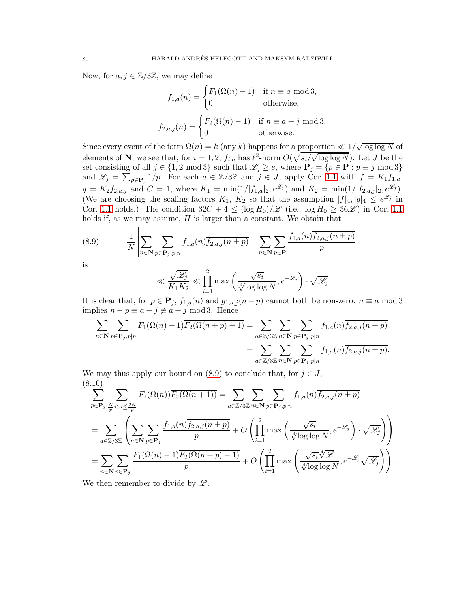Now, for  $a, j \in \mathbb{Z}/3\mathbb{Z}$ , we may define

$$
f_{1,a}(n) = \begin{cases} F_1(\Omega(n) - 1) & \text{if } n \equiv a \text{ mod } 3, \\ 0 & \text{otherwise,} \end{cases}
$$

$$
f_{2,a,j}(n) = \begin{cases} F_2(\Omega(n) - 1) & \text{if } n \equiv a + j \text{ mod } 3, \\ 0 & \text{otherwise.} \end{cases}
$$

Since every event of the form  $\Omega(n) = k$  (any k) happens for a proportion  $\ll 1/\sqrt{\log \log N}$  of elements of **N**, we see that, for  $i = 1, 2$ ,  $f_{i,a}$  has  $\ell^2$ -norm  $O(\sqrt{s_i/\sqrt{\log \log N}})$ . Let J be the set consisting of all  $j \in \{1, 2 \mod 3\}$  such that  $\mathscr{L}_j \geq e$ , where  $\mathbf{P}_j = \{p \in \mathbf{P} : p \equiv j \mod 3\}$ and  $\mathscr{L}_j = \sum_{p \in \mathbf{P}_j} 1/p$ . For each  $a \in \mathbb{Z}/3\mathbb{Z}$  and  $j \in J$ , apply Cor. [1.1](#page-3-0) with  $f = K_1 f_{1,a}$ ,  $g = K_2 f_{2,a,j}$  and  $C = 1$ , where  $K_1 = \min(1/|f_{1,a}|_2, e^{\mathscr{L}_j})$  and  $K_2 = \min(1/|f_{2,a,j}|_2, e^{\mathscr{L}_j})$ . (We are choosing the scaling factors  $K_1$ ,  $K_2$  so that the assumption  $|f|_4$ ,  $|g|_4 \leq e^{\mathscr{L}_j}$  in Cor. [1.1](#page-3-0) holds.) The condition  $32C + 4 \leq (\log H_0)/\mathscr{L}$  (i.e.,  $\log H_0 \geq 36\mathscr{L}$ ) in Cor. 1.1 holds if, as we may assume,  $H$  is larger than a constant. We obtain that

> $\overline{\phantom{a}}$ I I  $\overline{\phantom{a}}$ I  $\overline{\phantom{a}}$

(8.9) 
$$
\frac{1}{N} \left| \sum_{n \in \mathbf{N}} \sum_{p \in \mathbf{P}_j, p | n} f_{1,a}(n) \overline{f_{2,a,j}(n \pm p)} - \sum_{n \in \mathbf{N}} \sum_{p \in \mathbf{P}} \frac{f_{1,a}(n) \overline{f_{2,a,j}(n \pm p)}}{p} \right|
$$

is

<span id="page-79-0"></span>
$$
\ll \frac{\sqrt{\mathscr{L}_j}}{K_1 K_2} \ll \prod_{i=1}^2 \max\left(\frac{\sqrt{s_i}}{\sqrt[4]{\log\log N}}, e^{-\mathscr{L}_j}\right) \cdot \sqrt{\mathscr{L}_j}
$$

It is clear that, for  $p \in \mathbf{P}_i$ ,  $f_{1,a}(n)$  and  $g_{1,a,j}(n-p)$  cannot both be non-zero:  $n \equiv a \mod 3$ implies  $n - p \equiv a - j \not\equiv a + j \mod 3$ . Hence

$$
\sum_{n \in \mathbf{N}} \sum_{p \in \mathbf{P}_j, p \mid n} F_1(\Omega(n) - 1) \overline{F_2(\Omega(n+p) - 1)} = \sum_{a \in \mathbb{Z}/3\mathbb{Z}} \sum_{n \in \mathbf{N}} \sum_{p \in \mathbf{P}_j, p \mid n} f_{1,a}(n) \overline{f_{2,a,j}(n+p)} = \sum_{a \in \mathbb{Z}/3\mathbb{Z}} \sum_{n \in \mathbf{N}} \sum_{p \in \mathbf{P}_j, p \mid n} f_{1,a}(n) \overline{f_{2,a,j}(n+p)}.
$$

We may thus apply our bound on  $(8.9)$  to conclude that, for  $j \in J$ , (8.10)

<span id="page-79-1"></span>
$$
\sum_{p \in \mathbf{P}_j} \sum_{\substack{N \ p \in \mathbf{P}_j}} F_1(\Omega(n)) \overline{F_2(\Omega(n+1))} = \sum_{a \in \mathbb{Z}/3\mathbb{Z}} \sum_{n \in \mathbf{N}} \sum_{p \in \mathbf{P}_j, p|n} f_{1,a}(n) \overline{f_{2,a,j}(n+p)}
$$
\n
$$
= \sum_{a \in \mathbb{Z}/3\mathbb{Z}} \left( \sum_{n \in \mathbf{N}} \sum_{p \in \mathbf{P}_j} \frac{f_{1,a}(n) \overline{f_{2,a,j}(n+p)}}{p} + O\left(\prod_{i=1}^2 \max\left(\frac{\sqrt{s_i}}{\sqrt[4]{\log\log N}}, e^{-\mathcal{L}_j}\right) \cdot \sqrt{\mathcal{L}_j}\right) \right)
$$
\n
$$
= \sum_{n \in \mathbf{N}} \sum_{p \in \mathbf{P}_j} \frac{F_1(\Omega(n)-1) \overline{F_2(\Omega(n+p)-1)}}{p} + O\left(\prod_{i=1}^2 \max\left(\frac{\sqrt{s_i} \sqrt[4]{\mathcal{L}}}{\sqrt[4]{\log\log N}}, e^{-\mathcal{L}_j} \sqrt{\mathcal{L}_j}\right) \right).
$$

We then remember to divide by  $\mathscr{L}$ .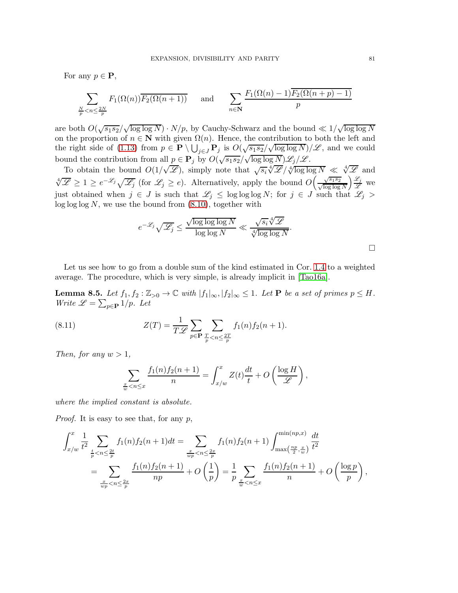For any  $p \in \mathbf{P}$ ,

$$
\sum_{\frac{N}{p} < n \le \frac{2N}{p}} F_1(\Omega(n)) \overline{F_2(\Omega(n+1))} \qquad \text{and} \qquad \sum_{n \in \mathbb{N}} \frac{F_1(\Omega(n)-1) \overline{F_2(\Omega(n+p)-1)}}{p}
$$

are both  $O(\sqrt{s_1 s_2}/\sqrt{\log \log N}) \cdot N/p$ , by Cauchy-Schwarz and the bound  $\ll 1/\sqrt{\log \log N}$ on the proportion of  $n \in \mathbb{N}$  with given  $\Omega(n)$ . Hence, the contribution to both the left and the right side of [\(1.13\)](#page-4-3) from  $p \in \mathbf{P} \setminus \bigcup_{j \in J} \mathbf{P}_j$  is  $O(\sqrt{s_1 s_2}/\sqrt{\log \log N})/\mathscr{L}$ , and we could bound the contribution from all  $p \in \mathbf{P}_j$  by  $O(\sqrt{s_1 s_2}/\sqrt{\log \log N}) \mathscr{L}_j/\mathscr{L}$ .

To obtain the bound  $O(1/\sqrt{\mathscr{L}})$ , simply note that  $\sqrt{s_i} \sqrt[4]{\mathscr{L}} / \sqrt[4]{\log \log N} \ll \sqrt[4]{\mathscr{L}}$  and  $\sqrt[4]{\mathscr{L}} \geq 1 \geq e^{-\mathscr{L}_j} \sqrt{\mathscr{L}_j}$  (for  $\mathscr{L}_j \geq e$ ). Alternatively, apply the bound  $O\left(\frac{\sqrt{s_1 s_2}}{\sqrt{\log \log n}}\right)$  $\log \log N$  $\frac{\mathscr{L}_j}{\mathscr{L}}$  we just obtained when  $j \in J$  is such that  $\mathscr{L}_j \leq \log \log \log N$ ; for  $j \in J$  such that  $\mathscr{L}_j$  $\log \log N$ , we use the bound from [\(8.10\)](#page-79-1), together with

$$
e^{-\mathscr{L}_j}\sqrt{\mathscr{L}_j} \le \frac{\sqrt{\log\log\log N}}{\log\log N} \ll \frac{\sqrt{s_i}^{\frac{4}{\sqrt{2}}}}{\sqrt[4]{\log\log N}}.
$$

Let us see how to go from a double sum of the kind estimated in Cor. [1.4](#page-4-2) to a weighted average. The procedure, which is very simple, is already implicit in [\[Tao16a\]](#page-100-0).

<span id="page-80-0"></span>**Lemma 8.5.** Let  $f_1, f_2 : \mathbb{Z}_{>0} \to \mathbb{C}$  with  $|f_1|_{\infty}, |f_2|_{\infty} \leq 1$ . Let **P** be a set of primes  $p \leq H$ . *Write*  $\mathscr{L} = \sum_{p \in \mathbf{P}} 1/p$ *.* Let

(8.11) 
$$
Z(T) = \frac{1}{T \mathscr{L}} \sum_{p \in \mathbf{P}} \sum_{\frac{T}{p} < n \leq \frac{2T}{p}} f_1(n) f_2(n+1).
$$

*Then, for any*  $w > 1$ *,* 

<span id="page-80-1"></span>
$$
\sum_{\frac{x}{w} < n \leq x} \frac{f_1(n)f_2(n+1)}{n} = \int_{x/w}^x Z(t) \frac{dt}{t} + O\left(\frac{\log H}{\mathscr{L}}\right),
$$

*where the implied constant is absolute.*

*Proof.* It is easy to see that, for any p,

$$
\int_{x/w}^{x} \frac{1}{t^2} \sum_{\frac{t}{p} < n \le \frac{2t}{p}} f_1(n) f_2(n+1) dt = \sum_{\frac{x}{wp} < n \le \frac{2x}{p}} f_1(n) f_2(n+1) \int_{\max\left(\frac{np}{2}, \frac{x}{w}\right)}^{\min(np, x)} \frac{dt}{t^2}
$$
\n
$$
= \sum_{\frac{x}{wp} < n \le \frac{2x}{p}} \frac{f_1(n) f_2(n+1)}{np} + O\left(\frac{1}{p}\right) = \frac{1}{p} \sum_{\frac{x}{w} < n \le x} \frac{f_1(n) f_2(n+1)}{n} + O\left(\frac{\log p}{p}\right),
$$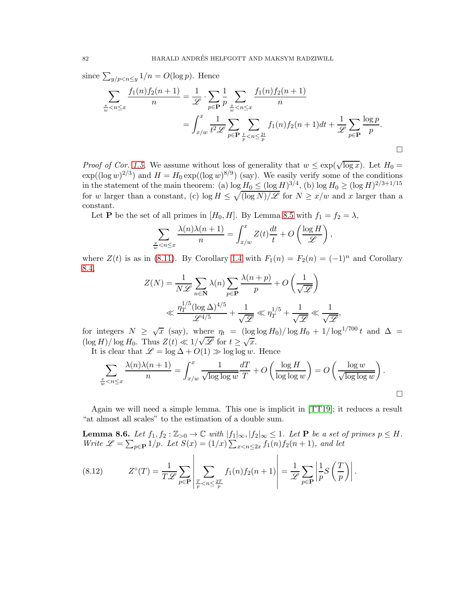since  $\sum_{y/p < n \le y} 1/n = O(\log p)$ . Hence

$$
\sum_{\frac{x}{w} < n \leq x} \frac{f_1(n) f_2(n+1)}{n} = \frac{1}{\mathscr{L}} \cdot \sum_{p \in \mathbf{P}} \frac{1}{p} \sum_{\frac{x}{w} < n \leq x} \frac{f_1(n) f_2(n+1)}{n}
$$
\n
$$
= \int_{x/w}^x \frac{1}{t^2 \mathscr{L}} \sum_{p \in \mathbf{P}} \sum_{\frac{t}{p} < n \leq \frac{2t}{p}} f_1(n) f_2(n+1) dt + \frac{1}{\mathscr{L}} \sum_{p \in \mathbf{P}} \frac{\log p}{p}.
$$

*Proof of Cor.* [1.5.](#page-5-0) We assume without loss of generality that  $w \leq \exp(\sqrt{\log x})$ . Let  $H_0 =$  $\exp((\log w)^{2/3})$  and  $H = H_0 \exp((\log w)^{8/9})$  (say). We easily verify some of the conditions in the statement of the main theorem: (a)  $\log H_0 \leq (\log H)^{3/4}$ , (b)  $\log H_0 \geq (\log H)^{2/3+1/15}$ for w larger than a constant, (c)  $\log H \leq \sqrt{(\log N)/\mathscr{L}}$  for  $N \geq x/w$  and x larger than a constant.

Let **P** be the set of all primes in  $[H_0, H]$ . By Lemma [8.5](#page-80-0) with  $f_1 = f_2 = \lambda$ ,

$$
\sum_{\frac{x}{w} < n \leq x} \frac{\lambda(n)\lambda(n+1)}{n} = \int_{x/w}^x Z(t) \frac{dt}{t} + O\left(\frac{\log H}{\mathscr{L}}\right),
$$

where  $Z(t)$  is as in [\(8.11\)](#page-80-1). By Corollary [1.4](#page-4-2) with  $F_1(n) = F_2(n) = (-1)^n$  and Corollary [8.4,](#page-78-3)

$$
\begin{split} Z(N) &= \frac{1}{N\mathscr{L}} \sum_{n\in \mathbf{N}} \lambda(n) \sum_{p\in \mathbf{P}} \frac{\lambda(n+p)}{p} + O\left(\frac{1}{\sqrt{\mathscr{L}}}\right) \\ &\ll \frac{\eta_T^{1/5} (\log \Delta)^{4/5}}{\mathscr{L}^{4/5}} + \frac{1}{\sqrt{\mathscr{L}}} \ll \eta_T^{1/5} + \frac{1}{\sqrt{\mathscr{L}}} \ll \frac{1}{\sqrt{\mathscr{L}}}, \end{split}
$$

for integers  $N \geq \sqrt{x}$  (say), where  $\eta_t = (\log \log H_0)/\log H_0 + 1/\log^{1/700} t$  and  $\Delta =$  $(\log H)/\log H_0$ . Thus  $Z(t) \ll 1/\sqrt{\mathscr{L}}$  for  $t \geq \sqrt{x}$ .

It is clear that  $\mathscr{L} = \log \Delta + O(1) \gg \log \log w$ . Hence

$$
\sum_{\frac{x}{w} < n \leq x} \frac{\lambda(n)\lambda(n+1)}{n} = \int_{x/w}^{x} \frac{1}{\sqrt{\log\log w}} \frac{dT}{T} + O\left(\frac{\log H}{\log\log w}\right) = O\left(\frac{\log w}{\sqrt{\log\log w}}\right).
$$

Again we will need a simple lemma. This one is implicit in [\[TT19\]](#page-100-1); it reduces a result "at almost all scales" to the estimation of a double sum.

<span id="page-81-0"></span>**Lemma 8.6.** Let  $f_1, f_2 : \mathbb{Z}_{>0} \to \mathbb{C}$  with  $|f_1|_{\infty}, |f_2|_{\infty} \leq 1$ . Let **P** be a set of primes  $p \leq H$ . *Write*  $\mathscr{L} = \sum_{p \in \mathbf{P}} 1/p$ *. Let*  $S(x) = (1/x) \sum_{x < n \leq 2x} f_1(n) f_2(n+1)$ *, and let* 

<span id="page-81-1"></span>(8.12) 
$$
Z^{\circ}(T) = \frac{1}{T\mathscr{L}} \sum_{p \in \mathbf{P}} \left| \sum_{\substack{T \\ p \leq n \leq \frac{2T}{p}}} f_1(n) f_2(n+1) \right| = \frac{1}{\mathscr{L}} \sum_{p \in \mathbf{P}} \left| \frac{1}{p} S\left(\frac{T}{p}\right) \right|.
$$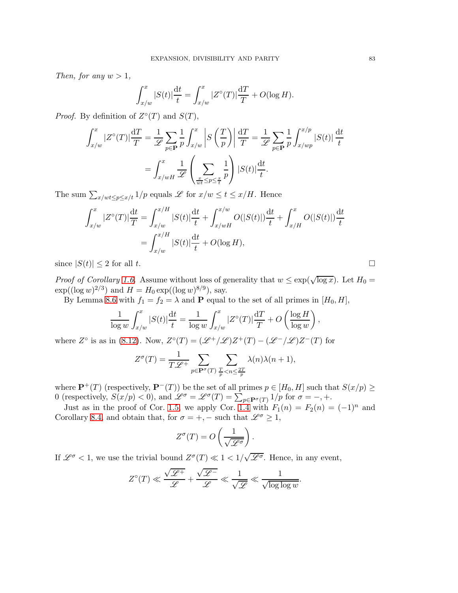*Then, for any*  $w > 1$ *,* 

$$
\int_{x/w}^{x} |S(t)| \frac{dt}{t} = \int_{x/w}^{x} |Z^{\circ}(T)| \frac{dT}{T} + O(\log H).
$$

*Proof.* By definition of  $Z^{\circ}(T)$  and  $S(T)$ ,

$$
\int_{x/w}^{x} |Z^{\circ}(T)| \frac{dT}{T} = \frac{1}{\mathscr{L}} \sum_{p \in \mathbf{P}} \frac{1}{p} \int_{x/w}^{x} \left| S\left(\frac{T}{p}\right) \right| \frac{dT}{T} = \frac{1}{\mathscr{L}} \sum_{p \in \mathbf{P}} \frac{1}{p} \int_{x/wp}^{x/p} |S(t)| \frac{dt}{t}
$$

$$
= \int_{x/wH}^{x} \frac{1}{\mathscr{L}} \left( \sum_{\frac{x}{wt} \le p \le \frac{x}{t}} \frac{1}{p} \right) |S(t)| \frac{dt}{t}.
$$

The sum  $\sum_{x/wt \leq p \leq x/t} 1/p$  equals  $\mathscr L$  for  $x/w \leq t \leq x/H$ . Hence

$$
\int_{x/w}^{x} |Z^{\circ}(T)| \frac{dt}{T} = \int_{x/w}^{x/H} |S(t)| \frac{dt}{t} + \int_{x/wH}^{x/w} O(|S(t)|) \frac{dt}{t} + \int_{x/H}^{x} O(|S(t)|) \frac{dt}{t}
$$

$$
= \int_{x/w}^{x/H} |S(t)| \frac{dt}{t} + O(\log H),
$$

since  $|S(t)| \leq 2$  for all t.

*Proof of Corollary [1.6.](#page-5-1)* Assume without loss of generality that  $w \leq \exp(\sqrt{\log x})$ . Let  $H_0 =$  $\exp((\log w)^{2/3})$  and  $H = H_0 \exp((\log w)^{8/9})$ , say.

By Lemma [8.6](#page-81-0) with  $f_1 = f_2 = \lambda$  and **P** equal to the set of all primes in  $[H_0, H]$ ,

$$
\frac{1}{\log w} \int_{x/w}^x |S(t)| \frac{dt}{t} = \frac{1}{\log w} \int_{x/w}^x |Z^{\circ}(T)| \frac{dT}{T} + O\left(\frac{\log H}{\log w}\right),\,
$$

where  $Z^{\circ}$  is as in [\(8.12\)](#page-81-1). Now,  $Z^{\circ}(T) = (\mathscr{L}^{+}/\mathscr{L})Z^{+}(T) - (\mathscr{L}^{-}/\mathscr{L})Z^{-}(T)$  for

$$
Z^{\sigma}(T) = \frac{1}{T\mathscr{L}^+} \sum_{p \in \mathbf{P}^{\sigma}(T)} \sum_{\frac{T}{p} < n \leq \frac{2T}{p}} \lambda(n)\lambda(n+1),
$$

where  $\mathbf{P}^+(T)$  (respectively,  $\mathbf{P}^-(T)$ ) be the set of all primes  $p \in [H_0, H]$  such that  $S(x/p) \ge$ 0 (respectively,  $S(x/p) < 0$ ), and  $\mathscr{L}^{\sigma} = \mathscr{L}^{\sigma}(T) = \sum_{p \in \mathbf{P}^{\sigma}(T)} 1/p$  for  $\sigma = -, +$ .

Just as in the proof of Cor. [1.5,](#page-5-0) we apply Cor. [1.4](#page-4-2) with  $F_1(n) = F_2(n) = (-1)^n$  and Corollary [8.4,](#page-78-3) and obtain that, for  $\sigma = +, -$  such that  $\mathscr{L}^{\sigma} \geq 1$ ,

$$
Z^{\sigma}(T) = O\left(\frac{1}{\sqrt{\mathscr{L}^{\sigma}}}\right).
$$

If  $\mathscr{L}^{\sigma}$  < 1, we use the trivial bound  $Z^{\sigma}(T) \ll 1 < 1/\sqrt{\mathscr{L}^{\sigma}}$ . Hence, in any event,

$$
Z^{\circ}(T) \ll \frac{\sqrt{\mathscr{L}^{+}}}{\mathscr{L}} + \frac{\sqrt{\mathscr{L}^{-}}}{\mathscr{L}} \ll \frac{1}{\sqrt{\mathscr{L}}} \ll \frac{1}{\sqrt{\log\log w}}.
$$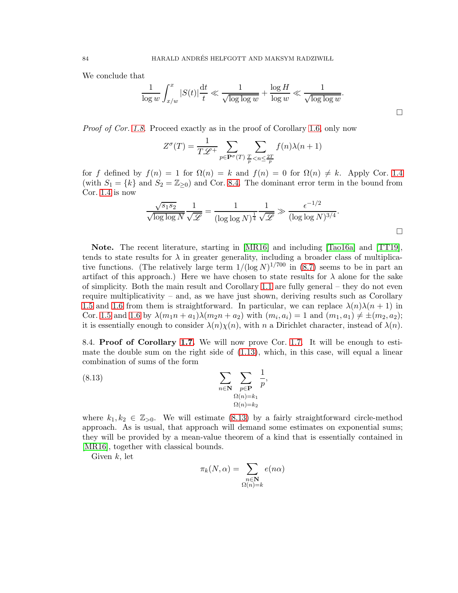We conclude that

$$
\frac{1}{\log w} \int_{x/w}^x |S(t)| \frac{dt}{t} \ll \frac{1}{\sqrt{\log \log w}} + \frac{\log H}{\log w} \ll \frac{1}{\sqrt{\log \log w}}.
$$

 $\Box$ 

*Proof of Cor. [1.8.](#page-6-0)* Proceed exactly as in the proof of Corollary [1.6,](#page-5-1) only now

$$
Z^{\sigma}(T) = \frac{1}{T\mathscr{L}^+} \sum_{p \in \mathbf{P}^{\sigma}(T)} \sum_{\frac{T}{p} < n \leq \frac{2T}{p}} f(n) \lambda(n+1)
$$

for f defined by  $f(n) = 1$  for  $\Omega(n) = k$  and  $f(n) = 0$  for  $\Omega(n) \neq k$ . Apply Cor. [1.4](#page-4-2) (with  $S_1 = \{k\}$  and  $S_2 = \mathbb{Z}_{\geq 0}$ ) and Cor. [8.4.](#page-78-3) The dominant error term in the bound from Cor. [1.4](#page-4-2) is now

$$
\frac{\sqrt{s_1 s_2}}{\sqrt{\log \log N}} \frac{1}{\sqrt{\mathscr{L}}} = \frac{1}{(\log \log N)^{\frac{1}{4}}} \frac{1}{\sqrt{\mathscr{L}}} \gg \frac{\epsilon^{-1/2}}{(\log \log N)^{3/4}}.
$$

Note. The recent literature, starting in [\[MR16\]](#page-99-2) and including [\[Tao16a\]](#page-100-0) and [\[TT19\]](#page-100-1), tends to state results for  $\lambda$  in greater generality, including a broader class of multiplicative functions. (The relatively large term  $1/(\log N)^{1/700}$  in [\(8.7\)](#page-78-4) seems to be in part an artifact of this approach.) Here we have chosen to state results for  $\lambda$  alone for the sake of simplicity. Both the main result and Corollary [1.1](#page-3-0) are fully general – they do not even require multiplicativity – and, as we have just shown, deriving results such as Corollary [1.5](#page-5-0) and [1.6](#page-5-1) from them is straightforward. In particular, we can replace  $\lambda(n)\lambda(n+1)$  in Cor. [1.5](#page-5-0) and [1.6](#page-5-1) by  $\lambda(m_1n + a_1)\lambda(m_2n + a_2)$  with  $(m_i, a_i) = 1$  and  $(m_1, a_1) \neq \pm(m_2, a_2);$ it is essentially enough to consider  $\lambda(n)\chi(n)$ , with n a Dirichlet character, instead of  $\lambda(n)$ .

8.4. Proof of Corollary [1.7.](#page-5-2) We will now prove Cor. [1.7.](#page-5-2) It will be enough to estimate the double sum on the right side of [\(1.13\)](#page-4-3), which, in this case, will equal a linear combination of sums of the form

(8.13) 
$$
\sum_{n \in \mathbf{N}} \sum_{\substack{p \in \mathbf{P} \\ \Omega(n) = k_1 \\ \Omega(n) = k_2}} \frac{1}{p},
$$

where  $k_1, k_2 \in \mathbb{Z}_{\geq 0}$ . We will estimate [\(8.13\)](#page-83-0) by a fairly straightforward circle-method approach. As is usual, that approach will demand some estimates on exponential sums; they will be provided by a mean-value theorem of a kind that is essentially contained in [\[MR16\]](#page-99-2), together with classical bounds.

Given  $k$ , let

<span id="page-83-0"></span>
$$
\pi_k(N,\alpha) = \sum_{\substack{n \in \mathbf{N} \\ \Omega(n)=k}} e(n\alpha)
$$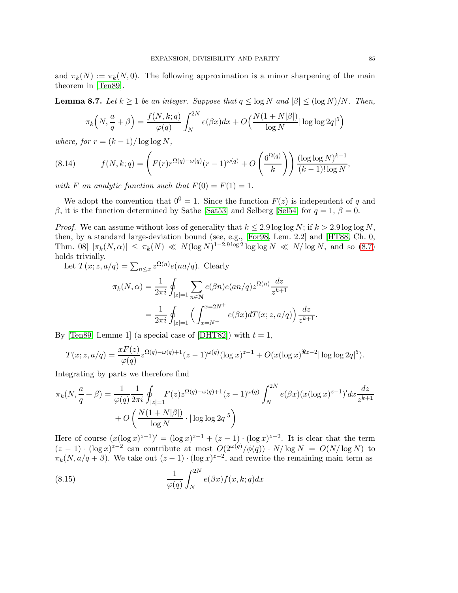and  $\pi_k(N) := \pi_k(N, 0)$ . The following approximation is a minor sharpening of the main theorem in [\[Ten89\]](#page-100-2).

<span id="page-84-0"></span>**Lemma 8.7.** Let  $k \geq 1$  be an integer. Suppose that  $q \leq \log N$  and  $|\beta| \leq (\log N)/N$ . Then,

$$
\pi_k\left(N, \frac{a}{q} + \beta\right) = \frac{f(N, k; q)}{\varphi(q)} \int_N^{2N} e(\beta x) dx + O\left(\frac{N(1 + N|\beta|)}{\log N}\right) \log \log 2q^5\right)
$$

*where, for*  $r = (k-1)/\log \log N$ ,

<span id="page-84-1"></span>(8.14) 
$$
f(N,k;q) = \left(F(r)r^{\Omega(q)-\omega(q)}(r-1)^{\omega(q)} + O\left(\frac{6^{\Omega(q)}}{k}\right)\right) \frac{(\log \log N)^{k-1}}{(k-1)!\log N},
$$

*with* F an analytic function such that  $F(0) = F(1) = 1$ .

We adopt the convention that  $0^0 = 1$ . Since the function  $F(z)$  is independent of q and β, it is the function determined by Sathe [\[Sat53\]](#page-100-3) and Selberg [\[Sel54\]](#page-100-4) for  $q = 1$ ,  $β = 0$ .

*Proof.* We can assume without loss of generality that  $k \leq 2.9 \log \log N$ ; if  $k > 2.9 \log \log N$ , then, by a standard large-deviation bound (see, e.g., [\[For98,](#page-98-2) Lem. 2.2] and [\[HT88,](#page-99-3) Ch. 0, Thm. 08]  $|\pi_k(N, \alpha)| \le \pi_k(N) \ll N(\log N)^{1-2.9 \log 2} \log \log N \ll N/\log N$ , and so [\(8.7\)](#page-84-0) holds trivially.

Let  $T(x; z, a/q) = \sum_{n \leq x} z^{\Omega(n)} e(na/q)$ . Clearly

$$
\pi_k(N, \alpha) = \frac{1}{2\pi i} \oint_{|z|=1} \sum_{n \in \mathbb{N}} e(\beta n) e(an/q) z^{\Omega(n)} \frac{dz}{z^{k+1}}
$$
  
= 
$$
\frac{1}{2\pi i} \oint_{|z|=1} \left( \int_{x=N^+}^{x=2N^+} e(\beta x) dT(x; z, a/q) \right) \frac{dz}{z^{k+1}}.
$$

By [\[Ten89,](#page-100-2) Lemme 1] (a special case of [\[DHT82\]](#page-98-3)) with  $t = 1$ ,

$$
T(x; z, a/q) = \frac{xF(z)}{\varphi(q)} z^{\Omega(q) - \omega(q) + 1} (z - 1)^{\omega(q)} (\log x)^{z-1} + O(x(\log x)^{\Re z - 2} |\log \log 2q|^5).
$$

Integrating by parts we therefore find

$$
\pi_k(N, \frac{a}{q} + \beta) = \frac{1}{\varphi(q)} \frac{1}{2\pi i} \oint_{|z|=1} F(z) z^{\Omega(q) - \omega(q) + 1} (z - 1)^{\omega(q)} \int_N^{2N} e(\beta x) (x (\log x)^{z-1})' dx \frac{dz}{z^{k+1}} + O\left(\frac{N(1+N|\beta|)}{\log N} \cdot |\log \log 2q|^5\right)
$$

Here of course  $(x(\log x)^{z-1})' = (\log x)^{z-1} + (z-1) \cdot (\log x)^{z-2}$ . It is clear that the term  $(z-1) \cdot (\log x)^{z-2}$  can contribute at most  $O(2^{\omega(q)}/\phi(q)) \cdot N/\log N = O(N/\log N)$  to  $\pi_k(N, a/q + \beta)$ . We take out  $(z - 1) \cdot (\log x)^{z-2}$ , and rewrite the remaining main term as

(8.15) 
$$
\frac{1}{\varphi(q)} \int_{N}^{2N} e(\beta x) f(x, k; q) dx
$$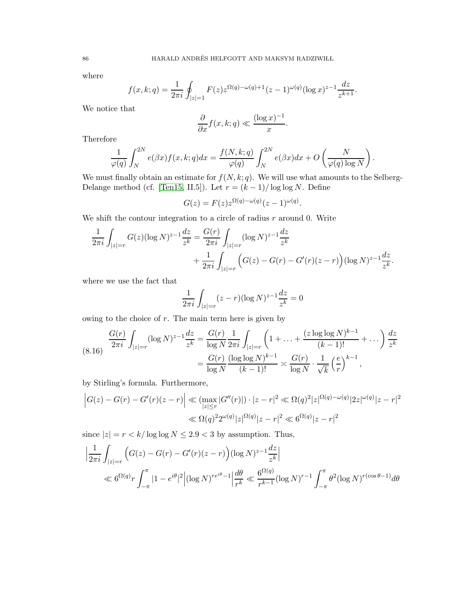where

$$
f(x,k;q) = \frac{1}{2\pi i} \oint_{|z|=1} F(z) z^{\Omega(q) - \omega(q) + 1} (z-1)^{\omega(q)} (\log x)^{z-1} \frac{dz}{z^{k+1}}.
$$

We notice that

$$
\frac{\partial}{\partial x} f(x, k; q) \ll \frac{(\log x)^{-1}}{x}.
$$

Therefore

$$
\frac{1}{\varphi(q)} \int_N^{2N} e(\beta x) f(x, k; q) dx = \frac{f(N, k; q)}{\varphi(q)} \int_N^{2N} e(\beta x) dx + O\left(\frac{N}{\varphi(q) \log N}\right)
$$

.

We must finally obtain an estimate for  $f(N, k; q)$ . We will use what amounts to the Selberg-Delange method (cf. [\[Ten15,](#page-100-5) II.5]). Let  $r = (k-1)/\log \log N$ . Define

$$
G(z) = F(z)z^{\Omega(q) - \omega(q)}(z - 1)^{\omega(q)}.
$$

We shift the contour integration to a circle of radius  $r$  around 0. Write

$$
\frac{1}{2\pi i} \int_{|z|=r} G(z) (\log N)^{z-1} \frac{dz}{z^k} = \frac{G(r)}{2\pi i} \int_{|z|=r} (\log N)^{z-1} \frac{dz}{z^k} \n+ \frac{1}{2\pi i} \int_{|z|=r} \left( G(z) - G(r) - G'(r)(z-r) \right) (\log N)^{z-1} \frac{dz}{z^k}.
$$

where we use the fact that

$$
\frac{1}{2\pi i} \int_{|z|=r} (z-r)(\log N)^{z-1} \frac{dz}{z^k} = 0
$$

owing to the choice of  $r$ . The main term here is given by

<span id="page-85-0"></span>
$$
\frac{G(r)}{2\pi i} \int_{|z|=r} (\log N)^{z-1} \frac{dz}{z^k} = \frac{G(r)}{\log N} \frac{1}{2\pi i} \int_{|z|=r} \left(1 + \ldots + \frac{(z \log \log N)^{k-1}}{(k-1)!} + \ldots \right) \frac{dz}{z^k}
$$

$$
= \frac{G(r)}{\log N} \frac{(\log \log N)^{k-1}}{(k-1)!} \asymp \frac{G(r)}{\log N} \cdot \frac{1}{\sqrt{k}} \left(\frac{e}{r}\right)^{k-1},
$$

by Stirling's formula. Furthermore,

$$
\left| G(z) - G(r) - G'(r)(z - r) \right| \ll \left( \max_{|z| \le r} |G''(r)| \right) \cdot |z - r|^2 \ll \Omega(q)^2 |z|^{\Omega(q) - \omega(q)} |2z|^{\omega(q)} |z - r|^2
$$
  

$$
\ll \Omega(q)^2 2^{\omega(q)} |z|^{\Omega(q)} |z - r|^2 \ll 6^{\Omega(q)} |z - r|^2
$$

since  $|z| = r < k/\log \log N \le 2.9 < 3$  by assumption. Thus,

$$
\left| \frac{1}{2\pi i} \int_{|z|=r} \left( G(z) - G(r) - G'(r)(z-r) \right) (\log N)^{z-1} \frac{dz}{z^k} \right|
$$
  

$$
\ll 6^{\Omega(q)} r \int_{-\pi}^{\pi} |1 - e^{i\theta}|^2 \left| (\log N)^{re^{i\theta}-1} \right| \frac{d\theta}{r^k} \ll \frac{6^{\Omega(q)}}{r^{k-1}} (\log N)^{r-1} \int_{-\pi}^{\pi} \theta^2 (\log N)^{r(\cos \theta - 1)} d\theta
$$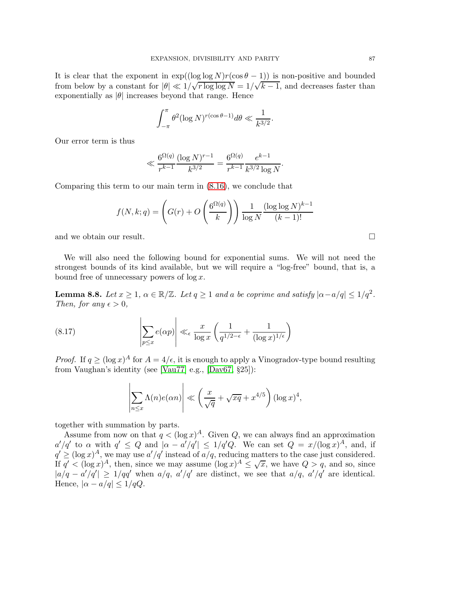It is clear that the exponent in  $exp((\log \log N)r(\cos \theta - 1))$  is non-positive and bounded from below by a constant for  $|\theta| \ll 1/\sqrt{r \log \log N} = 1/\sqrt{k-1}$ , and decreases faster than exponentially as  $|\theta|$  increases beyond that range. Hence

$$
\int_{-\pi}^{\pi} \theta^2 (\log N)^{r(\cos \theta - 1)} d\theta \ll \frac{1}{k^{3/2}}.
$$

Our error term is thus

$$
\ll \frac{6^{\Omega(q)} \left(\log N\right)^{r-1}}{r^{k-1}} = \frac{6^{\Omega(q)}}{r^{k-1}} \frac{e^{k-1}}{k^{3/2} \log N}.
$$

Comparing this term to our main term in [\(8.16\)](#page-85-0), we conclude that

$$
f(N,k;q) = \left(G(r) + O\left(\frac{6^{\Omega(q)}}{k}\right)\right) \frac{1}{\log N} \frac{(\log \log N)^{k-1}}{(k-1)!}
$$

and we obtain our result.

We will also need the following bound for exponential sums. We will not need the strongest bounds of its kind available, but we will require a "log-free" bound, that is, a bound free of unnecessary powers of  $\log x$ .

<span id="page-86-1"></span>**Lemma 8.8.** Let  $x \geq 1$ ,  $\alpha \in \mathbb{R}/\mathbb{Z}$ . Let  $q \geq 1$  and a be coprime and satisfy  $|\alpha - a/q| \leq 1/q^2$ . *Then, for any*  $\epsilon > 0$ *,* 

(8.17) 
$$
\left| \sum_{p \leq x} e(\alpha p) \right| \ll_{\epsilon} \frac{x}{\log x} \left( \frac{1}{q^{1/2 - \epsilon}} + \frac{1}{(\log x)^{1/\epsilon}} \right)
$$

*Proof.* If  $q \geq (\log x)^A$  for  $A = 4/\epsilon$ , it is enough to apply a Vinogradov-type bound resulting from Vaughan's identity (see [\[Vau77\]](#page-100-6) e.g., [\[Dav67,](#page-98-4) §25]):

<span id="page-86-0"></span>
$$
\left| \sum_{n \le x} \Lambda(n) e(\alpha n) \right| \ll \left( \frac{x}{\sqrt{q}} + \sqrt{xq} + x^{4/5} \right) (\log x)^4,
$$

together with summation by parts.

Assume from now on that  $q < (\log x)^A$ . Given Q, we can always find an approximation  $a'/q'$  to  $\alpha$  with  $q' \leq Q$  and  $|\alpha - a'/q'| \leq 1/q'Q$ . We can set  $Q = x/(\log x)^A$ , and, if  $q' \geq (\log x)^A$ , we may use  $a'/q'$  instead of  $a/q$ , reducing matters to the case just considered. If  $q' < (\log x)^A$ , then, since we may assume  $(\log x)^A \leq \sqrt{x}$ , we have  $Q > q$ , and so, since  $|a/q - a'/q'| \ge 1/qq'$  when  $a/q$ ,  $a'/q'$  are distinct, we see that  $a/q$ ,  $a'/q'$  are identical. Hence,  $|\alpha - a/q| \leq 1/qQ$ .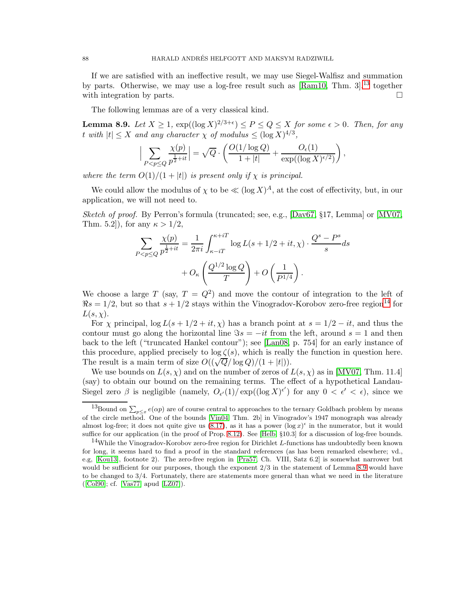If we are satisfied with an ineffective result, we may use Siegel-Walfisz and summation by parts. Otherwise, we may use a log-free result such as  $\mathrm{Ram10}$ , Thm. 3, <sup>[13](#page-87-0)</sup> together with integration by parts.  $\Box$ 

The following lemmas are of a very classical kind.

<span id="page-87-2"></span>**Lemma 8.9.** Let  $X \geq 1$ ,  $\exp((\log X)^{2/3+\epsilon}) \leq P \leq Q \leq X$  for some  $\epsilon > 0$ . Then, for any  $t \text{ with } |t| \leq X \text{ and any character } \chi \text{ of modulus } \leq (\log X)^{4/3},$ 

$$
\Big|\sum_{P < p \le Q} \frac{\chi(p)}{p^{\frac{1}{2}+it}}\Big| = \sqrt{Q} \cdot \left(\frac{O(1/\log Q)}{1+|t|} + \frac{O_{\epsilon}(1)}{\exp((\log X)^{\epsilon/2})}\right),\,
$$

*where the term*  $O(1)/(1+|t|)$  *is present only if*  $\chi$  *is principal.* 

We could allow the modulus of  $\chi$  to be  $\ll (\log X)^A$ , at the cost of effectivity, but, in our application, we will not need to.

*Sketch of proof.* By Perron's formula (truncated; see, e.g., [\[Dav67,](#page-98-4) §17, Lemma] or [\[MV07,](#page-99-5) Thm. 5.2]), for any  $\kappa > 1/2$ ,

$$
\sum_{P < p \le Q} \frac{\chi(p)}{p^{\frac{1}{2} + it}} = \frac{1}{2\pi i} \int_{\kappa - iT}^{\kappa + iT} \log L(s + 1/2 + it, \chi) \cdot \frac{Q^s - P^s}{s} ds + O_\kappa \left( \frac{Q^{1/2} \log Q}{T} \right) + O \left( \frac{1}{P^{1/4}} \right).
$$

We choose a large T (say,  $T = Q^2$ ) and move the contour of integration to the left of  $\Re s = 1/2$ , but so that  $s + 1/2$  stays within the Vinogradov-Korobov zero-free region<sup>[14](#page-87-1)</sup> for  $L(s, \chi)$ .

For  $\chi$  principal,  $\log L(s + 1/2 + it, \chi)$  has a branch point at  $s = 1/2 - it$ , and thus the contour must go along the horizontal line  $\Im s = -it$  from the left, around  $s = 1$  and then back to the left ("truncated Hankel contour"); see [\[Lan08,](#page-99-6) p. 754] for an early instance of this procedure, applied precisely to  $\log \zeta(s)$ , which is really the function in question here. The result is a main term of size  $O((\sqrt{Q}/\log Q)/(1+|t|)).$ 

We use bounds on  $L(s, \chi)$  and on the number of zeros of  $L(s, \chi)$  as in [\[MV07,](#page-99-5) Thm. 11.4] (say) to obtain our bound on the remaining terms. The effect of a hypothetical Landau-Siegel zero  $\beta$  is negligible (namely,  $O_{\epsilon'}(1)/\exp((\log X)^{\epsilon'})$  for any  $0 < \epsilon' < \epsilon$ ), since we

<span id="page-87-0"></span><sup>&</sup>lt;sup>13</sup>Bound on  $\sum_{p\leq x}e(\alpha p)$  are of course central to approaches to the ternary Goldbach problem by means of the circle method. One of the bounds [\[Vin04,](#page-100-7) Thm. 2b] in Vinogradov's 1947 monograph was already almost log-free; it does not quite give us [\(8.17\)](#page-86-0), as it has a power  $(\log x)^{\epsilon}$  in the numerator, but it would suffice for our application (in the proof of Prop. [8.12\)](#page-91-0). See [\[Helb,](#page-98-5) §10.3] for a discussion of log-free bounds.

<span id="page-87-1"></span><sup>&</sup>lt;sup>14</sup>While the Vinogradov-Korobov zero-free region for Dirichlet L-functions has undoubtedly been known for long, it seems hard to find a proof in the standard references (as has been remarked elsewhere; vd., e.g, [\[Kou13\]](#page-99-7), footnote 2). The zero-free region in [\[Pra57,](#page-99-8) Ch. VIII, Satz 6.2] is somewhat narrower but would be sufficient for our purposes, though the exponent  $2/3$  in the statement of Lemma [8.9](#page-87-2) would have to be changed to 3/4. Fortunately, there are statements more general than what we need in the literature ([\[Col90\]](#page-98-6); cf. [\[Vas77\]](#page-100-8) apud [\[LZ07\]](#page-99-9)).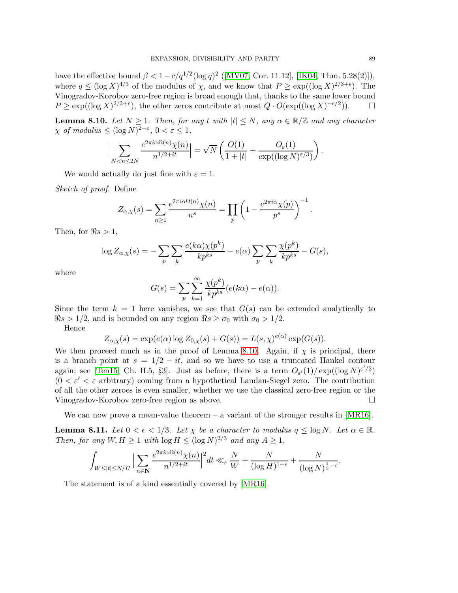have the effective bound  $\beta < 1 - c/q^{1/2} (\log q)^2$  ([\[MV07,](#page-99-5) Cor. 11.12], [\[IK04,](#page-99-10) Thm. 5.28(2)]), where  $q \leq (\log X)^{4/3}$  of the modulus of  $\chi$ , and we know that  $P \geq \exp((\log X)^{2/3+\epsilon})$ . The Vinogradov-Korobov zero-free region is broad enough that, thanks to the same lower bound  $P \ge \exp((\log X)^{2/3+\epsilon})$ , the other zeros contribute at most  $Q \cdot O(\exp((\log X)^{-\epsilon/2}))$ .  $\Box$ 

<span id="page-88-0"></span>**Lemma 8.10.** *Let*  $N \geq 1$ *. Then, for any* t *with*  $|t| \leq N$ *, any*  $\alpha \in \mathbb{R}/\mathbb{Z}$  *and any character*  $\chi$  *of modulus*  $\leq (\log N)^{2-\varepsilon}, 0 < \varepsilon \leq 1$ ,

$$
\Big|\sum_{N < n \le 2N} \frac{e^{2\pi i \alpha \Omega(n)} \chi(n)}{n^{1/2+it}}\Big| = \sqrt{N} \left( \frac{O(1)}{1+|t|} + \frac{O_\varepsilon(1)}{\exp((\log N)^{\varepsilon/3})} \right).
$$

We would actually do just fine with  $\varepsilon = 1$ .

*Sketch of proof.* Define

$$
Z_{\alpha,\chi}(s) = \sum_{n\geq 1} \frac{e^{2\pi i \alpha \Omega(n)} \chi(n)}{n^s} = \prod_p \left(1 - \frac{e^{2\pi i \alpha} \chi(p)}{p^s}\right)^{-1}.
$$

Then, for  $\Re s > 1$ ,

$$
\log Z_{\alpha,\chi}(s) = -\sum_{p} \sum_{k} \frac{e(k\alpha)\chi(p^k)}{kp^{ks}} - e(\alpha) \sum_{p} \sum_{k} \frac{\chi(p^k)}{kp^{ks}} - G(s),
$$

where

$$
G(s) = \sum_{p} \sum_{k=1}^{\infty} \frac{\chi(p^k)}{k p^{ks}} (e(k\alpha) - e(\alpha)).
$$

Since the term  $k = 1$  here vanishes, we see that  $G(s)$  can be extended analytically to  $\Re s > 1/2$ , and is bounded on any region  $\Re s \ge \sigma_0$  with  $\sigma_0 > 1/2$ .

Hence

$$
Z_{\alpha,\chi}(s) = \exp(e(\alpha) \log Z_{0,\chi}(s) + G(s)) = L(s,\chi)^{e(\alpha)} \exp(G(s)).
$$

We then proceed much as in the proof of Lemma [8.10.](#page-88-0) Again, if  $\chi$  is principal, there is a branch point at  $s = 1/2 - it$ , and so we have to use a truncated Hankel contour again; see [\[Ten15,](#page-100-5) Ch. II.5, §3]. Just as before, there is a term  $O_{\varepsilon'}(1)/\exp((\log N)^{\varepsilon'/2})$  $(0 < \varepsilon' < \varepsilon$  arbitrary) coming from a hypothetical Landau-Siegel zero. The contribution of all the other zeroes is even smaller, whether we use the classical zero-free region or the Vinogradov-Korobov zero-free region as above.

We can now prove a mean-value theorem  $-$  a variant of the stronger results in [\[MR16\]](#page-99-2).

<span id="page-88-1"></span>**Lemma 8.11.** Let  $0 < \epsilon < 1/3$ . Let  $\chi$  be a character to modulus  $q \leq \log N$ . Let  $\alpha \in \mathbb{R}$ . *Then, for any*  $W, H \ge 1$  *with*  $\log H \le (\log N)^{2/3}$  *and any*  $A \ge 1$ *,* 

$$
\int_{W \leq |t| \leq N/H} \Big| \sum_{n \in \mathbf{N}} \frac{e^{2\pi i \alpha \Omega(n)} \chi(n)}{n^{1/2 + it}} \Big|^2 dt \ll_{\epsilon} \frac{N}{W} + \frac{N}{(\log H)^{1-\epsilon}} + \frac{N}{(\log N)^{\frac{1}{3}-\epsilon}}
$$

The statement is of a kind essentially covered by [\[MR16\]](#page-99-2).

.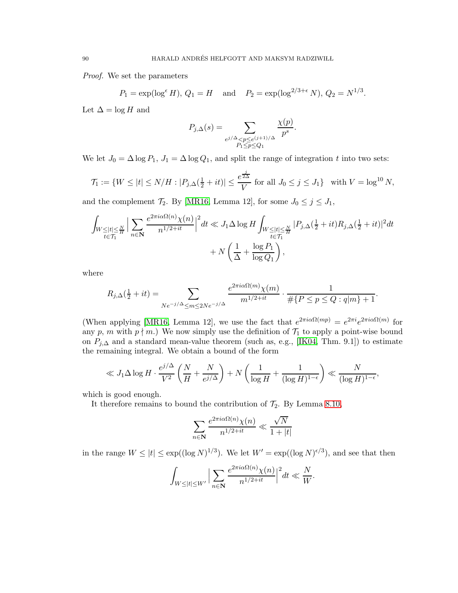*Proof.* We set the parameters

$$
P_1 = \exp(\log^{\epsilon} H), Q_1 = H
$$
 and  $P_2 = \exp(\log^{2/3+\epsilon} N), Q_2 = N^{1/3}$ .

Let  $\Delta = \log H$  and

$$
P_{j,\Delta}(s) = \sum_{\substack{e^{j/\Delta} < p \leq e^{(j+1)/\Delta} \\ P_1 \leq p \leq Q_1}} \frac{\chi(p)}{p^s}.
$$

We let  $J_0 = \Delta \log P_1$ ,  $J_1 = \Delta \log Q_1$ , and split the range of integration t into two sets:

$$
\mathcal{T}_1 := \{ W \le |t| \le N/H : |P_{j,\Delta}(\frac{1}{2} + it)| \le \frac{e^{\frac{j}{2\Delta}}}{V} \text{ for all } J_0 \le j \le J_1 \} \text{ with } V = \log^{10} N,
$$

and the complement  $\mathcal{T}_2$ . By [\[MR16,](#page-99-2) Lemma 12], for some  $J_0 \leq j \leq J_1$ ,

$$
\int_{W \leq |t| \leq \frac{N}{H}} \Big| \sum_{n \in \mathbb{N}} \frac{e^{2\pi i \alpha \Omega(n)} \chi(n)}{n^{1/2 + it}} \Big|^2 dt \ll J_1 \Delta \log H \int_{W \leq |t| \leq \frac{N}{H}} |P_{j,\Delta}(\frac{1}{2} + it) R_{j,\Delta}(\frac{1}{2} + it)|^2 dt
$$
  
+ 
$$
N \left( \frac{1}{\Delta} + \frac{\log P_1}{\log Q_1} \right),
$$

where

$$
R_{j,\Delta}(\frac{1}{2} + it) = \sum_{Ne^{-j/\Delta} \le m \le 2Ne^{-j/\Delta}} \frac{e^{2\pi i \alpha \Omega(m)} \chi(m)}{m^{1/2 + it}} \cdot \frac{1}{\# \{P \le p \le Q : q|m\} + 1}.
$$

(When applying [\[MR16,](#page-99-2) Lemma 12], we use the fact that  $e^{2\pi i \alpha \Omega(mp)} = e^{2\pi i} e^{2\pi i \alpha \Omega(m)}$  for any p, m with  $p \nmid m$ .) We now simply use the definition of  $\mathcal{T}_1$  to apply a point-wise bound on  $P_{j,\Delta}$  and a standard mean-value theorem (such as, e.g., [\[IK04,](#page-99-10) Thm. 9.1]) to estimate the remaining integral. We obtain a bound of the form

$$
\ll J_1 \Delta \log H \cdot \frac{e^{j/\Delta}}{V^2} \left( \frac{N}{H} + \frac{N}{e^{j/\Delta}} \right) + N \left( \frac{1}{\log H} + \frac{1}{(\log H)^{1-\epsilon}} \right) \ll \frac{N}{(\log H)^{1-\epsilon}},
$$

which is good enough.

It therefore remains to bound the contribution of  $\mathcal{T}_2$ . By Lemma [8.10,](#page-88-0)

$$
\sum_{n\in{\bf N}}\frac{e^{2\pi i\alpha\Omega(n)}\chi(n)}{n^{1/2+it}}\ll\frac{\sqrt{N}}{1+|t|}
$$

in the range  $W \leq |t| \leq \exp((\log N)^{1/3})$ . We let  $W' = \exp((\log N)^{\epsilon/3})$ , and see that then

$$
\int_{W \leq |t| \leq W'} \Big| \sum_{n \in \mathbf{N}} \frac{e^{2\pi i \alpha \Omega(n)} \chi(n)}{n^{1/2+it}} \Big|^2 dt \ll \frac{N}{W}.
$$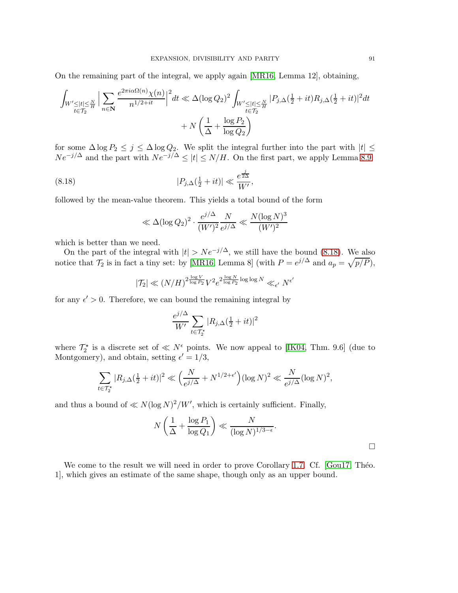On the remaining part of the integral, we apply again [\[MR16,](#page-99-2) Lemma 12], obtaining,

$$
\int_{W' \leq |t| \leq \frac{N}{H}} \Big| \sum_{n \in \mathbb{N}} \frac{e^{2\pi i \alpha \Omega(n)} \chi(n)}{n^{1/2+it}} \Big|^2 dt \ll \Delta(\log Q_2)^2 \int_{W' \leq |t| \leq \frac{N}{H}} |P_{j,\Delta}(\frac{1}{2} + it) R_{j,\Delta}(\frac{1}{2} + it)|^2 dt
$$
  
+ 
$$
N \left( \frac{1}{\Delta} + \frac{\log P_2}{\log Q_2} \right)
$$

for some  $\Delta \log P_2 \leq j \leq \Delta \log Q_2$ . We split the integral further into the part with  $|t| \leq$  $Ne^{-j/\Delta}$  and the part with  $Ne^{-j/\Delta} \leq |t| \leq N/H$ . On the first part, we apply Lemma [8.9:](#page-87-2)

(8.18) 
$$
|P_{j,\Delta}(\frac{1}{2} + it)| \ll \frac{e^{\frac{j}{2\Delta}}}{W'},
$$

followed by the mean-value theorem. This yields a total bound of the form

<span id="page-90-0"></span>
$$
\ll \Delta(\log Q_2)^2 \cdot \frac{e^{j/\Delta}}{(W')^2} \frac{N}{e^{j/\Delta}} \ll \frac{N(\log N)^3}{(W')^2}
$$

which is better than we need.

On the part of the integral with  $|t| > Ne^{-j/\Delta}$ , we still have the bound [\(8.18\)](#page-90-0). We also notice that  $\mathcal{T}_2$  is in fact a tiny set: by [\[MR16,](#page-99-2) Lemma 8] (with  $P = e^{j/\Delta}$  and  $a_p = \sqrt{p/P}$ ),

$$
|\mathcal{T}_2| \ll (N/H)^{2\frac{\log V}{\log P_2}} V^2 e^{2\frac{\log N}{\log P_2} \log \log N} \ll_{\epsilon'} N^{\epsilon'}
$$

for any  $\epsilon' > 0$ . Therefore, we can bound the remaining integral by

$$
\frac{e^{j/\Delta}}{W'}\sum_{t\in\mathcal{T}_2^*}|R_{j,\Delta}(\frac{1}{2}+it)|^2
$$

where  $\mathcal{T}_2^*$  is a discrete set of  $\ll N^{\epsilon}$  points. We now appeal to [\[IK04,](#page-99-10) Thm. 9.6] (due to Montgomery), and obtain, setting  $\epsilon' = 1/3$ ,

$$
\sum_{t \in \mathcal{T}_2^*} |R_{j,\Delta}(\frac{1}{2} + it)|^2 \ll \Big(\frac{N}{e^{j/\Delta}} + N^{1/2 + \epsilon'}\Big) (\log N)^2 \ll \frac{N}{e^{j/\Delta}} (\log N)^2,
$$

and thus a bound of  $\ll N(\log N)^2/W'$ , which is certainly sufficient. Finally,

$$
N\left(\frac{1}{\Delta} + \frac{\log P_1}{\log Q_1}\right) \ll \frac{N}{(\log N)^{1/3 - \epsilon}}.
$$

We come to the result we will need in order to prove Corollary [1.7.](#page-5-2) Cf. [\[Gou17,](#page-98-7) Théo. 1], which gives an estimate of the same shape, though only as an upper bound.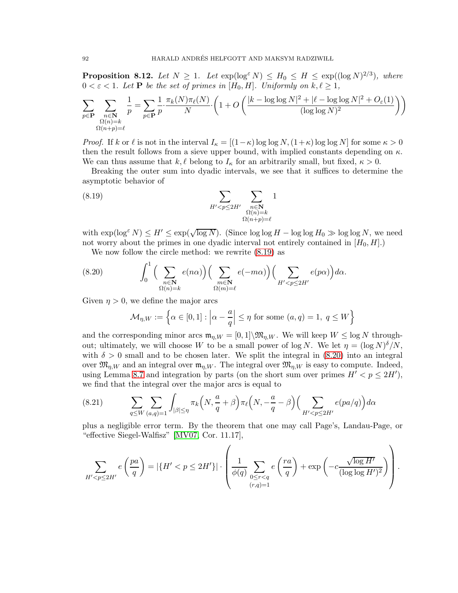<span id="page-91-0"></span>**Proposition 8.12.** Let  $N \geq 1$ . Let  $\exp(\log^{\varepsilon} N) \leq H_0 \leq H \leq \exp((\log N)^{2/3})$ , where  $0 < \varepsilon < 1$ *. Let* **P** *be the set of primes in*  $[H_0, H]$ *. Uniformly on*  $k, \ell \geq 1$ *,* 

$$
\sum_{p \in \mathbf{P}} \sum_{\substack{n \in \mathbf{N} \\ \Omega(n) = k \\ \Omega(n+p) = \ell}} \frac{1}{p} = \sum_{p \in \mathbf{P}} \frac{1}{p} \cdot \frac{\pi_k(N)\pi_\ell(N)}{N} \cdot \left(1 + O\left(\frac{|k - \log\log N|^2 + |\ell - \log\log N|^2 + O_\varepsilon(1)}{(\log\log N)^2}\right)\right)
$$

*Proof.* If k or  $\ell$  is not in the interval  $I_{\kappa} = [(1-\kappa) \log \log N, (1+\kappa) \log \log N]$  for some  $\kappa > 0$ then the result follows from a sieve upper bound, with implied constants depending on  $\kappa$ . We can thus assume that  $k, \ell$  belong to  $I_{\kappa}$  for an arbitrarily small, but fixed,  $\kappa > 0$ .

Breaking the outer sum into dyadic intervals, we see that it suffices to determine the asymptotic behavior of

<span id="page-91-1"></span>(8.19) 
$$
\sum_{H' < p \le 2H'} \sum_{\substack{n \in \mathbf{N} \\ \Omega(n) = k \\ \Omega(n+p) = \ell}} 1
$$

with  $\exp(\log^{\varepsilon} N) \leq H' \leq \exp(\sqrt{\log N})$ . (Since  $\log \log H - \log \log H_0 \gg \log \log N$ , we need not worry about the primes in one dyadic interval not entirely contained in  $[H_0, H]$ .

We now follow the circle method: we rewrite [\(8.19\)](#page-91-1) as

(8.20) 
$$
\int_0^1 \Big( \sum_{\substack{n \in \mathbf{N} \\ \Omega(n)=k}} e(n\alpha) \Big) \Big( \sum_{\substack{m \in \mathbf{N} \\ \Omega(m)=\ell}} e(-m\alpha) \Big) \Big( \sum_{H' < p \le 2H'} e(p\alpha) \Big) d\alpha.
$$

Given  $\eta > 0$ , we define the major arcs

<span id="page-91-2"></span>
$$
\mathcal{M}_{\eta,W} := \left\{ \alpha \in [0,1] : \left| \alpha - \frac{a}{q} \right| \le \eta \text{ for some } (a,q) = 1, q \le W \right\}
$$

and the corresponding minor arcs  $\mathfrak{m}_{\eta,W} = [0,1] \setminus \mathfrak{M}_{\eta,W}$ . We will keep  $W \leq \log N$  throughout; ultimately, we will choose W to be a small power of log N. We let  $\eta = (\log N)^{\delta}/N$ , with  $\delta > 0$  small and to be chosen later. We split the integral in [\(8.20\)](#page-91-2) into an integral over  $\mathfrak{M}_{\eta,W}$  and an integral over  $\mathfrak{m}_{\eta,W}$ . The integral over  $\mathfrak{M}_{\eta,W}$  is easy to compute. Indeed, using Lemma [8.7](#page-84-0) and integration by parts (on the short sum over primes  $H' < p \leq 2H'$ ), we find that the integral over the major arcs is equal to

<span id="page-91-3"></span>(8.21) 
$$
\sum_{q \leq W} \sum_{(a,q)=1} \int_{|\beta| \leq \eta} \pi_k\left(N, \frac{a}{q} + \beta\right) \pi_\ell\left(N, -\frac{a}{q} - \beta\right) \left(\sum_{H' < p \leq 2H'} e(pa/q)\right) d\alpha
$$

plus a negligible error term. By the theorem that one may call Page's, Landau-Page, or "effective Siegel-Walfisz" [\[MV07,](#page-99-5) Cor. 11.17],

$$
\sum_{H' < p \leq 2H'} e\left(\frac{pa}{q}\right) = \left|\{H' < p \leq 2H'\}\right| \cdot \left(\frac{1}{\phi(q)}\sum_{\substack{0 \leq r < q \\ (r,q)=1}} e\left(\frac{ra}{q}\right) + \exp\left(-c\frac{\sqrt{\log H'}}{(\log\log H')^2}\right)\right)
$$

.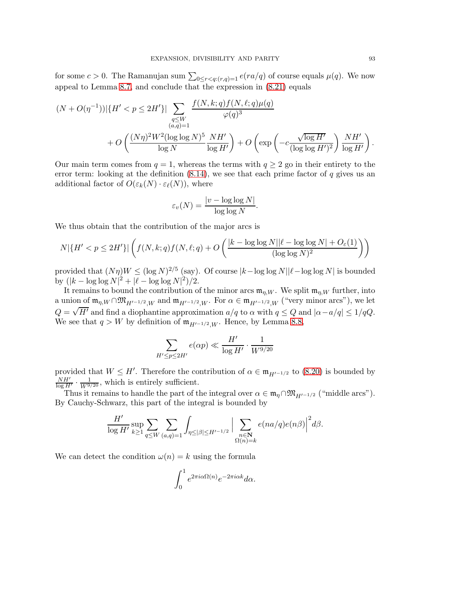for some  $c > 0$ . The Ramanujan sum  $\sum_{0 \leq r < q:(r,q)=1} e(ra/q)$  of course equals  $\mu(q)$ . We now appeal to Lemma [8.7,](#page-84-0) and conclude that the expression in  $(8.21)$  equals

$$
(N + O(\eta^{-1})) |\{H' < p \le 2H'\}| \sum_{\substack{q \le W \\ (a,q)=1}} \frac{f(N,k;q)f(N,\ell;q)\mu(q)}{\varphi(q)^3} + O\left(\frac{(N\eta)^2 W^2 (\log \log N)^5}{\log N} \frac{N H'}{\log H'}\right) + O\left(\exp\left(-c\frac{\sqrt{\log H'}}{(\log \log H')^2}\right) \frac{N H'}{\log H'}\right).
$$

Our main term comes from  $q = 1$ , whereas the terms with  $q \geq 2$  go in their entirety to the error term: looking at the definition  $(8.14)$ , we see that each prime factor of q gives us an additional factor of  $O(\varepsilon_k(N) \cdot \varepsilon_k(N))$ , where

$$
\varepsilon_v(N) = \frac{|v - \log \log N|}{\log \log N}.
$$

We thus obtain that the contribution of the major arcs is

$$
N|\{H' < p \le 2H'\}| \left( f(N,k;q)f(N,\ell;q) + O\left(\frac{|k - \log\log N| |\ell - \log\log N| + O_{\varepsilon}(1)}{(\log\log N)^2}\right)\right)
$$

provided that  $(N\eta)W \leq (\log N)^{2/5}$  (say). Of course  $|k - \log \log N| |\ell - \log \log N|$  is bounded by  $(|k - \log \log N|^2 + |\ell - \log \log N|^2)/2$ .

It remains to bound the contribution of the minor arcs  $\mathfrak{m}_{n,W}$ . We split  $\mathfrak{m}_{n,W}$  further, into a union of  $\mathfrak{m}_{\eta,W} \cap \mathfrak{M}_{H'^{-1/2},W}$  and  $\mathfrak{m}_{H'^{-1/2},W}$ . For  $\alpha \in \mathfrak{m}_{H'^{-1/2},W}$  ("very minor arcs"), we let  $Q = \sqrt{H'}$  and find a diophantine approximation  $a/q$  to  $\alpha$  with  $q \le Q$  and  $|\alpha - a/q| \le 1/qQ$ . We see that  $q > W$  by definition of  $\mathfrak{m}_{H'^{-1/2},W}$ . Hence, by Lemma [8.8,](#page-86-1)

$$
\sum_{H' \le p \le 2H'} e(\alpha p) \ll \frac{H'}{\log H'} \cdot \frac{1}{W^{9/20}}
$$

provided that  $W \leq H'$ . Therefore the contribution of  $\alpha \in \mathfrak{m}_{H'^{-1/2}}$  to  $(8.20)$  is bounded by  $\frac{NH'}{\log H'} \cdot \frac{1}{W^{9/20}}$ , which is entirely sufficient.

Thus it remains to handle the part of the integral over  $\alpha \in \mathfrak{m}_\eta \cap \mathfrak{M}_{H^{-1/2}}$  ("middle arcs"). By Cauchy-Schwarz, this part of the integral is bounded by

$$
\frac{H'}{\log H'}\sup_{k\geq 1}\sum_{q\leq W}\sum_{(a,q)=1}\int_{\eta\leq|\beta|\leq H'^{-1/2}}\Big|\sum_{\substack{n\in\mathbf{N}\\ \Omega(n)=k}}e(na/q)e(n\beta)\Big|^2d\beta.
$$

We can detect the condition  $\omega(n) = k$  using the formula

$$
\int_0^1 e^{2\pi i \alpha \Omega(n)} e^{-2\pi i \alpha k} d\alpha.
$$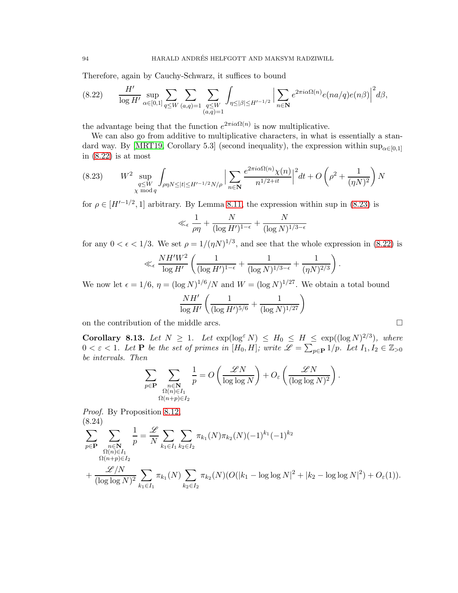Therefore, again by Cauchy-Schwarz, it suffices to bound

<span id="page-93-0"></span>
$$
(8.22) \qquad \frac{H'}{\log H'} \sup_{\alpha \in [0,1]} \sum_{q \le W} \sum_{(a,q)=1} \sum_{\substack{q \le W \\ (a,q)=1}} \int_{\eta \le |\beta| \le H'^{-1/2}} \Big| \sum_{n \in \mathbb{N}} e^{2\pi i \alpha \Omega(n)} e(na/q) e(n\beta) \Big|^2 d\beta,
$$

the advantage being that the function  $e^{2\pi i \alpha \Omega(n)}$  is now multiplicative.

We can also go from additive to multiplicative characters, in what is essentially a stan-dard way. By [\[MRT19,](#page-99-11) Corollary 5.3] (second inequality), the expression within  $\sup_{\alpha\in[0,1]}$ in  $(8.22)$  is at most

<span id="page-93-1"></span>
$$
(8.23) \t W^2 \sup_{\substack{q \le W \\ \chi \bmod q}} \int_{\rho \eta N \le |t| \le H'^{-1/2}N/\rho} \Big| \sum_{n \in \mathbb{N}} \frac{e^{2\pi i \alpha \Omega(n)} \chi(n)}{n^{1/2 + it}} \Big|^2 dt + O\left(\rho^2 + \frac{1}{(\eta N)^2}\right)N
$$

for  $\rho \in [H'^{-1/2}, 1]$  arbitrary. By Lemma [8.11,](#page-88-1) the expression within sup in [\(8.23\)](#page-93-1) is

$$
\ll_{\epsilon} \frac{1}{\rho \eta} + \frac{N}{(\log H')^{1-\epsilon}} + \frac{N}{(\log N)^{1/3-\epsilon}}
$$

for any  $0 < \epsilon < 1/3$ . We set  $\rho = 1/(\eta N)^{1/3}$ , and see that the whole expression in [\(8.22\)](#page-93-0) is

$$
\ll_{\epsilon} \frac{NH'W^2}{\log H'} \left( \frac{1}{(\log H')^{1-\epsilon}} + \frac{1}{(\log N)^{1/3-\epsilon}} + \frac{1}{(\eta N)^{2/3}} \right).
$$

We now let  $\epsilon = 1/6$ ,  $\eta = (\log N)^{1/6}/N$  and  $W = (\log N)^{1/27}$ . We obtain a total bound

$$
\frac{NH'}{\log H'}\left(\frac{1}{(\log H')^{5/6}}+\frac{1}{(\log N)^{1/27}}\right)
$$

on the contribution of the middle arcs.

<span id="page-93-3"></span>Corollary 8.13. Let  $N \geq 1$ . Let  $\exp(\log^{\varepsilon} N) \leq H_0 \leq H \leq \exp((\log N)^{2/3})$ , where  $0 < \varepsilon < 1$ *. Let* **P** *be the set of primes in*  $[H_0, H]$ *; write*  $\mathscr{L} = \sum_{p \in \mathbf{P}} 1/p$ *. Let*  $I_1, I_2 \in \mathbb{Z}_{>0}$ *be intervals. Then*

$$
\sum_{p \in \mathbf{P}} \sum_{\substack{n \in \mathbf{N} \\ \Omega(n) \in I_1 \\ \Omega(n+p) \in I_2}} \frac{1}{p} = O\left(\frac{\mathscr{L}N}{\log \log N}\right) + O_{\varepsilon}\left(\frac{\mathscr{L}N}{(\log \log N)^2}\right).
$$

*Proof.* By Proposition [8.12,](#page-91-0) (8.24)

<span id="page-93-2"></span>
$$
\sum_{p \in \mathbf{P}} \sum_{\substack{n \in \mathbf{N} \\ \Omega(n) \in I_1 \\ (\log \log N)^2}} \frac{1}{p} = \frac{\mathscr{L}}{N} \sum_{k_1 \in I_1} \sum_{k_2 \in I_2} \pi_{k_1}(N) \pi_{k_2}(N) (-1)^{k_1} (-1)^{k_2} + \frac{\mathscr{L}/N}{(\log \log N)^2} \sum_{k_1 \in I_1} \pi_{k_1}(N) \sum_{k_2 \in I_2} \pi_{k_2}(N) (O(|k_1 - \log \log N|^2 + |k_2 - \log \log N|^2) + O_{\varepsilon}(1)).
$$

$$
\Box
$$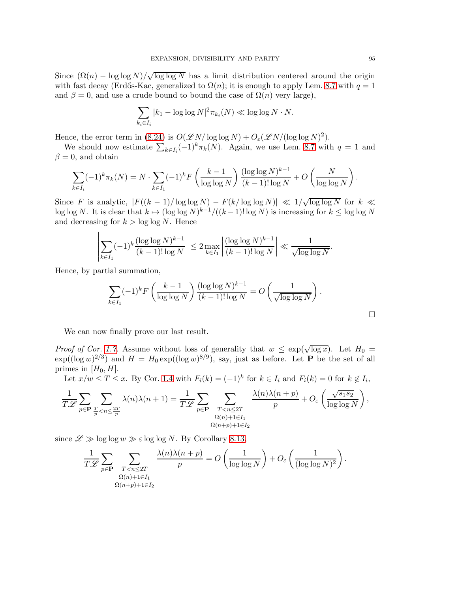Since  $(\Omega(n) - \log \log N)/\sqrt{\log \log N}$  has a limit distribution centered around the origin with fast decay (Erdős-Kac, generalized to  $\Omega(n)$ ; it is enough to apply Lem. [8.7](#page-84-0) with  $q = 1$ and  $\beta = 0$ , and use a crude bound to bound the case of  $\Omega(n)$  very large),

$$
\sum_{k_i \in I_i} |k_1 - \log \log N|^2 \pi_{k_i}(N) \ll \log \log N \cdot N.
$$

Hence, the error term in [\(8.24\)](#page-93-2) is  $O(\mathscr{L}N/\log\log N) + O_{\varepsilon}(\mathscr{L}N/(\log\log N)^2)$ .

We should now estimate  $\sum_{k\in I_i}(-1)^k\pi_k(N)$ . Again, we use Lem. [8.7](#page-84-0) with  $q=1$  and  $\beta = 0$ , and obtain

$$
\sum_{k \in I_i} (-1)^k \pi_k(N) = N \cdot \sum_{k \in I_1} (-1)^k F\left(\frac{k-1}{\log \log N}\right) \frac{(\log \log N)^{k-1}}{(k-1)! \log N} + O\left(\frac{N}{\log \log N}\right).
$$

Since F is analytic,  $|F((k-1)/\log \log N) - F(k/\log \log N)| \ll 1/\sqrt{\log \log N}$  for  $k \ll$ log log N. It is clear that  $k \mapsto (\log \log N)^{k-1}/((k-1)!\log N)$  is increasing for  $k \le \log \log N$ and decreasing for  $k > \log \log N$ . Hence

$$
\left|\sum_{k\in I_1}(-1)^k\frac{(\log\log N)^{k-1}}{(k-1)!\log N}\right|\leq 2\max_{k\in I_1}\left|\frac{(\log\log N)^{k-1}}{(k-1)!\log N}\right|\ll \frac{1}{\sqrt{\log\log N}}.
$$

Hence, by partial summation,

$$
\sum_{k\in I_1} (-1)^k F\left(\frac{k-1}{\log\log N}\right) \frac{(\log\log N)^{k-1}}{(k-1)!\log N} = O\left(\frac{1}{\sqrt{\log\log N}}\right).
$$

We can now finally prove our last result.

*Proof of Cor.* [1.7.](#page-5-2) Assume without loss of generality that  $w \leq \exp(\sqrt{\log x})$ . Let  $H_0 =$  $\exp((\log w)^{2/3})$  and  $H = H_0 \exp((\log w)^{8/9})$ , say, just as before. Let **P** be the set of all primes in  $[H_0, H]$ .

Let  $x/w \leq T \leq x$ . By Cor. [1.4](#page-4-2) with  $F_i(k) = (-1)^k$  for  $k \in I_i$  and  $F_i(k) = 0$  for  $k \notin I_i$ ,

$$
\frac{1}{T\mathscr{L}}\sum_{p\in\mathbf{P}}\sum_{\frac{T}{p}< n\leq \frac{2T}{p}}\lambda(n)\lambda(n+1)=\frac{1}{T\mathscr{L}}\sum_{p\in\mathbf{P}}\sum_{\substack{T
$$

since  $\mathscr{L} \gg \log \log w \gg \varepsilon \log \log N$ . By Corollary [8.13,](#page-93-3)

$$
\frac{1}{T\mathscr{L}}\sum_{p\in\mathbf{P}}\sum_{\substack{T
$$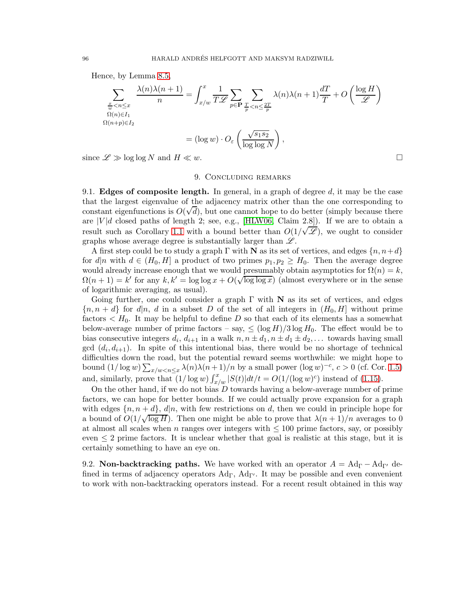Hence, by Lemma [8.5,](#page-80-0)

$$
\sum_{\substack{\underline{x} \le n \le x \\ \Omega(n) \in I_1 \\ \Omega(n+p) \in I_2}} \frac{\lambda(n)\lambda(n+1)}{n} = \int_{x/w}^x \frac{1}{T\mathscr{L}} \sum_{p \in \mathbf{P}} \sum_{\substack{\underline{T} \le n \le \frac{2T}{p} \\ p \text{ is odd}}} \lambda(n)\lambda(n+1)\frac{dT}{T} + O\left(\frac{\log H}{\mathscr{L}}\right)
$$

$$
= (\log w) \cdot O_{\varepsilon}\left(\frac{\sqrt{s_1 s_2}}{\log \log N}\right),
$$

since  $\mathscr{L} \gg \log \log N$  and  $H \ll w$ .

## 9. Concluding remarks

9.1. **Edges of composite length.** In general, in a graph of degree  $d$ , it may be the case that the largest eigenvalue of the adjacency matrix other than the one corresponding to constant eigenfunctions is  $O(\sqrt{d})$ , but one cannot hope to do better (simply because there are  $|V|d$  closed paths of length 2; see, e.g., [\[HLW06,](#page-98-8) Claim 2.8]). If we are to obtain a result such as Corollary [1.1](#page-3-0) with a bound better than  $O(1/\sqrt{\mathscr{L}})$ , we ought to consider graphs whose average degree is substantially larger than  $\mathscr{L}$ .

A first step could be to study a graph  $\Gamma$  with N as its set of vertices, and edges  $\{n, n+d\}$ for  $d|n$  with  $d \in (H_0, H]$  a product of two primes  $p_1, p_2 \geq H_0$ . Then the average degree would already increase enough that we would presumably obtain asymptotics for  $\Omega(n) = k$ ,  $\Omega(n+1) = k'$  for any  $k, k' = \log \log x + O(\sqrt{\log \log x})$  (almost everywhere or in the sense of logarithmic averaging, as usual).

Going further, one could consider a graph  $\Gamma$  with N as its set of vertices, and edges  ${n, n+d}$  for  $d|n, d$  in a subset D of the set of all integers in  $(H_0, H]$  without prime factors  $\lt H_0$ . It may be helpful to define D so that each of its elements has a somewhat below-average number of prime factors – say,  $\leq (\log H)/3 \log H_0$ . The effect would be to bias consecutive integers  $d_i$ ,  $d_{i+1}$  in a walk  $n, n \pm d_1, n \pm d_1 \pm d_2, \ldots$  towards having small gcd  $(d_i, d_{i+1})$ . In spite of this intentional bias, there would be no shortage of technical difficulties down the road, but the potential reward seems worthwhile: we might hope to bound  $(1/\log w) \sum_{x/w < n \leq x} \lambda(n) \lambda(n+1)/n$  by a small power  $(\log w)^{-c}$ ,  $c > 0$  (cf. Cor. [1.5\)](#page-5-0) and, similarly, prove that  $(1/\log w) \int_{x/w}^x |S(t)| dt/t = O(1/(\log w)^c)$  instead of [\(1.15\)](#page-5-3).

On the other hand, if we do not bias  $D$  towards having a below-average number of prime factors, we can hope for better bounds. If we could actually prove expansion for a graph with edges  $\{n, n+d\}$ ,  $d|n$ , with few restrictions on d, then we could in principle hope for a bound of  $O(1/\sqrt{\log H})$ . Then one might be able to prove that  $\lambda(n+1)/n$  averages to 0 at almost all scales when n ranges over integers with  $\leq 100$  prime factors, say, or possibly even  $\leq 2$  prime factors. It is unclear whether that goal is realistic at this stage, but it is certainly something to have an eye on.

9.2. Non-backtracking paths. We have worked with an operator  $A = \text{Ad}_{\Gamma} - \text{Ad}_{\Gamma'}$  defined in terms of adjacency operators  $Ad_{\Gamma}$ ,  $Ad_{\Gamma'}$ . It may be possible and even convenient to work with non-backtracking operators instead. For a recent result obtained in this way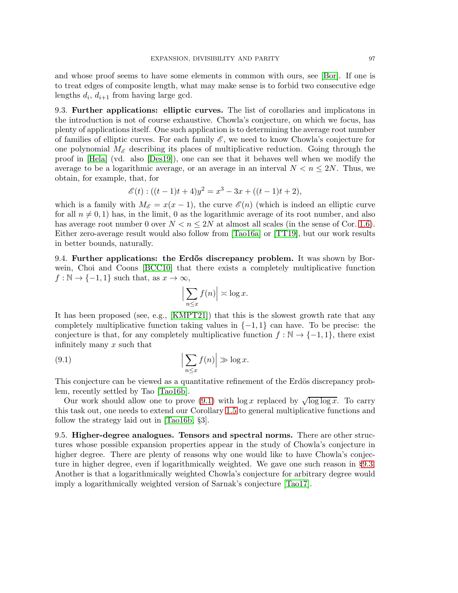and whose proof seems to have some elements in common with ours, see [\[Bor\]](#page-98-9). If one is to treat edges of composite length, what may make sense is to forbid two consecutive edge lengths  $d_i$ ,  $d_{i+1}$  from having large gcd.

<span id="page-96-1"></span>9.3. Further applications: elliptic curves. The list of corollaries and implicatons in the introduction is not of course exhaustive. Chowla's conjecture, on which we focus, has plenty of applications itself. One such application is to determining the average root number of families of elliptic curves. For each family  $\mathscr E$ , we need to know Chowla's conjecture for one polynomial  $M_{\mathscr{E}}$  describing its places of multiplicative reduction. Going through the proof in [\[Hela\]](#page-98-10) (vd. also [\[Des19\]](#page-98-11)), one can see that it behaves well when we modify the average to be a logarithmic average, or an average in an interval  $N < n \leq 2N$ . Thus, we obtain, for example, that, for

$$
\mathscr{E}(t):((t-1)t+4)y^2=x^3-3x+((t-1)t+2),
$$

which is a family with  $M_{\mathscr{E}} = x(x - 1)$ , the curve  $\mathscr{E}(n)$  (which is indeed an elliptic curve for all  $n \neq 0, 1$  has, in the limit, 0 as the logarithmic average of its root number, and also has average root number 0 over  $N < n \leq 2N$  at almost all scales (in the sense of Cor. [1.6\)](#page-5-1). Either zero-average result would also follow from [\[Tao16a\]](#page-100-0) or [\[TT19\]](#page-100-1), but our work results in better bounds, naturally.

9.4. Further applications: the Erdős discrepancy problem. It was shown by Borwein, Choi and Coons [\[BCC10\]](#page-98-12) that there exists a completely multiplicative function  $f : \mathbb{N} \to \{-1,1\}$  such that, as  $x \to \infty$ ,

<span id="page-96-0"></span>
$$
\left|\sum_{n\leq x} f(n)\right| \asymp \log x.
$$

It has been proposed (see, e.g., [\[KMPT21\]](#page-99-12)) that this is the slowest growth rate that any completely multiplicative function taking values in  $\{-1,1\}$  can have. To be precise: the conjecture is that, for any completely multiplicative function  $f : \mathbb{N} \to \{-1,1\}$ , there exist infinitely many x such that

(9.1) 
$$
\left| \sum_{n \leq x} f(n) \right| \gg \log x.
$$

This conjecture can be viewed as a quantitative refinement of the Erdös discrepancy problem, recently settled by Tao [\[Tao16b\]](#page-100-9).

Our work should allow one to prove [\(9.1\)](#page-96-0) with  $\log x$  replaced by  $\sqrt{\log \log x}$ . To carry this task out, one needs to extend our Corollary [1.5](#page-5-0) to general multiplicative functions and follow the strategy laid out in [\[Tao16b,](#page-100-9) §3].

9.5. Higher-degree analogues. Tensors and spectral norms. There are other structures whose possible expansion properties appear in the study of Chowla's conjecture in higher degree. There are plenty of reasons why one would like to have Chowla's conjecture in higher degree, even if logarithmically weighted. We gave one such reason in §[9.3.](#page-96-1) Another is that a logarithmically weighted Chowla's conjecture for arbitrary degree would imply a logarithmically weighted version of Sarnak's conjecture [\[Tao17\]](#page-100-10).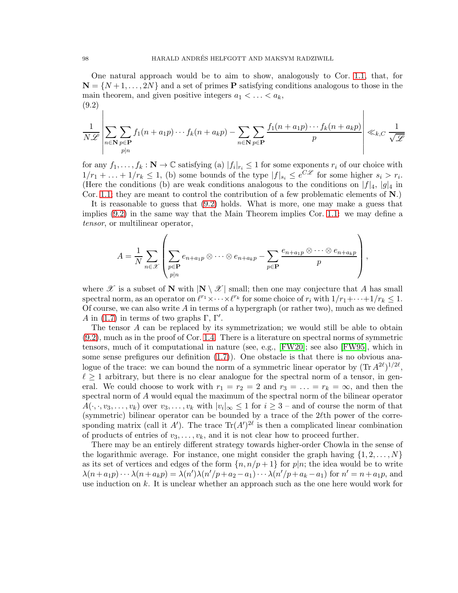One natural approach would be to aim to show, analogously to Cor. [1.1,](#page-3-0) that, for  $\mathbf{N} = \{N+1,\ldots,2N\}$  and a set of primes P satisfying conditions analogous to those in the main theorem, and given positive integers  $a_1 < \ldots < a_k$ , (9.2)

<span id="page-97-0"></span>
$$
\frac{1}{N\mathscr{L}}\left|\sum_{n\in\mathbf{N}}\sum_{p\in\mathbf{P}}f_1(n+a_1p)\cdots f_k(n+a_kp)-\sum_{n\in\mathbf{N}}\sum_{p\in\mathbf{P}}\frac{f_1(n+a_1p)\cdots f_k(n+a_kp)}{p}\right|\ll_{k,C}\frac{1}{\sqrt{\mathscr{L}}}
$$

for any  $f_1, \ldots, f_k : \mathbf{N} \to \mathbb{C}$  satisfying (a)  $|f_i|_{r_i} \leq 1$  for some exponents  $r_i$  of our choice with  $1/r_1 + \ldots + 1/r_k \leq 1$ , (b) some bounds of the type  $|f|_{s_i} \leq e^{C\mathscr{L}}$  for some higher  $s_i > r_i$ . (Here the conditions (b) are weak conditions analogous to the conditions on  $|f|_4$ ,  $|g|_4$  in Cor. [1.1;](#page-3-0) they are meant to control the contribution of a few problematic elements of  $N$ .)

It is reasonable to guess that [\(9.2\)](#page-97-0) holds. What is more, one may make a guess that implies [\(9.2\)](#page-97-0) in the same way that the Main Theorem implies Cor. [1.1:](#page-3-0) we may define a *tensor*, or multilinear operator,

$$
A = \frac{1}{N} \sum_{n \in \mathcal{X}} \left( \sum_{\substack{p \in \mathbf{P} \\ p|n}} e_{n+a_1p} \otimes \cdots \otimes e_{n+a_kp} - \sum_{p \in \mathbf{P}} \frac{e_{n+a_1p} \otimes \cdots \otimes e_{n+a_kp}}{p} \right),
$$

where  $\mathscr X$  is a subset of N with  $|N \setminus \mathscr X|$  small; then one may conjecture that A has small spectral norm, as an operator on  $\ell^{r_1} \times \cdots \times \ell^{r_k}$  for some choice of  $r_i$  with  $1/r_1 + \cdots + 1/r_k \leq 1$ . Of course, we can also write  $A$  in terms of a hypergraph (or rather two), much as we defined A in [\(1.7\)](#page-2-1) in terms of two graphs  $\Gamma$ ,  $\Gamma'$ .

The tensor A can be replaced by its symmetrization; we would still be able to obtain [\(9.2\)](#page-97-0), much as in the proof of Cor. [1.4.](#page-4-2) There is a literature on spectral norms of symmetric tensors, much of it computational in nature (see, e.g., [\[FW20\]](#page-98-13); see also [\[FW95\]](#page-98-14), which in some sense prefigures our definition  $(1.7)$ . One obstacle is that there is no obvious analogue of the trace: we can bound the norm of a symmetric linear operator by  $(\text{Tr } A^{2\ell})^{1/2\ell}$ ,  $\ell \geq 1$  arbitrary, but there is no clear analogue for the spectral norm of a tensor, in general. We could choose to work with  $r_1 = r_2 = 2$  and  $r_3 = \ldots = r_k = \infty$ , and then the spectral norm of A would equal the maximum of the spectral norm of the bilinear operator  $A(\cdot, \cdot, v_3, \ldots, v_k)$  over  $v_3, \ldots, v_k$  with  $|v_i|_{\infty} \leq 1$  for  $i \geq 3$  – and of course the norm of that (symmetric) bilinear operator can be bounded by a trace of the  $2\ell$ th power of the corresponding matrix (call it A'). The trace  $\text{Tr}(A')^{2\ell}$  is then a complicated linear combination of products of entries of  $v_3, \ldots, v_k$ , and it is not clear how to proceed further.

There may be an entirely different strategy towards higher-order Chowla in the sense of the logarithmic average. For instance, one might consider the graph having  $\{1, 2, \ldots, N\}$ as its set of vertices and edges of the form  $\{n, n/p+1\}$  for  $p|n$ ; the idea would be to write  $\lambda(n+a_1p)\cdots\lambda(n+a_kp)=\lambda(n')\lambda(n'/p+a_2-a_1)\cdots\lambda(n'/p+a_k-a_1)$  for  $n'=n+a_1p$ , and use induction on k. It is unclear whether an approach such as the one here would work for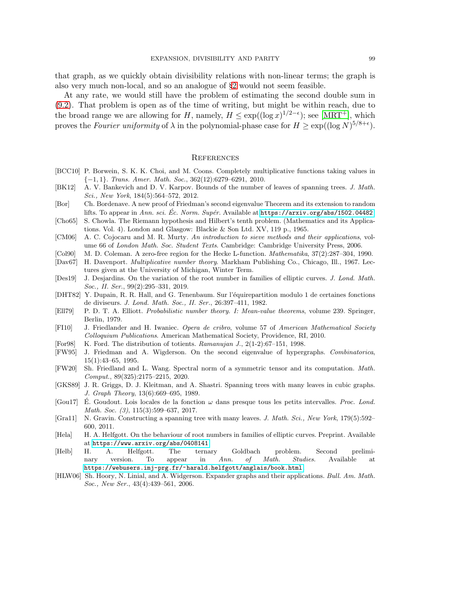that graph, as we quickly obtain divisibility relations with non-linear terms; the graph is also very much non-local, and so an analogue of §[2](#page-9-0) would not seem feasible.

At any rate, we would still have the problem of estimating the second double sum in [\(9.2\)](#page-97-0). That problem is open as of the time of writing, but might be within reach, due to the broad range we are allowing for H, namely,  $H \leq \exp((\log x)^{1/2-\epsilon})$ ; see [\[MRT](#page-99-13)<sup>+</sup>], which proves the *Fourier uniformity* of  $\lambda$  in the polynomial-phase case for  $H \geq \exp((\log N)^{5/8+\epsilon})$ .

## **REFERENCES**

- <span id="page-98-12"></span>[BCC10] P. Borwein, S. K. K. Choi, and M. Coons. Completely multiplicative functions taking values in {−1, 1}. *Trans. Amer. Math. Soc.*, 362(12):6279–6291, 2010.
- [BK12] A. V. Bankevich and D. V. Karpov. Bounds of the number of leaves of spanning trees. *J. Math. Sci., New York*, 184(5):564–572, 2012.
- <span id="page-98-9"></span>[Bor] Ch. Bordenave. A new proof of Friedman's second eigenvalue Theorem and its extension to random lifts. To appear in *Ann. sci. Ec. Norm. Sup´er. ´* Available at <https://arxiv.org/abs/1502.04482>.
- [Cho65] S. Chowla. The Riemann hypothesis and Hilbert's tenth problem. (Mathematics and its Applications. Vol. 4). London and Glasgow: Blackie & Son Ltd. XV, 119 p., 1965.
- <span id="page-98-1"></span>[CM06] A. C. Cojocaru and M. R. Murty. *An introduction to sieve methods and their applications*, volume 66 of *London Math. Soc. Student Texts*. Cambridge: Cambridge University Press, 2006.
- <span id="page-98-6"></span>[Col90] M. D. Coleman. A zero-free region for the Hecke L-function. *Mathematika*, 37(2):287–304, 1990.
- <span id="page-98-4"></span>[Dav67] H. Davenport. *Multiplicative number theory*. Markham Publishing Co., Chicago, Ill., 1967. Lectures given at the University of Michigan, Winter Term.
- <span id="page-98-11"></span>[Des19] J. Desjardins. On the variation of the root number in families of elliptic curves. *J. Lond. Math. Soc., II. Ser.*, 99(2):295–331, 2019.
- <span id="page-98-3"></span>[DHT82] Y. Dupain, R. R. Hall, and G. Tenenbaum. Sur l'´equirepartition modulo 1 de certaines fonctions de diviseurs. *J. Lond. Math. Soc., II. Ser.*, 26:397–411, 1982.
- [Ell79] P. D. T. A. Elliott. *Probabilistic number theory. I: Mean-value theorems*, volume 239. Springer, Berlin, 1979.
- <span id="page-98-0"></span>[FI10] J. Friedlander and H. Iwaniec. *Opera de cribro*, volume 57 of *American Mathematical Society Colloquium Publications*. American Mathematical Society, Providence, RI, 2010.
- <span id="page-98-2"></span>[For98] K. Ford. The distribution of totients. *Ramanujan J.*, 2(1-2):67–151, 1998.
- <span id="page-98-14"></span>[FW95] J. Friedman and A. Wigderson. On the second eigenvalue of hypergraphs. *Combinatorica*, 15(1):43–65, 1995.
- <span id="page-98-13"></span>[FW20] Sh. Friedland and L. Wang. Spectral norm of a symmetric tensor and its computation. *Math. Comput.*, 89(325):2175–2215, 2020.
- [GKS89] J. R. Griggs, D. J. Kleitman, and A. Shastri. Spanning trees with many leaves in cubic graphs. *J. Graph Theory*, 13(6):669–695, 1989.
- <span id="page-98-7"></span>[Gou17] E. Goudout. Lois locales de la fonction  $\omega$  dans presque tous les petits intervalles. *Proc. Lond. Math. Soc. (3)*, 115(3):599–637, 2017.
- [Gra11] N. Gravin. Constructing a spanning tree with many leaves. *J. Math. Sci., New York*, 179(5):592– 600, 2011.
- <span id="page-98-10"></span>[Hela] H. A. Helfgott. On the behaviour of root numbers in families of elliptic curves. Preprint. Available at <https://www.arxiv.org/abs/0408141>.
- <span id="page-98-5"></span>[Helb] H. A. Helfgott. The ternary Goldbach problem. Second preliminary version. To appear in *Ann. of Math. Studies*. Available at <https://webusers.imj-prg.fr/~harald.helfgott/anglais/book.html>.
- <span id="page-98-8"></span>[HLW06] Sh. Hoory, N. Linial, and A. Widgerson. Expander graphs and their applications. *Bull. Am. Math. Soc., New Ser.*, 43(4):439–561, 2006.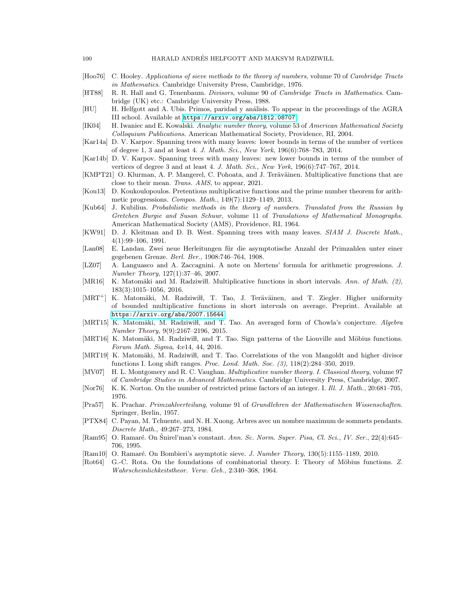- [Hoo76] C. Hooley. *Applications of sieve methods to the theory of numbers*, volume 70 of *Cambridge Tracts in Mathematics*. Cambridge University Press, Cambridge, 1976.
- <span id="page-99-3"></span>[HT88] R. R. Hall and G. Tenenbaum. *Divisors*, volume 90 of *Cambridge Tracts in Mathematics*. Cambridge (UK) etc.: Cambridge University Press, 1988.
- <span id="page-99-0"></span>[HU] H. Helfgott and A. Ubis. Primos, paridad y análisis. To appear in the proceedings of the AGRA III school. Available at <https://arxiv.org/abs/1812.08707>.
- <span id="page-99-10"></span>[IK04] H. Iwaniec and E. Kowalski. *Analytic number theory*, volume 53 of *American Mathematical Society Colloquium Publications*. American Mathematical Society, Providence, RI, 2004.
- [Kar14a] D. V. Karpov. Spanning trees with many leaves: lower bounds in terms of the number of vertices of degree 1, 3 and at least 4. *J. Math. Sci., New York*, 196(6):768–783, 2014.
- [Kar14b] D. V. Karpov. Spanning trees with many leaves: new lower bounds in terms of the number of vertices of degree 3 and at least 4. *J. Math. Sci., New York*, 196(6):747–767, 2014.
- <span id="page-99-12"></span>[KMPT21] O. Klurman, A. P. Mangerel, C. Pohoata, and J. Teräväinen. Multiplicative functions that are close to their mean. *Trans. AMS*, to appear, 2021.
- <span id="page-99-7"></span>[Kou13] D. Koukoulopoulos. Pretentious multiplicative functions and the prime number theorem for arithmetic progressions. *Compos. Math.*, 149(7):1129–1149, 2013.
- [Kub64] J. Kubilius. *Probabilistic methods in the theory of numbers. Translated from the Russian by Gretchen Burgie and Susan Schuur*, volume 11 of *Translations of Mathematical Monographs*. American Mathematical Society (AMS), Providence, RI, 1964.
- [KW91] D. J. Kleitman and D. B. West. Spanning trees with many leaves. *SIAM J. Discrete Math.*, 4(1):99–106, 1991.
- <span id="page-99-6"></span>[Lan08] E. Landau. Zwei neue Herleitungen für die asymptotische Anzahl der Primzahlen unter einer gegebenen Grenze. *Berl. Ber.*, 1908:746–764, 1908.
- <span id="page-99-9"></span>[LZ07] A. Languasco and A. Zaccagnini. A note on Mertens' formula for arithmetic progressions. *J. Number Theory*, 127(1):37–46, 2007.
- <span id="page-99-2"></span>[MR16] K. Matomäki and M. Radziwi<sup>1</sup> l. Multiplicative functions in short intervals. *Ann. of Math.* (2), 183(3):1015–1056, 2016.
- <span id="page-99-13"></span>[MRT<sup>+</sup>] K. Matomäki, M. Radziwiłł, T. Tao, J. Teräväinen, and T. Ziegler. Higher uniformity of bounded multiplicative functions in short intervals on average. Preprint. Available at <https://arxiv.org/abs/2007.15644>.
- <span id="page-99-1"></span>[MRT15] K. Matomäki, M. Radziwiłł, and T. Tao. An averaged form of Chowla's conjecture. *Algebra Number Theory*, 9(9):2167–2196, 2015.
- [MRT16] K. Matomäki, M. Radziwiłł, and T. Tao. Sign patterns of the Liouville and Möbius functions. *Forum Math. Sigma*, 4:e14, 44, 2016.
- <span id="page-99-11"></span>[MRT19] K. Matomäki, M. Radziwiłł, and T. Tao. Correlations of the von Mangoldt and higher divisor functions I. Long shift ranges. *Proc. Lond. Math. Soc. (3)*, 118(2):284–350, 2019.
- <span id="page-99-5"></span>[MV07] H. L. Montgomery and R. C. Vaughan. *Multiplicative number theory. I. Classical theory*, volume 97 of *Cambridge Studies in Advanced Mathematics*. Cambridge University Press, Cambridge, 2007.
- [Nor76] K. K. Norton. On the number of restricted prime factors of an integer. I. *Ill. J. Math.*, 20:681–705, 1976.
- <span id="page-99-8"></span>[Pra57] K. Prachar. *Primzahlverteilung*, volume 91 of *Grundlehren der Mathematischen Wissenschaften*. Springer, Berlin, 1957.
- [PTX84] C. Payan, M. Tchuente, and N. H. Xuong. Arbres avec un nombre maximum de sommets pendants. *Discrete Math.*, 49:267–273, 1984.
- [Ram95] O. Ramaré. On Snirel'man's constant. Ann. Sc. Norm. Super. Pisa, Cl. Sci., IV. Ser., 22(4):645– 706, 1995.
- <span id="page-99-4"></span>[Ram10] O. Ramaré. On Bombieri's asymptotic sieve. *J. Number Theory*, 130(5):1155–1189, 2010.
- [Rot64] G.-C. Rota. On the foundations of combinatorial theory. I: Theory of Möbius functions. Z. *Wahrscheinlichkeitstheor. Verw. Geb.*, 2:340–368, 1964.